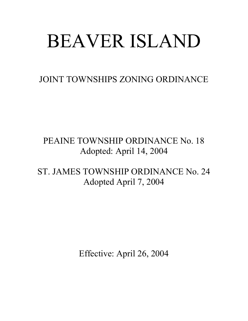# BEAVER ISLAND

JOINT TOWNSHIPS ZONING ORDINANCE

## PEAINE TOWNSHIP ORDINANCE No. 18 Adopted: April 14, 2004

ST. JAMES TOWNSHIP ORDINANCE No. 24 Adopted April 7, 2004

Effective: April 26, 2004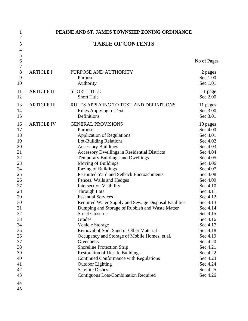| 1                                                                                                                                                                                |                    | PEAINE AND ST. JAMES TOWNSHIP ZONING ORDINANCE                                                                                                                                                                                                                                                                                                                                                                                                                                                                                                                                                                                                                                                                                                                                                                                                                                                                                                                           |                                                                                                                                                                                                                                                                                                                                              |
|----------------------------------------------------------------------------------------------------------------------------------------------------------------------------------|--------------------|--------------------------------------------------------------------------------------------------------------------------------------------------------------------------------------------------------------------------------------------------------------------------------------------------------------------------------------------------------------------------------------------------------------------------------------------------------------------------------------------------------------------------------------------------------------------------------------------------------------------------------------------------------------------------------------------------------------------------------------------------------------------------------------------------------------------------------------------------------------------------------------------------------------------------------------------------------------------------|----------------------------------------------------------------------------------------------------------------------------------------------------------------------------------------------------------------------------------------------------------------------------------------------------------------------------------------------|
| $\overline{2}$<br>3<br>$\overline{4}$                                                                                                                                            |                    | <b>TABLE OF CONTENTS</b>                                                                                                                                                                                                                                                                                                                                                                                                                                                                                                                                                                                                                                                                                                                                                                                                                                                                                                                                                 |                                                                                                                                                                                                                                                                                                                                              |
| 5<br>6                                                                                                                                                                           |                    |                                                                                                                                                                                                                                                                                                                                                                                                                                                                                                                                                                                                                                                                                                                                                                                                                                                                                                                                                                          | No of Pages                                                                                                                                                                                                                                                                                                                                  |
| 7<br>$8\,$<br>9<br>10                                                                                                                                                            | <b>ARTICLE I</b>   | PURPOSE AND AUTHORITY<br>Purpose<br>Authority                                                                                                                                                                                                                                                                                                                                                                                                                                                                                                                                                                                                                                                                                                                                                                                                                                                                                                                            | 2 pages<br>Sec.1.00<br>Sec.1.01                                                                                                                                                                                                                                                                                                              |
| 11<br>12                                                                                                                                                                         | <b>ARTICLE II</b>  | <b>SHORT TITLE</b><br><b>Short Title</b>                                                                                                                                                                                                                                                                                                                                                                                                                                                                                                                                                                                                                                                                                                                                                                                                                                                                                                                                 | 1 page<br>Sec.2.00                                                                                                                                                                                                                                                                                                                           |
| 13<br>14<br>15                                                                                                                                                                   | <b>ARTICLE III</b> | RULES APPLYING TO TEXT AND DEFINITIONS<br><b>Rules Applying to Text</b><br>Definitions                                                                                                                                                                                                                                                                                                                                                                                                                                                                                                                                                                                                                                                                                                                                                                                                                                                                                   | 11 pages<br>Sec.3.00<br>Sec.3.01                                                                                                                                                                                                                                                                                                             |
| 16<br>17<br>18<br>19<br>20<br>21<br>22<br>23<br>24<br>25<br>26<br>27<br>28<br>29<br>30<br>31<br>32<br>33<br>34<br>35<br>36<br>37<br>38<br>39<br>40<br>41<br>42<br>43<br>44<br>45 | <b>ARTICLE IV</b>  | <b>GENERAL PROVISIONS</b><br>Purpose<br><b>Application of Regulations</b><br><b>Lot-Building Relations</b><br><b>Accessory Buildings</b><br><b>Accessory Dwellings in Residential Districts</b><br>Temporary Buildings and Dwellings<br>Moving of Buildings<br><b>Razing of Buildings</b><br>Permitted Yard and Setback Encroachments<br>Fences, Walls and Hedges<br><b>Intersection Visibility</b><br><b>Through Lots</b><br><b>Essential Services</b><br>Required Water Supply and Sewage Disposal Facilities<br>Dumping and Storage of Rubbish and Waste Matter<br><b>Street Closures</b><br>Grades<br>Vehicle Storage<br>Removal of Soil, Sand or Other Material<br>Occupancy and Storage of Mobile Homes, et.al.<br>Greenbelts<br><b>Shoreline Protection Strip</b><br><b>Restoration of Unsafe Buildings</b><br><b>Continued Conformance with Regulations</b><br><b>Outdoor Lighting</b><br><b>Satellite Dishes</b><br><b>Contiguous Lots/Combination Required</b> | 10 pages<br>Sec.4.00<br>Sec.4.01<br>Sec.4.02<br>Sec.4.03<br>Sec.4.04<br>Sec.4.05<br>Sec.4.06<br>Sec.4.07<br>Sec.4.08<br>Sec.4.09<br>Sec.4.10<br>Sec.4.11<br>Sec.4.12<br>Sec.4.13<br>Sec.4.14<br>Sec.4.15<br>Sec.4.16<br>Sec.4.17<br>Sec.4.18<br>Sec.4.19<br>Sec.4.20<br>Sec.4.21<br>Sec.4.22<br>Sec.4.23<br>Sec.4.24<br>Sec.4.25<br>Sec.4.26 |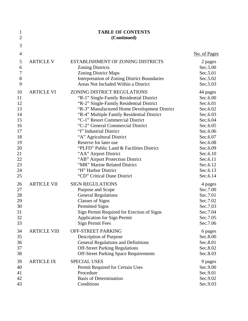| 1<br>$\overline{2}$ |                     | <b>TABLE OF CONTENTS</b><br>(Continued)             |              |
|---------------------|---------------------|-----------------------------------------------------|--------------|
| 3                   |                     |                                                     |              |
| $\overline{4}$      |                     |                                                     | No. of Pages |
| 5                   | <b>ARTICLE V</b>    | <b>ESTABLISHMENT OF ZONING DISTRICTS</b>            | 2 pages      |
| 6                   |                     | <b>Zoning Districts</b>                             | Sec.5.00     |
| 7                   |                     | <b>Zoning District Maps</b>                         | Sec.5.01     |
| 8                   |                     | <b>Interpretation of Zoning District Boundaries</b> | Sec.5.02     |
| 9                   |                     | Areas Not Included Within a District                | Sec.5.03     |
| 10                  | <b>ARTICLE VI</b>   | ZONING DISTRICT REGULATIONS                         | 44 pages     |
| 11                  |                     | "R-1" Single-Family Residential District            | Sec.6.00     |
| 12                  |                     | "R-2" Single-Family Residential District            | Sec.6.01     |
| 13                  |                     | "R-3" Manufactured Home Development District        | Sec.6.02     |
| 14                  |                     | "R-4" Multiple Family Residential District          | Sec.6.03     |
| 15                  |                     | "C-1" Resort Commercial District                    | Sec.6.04     |
| 16                  |                     | "C-2" General Commercial District                   | Sec.6.05     |
| 17                  |                     | "I" Industrial District                             | Sec.6.06     |
| 18                  |                     | "A" Agricultural District                           | Sec.6.07     |
| 19                  |                     | Reserve for later use                               | Sec.6.08     |
| 20                  |                     | "PLFD" Public Land & Facilities District            | Sec.6.09     |
| 21                  |                     | "AA" Airport District                               | Sec.6.10     |
| 22                  |                     | "AB" Airport Protection District                    | Sec.6.11     |
| 23                  |                     | "MR" Marine Related District                        | Sec.6.12     |
| 24                  |                     | "H" Harbor District                                 | Sec.6.13     |
| 25                  |                     | "CD" Critical Dune District                         | Sec.6.14     |
| 26                  | <b>ARTICLE VII</b>  | <b>SIGN REGULATIONS</b>                             | 4 pages      |
| 27                  |                     | Purpose and Scope                                   | Sec.7.00     |
| 28                  |                     | <b>General Regulations</b>                          | Sec.7.01     |
| 29                  |                     | <b>Classes of Signs</b>                             | Sec.7.02     |
| 30                  |                     | <b>Permitted Signs</b>                              | Sec.7.03     |
| 31                  |                     | Sign Permit Required for Erection of Signs          | Sec.7.04     |
| 32                  |                     | <b>Application for Sign Permit</b>                  | Sec.7.05     |
| 33                  |                     | <b>Sign Permit Fees</b>                             | Sec.7.06     |
| 34                  | <b>ARTICLE VIII</b> | OFF-STREET PARKING                                  | 6 pages      |
| 35                  |                     | Description of Purpose                              | Sec.8.00     |
| 36                  |                     | <b>General Regulations and Definitions</b>          | Sec.8.01     |
| 37                  |                     | <b>Off-Street Parking Regulations</b>               | Sec.8.02     |
| 38                  |                     | <b>Off-Street Parking Space Requirements</b>        | Sec.8.03     |
| 39                  | <b>ARTICLE IX</b>   | <b>SPECIAL USES</b>                                 | 9 pages      |
| 40                  |                     | Permit Required for Certain Uses                    | Sec.9.00     |
| 41                  |                     | Procedure                                           | Sec.9.01     |
| 42                  |                     | <b>Basis of Determination</b>                       | Sec.9.02     |
| 43                  |                     | Conditions                                          | Sec.9.03     |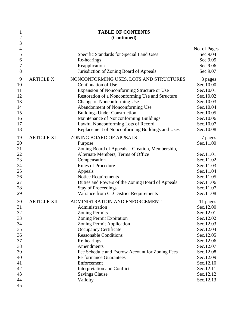| $\mathbf{1}$   |                    | <b>TABLE OF CONTENTS</b>                         |              |
|----------------|--------------------|--------------------------------------------------|--------------|
| $\overline{2}$ |                    | (Continued)                                      |              |
| 3              |                    |                                                  |              |
| 4              |                    |                                                  | No. of Pages |
| 5              |                    | Specific Standards for Special Land Uses         | Sec.9.04     |
| 6              |                    | Re-hearings                                      | Sec.9.05     |
| 7              |                    | Reapplication                                    | Sec.9.06     |
| 8              |                    | Jurisdiction of Zoning Board of Appeals          | Sec.9.07     |
| 9              | <b>ARTICLE X</b>   | NONCONFORMING USES, LOTS AND STRUCTURES          | 3 pages      |
| 10             |                    | Continuation of Use                              | Sec.10.00    |
| 11             |                    | Expansion of Nonconforming Structure or Use      | Sec.10.01    |
| 12             |                    | Restoration of a Nonconforming Use and Structure | Sec.10.02    |
| 13             |                    | Change of Nonconforming Use                      | Sec.10.03    |
| 14             |                    | Abandonment of Nonconforming Use                 | Sec.10.04    |
| 15             |                    | <b>Buildings Under Construction</b>              | Sec.10.05    |
| 16             |                    | Maintenance of Nonconforming Buildings           | Sec.10.06    |
| 17             |                    | Lawful Nonconforming Lots of Record              | Sec.10.07    |
| 18             |                    | Replacement of Nonconforming Buildings and Uses  | Sec.10.08    |
| 19             | <b>ARTICLE XI</b>  | ZONING BOARD OF APPEALS                          | 7 pages      |
| 20             |                    | Purpose                                          | Sec.11.00    |
| 21             |                    | Zoning Board of Appeals – Creation, Membership,  |              |
| 22             |                    | Alternate Members, Terms of Office               | Sec.11.01    |
| 23             |                    | Compensation                                     | Sec.11.02    |
| 24             |                    | <b>Rules of Procedure</b>                        | Sec.11.03    |
| 25             |                    | Appeals                                          | Sec.11.04    |
| 26             |                    | <b>Notice Requirements</b>                       | Sec.11.05    |
| 27             |                    | Duties and Powers of the Zoning Board of Appeals | Sec.11.06    |
| 28             |                    | <b>Stay of Proceedings</b>                       | Sec.11.07    |
| 29             |                    | Variance from CD District Requirements           | Sec.11.08    |
| 30             | <b>ARTICLE XII</b> | ADMINISTRATION AND ENFORCEMENT                   | 11 pages     |
| 31             |                    | Administration                                   | Sec.12.00    |
| $32\,$         |                    | <b>Zoning Permits</b>                            | Sec.12.01    |
| 33             |                    | <b>Zoning Permit Expiration</b>                  | Sec.12.02    |
| 34             |                    | Zoning Permit Application                        | Sec.12.03    |
| 35             |                    | <b>Occupancy Certificate</b>                     | Sec.12.04    |
| 36             |                    | <b>Reasonable Conditions</b>                     | Sec.12.05    |
| 37             |                    | Re-hearings                                      | Sec.12.06    |
| 38             |                    | Amendments                                       | Sec.12.07    |
| 39             |                    | Fee Schedule and Escrow Account for Zoning Fees  | Sec.12.08    |
| 40             |                    | <b>Performance Guarantees</b>                    | Sec.12.09    |
| 41             |                    | Enforcement                                      | Sec.12.10    |
| 42             |                    | Interpretation and Conflict                      | Sec.12.11    |
| 43             |                    | <b>Savings Clause</b>                            | Sec.12.12    |
| 44             |                    | Validity                                         | Sec.12.13    |
| 45             |                    |                                                  |              |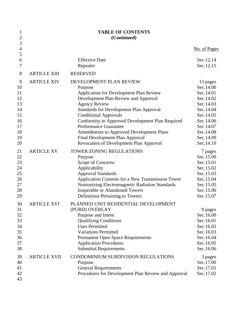| 1<br>$\overline{c}$                                                 |                     | <b>TABLE OF CONTENTS</b><br>(Continued)                                                                                                                                                                                                                                                                                                                                                                                                              |                                                                                                                                                          |
|---------------------------------------------------------------------|---------------------|------------------------------------------------------------------------------------------------------------------------------------------------------------------------------------------------------------------------------------------------------------------------------------------------------------------------------------------------------------------------------------------------------------------------------------------------------|----------------------------------------------------------------------------------------------------------------------------------------------------------|
| 3<br>$\overline{4}$                                                 |                     |                                                                                                                                                                                                                                                                                                                                                                                                                                                      | No. of Pages                                                                                                                                             |
| 5<br>6<br>7                                                         |                     | <b>Effective Date</b><br>Repealer                                                                                                                                                                                                                                                                                                                                                                                                                    | Sec.12.14<br>Sec.12.15                                                                                                                                   |
| $8\,$                                                               | <b>ARTICLE XIII</b> | <b>RESERVED</b>                                                                                                                                                                                                                                                                                                                                                                                                                                      |                                                                                                                                                          |
| 9<br>10<br>11<br>12<br>13<br>14<br>15<br>16<br>17<br>18<br>19<br>20 | <b>ARTICLE XIV</b>  | DEVELOPMENT PLAN REVIEW<br>Purpose<br><b>Application for Development Plan Review</b><br>Development Plan Review and Approval<br><b>Agency Review</b><br><b>Standards for Development Plan Approval</b><br><b>Conditional Approvals</b><br>Conformity to Approved Development Plan Required<br><b>Performance Guarantee</b><br>Amendments to Approved Development Plans<br>Final Development Plan Approval<br>Revocation of Development Plan Approval | 13 pages<br>Sec.14.00<br>Sec.14.01<br>Sec. 14.02<br>Sec.14.03<br>Sec.14.04<br>Sec.14.05<br>Sec.14.06<br>Sec.14.07<br>Sec.14.08<br>Sec.14.09<br>Sec.14.10 |
| 21<br>22<br>23<br>24<br>25<br>26<br>27<br>28<br>29                  | <b>ARTICLE XV</b>   | TOWER ZONING REGULATIONS<br>Purpose<br>Scope of Concerns<br>Applicability<br><b>Approval Standards</b><br>Application Contents for a New Transmission Tower<br>Nonionizing Electromagnetic Radiation Standards<br><b>Inoperable or Abandoned Towers</b><br>Definitions Pertaining to Towers                                                                                                                                                          | 7 pages<br>Sec.15.00<br>Sec.15.01<br>Sec.15.02<br>Sec.15.03<br>Sec.15.04<br>Sec.15.05<br>Sec.15.06<br>Sec.15.07                                          |
| 30<br>31<br>32<br>33<br>34<br>35<br>36<br>37<br>38                  | <b>ARTICLE XVI</b>  | PLANNED UNIT RESIDENTIAL DEVELOPMENT<br>(PURD) OVERLAY<br>Purpose and Intent<br><b>Qualifying Conditions</b><br><b>Uses Permitted</b><br><b>Variations Permitted</b><br>Permanent Open Space Requirements<br><b>Application Procedures</b><br><b>Submittal Requirements</b>                                                                                                                                                                          | 9 pages<br>Sec.16.00<br>Sec.16.01<br>Sec.16.02<br>Sec.16.03<br>Sec.16.04<br>Sec.16.05<br>Sec.16.06                                                       |
| 39<br>40<br>41<br>42<br>43                                          | <b>ARTICLE XVII</b> | CONDOMINIUM SUBDIVISION REGULATIONS<br>Purpose<br><b>General Requirements</b><br>Procedures for Development Plan Review and Approval                                                                                                                                                                                                                                                                                                                 | 3 pages<br>Sec.17.00<br>Sec.17.01<br>Sec.17.02                                                                                                           |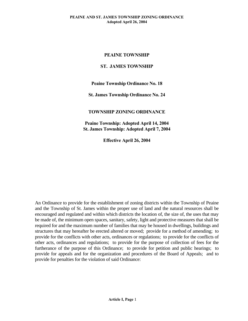## **PEAINE TOWNSHIP**

## **ST. JAMES TOWNSHIP**

## **Peaine Township Ordinance No. 18**

## **St. James Township Ordinance No. 24**

## **TOWNSHIP ZONING ORDINANCE**

## **Peaine Township: Adopted April 14, 2004 St. James Township: Adopted April 7, 2004**

**Effective April 26, 2004** 

An Ordinance to provide for the establishment of zoning districts within the Township of Peaine and the Township of St. James within the proper use of land and the natural resources shall be encouraged and regulated and within which districts the location of, the size of, the uses that may be made of, the minimum open spaces, sanitary, safety, light and protective measures that shall be required for and the maximum number of families that may be housed in dwellings, buildings and structures that may hereafter be erected altered or moved; provide for a method of amending; to provide for the conflicts with other acts, ordinances or regulations; to provide for the conflicts of other acts, ordinances and regulations; to provide for the purpose of collection of fees for the furtherance of the purpose of this Ordinance; to provide for petition and public hearings; to provide for appeals and for the organization and procedures of the Board of Appeals; and to provide for penalties for the violation of said Ordinance: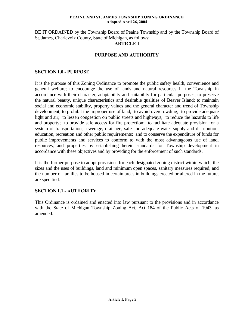BE IT ORDAINED by the Township Board of Peaine Township and by the Township Board of St. James, Charlevoix County, State of Michigan, as follows:

## **ARTICLE I**

## **PURPOSE AND AUTHORITY**

## **SECTION 1.0 - PURPOSE**

It is the purpose of this Zoning Ordinance to promote the public safety health, convenience and general welfare; to encourage the use of lands and natural resources in the Township in accordance with their character, adaptability and suitability for particular purposes; to preserve the natural beauty, unique characteristics and desirable qualities of Beaver Island; to maintain social and economic stability, property values and the general character and trend of Township development; to prohibit the improper use of land; to avoid overcrowding; to provide adequate light and air; to lessen congestion on public streets and highways; to reduce the hazards to life and property; to provide safe access for fire protection; to facilitate adequate provision for a system of transportation, sewerage, drainage, safe and adequate water supply and distribution, education, recreation and other public requirements; and to conserve the expenditure of funds for public improvements and services to conform to with the most advantageous use of land, resources, and properties by establishing herein standards for Township development in accordance with these objectives and by providing for the enforcement of such standards.

It is the further purpose to adopt provisions for each designated zoning district within which, the sizes and the uses of buildings, land and minimum open spaces, sanitary measures required, and the number of families to be housed in certain areas in buildings erected or altered in the future, are specified.

## **SECTION 1.1 - AUTHORITY**

This Ordinance is ordained and enacted into law pursuant to the provisions and in accordance with the State of Michigan Township Zoning Act, Act 184 of the Public Acts of 1943, as amended.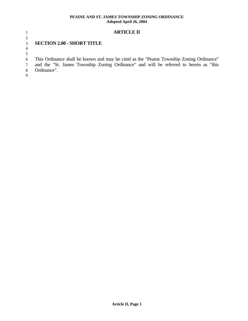|                                | <b>ARTICLE II</b>                                                                                                                                                                                |
|--------------------------------|--------------------------------------------------------------------------------------------------------------------------------------------------------------------------------------------------|
| 2<br>3<br>$\overline{4}$<br>5  | <b>SECTION 2.00 - SHORT TITLE</b>                                                                                                                                                                |
| 6<br>$7\overline{ }$<br>8<br>9 | This Ordinance shall be known and may be cited as the "Peaine Township Zoning Ordinance"<br>and the "St. James Township Zoning Ordinance" and will be referred to herein as "this<br>Ordinance". |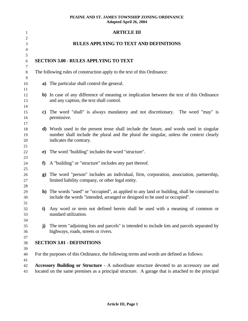| 1                    |                                                                                           | <b>ARTICLE III</b>                                                                                                                                                                                            |  |
|----------------------|-------------------------------------------------------------------------------------------|---------------------------------------------------------------------------------------------------------------------------------------------------------------------------------------------------------------|--|
| 2<br>3               |                                                                                           | <b>RULES APPLYING TO TEXT AND DEFINITIONS</b>                                                                                                                                                                 |  |
| $\overline{4}$       |                                                                                           |                                                                                                                                                                                                               |  |
| 5<br>$\sqrt{6}$      |                                                                                           | <b>SECTION 3.00 - RULES APPLYING TO TEXT</b>                                                                                                                                                                  |  |
| 7<br>$8\,$<br>9      |                                                                                           | The following rules of construction apply to the text of this Ordinance:                                                                                                                                      |  |
| 10<br>11             |                                                                                           | a) The particular shall control the general.                                                                                                                                                                  |  |
| 12<br>13             |                                                                                           | b) In case of any difference of meaning or implication between the text of this Ordinance<br>and any caption, the text shall control.                                                                         |  |
| 14<br>15<br>16       |                                                                                           | c) The word "shall" is always mandatory and not discretionary. The word "may" is<br>permissive.                                                                                                               |  |
| 17<br>18<br>19<br>20 |                                                                                           | d) Words used in the present tense shall include the future, and words used in singular<br>number shall include the plural and the plural the singular, unless the context clearly<br>indicates the contrary. |  |
| 21<br>22<br>23       |                                                                                           | e) The word "building" includes the word "structure".                                                                                                                                                         |  |
| 24<br>25             | f                                                                                         | A "building" or "structure" includes any part thereof.                                                                                                                                                        |  |
| 26<br>27<br>28       | $\mathbf{g}$                                                                              | The word "person" includes an individual, firm, corporation, association, partnership,<br>limited liability company, or other legal entity.                                                                   |  |
| 29<br>30<br>31       |                                                                                           | h) The words "used" or "occupied", as applied to any land or building, shall be construed to<br>include the words "intended, arranged or designed to be used or occupied".                                    |  |
| 32<br>33<br>34       |                                                                                           | i) Any word or term not defined herein shall be used with a meaning of common or<br>standard utilization.                                                                                                     |  |
| 35<br>36<br>37       | $\mathbf{j}$                                                                              | The term "adjoining lots and parcels" is intended to include lots and parcels separated by<br>highways, roads, streets or rivers.                                                                             |  |
| 38                   |                                                                                           | <b>SECTION 3.01 - DEFINITIONS</b>                                                                                                                                                                             |  |
| 39<br>40<br>41       |                                                                                           | For the purposes of this Ordinance, the following terms and words are defined as follows:                                                                                                                     |  |
| 42                   | Accessory Building or Structure - A subordinate structure devoted to an accessory use and |                                                                                                                                                                                                               |  |

43 located on the same premises as a principal structure. A garage that is attached to the principal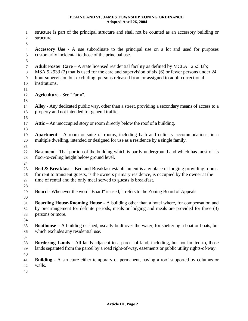| $\mathbf{1}$<br>$\overline{c}$ | structure is part of the principal structure and shall not be counted as an accessory building or<br>structure.                                                                                             |
|--------------------------------|-------------------------------------------------------------------------------------------------------------------------------------------------------------------------------------------------------------|
| 3                              |                                                                                                                                                                                                             |
| $\overline{4}$                 | Accessory Use - A use subordinate to the principal use on a lot and used for purposes                                                                                                                       |
| 5<br>6                         | customarily incidental to those of the principal use.                                                                                                                                                       |
| $\tau$                         | <b>Adult Foster Care</b> – A state licensed residential facility as defined by MCLA 125.583b;                                                                                                               |
| 8                              | MSA 5.2933 (2) that is used for the care and supervision of six (6) or fewer persons under 24                                                                                                               |
| $\overline{9}$                 | hour supervision but excluding persons released from or assigned to adult correctional                                                                                                                      |
| $10\,$                         | institutions.                                                                                                                                                                                               |
| 11<br>12                       | Agriculture - See "Farm".                                                                                                                                                                                   |
| 13                             |                                                                                                                                                                                                             |
| 14<br>15                       | Alley - Any dedicated public way, other than a street, providing a secondary means of access to a<br>property and not intended for general traffic.                                                         |
| 16                             |                                                                                                                                                                                                             |
| 17                             | Attic – An unoccupied story or room directly below the roof of a building.                                                                                                                                  |
| 18                             |                                                                                                                                                                                                             |
| 19                             | <b>Apartment</b> - A room or suite of rooms, including bath and culinary accommodations, in a                                                                                                               |
| 20                             | multiple dwelling, intended or designed for use as a residence by a single family.                                                                                                                          |
| 21                             | <b>Basement</b> - That portion of the building which is partly underground and which has most of its                                                                                                        |
| 22<br>23                       | floor-to-ceiling height below ground level.                                                                                                                                                                 |
| 24                             |                                                                                                                                                                                                             |
| 25<br>26                       | <b>Bed &amp; Breakfast</b> – Bed and Breakfast establishment is any place of lodging providing rooms<br>for rent to transient guests, is the owners primary residence, is occupied by the owner at the      |
| 27<br>$28\,$                   | time of rental and the only meal served to guests is breakfast.                                                                                                                                             |
| 29                             | <b>Board</b> - Whenever the word "Board" is used, it refers to the Zoning Board of Appeals.                                                                                                                 |
| 30<br>31                       | <b>Boarding House-Rooming House</b> - A building other than a hotel where, for compensation and                                                                                                             |
| 32                             | by prearrangement for definite periods, meals or lodging and meals are provided for three (3)                                                                                                               |
| 33                             | persons or more.                                                                                                                                                                                            |
| 34                             |                                                                                                                                                                                                             |
| 35                             | <b>Boathouse</b> – A building or shed, usually built over the water, for sheltering a boat or boats, but                                                                                                    |
| 36                             | which excludes any residential use.                                                                                                                                                                         |
| 37                             |                                                                                                                                                                                                             |
| 38                             | <b>Bordering Lands</b> - All lands adjacent to a parcel of land, including, but not limited to, those<br>lands separated from the parcel by a road right-of-way, easements or public utility rights-of-way. |
| 39<br>40                       |                                                                                                                                                                                                             |
| 41                             | <b>Building</b> - A structure either temporary or permanent, having a roof supported by columns or                                                                                                          |
| 42                             | walls.                                                                                                                                                                                                      |
| 43                             |                                                                                                                                                                                                             |
|                                |                                                                                                                                                                                                             |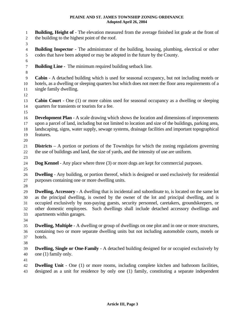| $\mathbf{1}$        | <b>Building, Height of</b> - The elevation measured from the average finished lot grade at the front of                                                                                              |
|---------------------|------------------------------------------------------------------------------------------------------------------------------------------------------------------------------------------------------|
| $\overline{c}$      | the building to the highest point of the roof.                                                                                                                                                       |
| 3                   |                                                                                                                                                                                                      |
| $\overline{4}$<br>5 | <b>Building Inspector</b> - The administrator of the building, housing, plumbing, electrical or other<br>codes that have been adopted or may be adopted in the future by the County.                 |
| 6                   |                                                                                                                                                                                                      |
| $\overline{7}$      | <b>Building Line -</b> The minimum required building setback line.                                                                                                                                   |
| $8\,$               |                                                                                                                                                                                                      |
| 9                   | Cabin - A detached building which is used for seasonal occupancy, but not including motels or<br>hotels, as a dwelling or sleeping quarters but which does not meet the floor area requirements of a |
| 10<br>11            | single family dwelling.                                                                                                                                                                              |
| 12                  |                                                                                                                                                                                                      |
| 13                  | <b>Cabin Court</b> - One (1) or more cabins used for seasonal occupancy as a dwelling or sleeping                                                                                                    |
| 14                  | quarters for transients or tourists for a fee.                                                                                                                                                       |
| 15                  |                                                                                                                                                                                                      |
| 16                  | <b>Development Plan</b> - A scale drawing which shows the location and dimensions of improvements                                                                                                    |
| 17                  | upon a parcel of land, including but not limited to location and size of the buildings, parking area,                                                                                                |
| 18                  | landscaping, signs, water supply, sewage systems, drainage facilities and important topographical                                                                                                    |
| 19                  | features.                                                                                                                                                                                            |
| 20                  |                                                                                                                                                                                                      |
| 21                  | <b>Districts</b> – A portion or portions of the Townships for which the zoning regulations governing                                                                                                 |
| 22                  | the use of buildings and land, the size of yards, and the intensity of use are uniform.                                                                                                              |
| 23                  |                                                                                                                                                                                                      |
| 24                  | <b>Dog Kennel</b> - Any place where three (3) or more dogs are kept for commercial purposes.                                                                                                         |
| 25                  |                                                                                                                                                                                                      |
| 26                  | <b>Dwelling</b> - Any building, or portion thereof, which is designed or used exclusively for residential                                                                                            |
| 27                  | purposes containing one or more dwelling units.                                                                                                                                                      |
| $28\,$              | <b>Dwelling, Accessory</b> - A dwelling that is incidental and subordinate to, is located on the same lot                                                                                            |
| 29<br>30            | as the principal dwelling, is owned by the owner of the lot and principal dwelling, and is                                                                                                           |
| 31                  | occupied exclusively by non-paying guests, security personnel, caretakers, groundskeepers, or                                                                                                        |
| 32                  | other domestic employees. Such dwellings shall include detached accessory dwellings and                                                                                                              |
| 33                  | apartments within garages.                                                                                                                                                                           |
| 34                  |                                                                                                                                                                                                      |
| 35                  | <b>Dwelling, Multiple</b> - A dwelling or group of dwellings on one plot and in one or more structures,                                                                                              |
| 36                  | containing two or more separate dwelling units but not including automobile courts, motels or                                                                                                        |
| 37                  | hotels.                                                                                                                                                                                              |
| 38                  |                                                                                                                                                                                                      |
| 39                  | <b>Dwelling, Single or One-Family - A detached building designed for or occupied exclusively by</b>                                                                                                  |
| 40                  | one (1) family only.                                                                                                                                                                                 |
| 41                  |                                                                                                                                                                                                      |
| $\Delta$            | <b>Dwelling Unit -</b> One (1) or more rooms, including complete kitchen and bathroom facilities                                                                                                     |

42 43 **Dwelling Unit** - One (1) or more rooms, including complete kitchen and bathroom facilities, designed as a unit for residence by only one (1) family, constituting a separate independent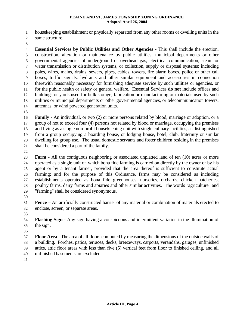1 housekeeping establishment or physically separated from any other rooms or dwelling units in the

2 same structure.

3

4 5 6 7 8 9 10 11 12 13 14 **Essential Services by Public Utilities and Other Agencies** - This shall include the erection, construction, alteration or maintenance by public utilities, municipal departments or other governmental agencies of underground or overhead gas, electrical communication, steam or water transmission or distribution systems, or collection, supply or disposal systems; including poles, wires, mains, drains, sewers, pipes, cables, towers, fire alarm boxes, police or other call boxes, traffic signals, hydrants and other similar equipment and accessories in connection therewith reasonably necessary for furnishing adequate service by such utilities or agencies, or for the public health or safety or general welfare. Essential Services **do not** include offices and buildings or yards used for bulk storage, fabrication or manufacturing or materials used by such utilities or municipal departments or other governmental agencies, or telecommunication towers, antennas, or wind powered generation units.

15

16 17 18 19 20 21 **Family** - An individual, or two (2) or more persons related by blood, marriage or adoption, or a group of not to exceed four (4) persons not related by blood or marriage, occupying the premises and living as a single non-profit housekeeping unit with single culinary facilities, as distinguished from a group occupying a boarding house, or lodging house, hotel, club, fraternity or similar dwelling for group use. The usual domestic servants and foster children residing in the premises shall be considered a part of the family.

22

23 24 25 26 27 28 29 **Farm** - All the contiguous neighboring or associated unplatted land of ten (10) acres or more operated as a single unit on which bona fide farming is carried on directly by the owner or by his agent or by a tenant farmer, provided that the area thereof is sufficient to constitute actual farming; and for the purpose of this Ordinance, farms may be considered as including establishments operated as bona fide greenhouses, nurseries, orchards, chicken hatcheries, poultry farms, dairy farms and apiaries and other similar activities. The words "agriculture" and "farming" shall be considered synonymous.

30

31 32 **Fence –** An artificially constructed barrier of any material or combination of materials erected to enclose, screen, or separate areas.

33

34 35 **Flashing Sign** - Any sign having a conspicuous and intermittent variation in the illumination of the sign.

36

37 38 39 40 **Floor Area** - The area of all floors computed by measuring the dimensions of the outside walls of a building. Porches, patios, terraces, decks, breezeways, carports, verandahs, garages, unfinished attics, attic floor areas with less than five (5) vertical feet from floor to finished ceiling, and all unfinished basements are excluded.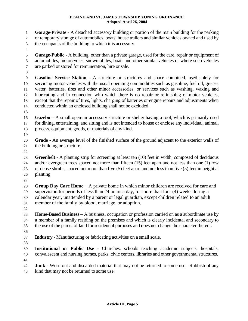1 2 3 4 5 6 7 8 9 10 11 12 13 14 15 16 17 18 19 20 21 22 23 24 25 26 27 28 29 30 31 32 33 34 35 36 37 38 39 40 41 42 43 **Garage-Private** - A detached accessory building or portion of the main building for the parking or temporary storage of automobiles, boats, house trailers and similar vehicles owned and used by the occupants of the building to which it is accessory. **Garage-Public** - A building, other than a private garage, used for the care, repair or equipment of automobiles, motorcycles, snowmobiles, boats and other similar vehicles or where such vehicles are parked or stored for remuneration, hire or sale. **Gasoline Service Station** - A structure or structures and space combined, used solely for servicing motor vehicles with the usual operating commodities such as gasoline, fuel oil, grease, water, batteries, tires and other minor accessories, or services such as washing, waxing and lubricating and in connection with which there is no repair or refinishing of motor vehicles, except that the repair of tires, lights, charging of batteries or engine repairs and adjustments when conducted within an enclosed building shall not be excluded. **Gazebo –** A small open-air accessory structure or shelter having a roof, which is primarily used for dining, entertaining, and sitting and is not intended to house or enclose any individual, animal, process, equipment, goods, or materials of any kind. **Grade** - An average level of the finished surface of the ground adjacent to the exterior walls of the building or structure. **Greenbelt** - A planting strip for screening at least ten (10) feet in width, composed of deciduous and/or evergreen trees spaced not more than fifteen (15) feet apart and not less than one (1) row of dense shrubs, spaced not more than five (5) feet apart and not less than five (5) feet in height at planting. **Group Day Care Home** − A private home in which minor children are received for care and supervision for periods of less than 24 hours a day, for more than four (4) weeks during a calendar year, unattended by a parent or legal guardian, except children related to an adult member of the family by blood, marriage, or adoption. **Home-Based Business** – A business, occupation or profession carried on as a subordinate use by a member of a family residing on the premises and which is clearly incidental and secondary to the use of the parcel of land for residential purposes and does not change the character thereof. **Industry** - Manufacturing or fabricating activities on a small scale. **Institutional or Public Use** - Churches, schools teaching academic subjects, hospitals, convalescent and nursing homes, parks, civic centers, libraries and other governmental structures. **Junk** - Worn out and discarded material that may not be returned to some use. Rubbish of any kind that may not be returned to some use.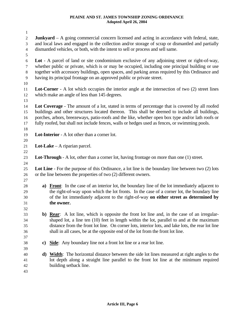| 1              |                                                                                                    |                                                                                                         |  |
|----------------|----------------------------------------------------------------------------------------------------|---------------------------------------------------------------------------------------------------------|--|
| $\overline{2}$ |                                                                                                    | <b>Junkyard</b> $- A$ going commercial concern licensed and acting in accordance with federal, state,   |  |
| 3              |                                                                                                    | and local laws and engaged in the collection and/or storage of scrap or dismantled and partially        |  |
| $\overline{4}$ |                                                                                                    | dismantled vehicles, or both, with the intent to sell or process and sell same.                         |  |
| 5              |                                                                                                    |                                                                                                         |  |
| 6              |                                                                                                    | Lot - A parcel of land or site condominium exclusive of any adjoining street or right-of-way,           |  |
| $\tau$         |                                                                                                    | whether public or private, which is or may be occupied, including one principal building or use         |  |
| $\,8\,$        |                                                                                                    | together with accessory buildings, open spaces, and parking areas required by this Ordinance and        |  |
| $\overline{9}$ |                                                                                                    | having its principal frontage on an approved public or private street.                                  |  |
| 10             |                                                                                                    |                                                                                                         |  |
| 11             |                                                                                                    | <b>Lot-Corner</b> - A lot which occupies the interior angle at the intersection of two (2) street lines |  |
| 12             |                                                                                                    | which make an angle of less than 145 degrees.                                                           |  |
| 13             |                                                                                                    |                                                                                                         |  |
| 14             |                                                                                                    | Lot Coverage - The amount of a lot, stated in terms of percentage that is covered by all roofed         |  |
| 15             |                                                                                                    | buildings and other structures located thereon. This shall be deemed to include all buildings,          |  |
| 16             |                                                                                                    | porches, arbors, breezeways, patio-roofs and the like, whether open box type and/or lath roofs or       |  |
| 17             |                                                                                                    | fully roofed, but shall not include fences, walls or hedges used as fences, or swimming pools.          |  |
| 18             |                                                                                                    |                                                                                                         |  |
| 19             |                                                                                                    | <b>Lot-Interior</b> - A lot other than a corner lot.                                                    |  |
| 20             |                                                                                                    |                                                                                                         |  |
| 21             |                                                                                                    | <b>Lot-Lake</b> – A riparian parcel.                                                                    |  |
| 22             |                                                                                                    |                                                                                                         |  |
| 23             |                                                                                                    | <b>Lot-Through</b> - A lot, other than a corner lot, having frontage on more than one (1) street.       |  |
| 24             |                                                                                                    |                                                                                                         |  |
| 25             | Lot Line - For the purpose of this Ordinance, a lot line is the boundary line between two (2) lots |                                                                                                         |  |
| 26             |                                                                                                    | or the line between the properties of two (2) different owners.                                         |  |
| 27             |                                                                                                    |                                                                                                         |  |
| 28             |                                                                                                    | a) Front: In the case of an interior lot, the boundary line of the lot immediately adjacent to          |  |
| 29             |                                                                                                    | the right-of-way upon which the lot fronts. In the case of a corner lot, the boundary line              |  |
| 30<br>31       |                                                                                                    | of the lot immediately adjacent to the right-of-way on either street as determined by<br>the owner.     |  |
| 32             |                                                                                                    |                                                                                                         |  |
| 33             |                                                                                                    | b) <b>Rear</b> : A lot line, which is opposite the front lot line and, in the case of an irregular-     |  |
| 34             |                                                                                                    | shaped lot, a line ten (10) feet in length within the lot, parallel to and at the maximum               |  |
| 35             |                                                                                                    | distance from the front lot line. On corner lots, interior lots, and lake lots, the rear lot line       |  |
| 36             |                                                                                                    | shall in all cases, be at the opposite end of the lot from the front lot line.                          |  |
| 37             |                                                                                                    |                                                                                                         |  |
| 38             | C)                                                                                                 | <b>Side:</b> Any boundary line not a front lot line or a rear lot line.                                 |  |
| 39             |                                                                                                    |                                                                                                         |  |
| 40             | d)                                                                                                 | <b>Width:</b> The horizontal distance between the side lot lines measured at right angles to the        |  |
| 41             |                                                                                                    | lot depth along a straight line parallel to the front lot line at the minimum required                  |  |
| 42             |                                                                                                    |                                                                                                         |  |
|                |                                                                                                    | building setback line.                                                                                  |  |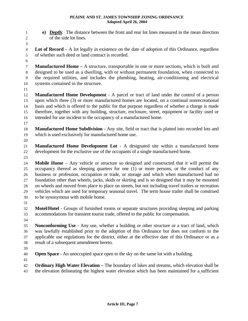- **e) Depth**: The distance between the front and rear lot lines measured in the mean direction of the side lot lines.
- 4 5 **Lot of Record** – A lot legally in existence on the date of adoption of this Ordinance, regardless of whether such deed or land contract is recorded.
- 6

1 2 3

7 8 9 10 **Manufactured Home –** A structure, transportable in one or more sections, which is built and designed to be used as a dwelling, with or without permanent foundation, when connected to the required utilities, and includes the plumbing, heating, air-conditioning and electrical systems contained in the structure.

11

12 13 14 15 16 **Manufactured Home Development** - A parcel or tract of land under the control of a person upon which three (3) or more manufactured homes are located, on a continual nonrecreational basis and which is offered to the public for that purpose regardless of whether a charge is made therefore, together with any building, structure, enclosure, street, equipment or facility used or intended for use incident to the occupancy of a manufactured home.

17

18 19 **Manufactured Home Subdivision** - Any site, field or tract that is platted into recorded lots and which is used exclusively for manufactured home use.

20

21 22 **Manufactured Home Development Lot** - A designated site within a manufactured home development for the exclusive use of the occupants of a single manufactured home.

23

24 25 26 27 28 29 30 **Mobile Home** – Any vehicle or structure so designed and constructed that it will permit the occupancy thereof as sleeping quarters for one (1) or more persons, or the conduct of any business or profession, occupation or trade, or storage and which when manufactured had no foundation other than wheels, jacks, skids or skirting and is so designed that it may be mounted on wheels and moved from place to place on streets, but not including travel trailers or recreation vehicles which are used for temporary seasonal travel. The term house trailer shall be construed to be synonymous with mobile home.

31

32 33 **Motel/Hotel** - Groups of furnished rooms or separate structures providing sleeping and parking accommodations for transient tourist trade, offered to the public for compensation.

34

35 36 37 38 **Nonconforming Use** - Any use, whether a building or other structure or a tract of land, which was lawfully established prior to the adoption of this Ordinance but does not conform to the applicable use regulations for the district, either at the effective date of this Ordinance or as a result of a subsequent amendment hereto.

39

40 **Open Space** - An unoccupied space open to the sky on the same lot with a building.

41

42 **Ordinary High Water Elevation – The boundary of lakes and streams, which elevation shall be** 43 the elevation delineating the highest water elevation which has been maintained for a sufficient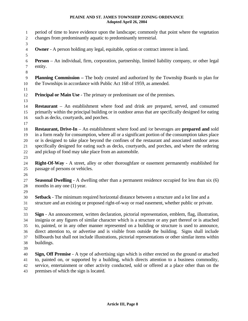| 1<br>$\mathfrak{2}$<br>3               | period of time to leave evidence upon the landscape; commonly that point where the vegetation<br>changes from predominantly aquatic to predominantly terrestrial.                                                                                                                                                                                                                                                                                                                                                                         |
|----------------------------------------|-------------------------------------------------------------------------------------------------------------------------------------------------------------------------------------------------------------------------------------------------------------------------------------------------------------------------------------------------------------------------------------------------------------------------------------------------------------------------------------------------------------------------------------------|
| $\overline{4}$                         | <b>Owner</b> - A person holding any legal, equitable, option or contract interest in land.                                                                                                                                                                                                                                                                                                                                                                                                                                                |
| 5<br>$\sqrt{6}$<br>$\tau$<br>$\,8\,$   | <b>Person</b> – An individual, firm, corporation, partnership, limited liability company, or other legal<br>entity.                                                                                                                                                                                                                                                                                                                                                                                                                       |
| $\overline{9}$<br>10                   | <b>Planning Commission</b> – The body created and authorized by the Township Boards to plan for<br>the Townships in accordance with Public Act 168 of 1959, as amended.                                                                                                                                                                                                                                                                                                                                                                   |
| 11<br>12<br>13                         | <b>Principal or Main Use - The primary or predominant use of the premises.</b>                                                                                                                                                                                                                                                                                                                                                                                                                                                            |
| 14<br>15<br>16<br>17                   | <b>Restaurant</b> – An establishment where food and drink are prepared, served, and consumed<br>primarily within the principal building or in outdoor areas that are specifically designed for eating<br>such as decks, courtyards, and porches.                                                                                                                                                                                                                                                                                          |
| 18<br>19<br>20<br>21<br>$22\,$<br>23   | <b>Restaurant, Drive-In</b> – An establishment where food and /or beverages are <b>prepared and</b> sold<br>in a form ready for consumption, where all or a significant portion of the consumption takes place<br>or is designed to take place beyond the confines of the restaurant and associated outdoor areas<br>specifically designed for eating such as decks, courtyards, and porches, and where the ordering<br>and pickup of food may take place from an automobile.                                                             |
| 24<br>25                               | Right-Of-Way - A street, alley or other thoroughfare or easement permanently established for<br>passage of persons or vehicles.                                                                                                                                                                                                                                                                                                                                                                                                           |
| 26<br>27<br>28<br>29                   | <b>Seasonal Dwelling - A dwelling other than a permanent residence occupied for less than six (6)</b><br>months in any one (1) year.                                                                                                                                                                                                                                                                                                                                                                                                      |
| 30<br>31<br>32                         | Setback - The minimum required horizontal distance between a structure and a lot line and a<br>structure and an existing or proposed right-of-way or road easement, whether public or private.                                                                                                                                                                                                                                                                                                                                            |
| 33<br>34<br>35<br>36<br>37<br>38<br>39 | Sign - An announcement, written declaration, pictorial representation, emblem, flag, illustration,<br>insignia or any figures of similar character which is a structure or any part thereof or is attached<br>to, painted, or in any other manner represented on a building or structure is used to announce,<br>direct attention to, or advertise and is visible from outside the building. Signs shall include<br>billboards but shall not include illustrations, pictorial representations or other similar items within<br>buildings. |
| 40<br>41<br>42                         | <b>Sign, Off Premise</b> - A type of advertising sign which is either erected on the ground or attached<br>to, painted on, or supported by a building, which directs attention to a business commodity,<br>service, entertainment or other activity conducted, sold or offered at a place other than on the                                                                                                                                                                                                                               |

43 premises of which the sign is located.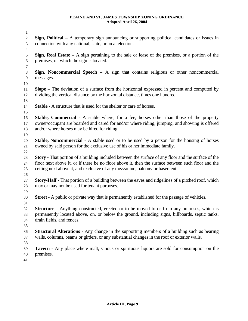| 1              |                                                                                                          |
|----------------|----------------------------------------------------------------------------------------------------------|
| $\overline{c}$ | <b>Sign, Political</b> – A temporary sign announcing or supporting political candidates or issues in     |
| 3              | connection with any national, state, or local election.                                                  |
| $\overline{4}$ |                                                                                                          |
| 5              | <b>Sign, Real Estate</b> $- A$ sign pertaining to the sale or lease of the premises, or a portion of the |
| 6              | premises, on which the sign is located.                                                                  |
| 7              |                                                                                                          |
| $\,8$          | <b>Sign, Noncommercial Speech – A</b> sign that contains religious or other noncommercial                |
| 9              | messages.                                                                                                |
| 10             |                                                                                                          |
| 11             | <b>Slope</b> – The deviation of a surface from the horizontal expressed in percent and computed by       |
| 12             | dividing the vertical distance by the horizontal distance, times one hundred.                            |
| 13             |                                                                                                          |
| 14             | <b>Stable -</b> A structure that is used for the shelter or care of horses.                              |
| 15             |                                                                                                          |
| 16             | Stable, Commercial - A stable where, for a fee, horses other than those of the property                  |
| 17             | owner/occupant are boarded and cared for and/or where riding, jumping, and showing is offered            |
| 18             | and/or where horses may be hired for riding.                                                             |
| 19             |                                                                                                          |
| 20             | <b>Stable, Noncommercial</b> - A stable used or to be used by a person for the housing of horses         |
| 21             | owned by said person for the exclusive use of his or her immediate family.                               |
| 22             |                                                                                                          |
| 23             | Story - That portion of a building included between the surface of any floor and the surface of the      |
| 24             | floor next above it, or if there be no floor above it, then the surface between such floor and the       |
| 25             | ceiling next above it, and exclusive of any mezzanine, balcony or basement.                              |
| 26             |                                                                                                          |
| 27             | <b>Story-Half</b> - That portion of a building between the eaves and ridgelines of a pitched roof, which |
| 28             | may or may not be used for tenant purposes.                                                              |
| 29             |                                                                                                          |
| 30             | <b>Street</b> - A public or private way that is permanently established for the passage of vehicles.     |
| 31             |                                                                                                          |
| 32             | <b>Structure</b> - Anything constructed, erected or to be moved to or from any premises, which is        |
| 33             | permanently located above, on, or below the ground, including signs, billboards, septic tanks,           |
| 34             | drain fields, and fences.                                                                                |
| 35             |                                                                                                          |
| 36             | <b>Structural Alterations</b> - Any change in the supporting members of a building such as bearing       |
| 37             | walls, columns, beams or girders, or any substantial changes in the roof or exterior walls.              |
| 38             |                                                                                                          |
| 39             | <b>Tavern</b> - Any place where malt, vinous or spirituous liquors are sold for consumption on the       |
| 40             | premises.                                                                                                |
| 41             |                                                                                                          |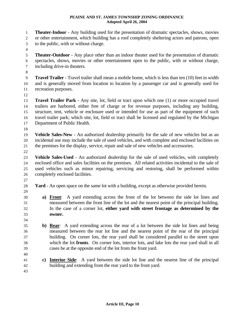1 2 3 4 5 6 7 8 9 10 11 12 13 14 15 16 17 18 19 20 21 22 23 24 25 26 27 28 29 **Theater-Indoor** - Any building used for the presentation of dramatic spectacles, shows, movies or other entertainment, which building has a roof completely sheltering actors and patrons, open to the public, with or without charge. **Theater-Outdoor** - Any place other than an indoor theater used for the presentation of dramatic spectacles, shows, movies or other entertainment open to the public, with or without charge, including drive-in theaters. **Travel Trailer** - Travel trailer shall mean a mobile home, which is less than ten (10) feet in width and is generally moved from location to location by a passenger car and is generally used for recreation purposes. **Travel Trailer Park** - Any site, lot, field or tract upon which one (1) or more occupied travel trailers are harbored, either free of charge or for revenue purposes, including any building, structure, tent, vehicle or enclosure used or intended for use as part of the equipment of such travel trailer park; which site, lot, field or tract shall be licensed and regulated by the Michigan Department of Public Health. **Vehicle Sales-New** - An authorized dealership primarily for the sale of new vehicles but as an incidental use may include the sale of used vehicles, and with complete and enclosed facilities on the premises for the display, service, repair and sale of new vehicles and accessories. **Vehicle Sales-Used** - An authorized dealership for the sale of used vehicles, with completely enclosed office and sales facilities on the premises. All related activities incidental to the sale of used vehicles such as minor repairing, servicing and restoring, shall be performed within completely enclosed facilities. **Yard** - An open space on the same lot with a building, except as otherwise provided herein. **a) Front**: A yard extending across the front of the lot between the side lot lines and measured between the front line of the lot and the nearest point of the principal building. In the case of a corner lot, **either yard with street frontage as determined by the owner.**  30 31 32 33 34 **b) Rear**: A yard extending across the rear of a lot between the side lot lines and being measured between the rear lot line and the nearest point of the rear of the principal building. On corner lots, the rear yard shall be considered parallel to the street upon which the lot **fronts**. On corner lots, interior lots, and lake lots the rear yard shall in all cases be at the opposite end of the lot from the front yard. 35 36 37 38 39 40 **c) Interior Side**: A yard between the side lot line and the nearest line of the principal building and extending from the rear yard to the front yard. 41 42 43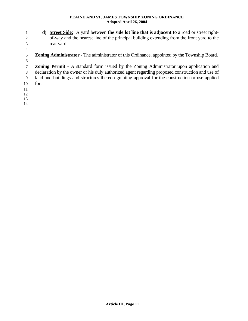- **d) Street Side:** A yard between **the side lot line that is adjacent to** a road or street rightof-way and the nearest line of the principal building extending from the front yard to the rear yard.
- 5 **Zoning Administrator** - The administrator of this Ordinance, appointed by the Township Board.
- 6

- 7 8 9 **Zoning Permit** - A standard form issued by the Zoning Administrator upon application and declaration by the owner or his duly authorized agent regarding proposed construction and use of land and buildings and structures thereon granting approval for the construction or use applied
- 10

for.

- 11
- 12
- 13
- 14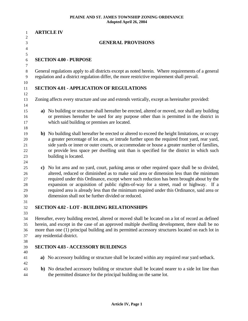| 1                       |                           | <b>ARTICLE IV</b>                                                                                                                                                                                  |  |
|-------------------------|---------------------------|----------------------------------------------------------------------------------------------------------------------------------------------------------------------------------------------------|--|
| $\overline{2}$          |                           |                                                                                                                                                                                                    |  |
| 3                       | <b>GENERAL PROVISIONS</b> |                                                                                                                                                                                                    |  |
| $\overline{\mathbf{4}}$ |                           |                                                                                                                                                                                                    |  |
| 5                       |                           |                                                                                                                                                                                                    |  |
| 6                       |                           | <b>SECTION 4.00 - PURPOSE</b>                                                                                                                                                                      |  |
| $\tau$<br>$\,8\,$<br>9  |                           | General regulations apply to all districts except as noted herein. Where requirements of a general<br>regulation and a district regulation differ, the more restrictive requirement shall prevail. |  |
| 10                      |                           |                                                                                                                                                                                                    |  |
| 11                      |                           | <b>SECTION 4.01 - APPLICATION OF REGULATIONS</b>                                                                                                                                                   |  |
| 12                      |                           |                                                                                                                                                                                                    |  |
| 13                      |                           | Zoning affects every structure and use and extends vertically, except as hereinafter provided:                                                                                                     |  |
| 14<br>15                |                           | a) No building or structure shall hereafter be erected, altered or moved, nor shall any building                                                                                                   |  |
| 16                      |                           | or premises hereafter be used for any purpose other than is permitted in the district in                                                                                                           |  |
| 17                      |                           | which said building or premises are located.                                                                                                                                                       |  |
| 18                      |                           |                                                                                                                                                                                                    |  |
| 19                      |                           | b) No building shall hereafter be erected or altered to exceed the height limitations, or occupy                                                                                                   |  |
| 20                      |                           | a greater percentage of lot area, or intrude further upon the required front yard, rear yard,                                                                                                      |  |
| 21                      |                           | side yards or inner or outer courts, or accommodate or house a greater number of families,                                                                                                         |  |
| 22                      |                           | or provide less space per dwelling unit than is specified for the district in which such                                                                                                           |  |
| 23                      |                           | building is located.                                                                                                                                                                               |  |
| 24                      |                           |                                                                                                                                                                                                    |  |
| 25                      |                           | c) No lot area and no yard, court, parking areas or other required space shall be so divided,                                                                                                      |  |
| 26                      |                           | altered, reduced or diminished as to make said area or dimension less than the minimum                                                                                                             |  |
| 27                      |                           | required under this Ordinance, except where such reduction has been brought about by the                                                                                                           |  |
| 28                      |                           | expansion or acquisition of public rights-of-way for a street, road or highway. If a                                                                                                               |  |
| 29                      |                           | required area is already less than the minimum required under this Ordinance, said area or                                                                                                         |  |
| 30                      |                           | dimension shall not be further divided or reduced.                                                                                                                                                 |  |
| 31                      |                           |                                                                                                                                                                                                    |  |
| 32                      |                           | <b>SECTION 4.02 - LOT - BUILDING RELATIONSHIPS</b>                                                                                                                                                 |  |
| 33                      |                           |                                                                                                                                                                                                    |  |
| 34                      |                           | Hereafter, every building erected, altered or moved shall be located on a lot of record as defined                                                                                                 |  |
| 35                      |                           | herein, and except in the case of an approved multiple dwelling development, there shall be no                                                                                                     |  |
| 36                      |                           | more than one (1) principal building and its permitted accessory structures located on each lot in                                                                                                 |  |
| 37                      |                           | any residential district.                                                                                                                                                                          |  |
| 38                      |                           |                                                                                                                                                                                                    |  |
| 39                      |                           | <b>SECTION 4.03 - ACCESSORY BUILDINGS</b>                                                                                                                                                          |  |
| 40                      |                           |                                                                                                                                                                                                    |  |
| 41                      |                           | a) No accessory building or structure shall be located within any required rear yard setback.                                                                                                      |  |
| 42                      |                           |                                                                                                                                                                                                    |  |
| 43                      |                           | b) No detached accessory building or structure shall be located nearer to a side lot line than                                                                                                     |  |
| 44                      |                           | the permitted distance for the principal building on the same lot.                                                                                                                                 |  |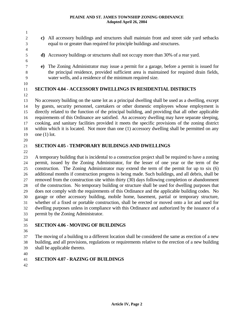2 3 4

1

5 6

> 7 8

**c)** All accessory buildings and structures shall maintain front and street side yard setbacks equal to or greater than required for principle buildings and structures.

- **d)** Accessory buildings or structures shall not occupy more than 30% of a rear yard.
- **e)** The Zoning Administrator may issue a permit for a garage, before a permit is issued for the principal residence, provided sufficient area is maintained for required drain fields, water wells, and a residence of the minimum required size.
- 9 10
- 11 12

## **SECTION 4.04 - ACCESSORY DWELLINGS IN RESIDENTIAL DISTRICTS**

13 14 15 16 17 18 19 No accessory building on the same lot as a principal dwelling shall be used as a dwelling, except by guests, security personnel, caretakers or other domestic employees whose employment is directly related to the function of the principal building, and providing that all other applicable requirements of this Ordinance are satisfied. An accessory dwelling may have separate sleeping, cooking, and sanitary facilities provided it meets the specific provisions of the zoning district within which it is located. Not more than one (1) accessory dwelling shall be permitted on any one (1) lot.

20

## 21 22

## **SECTION 4.05 - TEMPORARY BUILDINGS AND DWELLINGS**

23 24 25 26 27 28 29 30 31 32 33 A temporary building that is incidental to a construction project shall be required to have a zoning permit, issued by the Zoning Administrator, for the lesser of one year or the term of the construction. The Zoning Administrator may extend the term of the permit for up to six (6) additional months if construction progress is being made. Such buildings, and all debris, shall be removed from the construction site within thirty (30) days following completion or abandonment of the construction. No temporary building or structure shall be used for dwelling purposes that does not comply with the requirements of this Ordinance and the applicable building codes. No garage or other accessory building, mobile home, basement, partial or temporary structure, whether of a fixed or portable construction, shall be erected or moved onto a lot and used for dwelling purposes unless in compliance with this Ordinance and authorized by the issuance of a permit by the Zoning Administrator.

34

#### 35 **SECTION 4.06 - MOVING OF BUILDINGS**

36

37 38 39 The moving of a building to a different location shall be considered the same as erection of a new building, and all provisions, regulations or requirements relative to the erection of a new building shall be applicable thereto.

40

#### 41 **SECTION 4.07 - RAZING OF BUILDINGS**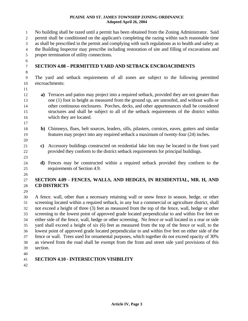No building shall be razed until a permit has been obtained from the Zoning Administrator. Said permit shall be conditioned on the applicant's completing the razing within such reasonable time as shall be prescribed in the permit and complying with such regulations as to health and safety as the Building Inspector may prescribe including restoration of site and filling of excavations and proper termination of utility connections. 1 2 3 4 5 6 7 8 9 10 11 12 13 14 15 16 17 18 19 20 21 22 23 24 25 26 27 28 29 30 31 32 33 34 35 36 37 38 39 40 **SECTION 4.08 – PERMITTED YARD AND SETBACK ENCROACHMENTS**  The yard and setback requirements of all zones are subject to the following permitted encroachments: **a)** Terraces and patios may project into a required setback, provided they are not greater than one (1) foot in height as measured from the ground up, are unroofed, and without walls or other continuous enclosures. Porches, decks, and other appurtenances shall be considered structures and shall be subject to all of the setback requirements of the district within which they are located. **b)** Chimneys, flues, belt sources, leaders, sills, pilasters, cornices, eaves, gutters and similar features may project into any required setback a maximum of twenty-four (24) inches. **c)** Accessory buildings constructed on residential lake lots may be located in the front yard provided they conform to the district setback requirements for principal buildings. **d)** Fences may be constructed within a required setback provided they conform to the requirements of Section 4.9. **SECTION 4.09 - FENCES, WALLS, AND HEDGES, IN RESIDENTIAL, MR. H, AND CD DISTRICTS**  A fence, wall, other than a necessary retaining wall or snow fence in season, hedge, or other screening located within a required setback, in any but a commercial or agriculture district, shall not exceed a height of three (3) feet as measured from the top of the fence, wall, hedge or other screening to the lowest point of approved grade located perpendicular to and within five feet on either side of the fence, wall, hedge or other screening. No fence or wall located in a rear or side yard shall exceed a height of six (6) feet as measured from the top of the fence or wall, to the lowest point of approved grade located perpendicular to and within five feet on either side of the fence or wall. Trees used for ornamental purposes, which together do not exceed opacity of 30% as viewed from the road shall be exempt from the front and street side yard provisions of this section.

#### 41 **SECTION 4.10 - INTERSECTION VISIBILITY**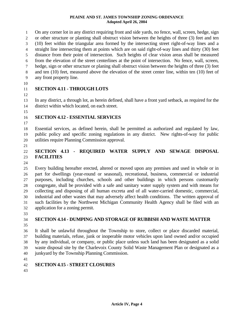On any corner lot in any district requiring front and side yards, no fence, wall, screen, hedge, sign or other structure or planting shall obstruct vision between the heights of three (3) feet and ten (10) feet within the triangular area formed by the intersecting street right-of-way lines and a straight line intersecting them at points which are on said right-of-way lines and thirty (30) feet distance from their point of intersection. Such heights of clear vision areas shall be measured from the elevation of the street centerlines at the point of intersection. No fence, wall, screen, hedge, sign or other structure or planing shall obstruct vision between the heights of three (3) feet and ten (10) feet, measured above the elevation of the street center line, within ten (10) feet of any front property line. 1 2 3 4 5 6 7 8 9

10

12

#### 11 **SECTION 4.11 - THROUGH LOTS**

13 14 In any district, a through lot, as herein defined, shall have a front yard setback, as required for the district within which located, on each street.

15

#### 16 **SECTION 4.12 - ESSENTIAL SERVICES**

17

18 19 20 Essential services, as defined herein, shall be permitted as authorized and regulated by law, public policy and specific zoning regulations in any district. New rights-of-way for public utilities require Planning Commission approval.

#### 22 23 **SECTION 4.13 - REQUIRED WATER SUPPLY AND SEWAGE DISPOSAL FACILITIES**

24

21

25 26 27 28 29 30 31 32 Every building hereafter erected, altered or moved upon any premises and used in whole or in part for dwellings (year-round or seasonal), recreational, business, commercial or industrial purposes, including churches, schools and other buildings in which persons customarily congregate, shall be provided with a safe and sanitary water supply system and with means for collecting and disposing of all human excreta and of all water-carried domestic, commercial, industrial and other wastes that may adversely affect health conditions. The written approval of such facilities by the Northwest Michigan Community Health Agency shall be filed with an application for a zoning permit.

- 33
- 34 35

## **SECTION 4.14 - DUMPING AND STORAGE OF RUBBISH AND WASTE MATTER**

- 36 37 38 39 40 It shall be unlawful throughout the Township to store, collect or place discarded material, building materials, refuse, junk or inoperable motor vehicles upon land owned and/or occupied by any individual, or company, or public place unless such land has been designated as a solid waste disposal site by the Charlevoix County Solid Waste Management Plan or designated as a junkyard by the Township Planning Commission.
- 41

#### 42 **SECTION 4.15 - STREET CLOSURES**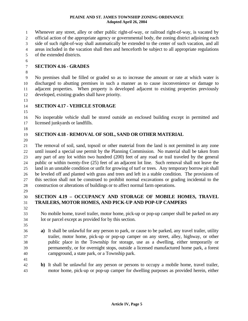Whenever any street, alley or other public right-of-way, or railroad right-of-way, is vacated by official action of the appropriate agency or governmental body, the zoning district adjoining each side of such right-of-way shall automatically be extended to the center of such vacation, and all areas included in the vacation shall then and henceforth be subject to all appropriate regulations of the extended districts. 1 2 3 4 5

6 7

## **SECTION 4.16 - GRADES**

8

9 10 11 12 No premises shall be filled or graded so as to increase the amount or rate at which water is discharged to abutting premises in such a manner as to cause inconvenience or damage to adjacent properties. When property is developed adjacent to existing properties previously developed, existing grades shall have priority.

13

#### 14 15 **SECTION 4.17 - VEHICLE STORAGE**

16 17 No inoperable vehicle shall be stored outside an enclosed building except in permitted and licensed junkyards or landfills.

18

19

## **SECTION 4.18 - REMOVAL OF SOIL, SAND OR OTHER MATERIAL**

20

21 22 23 24 25 26 27 28 The removal of soil, sand, topsoil or other material from the land is not permitted in any zone until issued a special use permit by the Planning Commission. No material shall be taken from any part of any lot within two hundred (200) feet of any road or trail traveled by the general public or within twenty-five (25) feet of an adjacent lot line. Such removal shall not leave the land in an unstable condition or unfit for growing of turf or trees. Any temporary borrow pit shall be leveled off and planted with grass and trees and left in a stable condition. The provisions of this section shall not be construed to prohibit normal excavations or grading incidental to the construction or alterations of buildings or to affect normal farm operations.

29

## 30

**SECTION 4.19 – OCCUPANCY AND STORAGE OF MOBILE HOMES, TRAVEL TRAILERS, MOTOR HOMES, AND PICK-UP AND POP-UP CAMPERS** 

31 32

33 34 35

No mobile home, travel trailer, motor home, pick-up or pop-up camper shall be parked on any lot or parcel except as provided for by this section.

- 36 37 38 39 **a)** It shall be unlawful for any person to park, or cause to be parked, any travel trailer, utility trailer, motor home, pick-up or pop-up camper on any street, alley, highway, or other public place in the Township for storage, use as a dwelling, either temporarily or permanently, or for overnight stops, outside a licensed manufactured home park, a forest campground, a state park, or a Township park.
- 40 41 42

43

**b)** It shall be unlawful for any person or persons to occupy a mobile home, travel trailer, motor home, pick-up or pop-up camper for dwelling purposes as provided herein, either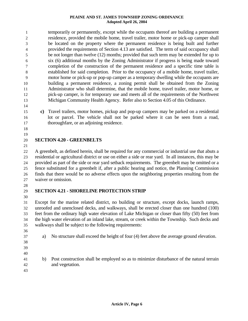temporarily or permanently, except while the occupants thereof are building a permanent residence, provided the mobile home, travel trailer, motor home or pick-up camper shall be located on the property where the permanent residence is being built and further provided the requirements of Section 4.13 are satisfied. The term of said occupancy shall be not longer than twelve (12) months; provided that such term may be extended for up to six (6) additional months by the Zoning Administrator if progress is being made toward completion of the construction of the permanent residence and a specific time table is established for said completion. Prior to the occupancy of a mobile home, travel trailer, motor home or pick-up or pop-up camper as a temporary dwelling while the occupants are building a permanent residence, a zoning permit shall be obtained from the Zoning Administrator who shall determine, that the mobile home, travel trailer, motor home, or pick-up camper, is for temporary use and meets all of the requirements of the Northwest Michigan Community Health Agency. Refer also to Section 4.05 of this Ordinance. 1 2 3 4 5 6 7 8 9 10 11 12 13

- 14
- 15 16

**c)** Travel trailers, motor homes, pickup and pop-up campers may be parked on a residential lot or parcel. The vehicle shall not be parked where it can be seen from a road, thoroughfare, or an adjoining residence.

- 17 18
- 19

21

#### 20 **SECTION 4.20 - GREENBELTS**

22 23 24 25 26 27 A greenbelt, as defined herein, shall be required for any commercial or industrial use that abuts a residential or agricultural district or use on either a side or rear yard. In all instances, this may be provided as part of the side or rear yard setback requirements. The greenbelt may be omitted or a fence substituted for a greenbelt if, after a public hearing and notice, the Planning Commission finds that there would be no adverse effects upon the neighboring properties resulting from the waiver or omission.

28

30

#### 29 **SECTION 4.21 - SHORELINE PROTECTION STRIP**

31 32 33 34 35 Except for the marine related district, no building or structure, except docks, launch ramps, unroofed and unenclosed decks, and walkways, shall be erected closer than one hundred (100) feet from the ordinary high water elevation of Lake Michigan or closer than fifty (50) feet from the high water elevation of an inland lake, stream, or creek within the Township. Such decks and walkways shall be subject to the following requirements:

- 36
- 37
- 38 39
- 40

41

b) Post construction shall be employed so as to minimize disturbance of the natural terrain and vegetation.

a) No structure shall exceed the height of four (4) feet above the average ground elevation.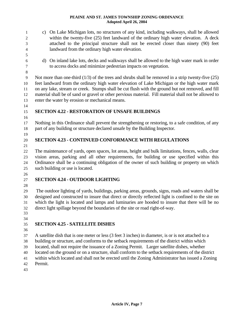- c) On Lake Michigan lots, no structures of any kind, including walkways, shall be allowed within the twenty-five (25) feet landward of the ordinary high water elevation. A deck attached to the principal structure shall not be erected closer than ninety (90) feet landward from the ordinary high water elevation.
	- d) On inland lake lots, decks and walkways shall be allowed to the high water mark in order to access docks and minimize pedestrian impacts on vegetation.

9 10 11 12 13 Not more than one-third (1/3) of the trees and shrubs shall be removed in a strip twenty-five (25) feet landward from the ordinary high water elevation of Lake Michigan or the high water mark on any lake, stream or creek. Stumps shall be cut flush with the ground but not removed, and fill material shall be of sand or gravel or other pervious material. Fill material shall not be allowed to enter the water by erosion or mechanical means.

15 **SECTION 4.22 - RESTORATION OF UNSAFE BUILDINGS** 

17 18 Nothing in this Ordinance shall prevent the strengthening or restoring, to a safe condition, of any part of any building or structure declared unsafe by the Building Inspector.

19

14

16

20 21

## **SECTION 4.23 - CONTINUED CONFORMANCE WITH REGULATIONS**

22 23 24 25 The maintenance of yards, open spaces, lot areas, height and bulk limitations, fences, walls, clear vision areas, parking and all other requirements, for building or use specified within this Ordinance shall be a continuing obligation of the owner of such building or property on which such building or use is located.

26

#### 27 **SECTION 4.24 - OUTDOOR LIGHTING**

28

29 30 31 32 The outdoor lighting of yards, buildings, parking areas, grounds, signs, roads and waters shall be designed and constructed to insure that direct or directly reflected light is confined to the site on which the light is located and lamps and luminaries are hooded to insure that there will be no direct light spillage beyond the boundaries of the site or road right-of-way.

33 34

#### 35 **SECTION 4.25 - SATELLITE DISHES**

36

37 A satellite dish that is one meter or less (3 feet 3 inches) in diameter, is or is not attached to a

38 building or structure, and conforms to the setback requirements of the district within which

39 located, shall not require the issuance of a Zoning Permit. Larger satellite dishes, whether

40 located on the ground or on a structure, shall conform to the setback requirements of the district

- 41 within which located and shall not be erected until the Zoning Administrator has issued a Zoning
- 42 Permit.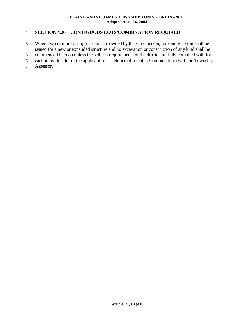#### 1 **SECTION 4.26 – CONTIGUOUS LOTS/COMBINATION REQUIRED**

2

3 Where two or more contiguous lots are owned by the same person, no zoning permit shall be

- 4 issued for a new or expanded structure and no excavation or construction of any kind shall be
- 5 commenced thereon unless the setback requirements of the district are fully complied with for
- 6 each individual lot or the applicant files a Notice of Intent to Combine form with the Township
- 7 Assessor.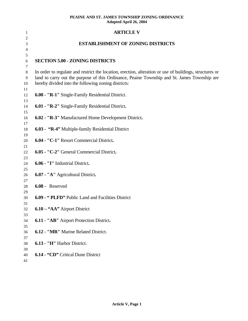| 1        | <b>ARTICLE V</b>                                                                                        |
|----------|---------------------------------------------------------------------------------------------------------|
| 2        |                                                                                                         |
| 3        | <b>ESTABLISHMENT OF ZONING DISTRICTS</b>                                                                |
| 4        |                                                                                                         |
| 5        | <b>SECTION 5.00 - ZONING DISTRICTS</b>                                                                  |
| 6<br>7   |                                                                                                         |
| $\,8\,$  | In order to regulate and restrict the location, erection, alteration or use of buildings, structures or |
| 9        | land to carry out the purpose of this Ordinance, Peaine Township and St. James Township are             |
| 10       | hereby divided into the following zoning districts:                                                     |
| 11       |                                                                                                         |
| 12       | 6.00 - "R-1" Single-Family Residential District.                                                        |
| 13       |                                                                                                         |
| 14       | <b>6.01 - "R-2"</b> Single-Family Residential District.                                                 |
| 15       |                                                                                                         |
| 16       | 6.02 - "R-3" Manufactured Home Development District.                                                    |
| 17       |                                                                                                         |
| 18       | 6.03 - "R-4" Multiple-family Residential District                                                       |
| 19<br>20 | 6.04 - "C-1" Resort Commercial District.                                                                |
| 21       |                                                                                                         |
| 22       | 6.05 - "C-2" General Commercial District.                                                               |
| 23       |                                                                                                         |
| 24       | 6.06 - "I" Industrial District.                                                                         |
| 25       |                                                                                                         |
| 26       | 6.07 - "A" Agricultural District.                                                                       |
| 27       |                                                                                                         |
| 28       | 6.08 - Reserved                                                                                         |
| 29       |                                                                                                         |
| 30       | <b>6.09 - "PLFD"</b> Public Land and Facilities District                                                |
| 31<br>32 | $6.10 - "AA"$ Airport District                                                                          |
| 33       |                                                                                                         |
| 34       | 6.11 - "AB" Airport Protection District.                                                                |
| 35       |                                                                                                         |
| 36       | 6.12 - "MR" Marine Related District.                                                                    |
| 37       |                                                                                                         |
| 38       | 6.13 - "H" Harbor District.                                                                             |
| 39       |                                                                                                         |
| 40       | <b>6.14 - "CD"</b> Critical Dune District                                                               |
| 41       |                                                                                                         |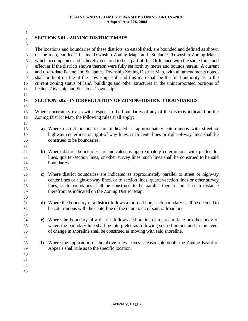1 2 3 4 5 6 7 8 9 10 11 12 13 14 15 16 17 18 19 20 21 22 23 24 25 26 27 28 29 30 31 32 33 34 35 36 37 38 39 40 41 42 43 **SECTION 5.01 - ZONING DISTRICT MAPS**  The locations and boundaries of these districts, so established, are bounded and defined as shown on the map, entitled " Peaine Township Zoning Map" and "St. James Township Zoning Map", which accompanies and is hereby declared to be a part of this Ordinance with the same force and effect as if the districts shown thereon were fully set forth by metes and bounds herein. A current and up-to-date Peaine and St. James Township Zoning District Map, with all amendments noted, shall be kept on file at the Township Hall and this map shall be the final authority as to the current zoning status of land, buildings and other structures in the unincorporated portions of Peaine Township and St. James Township. **SECTION 5.02 - INTERPRETATION OF ZONING DISTRICT BOUNDARIES**  Where uncertainty exists with respect to the boundaries of any of the districts indicated on the Zoning District Map, the following rules shall apply: **a)** Where district boundaries are indicated as approximately coterminous with street or highway centerlines or right-of-way lines, such centerlines or right-of-way lines shall be construed to be boundaries**. b)** Where district boundaries are indicated as approximately coterminous with platted lot lines, quarter-section lines, or other survey lines, such lines shall be construed to be said boundaries. **c)** Where district boundaries are indicated as approximately parallel to street or highway center lines or right-of-way lines, or to section lines, quarter-section lines or other survey lines, such boundaries shall be construed to be parallel thereto and at such distance therefrom as indicated on the Zoning District Map. **d)** Where the boundary of a district follows a railroad line, such boundary shall be deemed to be coterminous with the centerline of the main track of said railroad line. **e)** Where the boundary of a district follows a shoreline of a stream, lake or other body of water, the boundary line shall be interpreted as following such shoreline and in the event of change in shoreline shall be construed as moving with said shoreline**. f)** Where the application of the above rules leaves a reasonable doubt the Zoning Board of Appeals shall rule as to the specific location.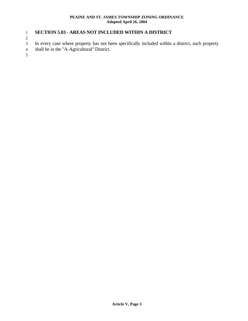#### 1 **SECTION 5.03 - AREAS NOT INCLUDED WITHIN A DISTRICT**

2

3 In every case where property has not been specifically included within a district, such property

4 shall be in the "A-Agricultural" District.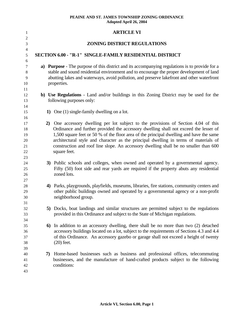| 1                                                |                                                         | <b>ARTICLE VI</b>                                                                                                                                                                                                                                                                                                                                                                                                                                                      |  |  |  |  |  |  |
|--------------------------------------------------|---------------------------------------------------------|------------------------------------------------------------------------------------------------------------------------------------------------------------------------------------------------------------------------------------------------------------------------------------------------------------------------------------------------------------------------------------------------------------------------------------------------------------------------|--|--|--|--|--|--|
| $\mathfrak{2}$<br>$\mathfrak{Z}$                 |                                                         | ZONING DISTRICT REGULATIONS                                                                                                                                                                                                                                                                                                                                                                                                                                            |  |  |  |  |  |  |
| $\overline{4}$<br>5                              | SECTION 6.00 - "R-1" SINGLE-FAMILY RESIDENTIAL DISTRICT |                                                                                                                                                                                                                                                                                                                                                                                                                                                                        |  |  |  |  |  |  |
| 6<br>7<br>8<br>9<br>10<br>11                     |                                                         | a) Purpose - The purpose of this district and its accompanying regulations is to provide for a<br>stable and sound residential environment and to encourage the proper development of land<br>abutting lakes and waterways, avoid pollution, and preserve lakefront and other waterfront<br>properties.                                                                                                                                                                |  |  |  |  |  |  |
| 12<br>13                                         |                                                         | b) Use Regulations - Land and/or buildings in this Zoning District may be used for the<br>following purposes only:                                                                                                                                                                                                                                                                                                                                                     |  |  |  |  |  |  |
| 14<br>15                                         |                                                         | 1) One (1) single-family dwelling on a lot.                                                                                                                                                                                                                                                                                                                                                                                                                            |  |  |  |  |  |  |
| 16<br>17<br>18<br>19<br>20<br>21<br>$22\,$<br>23 |                                                         | 2) One accessory dwelling per lot subject to the provisions of Section 4.04 of this<br>Ordinance and further provided the accessory dwelling shall not exceed the lesser of<br>1,500 square feet or 50 % of the floor area of the principal dwelling and have the same<br>architectural style and character as the principal dwelling in terms of materials of<br>construction and roof line slope. An accessory dwelling shall be no smaller than 600<br>square feet. |  |  |  |  |  |  |
| 24<br>25<br>26<br>27                             |                                                         | 3) Public schools and colleges, when owned and operated by a governmental agency.<br>Fifty (50) foot side and rear yards are required if the property abuts any residential<br>zoned lots.                                                                                                                                                                                                                                                                             |  |  |  |  |  |  |
| 28<br>29<br>30<br>31                             |                                                         | 4) Parks, playgrounds, playfields, museums, libraries, fire stations, community centers and<br>other public buildings owned and operated by a governmental agency or a non-profit<br>neighborhood group.                                                                                                                                                                                                                                                               |  |  |  |  |  |  |
| 32<br>33<br>34                                   |                                                         | 5) Docks, boat landings and similar structures are permitted subject to the regulations<br>provided in this Ordinance and subject to the State of Michigan regulations.                                                                                                                                                                                                                                                                                                |  |  |  |  |  |  |
| 35<br>36<br>37<br>38<br>39                       |                                                         | 6) In addition to an accessory dwelling, there shall be no more than two (2) detached<br>accessory buildings located on a lot, subject to the requirements of Sections 4.3 and 4.4<br>of this Ordinance. An accessory gazebo or garage shall not exceed a height of twenty<br>$(20)$ feet.                                                                                                                                                                             |  |  |  |  |  |  |
| 40<br>41<br>42<br>43                             |                                                         | 7) Home-based businesses such as business and professional offices, telecommuting<br>businesses, and the manufacture of hand-crafted products subject to the following<br>conditions:                                                                                                                                                                                                                                                                                  |  |  |  |  |  |  |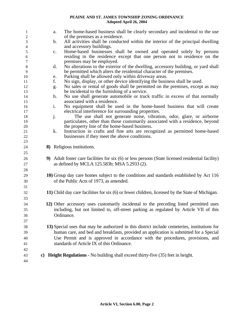| 1              | a. | The home-based business shall be clearly secondary and incidental to the use                      |
|----------------|----|---------------------------------------------------------------------------------------------------|
| $\overline{c}$ |    | of the premises as a residence.                                                                   |
| 3              | b. | All activities shall be conducted within the interior of the principal dwelling                   |
| 4<br>5         | c. | and accessory buildings.<br>Home-based businesses shall be owned and operated solely by persons   |
| 6              |    | residing in the residence except that one person not in residence on the                          |
| 7              |    | premises may be employed.                                                                         |
| $\,8\,$        | d. | No alterations to the exterior of the dwelling, accessory building, or yard shall                 |
| $\overline{9}$ |    | be permitted which alters the residential character of the premises.                              |
| 10             | e. | Parking shall be allowed only within driveway areas.                                              |
| 11             | f. | No sign, display, or other device identifying the business shall be used.                         |
| 12             | g. | No sales or rental of goods shall be permitted on the premises, except as may                     |
| 13             |    | be incidental to the furnishing of a service.                                                     |
| 14             | h. | No use shall generate automobile or truck traffic in excess of that normally                      |
| 15             |    | associated with a residence.                                                                      |
| 16             | i. | No equipment shall be used in the home-based business that will create                            |
| 17             |    | electrical interference for surrounding properties.                                               |
| 18             | j. | The use shall not generate noise, vibration, odor, glare, or airborne                             |
| 19             |    | particulates, other than those customarily associated with a residence, beyond                    |
| $20\,$         |    | the property line of the home-based business.                                                     |
| 21             | k. | Instruction in crafts and fine arts are recognized as permitted home-based                        |
| $22\,$         |    | businesses if they meet the above conditions.                                                     |
| 23             |    |                                                                                                   |
| 24             |    | 8) Religious institutions.                                                                        |
| 25             |    |                                                                                                   |
| 26             |    | 9) Adult foster care facilities for six (6) or less persons (State licensed residential facility) |
| 27             |    | as defined by MCLA 125.583b; MSA 5.2933 (2).                                                      |
| 28             |    |                                                                                                   |
| 29             |    | 10) Group day care homes subject to the conditions and standards established by Act 116           |
| 30             |    | of the Public Acts of 1973, as amended.                                                           |
| 31             |    |                                                                                                   |
| 32             |    | 11) Child day care facilities for six (6) or fewer children, licensed by the State of Michigan.   |
| 33             |    |                                                                                                   |
| 34             |    | 12) Other accessory uses customarily incidental to the preceding listed permitted uses            |
| 35             |    | including, but not limited to, off-street parking as regulated by Article VII of this             |
| 36             |    | Ordinance.                                                                                        |
| 37             |    |                                                                                                   |
| 38             |    | 13) Special uses that may be authorized in this district include cemeteries, institutions for     |
| 39             |    | human care, and bed and breakfasts, provided an application is submitted for a Special            |
| 40             |    | Use Permit and is approved in accordance with the procedures, provisions, and                     |
| 41             |    | standards of Article IX of this Ordinance.                                                        |
| 42             |    |                                                                                                   |
| 43             |    | c) Height Regulations - No building shall exceed thirty-five (35) feet in height.                 |
|                |    |                                                                                                   |
| 44             |    |                                                                                                   |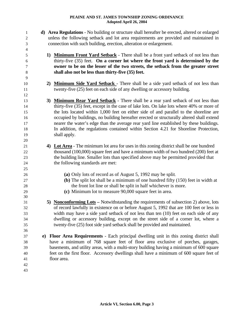1 2 3 4 **d) Area Regulations** - No building or structure shall hereafter be erected, altered or enlarged unless the following setback and lot area requirements are provided and maintained in connection with such building, erection, alteration or enlargement. **1) Minimum Front Yard Setback** - There shall be a front yard setback of not less than thirty-five (35) feet. **On a corner lot where the front yard is determined by the owner to be on the lesser of the two streets, the setback from the greater street shall also not be less than thirty-five (35) feet.**  5 6 7 8 9 **2) Minimum Side Yard Setback** - There shall be a side yard setback of not less than twenty-five (25) feet on each side of any dwelling or accessory building. 10 11 12 **3) Minimum Rear Yard Setback** - There shall be a rear yard setback of not less than thirty-five (35) feet, except in the case of lake lots. On lake lots where 40% or more of the lots located within 1,000 feet on either side of and parallel to the shoreline are occupied by buildings, no building hereafter erected or structurally altered shall extend nearer the water's edge than the average rear yard line established by these buildings. In addition, the regulations contained within Section 4.21 for Shoreline Protection, shall apply. 13 14 15 16 17 18 19 20 **4) Lot Area** - The minimum lot area for uses in this zoning district shall be one hundred thousand (100,000) square feet and have a minimum width of two hundred (200) feet at the building line. Smaller lots than specified above may be permitted provided that the following standards are met: 21 22 23 24 25 26 27 28 29 30 **(a)** Only lots of record as of August 5, 1992 may be split. **(b)** The split lot shall be a minimum of one hundred fifty (150) feet in width at the front lot line or shall be split in half whichever is more. **(c)** Minimum lot to measure 90,000 square feet in area. **5) Nonconforming Lots –** Notwithstanding the requirements of subsection 2) above, lots of record lawfully in existence on or before August 5, 1992 that are 100 feet or less in width may have a side yard setback of not less than ten (10) feet on each side of any dwelling or accessory building, except on the street side of a corner lot, where a twenty-five (25) foot side yard setback shall be provided and maintained. 31 32 33 34 35 36 37 38 39 40 41 42 43 **e) Floor Area Requirements** - Each principal dwelling unit in this zoning district shall have a minimum of 768 square feet of floor area exclusive of porches, garages, basements, and utility areas, with a multi-story building having a minimum of 600 square feet on the first floor. Accessory dwellings shall have a minimum of 600 square feet of floor area.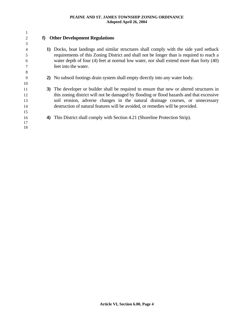| 1  |    |                                                                                           |
|----|----|-------------------------------------------------------------------------------------------|
| 2  |    | f) Other Development Regulations                                                          |
| 3  |    |                                                                                           |
| 4  | 1) | Docks, boat landings and similar structures shall comply with the side yard setback       |
| 5  |    | requirements of this Zoning District and shall not be longer than is required to reach a  |
| 6  |    | water depth of four (4) feet at normal low water, nor shall extend more than forty (40)   |
|    |    | feet into the water.                                                                      |
| 8  |    |                                                                                           |
| 9  |    | 2) No subsoil footings drain system shall empty directly into any water body.             |
| 10 |    |                                                                                           |
| 11 |    | 3) The developer or builder shall be required to ensure that new or altered structures in |
| 12 |    | this zoning district will not be damaged by flooding or flood hazards and that excessive  |
| 13 |    | soil erosion, adverse changes in the natural drainage courses, or unnecessary             |
| 14 |    | destruction of natural features will be avoided, or remedies will be provided.            |
| 15 |    |                                                                                           |
| 16 | 4) | This District shall comply with Section 4.21 (Shoreline Protection Strip).                |
| 17 |    |                                                                                           |
| 18 |    |                                                                                           |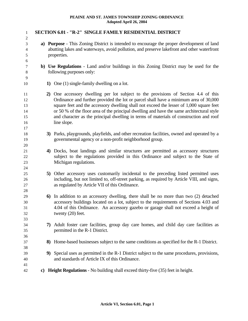| $\mathbf{1}$                           |              |                                                                                                                                                                                         | SECTION 6.01 - "R-2" SINGLE FAMILY RESIDENTIAL DISTRICT                                                                                                                                                                                                                                                                                                                                                                                                                     |  |  |  |  |
|----------------------------------------|--------------|-----------------------------------------------------------------------------------------------------------------------------------------------------------------------------------------|-----------------------------------------------------------------------------------------------------------------------------------------------------------------------------------------------------------------------------------------------------------------------------------------------------------------------------------------------------------------------------------------------------------------------------------------------------------------------------|--|--|--|--|
| 2                                      |              |                                                                                                                                                                                         |                                                                                                                                                                                                                                                                                                                                                                                                                                                                             |  |  |  |  |
| 3<br>$\overline{4}$                    |              | a) Purpose - This Zoning District is intended to encourage the proper development of land<br>abutting lakes and waterways, avoid pollution, and preserve lakefront and other waterfront |                                                                                                                                                                                                                                                                                                                                                                                                                                                                             |  |  |  |  |
| 5                                      |              | properties.                                                                                                                                                                             |                                                                                                                                                                                                                                                                                                                                                                                                                                                                             |  |  |  |  |
| 6                                      |              |                                                                                                                                                                                         |                                                                                                                                                                                                                                                                                                                                                                                                                                                                             |  |  |  |  |
| 7<br>8<br>9                            |              | b) Use Regulations - Land and/or buildings in this Zoning District may be used for the<br>following purposes only:                                                                      |                                                                                                                                                                                                                                                                                                                                                                                                                                                                             |  |  |  |  |
| 10                                     |              |                                                                                                                                                                                         | 1) One (1) single-family dwelling on a lot.                                                                                                                                                                                                                                                                                                                                                                                                                                 |  |  |  |  |
| 11<br>12<br>13<br>14<br>15<br>16<br>17 |              |                                                                                                                                                                                         | 2) One accessory dwelling per lot subject to the provisions of Section 4.4 of this<br>Ordinance and further provided the lot or parcel shall have a minimum area of 30,000<br>square feet and the accessory dwelling shall not exceed the lesser of 1,000 square feet<br>or 50 % of the floor area of the principal dwelling and have the same architectural style<br>and character as the principal dwelling in terms of materials of construction and roof<br>line slope. |  |  |  |  |
| 18<br>19<br>20                         |              |                                                                                                                                                                                         | 3) Parks, playgrounds, playfields, and other recreation facilities, owned and operated by a<br>governmental agency or a non-profit neighborhood group.                                                                                                                                                                                                                                                                                                                      |  |  |  |  |
| 21<br>22<br>23<br>24                   |              |                                                                                                                                                                                         | 4) Docks, boat landings and similar structures are permitted as accessory structures<br>subject to the regulations provided in this Ordinance and subject to the State of<br>Michigan regulations.                                                                                                                                                                                                                                                                          |  |  |  |  |
| 25<br>26<br>$27\,$<br>28               |              |                                                                                                                                                                                         | 5) Other accessory uses customarily incidental to the preceding listed permitted uses<br>including, but not limited to, off-street parking, as required by Article VIII, and signs,<br>as regulated by Article VII of this Ordinance.                                                                                                                                                                                                                                       |  |  |  |  |
| 29<br>30<br>31<br>32<br>33             |              |                                                                                                                                                                                         | 6) In addition to an accessory dwelling, there shall be no more than two (2) detached<br>accessory buildings located on a lot, subject to the requirements of Sections 4.03 and<br>4.04 of this Ordinance. An accessory gazebo or garage shall not exceed a height of<br>twenty $(20)$ feet.                                                                                                                                                                                |  |  |  |  |
| 34<br>35<br>36                         |              | 7)                                                                                                                                                                                      | Adult foster care facilities, group day care homes, and child day care facilities as<br>permitted in the R-1 District.                                                                                                                                                                                                                                                                                                                                                      |  |  |  |  |
| 37<br>38                               |              |                                                                                                                                                                                         | 8) Home-based businesses subject to the same conditions as specified for the R-1 District.                                                                                                                                                                                                                                                                                                                                                                                  |  |  |  |  |
| 39<br>40<br>41                         |              |                                                                                                                                                                                         | 9) Special uses as permitted in the R-1 District subject to the same procedures, provisions,<br>and standards of Article IX of this Ordinance.                                                                                                                                                                                                                                                                                                                              |  |  |  |  |
| 42                                     | $\mathbf{c}$ |                                                                                                                                                                                         | <b>Height Regulations</b> - No building shall exceed thirty-five (35) feet in height.                                                                                                                                                                                                                                                                                                                                                                                       |  |  |  |  |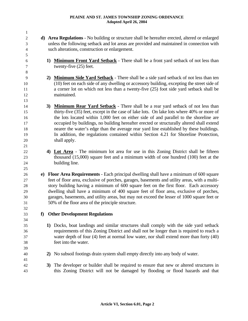1 2 3 4 5 **d) Area Regulations** - No building or structure shall be hereafter erected, altered or enlarged unless the following setback and lot areas are provided and maintained in connection with such alterations, construction or enlargement. **1) Minimum Front Yard Setback** - There shall be a front yard setback of not less than twenty-five (25) feet. 6 7 8 **2) Minimum Side Yard Setback** - There shall be a side yard setback of not less than ten (10) feet on each side of any dwelling or accessory building, excepting the street side of a corner lot on which not less than a twenty-five (25) foot side yard setback shall be maintained. 9 10 11 12 13 **3) Minimum Rear Yard Setback** - There shall be a rear yard setback of not less than thirty-five (35) feet, except in the case of lake lots. On lake lots where 40% or more of the lots located within 1,000 feet on either side of and parallel to the shoreline are occupied by buildings, no building hereafter erected or structurally altered shall extend nearer the water's edge than the average rear yard line established by these buildings. In addition, the regulations contained within Section 4.21 for Shoreline Protection, shall apply. 14 15 16 17 18 19 20 21 **4) Lot Area** - The minimum lot area for use in this Zoning District shall be fifteen thousand (15,000) square feet and a minimum width of one hundred (100) feet at the building line. 22 23 24 25 26 27 28 29 30 31 32 33 34 35 36 37 38 39 40 41 42 43 **e) Floor Area Requirements** - Each principal dwelling shall have a minimum of 600 square feet of floor area, exclusive of porches, garages, basements and utility areas, with a multistory building having a minimum of 600 square feet on the first floor. Each accessory dwelling shall have a minimum of 400 square feet of floor area, exclusive of porches, garages, basements, and utility areas, but may not exceed the lesser of 1000 square feet or 50% of the floor area of the principle structure. **f) Other Development Regulations 1)** Docks, boat landings and similar structures shall comply with the side yard setback requirements of this Zoning District and shall not be longer than is required to reach a water depth of four (4) feet at normal low water, nor shall extend more than forty (40) feet into the water. **2)** No subsoil footings drain system shall empty directly into any body of water. **3)** The developer or builder shall be required to ensure that new or altered structures in this Zoning District will not be damaged by flooding or flood hazards and that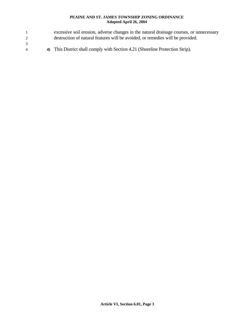- 1 2 3 excessive soil erosion, adverse changes in the natural drainage courses, or unnecessary destruction of natural features will be avoided, or remedies will be provided.
	- **4)** This District shall comply with Section 4.21 (Shoreline Protection Strip).

4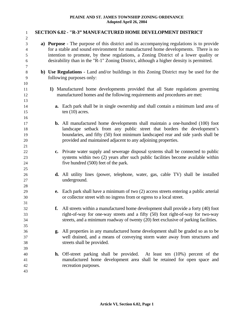| $\mathbf{1}$        |    | <b>SECTION 6.02 - "R-3" MANUFACTURED HOME DEVELOPMENT DISTRICT</b>                                                        |
|---------------------|----|---------------------------------------------------------------------------------------------------------------------------|
| $\overline{c}$<br>3 |    | a) Purpose - The purpose of this district and its accompanying regulations is to provide                                  |
| $\overline{4}$      |    | for a stable and sound environment for manufactured home developments. There is no                                        |
| 5                   |    | intention to promote, by these regulations, a Zoning District of a lower quality or                                       |
| 6                   |    | desirability than in the "R-1" Zoning District, although a higher density is permitted.                                   |
| 7                   |    |                                                                                                                           |
| $8\,$<br>9          |    | b) Use Regulations - Land and/or buildings in this Zoning District may be used for the<br>following purposes only:        |
| 10                  |    |                                                                                                                           |
| 11                  |    | 1) Manufactured home developments provided that all State regulations governing                                           |
| 12<br>13            |    | manufactured homes and the following requirements and procedures are met:                                                 |
| 14                  | a. | Each park shall be in single ownership and shall contain a minimum land area of                                           |
| 15<br>16            |    | ten $(10)$ acres.                                                                                                         |
| 17                  |    | <b>b.</b> All manufactured home developments shall maintain a one-hundred (100) foot                                      |
| 18                  |    | landscape setback from any public street that borders the development's                                                   |
| 19                  |    | boundaries, and fifty (50) foot minimum landscaped rear and side yards shall be                                           |
| 20                  |    | provided and maintained adjacent to any adjoining properties.                                                             |
| 21                  |    |                                                                                                                           |
| 22                  |    | c. Private water supply and sewerage disposal systems shall be connected to public                                        |
| 23<br>24            |    | systems within two (2) years after such public facilities become available within<br>five hundred (500) feet of the park. |
| 25                  |    |                                                                                                                           |
| 26                  |    | <b>d.</b> All utility lines (power, telephone, water, gas, cable TV) shall be installed                                   |
| 27                  |    | underground.                                                                                                              |
| 28                  |    |                                                                                                                           |
| 29                  | e. | Each park shall have a minimum of two (2) access streets entering a public arterial                                       |
| 30                  |    | or collector street with no ingress from or egress to a local street.                                                     |
| 31                  |    |                                                                                                                           |
| 32                  | f. | All streets within a manufactured home development shall provide a forty (40) foot                                        |
| 33                  |    | right-of-way for one-way streets and a fifty (50) foot right-of-way for two-way                                           |
| 34                  |    | streets, and a minimum roadway of twenty (20) feet exclusive of parking facilities.                                       |
| 35                  |    |                                                                                                                           |
| 36                  | g. | All properties in any manufactured home development shall be graded so as to be                                           |
| 37                  |    | well drained, and a means of conveying storm water away from structures and                                               |
| 38                  |    | streets shall be provided.                                                                                                |
| 39                  |    |                                                                                                                           |
| 40                  |    | <b>h.</b> Off-street parking shall be provided.<br>At least ten $(10%)$ percent of the                                    |
| 41                  |    | manufactured home development area shall be retained for open space and                                                   |
| 42                  |    | recreation purposes.                                                                                                      |
| 43                  |    |                                                                                                                           |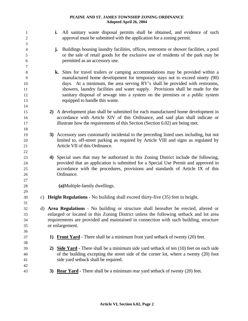| 1<br>$\mathfrak 2$<br>3 | i.<br>approval must be submitted with the application for a zoning permit.                 | All sanitary waste disposal permits shall be obtained, and evidence of such                 |
|-------------------------|--------------------------------------------------------------------------------------------|---------------------------------------------------------------------------------------------|
| $\overline{4}$          | j.                                                                                         | Buildings housing laundry facilities, offices, restrooms or shower facilities, a pool       |
| 5                       |                                                                                            | or the sale of retail goods for the exclusive use of residents of the park may be           |
| 6                       | permitted as an accessory use.                                                             |                                                                                             |
| 7                       |                                                                                            |                                                                                             |
| 8                       |                                                                                            | k. Sites for travel trailers or camping accommodations may be provided within a             |
| 9                       |                                                                                            | manufactured home development for temporary stays not to exceed ninety (90)                 |
| 10                      |                                                                                            | days. At a minimum, the area serving RV's shall be provided with restrooms,                 |
| 11                      |                                                                                            | showers, laundry facilities and water supply. Provisions shall be made for the              |
| 12                      |                                                                                            | sanitary disposal of sewage into a system on the premises or a public system                |
| 13                      | equipped to handle this waste.                                                             |                                                                                             |
| 14                      |                                                                                            |                                                                                             |
| 15                      |                                                                                            | 2) A development plan shall be submitted for each manufactured home development in          |
| 16                      |                                                                                            | accordance with Article XIV of this Ordinance, and said plan shall indicate or              |
| 17                      | illustrate how the requirements of this Section (Section 6.02) are being met.              |                                                                                             |
| 18                      |                                                                                            |                                                                                             |
| 19                      |                                                                                            | 3) Accessory uses customarily incidental to the preceding listed uses including, but not    |
| 20                      |                                                                                            | limited to, off-street parking as required by Article VIII and signs as regulated by        |
| 21                      | Article VII of this Ordinance.                                                             |                                                                                             |
| 22                      |                                                                                            |                                                                                             |
| 23                      |                                                                                            | 4) Special uses that may be authorized in this Zoning District include the following,       |
| 24                      |                                                                                            | provided that an application is submitted for a Special Use Permit and approved in          |
| 25                      |                                                                                            | accordance with the procedures, provisions and standards of Article IX of this              |
| 26                      | Ordinance.                                                                                 |                                                                                             |
| 27                      |                                                                                            |                                                                                             |
| 28                      | (a) Multiple-family dwellings.                                                             |                                                                                             |
| 29                      |                                                                                            |                                                                                             |
| 30                      | c) <b>Height Regulations</b> - No building shall exceed thirty-five $(35)$ feet in height. |                                                                                             |
| 31                      |                                                                                            |                                                                                             |
| 32                      |                                                                                            | d) Area Regulations - No building or structure shall hereafter be erected, altered or       |
| 33                      |                                                                                            | enlarged or located in this Zoning District unless the following setback and lot area       |
| 34                      |                                                                                            | requirements are provided and maintained in connection with such building, structure        |
| 35                      | or enlargement.                                                                            |                                                                                             |
| 36                      |                                                                                            |                                                                                             |
| 37                      | <b>Front Yard</b> - There shall be a minimum front yard setback of twenty (20) feet.<br>1) |                                                                                             |
| 38                      |                                                                                            |                                                                                             |
| 39                      | 2)                                                                                         | <b>Side Yard</b> - There shall be a minimum side yard setback of ten (10) feet on each side |
| 40                      |                                                                                            | of the building excepting the street side of the corner lot, where a twenty (20) foot       |
| 41                      | side yard setback shall be required.                                                       |                                                                                             |
| 42                      |                                                                                            |                                                                                             |
| 43                      | <b>Rear Yard</b> - There shall be a minimum rear yard setback of twenty (20) feet.<br>3)   |                                                                                             |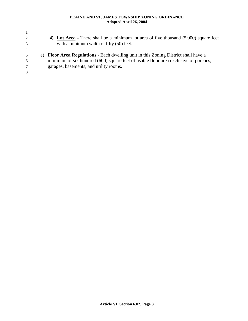| 2              |    | 4) Lot Area - There shall be a minimum lot area of five thousand $(5,000)$ square feet  |
|----------------|----|-----------------------------------------------------------------------------------------|
| 3              |    | with a minimum width of fifty (50) feet.                                                |
| $\overline{4}$ |    |                                                                                         |
| 5              | e) | <b>Floor Area Regulations</b> - Each dwelling unit in this Zoning District shall have a |
| 6              |    | minimum of six hundred (600) square feet of usable floor area exclusive of porches,     |
|                |    | garages, basements, and utility rooms.                                                  |
| 8              |    |                                                                                         |
|                |    |                                                                                         |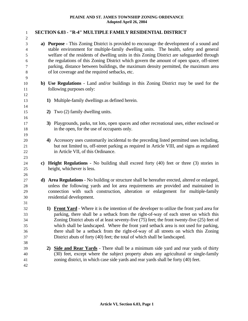| $\mathbf{1}$   |    | <b>SECTION 6.03 - "R-4" MULTIPLE FAMILY RESIDENTIAL DISTRICT</b>                                                                                                                    |
|----------------|----|-------------------------------------------------------------------------------------------------------------------------------------------------------------------------------------|
| 2              |    |                                                                                                                                                                                     |
| 3              |    | a) Purpose - This Zoning District is provided to encourage the development of a sound and                                                                                           |
| 4              |    | stable environment for multiple-family dwelling units. The health, safety and general<br>welfare of the residents of dwelling units in this Zoning District are safeguarded through |
| 5              |    | the regulations of this Zoning District which govern the amount of open space, off-street                                                                                           |
| 6<br>7         |    | parking, distance between buildings, the maximum density permitted, the maximum area                                                                                                |
| 8              |    | of lot coverage and the required setbacks, etc.                                                                                                                                     |
| $\overline{9}$ |    |                                                                                                                                                                                     |
| 10             |    | b) Use Regulations - Land and/or buildings in this Zoning District may be used for the                                                                                              |
| 11             |    | following purposes only:                                                                                                                                                            |
| 12             |    |                                                                                                                                                                                     |
| 13             |    | 1) Multiple-family dwellings as defined herein.                                                                                                                                     |
| 14             |    |                                                                                                                                                                                     |
| 15             |    | 2) Two (2) family dwelling units.                                                                                                                                                   |
| 16             |    |                                                                                                                                                                                     |
| 17             |    | 3) Playgrounds, parks, tot lots, open spaces and other recreational uses, either enclosed or                                                                                        |
| 18             |    | in the open, for the use of occupants only.                                                                                                                                         |
| 19             |    |                                                                                                                                                                                     |
| $20\,$         |    | 4) Accessory uses customarily incidental to the preceding listed permitted uses including,                                                                                          |
| 21             |    | but not limited to, off-street parking as required in Article VIII, and signs as regulated                                                                                          |
| 22             |    | in Article VII, of this Ordinance.                                                                                                                                                  |
| 23             |    |                                                                                                                                                                                     |
| 24             |    | c) Height Regulations - No building shall exceed forty (40) feet or three (3) stories in                                                                                            |
| 25             |    | height, whichever is less.                                                                                                                                                          |
| 26             |    | d) Area Regulations - No building or structure shall be hereafter erected, altered or enlarged,                                                                                     |
| 27<br>28       |    | unless the following yards and lot area requirements are provided and maintained in                                                                                                 |
| 29             |    | connection with such construction, alteration or enlargement for multiple-family                                                                                                    |
| 30             |    | residential development.                                                                                                                                                            |
| 31             |    |                                                                                                                                                                                     |
| 32             |    | 1) Front Yard - Where it is the intention of the developer to utilize the front yard area for                                                                                       |
| 33             |    | parking, there shall be a setback from the right-of-way of each street on which this                                                                                                |
| 34             |    | Zoning District abuts of at least seventy-five (75) feet; the front twenty-five (25) feet of                                                                                        |
| 35             |    | which shall be landscaped. Where the front yard setback area is not used for parking,                                                                                               |
| 36             |    | there shall be a setback from the right-of-way of all streets on which this Zoning                                                                                                  |
| 37             |    | District abuts of forty (40) feet; the total of which shall be landscaped.                                                                                                          |
| 38             |    |                                                                                                                                                                                     |
| 39             | 2) | <b>Side and Rear Yards</b> - There shall be a minimum side yard and rear yards of thirty                                                                                            |
| 40             |    | (30) feet, except where the subject property abuts any agricultural or single-family                                                                                                |
| 41             |    | zoning district, in which case side yards and rear yards shall be forty (40) feet.                                                                                                  |
| 42             |    |                                                                                                                                                                                     |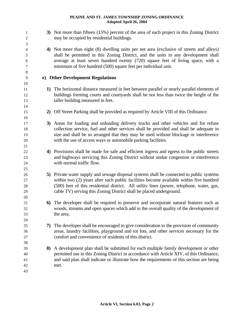1 2 3 4 5 6 7 8 9 10 11 12 13 14 15 16 17 18 19 20 21 22 23 24 25 26 27 28 29 30 31 32 33 34 35 36 37 38 39 40 41 42 43 **3)** Not more than fifteen (15%) percent of the area of each project in this Zoning District may be occupied by residential buildings. **4)** Not more than eight (8) dwelling units per net area (exclusive of streets and alleys) shall be permitted in this Zoning District, and the units in any development shall average at least seven hundred twenty (720) square feet of living space, with a minimum of five hundred (500) square feet per individual unit. **e) Other Development Regulations 1)** The horizontal distance measured in feet between parallel or nearly parallel elements of buildings forming courts and courtyards shall be not less than twice the height of the taller building measured in feet. **2)** Off Street Parking shall be provided as required by Article VIII of this Ordinance. **3)** Areas for loading and unloading delivery trucks and other vehicles and for refuse collection service, fuel and other services shall be provided and shall be adequate in size and shall be so arranged that they may be used without blockage or interference with the use of access ways or automobile parking facilities. **4)** Provisions shall be made for safe and efficient ingress and egress to the public streets and highways servicing this Zoning District without undue congestion or interference with normal traffic flow. **5)** Private water supply and sewage disposal systems shall be connected to public systems within two (2) years after such public facilities become available within five hundred (500) feet of this residential district. All utility lines (power, telephone, water, gas, cable TV) serving this Zoning District shall be placed underground. **6)** The developer shall be required to preserve and incorporate natural features such as woods, streams and open spaces which add to the overall quality of the development of the area. **7)** The developer shall be encouraged to give consideration to the provision of community areas, laundry facilities, playground and tot lots, and other services necessary for the comfort and convenience of residents of this district. **8)** A development plan shall be submitted for each multiple family development or other permitted use in this Zoning District in accordance with Article XIV, of this Ordinance, and said plan shall indicate or illustrate how the requirements of this section are being met.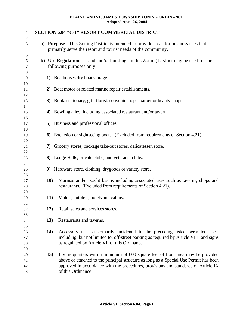| 1                          | <b>SECTION 6.04 "C-1" RESORT COMMERCIAL DISTRICT</b>                                                                                                                                                                                                                                        |
|----------------------------|---------------------------------------------------------------------------------------------------------------------------------------------------------------------------------------------------------------------------------------------------------------------------------------------|
| 2<br>3<br>4                | a) Purpose - This Zoning District is intended to provide areas for business uses that<br>primarily serve the resort and tourist needs of the community.                                                                                                                                     |
| 5<br>6<br>7                | b) Use Regulations - Land and/or buildings in this Zoning District may be used for the<br>following purposes only:                                                                                                                                                                          |
| 8<br>9                     | 1) Boathouses dry boat storage.                                                                                                                                                                                                                                                             |
| 10<br>11                   | 2) Boat motor or related marine repair establishments.                                                                                                                                                                                                                                      |
| 12<br>13                   | 3) Book, stationary, gift, florist, souvenir shops, barber or beauty shops.                                                                                                                                                                                                                 |
| 14<br>15<br>16             | 4) Bowling alley, including associated restaurant and/or tavern.                                                                                                                                                                                                                            |
| 17<br>18                   | 5) Business and professional offices.                                                                                                                                                                                                                                                       |
| 19<br>20                   | Excursion or sightseeing boats. (Excluded from requirements of Section 4.21).<br>6                                                                                                                                                                                                          |
| 21<br>22                   | Grocery stores, package take-out stores, delicatessen store.<br>7)                                                                                                                                                                                                                          |
| 23<br>24                   | 8) Lodge Halls, private clubs, and veterans' clubs.                                                                                                                                                                                                                                         |
| 25<br>26                   | 9) Hardware store, clothing, drygoods or variety store.                                                                                                                                                                                                                                     |
| 27<br>28                   | Marinas and/or yacht basins including associated uses such as taverns, shops and<br><b>10</b> )<br>restaurants. (Excluded from requirements of Section 4.21).                                                                                                                               |
| 29<br>30<br>31             | Motels, autotels, hotels and cabins.<br>11)                                                                                                                                                                                                                                                 |
| 32<br>33                   | 12)<br>Retail sales and services stores.                                                                                                                                                                                                                                                    |
| 34<br>35                   | Restaurants and taverns.<br>13)                                                                                                                                                                                                                                                             |
| 36<br>37<br>38             | Accessory uses customarily incidental to the preceding listed permitted uses,<br><b>14)</b><br>including, but not limited to, off-street parking as required by Article VIII, and signs<br>as regulated by Article VII of this Ordinance.                                                   |
| 39<br>40<br>41<br>42<br>43 | 15)<br>Living quarters with a minimum of 600 square feet of floor area may be provided<br>above or attached to the principal structure as long as a Special Use Permit has been<br>approved in accordance with the procedures, provisions and standards of Article IX<br>of this Ordinance. |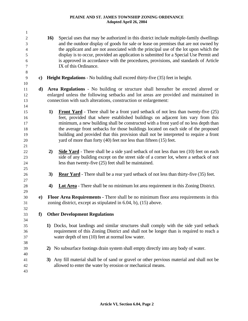1 2 3 4 5 6 7 8 9 10 11 12 13 14 **16)** Special uses that may be authorized in this district include multiple-family dwellings and the outdoor display of goods for sale or lease on premises that are not owned by the applicant and are not associated with the principal use of the lot upon which the display is to occur, provided an application is submitted for a Special Use Permit and is approved in accordance with the procedures, provisions, and standards of Article IX of this Ordinance. **c) Height Regulations** - No building shall exceed thirty-five (35) feet in height. **d) Area Regulations** - No building or structure shall hereafter be erected altered or enlarged unless the following setbacks and lot areas are provided and maintained in connection with such alterations, construction or enlargement: **1) Front Yard** - There shall be a front yard setback of not less than twenty-five (25) feet, provided that where established buildings on adjacent lots vary from this minimum, a new building shall be constructed with a front yard of no less depth than the average front setbacks for those buildings located on each side of the proposed building and provided that this provision shall not be interpreted to require a front yard of more than forty (40) feet nor less than fifteen (15) feet. 15 16 17 18 19 20 21 **2) Side Yard** - There shall be a side yard setback of not less than ten (10) feet on each side of any building except on the street side of a corner lot, where a setback of not less than twenty-five (25) feet shall be maintained. 22 23 24 25 26 **3) Rear Yard** - There shall be a rear yard setback of not less than thirty-five (35) feet. 27 28 **4) Lot Area** - There shall be no minimum lot area requirement in this Zoning District. 29 30 31 32 33 34 35 36 37 38 39 40 41 42 43 **e) Floor Area Requirements -** There shall be no minimum floor area requirements in this zoning district, except as stipulated in 6.04, b), (15) above. **f) Other Development Regulations 1)** Docks, boat landings and similar structures shall comply with the side yard setback requirement of this Zoning District and shall not be longer than is required to reach a water depth of ten (10) feet at normal low water. **2)** No subsurface footings drain system shall empty directly into any body of water. **3)** Any fill material shall be of sand or gravel or other pervious material and shall not be allowed to enter the water by erosion or mechanical means.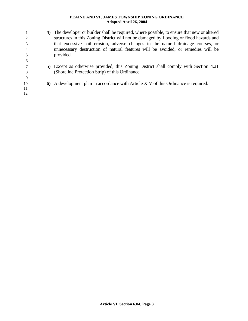1 2 3 4 5 6 7 8 9 10 11 12 **4)** The developer or builder shall be required, where possible, to ensure that new or altered structures in this Zoning District will not be damaged by flooding or flood hazards and that excessive soil erosion, adverse changes in the natural drainage courses, or unnecessary destruction of natural features will be avoided, or remedies will be provided. **5)** Except as otherwise provided, this Zoning District shall comply with Section 4.21 (Shoreline Protection Strip) of this Ordinance. **6)** A development plan in accordance with Article XIV of this Ordinance is required.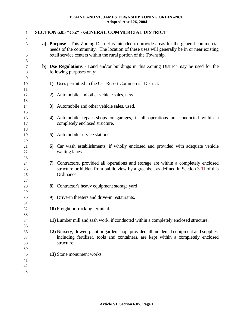| 1        |    | SECTION 6.05 "C-2" - GENERAL COMMERCIAL DISTRICT                                                                  |
|----------|----|-------------------------------------------------------------------------------------------------------------------|
| 2<br>3   |    | a) Purpose - This Zoning District is intended to provide areas for the general commercial                         |
| 4        |    | needs of the community. The location of these uses will generally be in or near existing                          |
| 5        |    | retail service centers within the rural portion of the Township.                                                  |
| 6<br>7   |    | b) Use Regulations - Land and/or buildings in this Zoning District may be used for the                            |
| 8        |    | following purposes only:                                                                                          |
| 9        |    |                                                                                                                   |
| 10       |    | 1) Uses permitted in the C-1 Resort Commercial District.                                                          |
| 11<br>12 | 2) | Automobile and other vehicle sales, new.                                                                          |
| 13       |    |                                                                                                                   |
| 14       |    | 3) Automobile and other vehicle sales, used.                                                                      |
| 15       |    |                                                                                                                   |
| 16<br>17 |    | 4) Automobile repair shops or garages, if all operations are conducted within a<br>completely enclosed structure. |
| 18       |    |                                                                                                                   |
| 19       | 5) | Automobile service stations.                                                                                      |
| 20       |    |                                                                                                                   |
| 21       |    | 6) Car wash establishments, if wholly enclosed and provided with adequate vehicle                                 |
| 22<br>23 |    | waiting lanes.                                                                                                    |
| 24       | 7) | Contractors, provided all operations and storage are within a completely enclosed                                 |
| 25       |    | structure or hidden from public view by a greenbelt as defined in Section 3.01 of this                            |
| 26       |    | Ordinance.                                                                                                        |
| 27<br>28 |    | 8) Contractor's heavy equipment storage yard                                                                      |
| 29       |    |                                                                                                                   |
| 30       |    | 9) Drive-in theaters and drive-in restaurants.                                                                    |
| 31       |    |                                                                                                                   |
| 32       |    | 10) Freight or trucking terminal.                                                                                 |
| 33<br>34 |    | 11) Lumber mill and sash work, if conducted within a completely enclosed structure.                               |
| 35       |    |                                                                                                                   |
| 36       |    | 12) Nursery, flower, plant or garden shop, provided all incidental equipment and supplies,                        |
| 37       |    | including fertilizer, tools and containers, are kept within a completely enclosed                                 |
| 38       |    | structure.                                                                                                        |
| 39<br>40 |    | 13) Stone monument works.                                                                                         |
| 41       |    |                                                                                                                   |
| 42       |    |                                                                                                                   |
| 43       |    |                                                                                                                   |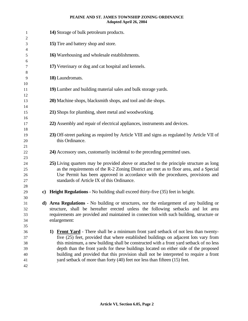| 1<br>2         | 14) Storage of bulk petroleum products.                                                                                                                                                |
|----------------|----------------------------------------------------------------------------------------------------------------------------------------------------------------------------------------|
| 3              | 15) Tire and battery shop and store.                                                                                                                                                   |
| $\overline{4}$ |                                                                                                                                                                                        |
| 5              | 16) Warehousing and wholesale establishments.                                                                                                                                          |
| 6              |                                                                                                                                                                                        |
| 7<br>8         | 17) Veterinary or dog and cat hospital and kennels.                                                                                                                                    |
| 9              | 18) Laundromats.                                                                                                                                                                       |
| 10             |                                                                                                                                                                                        |
| 11             | 19) Lumber and building material sales and bulk storage yards.                                                                                                                         |
| 12             |                                                                                                                                                                                        |
| 13<br>14       | 20) Machine shops, blacksmith shops, and tool and die shops.                                                                                                                           |
| 15             | 21) Shops for plumbing, sheet metal and woodworking.                                                                                                                                   |
| 16             |                                                                                                                                                                                        |
| 17             | 22) Assembly and repair of electrical appliances, instruments and devices.                                                                                                             |
| 18             |                                                                                                                                                                                        |
| 19<br>20       | 23) Off-street parking as required by Article VIII and signs as regulated by Article VII of<br>this Ordinance.                                                                         |
| 21             |                                                                                                                                                                                        |
| 22<br>23       | 24) Accessory uses, customarily incidental to the preceding permitted uses.                                                                                                            |
| 24             | 25) Living quarters may be provided above or attached to the principle structure as long                                                                                               |
| 25             | as the requirements of the R-2 Zoning District are met as to floor area, and a Special                                                                                                 |
| 26<br>27       | Use Permit has been approved in accordance with the procedures, provisions and<br>standards of Article IX of this Ordinance.                                                           |
| 28<br>29<br>30 | c) Height Regulations - No building shall exceed thirty-five (35) feet in height.                                                                                                      |
| 31             | d) Area Regulations - No building or structures, nor the enlargement of any building or                                                                                                |
| 32             | structure, shall be hereafter erected unless the following setbacks and lot area                                                                                                       |
| 33             | requirements are provided and maintained in connection with such building, structure or                                                                                                |
| 34             | enlargement:                                                                                                                                                                           |
| 35             |                                                                                                                                                                                        |
| 36<br>37       | <b>Front Yard</b> - There shall be a minimum front yard setback of not less than twenty-<br>1)<br>five (25) feet, provided that where established buildings on adjacent lots vary from |
| 38             | this minimum, a new building shall be constructed with a front yard setback of no less                                                                                                 |
| 39             | depth than the front yards for these buildings located on either side of the proposed                                                                                                  |
| 40             | building and provided that this provision shall not be interpreted to require a front                                                                                                  |
| 41             | yard setback of more than forty (40) feet nor less than fifteen (15) feet.                                                                                                             |
| 42             |                                                                                                                                                                                        |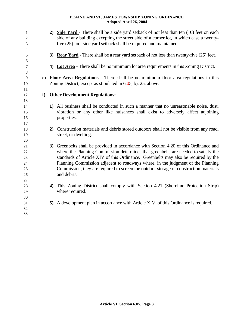| 1<br>$\mathfrak{2}$<br>3<br>4          | Side Yard - There shall be a side yard setback of not less than ten (10) feet on each<br>2)<br>side of any building excepting the street side of a corner lot, in which case a twenty-<br>five (25) foot side yard setback shall be required and maintained.                                                                                                                                                                                                 |
|----------------------------------------|--------------------------------------------------------------------------------------------------------------------------------------------------------------------------------------------------------------------------------------------------------------------------------------------------------------------------------------------------------------------------------------------------------------------------------------------------------------|
| 5<br>6                                 | <b>Rear Yard</b> - There shall be a rear yard setback of not less than twenty-five (25) feet.<br>3)                                                                                                                                                                                                                                                                                                                                                          |
| 7<br>8                                 | <b>Lot Area</b> - There shall be no minimum lot area requirements in this Zoning District.<br>$\boldsymbol{4}$                                                                                                                                                                                                                                                                                                                                               |
| 9<br>10<br>11                          | e) Floor Area Regulations - There shall be no minimum floor area regulations in this<br>Zoning District, except as stipulated in 6.05, b), 25, above.                                                                                                                                                                                                                                                                                                        |
| f<br>12<br>13                          | <b>Other Development Regulations:</b>                                                                                                                                                                                                                                                                                                                                                                                                                        |
| 14<br>15<br>16<br>17                   | 1) All business shall be conducted in such a manner that no unreasonable noise, dust,<br>vibration or any other like nuisances shall exist to adversely affect adjoining<br>properties.                                                                                                                                                                                                                                                                      |
| 18<br>19<br>20                         | 2) Construction materials and debris stored outdoors shall not be visible from any road,<br>street, or dwelling.                                                                                                                                                                                                                                                                                                                                             |
| 21<br>22<br>23<br>24<br>25<br>26<br>27 | 3) Greenbelts shall be provided in accordance with Section 4.20 of this Ordinance and<br>where the Planning Commission determines that greenbelts are needed to satisfy the<br>standards of Article XIV of this Ordinance. Greenbelts may also be required by the<br>Planning Commission adjacent to roadways where, in the judgment of the Planning<br>Commission, they are required to screen the outdoor storage of construction materials<br>and debris. |
| 28<br>29<br>30                         | This Zoning District shall comply with Section 4.21 (Shoreline Protection Strip)<br>4)<br>where required.                                                                                                                                                                                                                                                                                                                                                    |
| 31<br>32<br>33                         | A development plan in accordance with Article XIV, of this Ordinance is required.<br>5)                                                                                                                                                                                                                                                                                                                                                                      |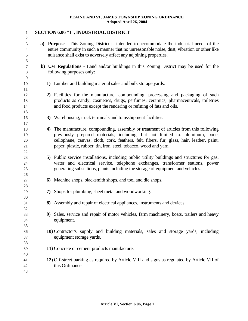| 1                                                    |    | <b>SECTION 6.06 "I", INDUSTRIAL DISTRICT</b>                                                                                                                                                                                                                                                                                               |
|------------------------------------------------------|----|--------------------------------------------------------------------------------------------------------------------------------------------------------------------------------------------------------------------------------------------------------------------------------------------------------------------------------------------|
| $\overline{c}$<br>3<br>$\overline{\mathcal{A}}$<br>5 |    | a) Purpose - This Zoning District is intended to accommodate the industrial needs of the<br>entire community in such a manner that no unreasonable noise, dust, vibration or other like<br>nuisance shall exist to adversely affect any adjoining properties.                                                                              |
| 6<br>7<br>$\,8$                                      |    | b) Use Regulations - Land and/or buildings in this Zoning District may be used for the<br>following purposes only:                                                                                                                                                                                                                         |
| 9<br>10                                              |    | 1) Lumber and building material sales and bulk storage yards.                                                                                                                                                                                                                                                                              |
| 11<br>12<br>13<br>14                                 |    | 2) Facilities for the manufacture, compounding, processing and packaging of such<br>products as candy, cosmetics, drugs, perfumes, ceramics, pharmaceuticals, toiletries<br>and food products except the rendering or refining of fats and oils.                                                                                           |
| 15<br>16                                             |    | 3) Warehousing, truck terminals and transshipment facilities.                                                                                                                                                                                                                                                                              |
| 17<br>18<br>19<br>20<br>21<br>22                     |    | 4) The manufacture, compounding, assembly or treatment of articles from this following<br>previously prepared materials, including, but not limited to: aluminum, bone,<br>cellophane, canvas, cloth, cork, feathers, felt, fibers, fur, glass, hair, leather, paint,<br>paper, plastic, rubber, tin, iron, steel, tobacco, wood and yarn. |
| 23<br>24<br>25                                       |    | 5) Public service installations, including public utility buildings and structures for gas,<br>water and electrical service, telephone exchanges, transformer stations, power<br>generating substations, plants including the storage of equipment and vehicles.                                                                           |
| 26<br>27<br>28                                       |    | 6) Machine shops, blacksmith shops, and tool and die shops.                                                                                                                                                                                                                                                                                |
| 29<br>30                                             | 7) | Shops for plumbing, sheet metal and woodworking.                                                                                                                                                                                                                                                                                           |
| 31<br>32                                             |    | 8) Assembly and repair of electrical appliances, instruments and devices.                                                                                                                                                                                                                                                                  |
| 33<br>34<br>35                                       |    | 9) Sales, service and repair of motor vehicles, farm machinery, boats, trailers and heavy<br>equipment.                                                                                                                                                                                                                                    |
| 36<br>37<br>38                                       |    | 10) Contractor's supply and building materials, sales and storage yards, including<br>equipment storage yards.                                                                                                                                                                                                                             |
| 39<br>40                                             |    | 11) Concrete or cement products manufacture.                                                                                                                                                                                                                                                                                               |
| 41<br>42<br>43                                       |    | 12) Off-street parking as required by Article VIII and signs as regulated by Article VII of<br>this Ordinance.                                                                                                                                                                                                                             |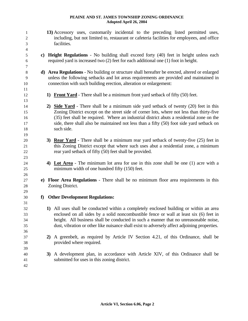1 2 3 4 5 6 7 8 9 10 11 **13)** Accessory uses, customarily incidental to the preceding listed permitted uses, including, but not limited to, restaurant or cafeteria facilities for employees, and office facilities. **c) Height Regulations** - No building shall exceed forty (40) feet in height unless each required yard is increased two (2) feet for each additional one (1) foot in height. **d) Area Regulations** - No building or structure shall hereafter be erected, altered or enlarged unless the following setbacks and lot areas requirements are provided and maintained in connection with such building erection, alteration or enlargement: 12 **1) Front Yard** - There shall be a minimum front yard setback of fifty (50) feet. 13 **2) Side Yard** - There shall be a minimum side yard setback of twenty (20) feet in this Zoning District except on the street side of corner lots, where not less than thirty-five (35) feet shall be required. Where an industrial district abuts a residential zone on the side, there shall also be maintained not less than a fifty (50) foot side yard setback on such side. 14 15 16 17 18 19 **3) Rear Yard** - There shall be a minimum rear yard setback of twenty-five (25) feet in this Zoning District except that where such uses abut a residential zone, a minimum rear yard setback of fifty (50) feet shall be provided. 20 21 22 23 **4) Lot Area** - The minimum lot area for use in this zone shall be one (1) acre with a minimum width of one hundred fifty (150) feet. 24 25 26 27 28 29 30 31 32 33 34 35 36 37 38 39 40 41 42 **e) Floor Area Regulations** - There shall be no minimum floor area requirements in this Zoning District. **f) Other Development Regulations: 1)** All uses shall be conducted within a completely enclosed building or within an area enclosed on all sides by a solid noncombustible fence or wall at least six (6) feet in height. All business shall be conducted in such a manner that no unreasonable noise, dust, vibration or other like nuisance shall exist to adversely affect adjoining properties. **2)** A greenbelt, as required by Article IV Section 4.21, of this Ordinance, shall be provided where required. **3)** A development plan, in accordance with Article XIV, of this Ordinance shall be submitted for uses in this zoning district.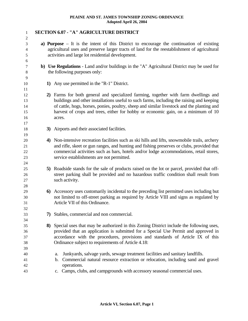| $\mathbf{1}$                           | <b>SECTION 6.07 - "A" AGRICULTURE DISTRICT</b>                                                                                                                                                                                                                                                                                                                                |
|----------------------------------------|-------------------------------------------------------------------------------------------------------------------------------------------------------------------------------------------------------------------------------------------------------------------------------------------------------------------------------------------------------------------------------|
| 2<br>3<br>4<br>5                       | a) Purpose $-$ It is the intent of this District to encourage the continuation of existing<br>agricultural uses and preserve larger tracts of land for the reestablishment of agricultural<br>activities and large lot residential development.                                                                                                                               |
| 6<br>7<br>8                            | b) Use Regulations - Land and/or buildings in the "A" Agricultural District may be used for<br>the following purposes only:                                                                                                                                                                                                                                                   |
| 9<br>10                                | 1) Any use permitted in the "R-1" District.                                                                                                                                                                                                                                                                                                                                   |
| 11<br>12<br>13<br>14<br>15<br>16<br>17 | 2) Farms for both general and specialized farming, together with farm dwellings and<br>buildings and other installations useful to such farms, including the raising and keeping<br>of cattle, hogs, horses, ponies, poultry, sheep and similar livestock and the planting and<br>harvest of crops and trees, either for hobby or economic gain, on a minimum of 10<br>acres. |
| 18                                     | 3) Airports and their associated facilities.                                                                                                                                                                                                                                                                                                                                  |
| 19<br>20<br>21<br>22<br>23             | 4) Non-intensive recreation facilities such as ski hills and lifts, snowmobile trails, archery<br>and rifle, skeet or gun ranges, and hunting and fishing preserves or clubs, provided that<br>commercial activities such as bars, hotels and/or lodge accommodations, retail stores,<br>service establishments are not permitted.                                            |
| 24<br>25<br>26<br>27<br>28             | 5) Roadside stands for the sale of products raised on the lot or parcel, provided that off-<br>street parking shall be provided and no hazardous traffic condition shall result from<br>such activity.                                                                                                                                                                        |
| 29<br>30<br>31<br>32                   | 6) Accessory uses customarily incidental to the preceding list permitted uses including but<br>not limited to off-street parking as required by Article VIII and signs as regulated by<br>Article VII of this Ordinance.                                                                                                                                                      |
| 33                                     | 7) Stables, commercial and non commercial.                                                                                                                                                                                                                                                                                                                                    |
| 34<br>35<br>36<br>37<br>38             | 8) Special uses that may be authorized in this Zoning District include the following uses,<br>provided that an application is submitted for a Special Use Permit and approved in<br>accordance with the procedures, provisions and standards of Article IX of this<br>Ordinance subject to requirements of Article 4.18:                                                      |
| 39<br>40<br>41<br>42<br>43             | Junkyards, salvage yards, sewage treatment facilities and sanitary landfills.<br>a.<br>Commercial natural resource extraction or relocation, including sand and gravel<br>$\mathbf{b}$ .<br>operations.<br>c. Camps, clubs, and campgrounds with accessory seasonal commercial uses.                                                                                          |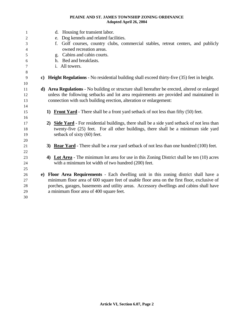| 1                        | d. Housing for transient labor.                                                                      |
|--------------------------|------------------------------------------------------------------------------------------------------|
| $\mathfrak{2}$           | e. Dog kennels and related facilities.                                                               |
| 3                        | Golf courses, country clubs, commercial stables, retreat centers, and publicly<br>f.                 |
| $\overline{\mathcal{A}}$ | owned recreation areas.                                                                              |
| 5                        | Cabins and cabin courts.<br>g.                                                                       |
| 6                        | h. Bed and breakfasts.                                                                               |
| 7                        | i. All towers.                                                                                       |
| 8<br>9<br>10             | c) Height Regulations - No residential building shall exceed thirty-five (35) feet in height.        |
| 11                       | d) Area Regulations - No building or structure shall hereafter be erected, altered or enlarged       |
| 12                       | unless the following setbacks and lot area requirements are provided and maintained in               |
| 13                       | connection with such building erection, alteration or enlargement:                                   |
| 14                       |                                                                                                      |
| 15                       | <b>Front Yard</b> - There shall be a front yard setback of not less than fifty (50) feet.<br>1)      |
| 16                       |                                                                                                      |
| 17                       | 2) Side Yard - For residential buildings, there shall be a side yard setback of not less than        |
| 18                       | twenty-five (25) feet. For all other buildings, there shall be a minimum side yard                   |
| 19                       | setback of sixty (60) feet.                                                                          |
| 20                       |                                                                                                      |
| 21                       | <b>Rear Yard</b> - There shall be a rear yard setback of not less than one hundred (100) feet.<br>3) |
| 22                       |                                                                                                      |
| 23                       | 4) Lot Area - The minimum lot area for use in this Zoning District shall be ten (10) acres           |
| 24                       | with a minimum lot width of two hundred (200) feet.                                                  |
| 25                       |                                                                                                      |
| 26                       | e) Floor Area Requirements - Each dwelling unit in this zoning district shall have a                 |
| 27                       | minimum floor area of 600 square feet of usable floor area on the first floor, exclusive of          |
| 28                       | porches, garages, basements and utility areas. Accessory dwellings and cabins shall have             |
| 29                       | a minimum floor area of 400 square feet.                                                             |
| 30                       |                                                                                                      |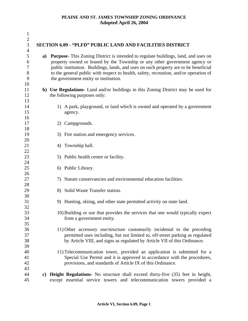| $\mathbf{1}$   |              |                                                                                                                                                                    |
|----------------|--------------|--------------------------------------------------------------------------------------------------------------------------------------------------------------------|
| $\mathbf{2}$   |              |                                                                                                                                                                    |
| 3              |              | SECTION 6.09 - "PLFD" PUBLIC LAND AND FACILITIES DISTRICT                                                                                                          |
| $\overline{4}$ |              |                                                                                                                                                                    |
| 5<br>6         |              | a) Purpose-This Zoning District is intended to regulate buildings, land, and uses on<br>property owned or leased by the Township or any other government agency or |
| $\overline{7}$ |              | public institution. Buildings, lands, and uses on such property are to be beneficial                                                                               |
| 8              |              | to the general public with respect to health, safety, recreation, and/or operation of                                                                              |
| 9              |              | the government entity or institution.                                                                                                                              |
| 10             |              |                                                                                                                                                                    |
| 11             |              | b) Use Regulations- Land and/or buildings in this Zoning District may be used for                                                                                  |
| 12             |              | the following purposes only:                                                                                                                                       |
| 13             |              |                                                                                                                                                                    |
| 14             |              | 1) A park, playground, or land which is owned and operated by a government                                                                                         |
| 15             |              | agency.                                                                                                                                                            |
| 16             |              |                                                                                                                                                                    |
| 17             |              | 2) Campgrounds.                                                                                                                                                    |
| 18             |              |                                                                                                                                                                    |
| 19             |              | 3) Fire station and emergency services.                                                                                                                            |
| 20             |              |                                                                                                                                                                    |
| 21             |              | 4) Township hall.                                                                                                                                                  |
| 22             |              |                                                                                                                                                                    |
| 23             |              | 5) Public health center or facility.                                                                                                                               |
| 24             |              |                                                                                                                                                                    |
| 25             |              | 6) Public Library.                                                                                                                                                 |
| 26             |              |                                                                                                                                                                    |
| 27             |              | 7) Nature conservancies and environmental education facilities.                                                                                                    |
| 28             |              |                                                                                                                                                                    |
| 29             |              | 8) Solid Waste Transfer station.                                                                                                                                   |
| 30             |              |                                                                                                                                                                    |
| 31             |              | 9) Hunting, skiing, and other state permitted activity on state land.                                                                                              |
| 32             |              |                                                                                                                                                                    |
| 33             |              | 10) Building or use that provides the services that one would typically expect                                                                                     |
| 34             |              | from a government entity.                                                                                                                                          |
| 35             |              |                                                                                                                                                                    |
| 36             |              | 11) Other accessory use/structure customarily incidental to the preceding                                                                                          |
| 37             |              | permitted uses including, but not limited to, off-street parking as regulated                                                                                      |
| 38             |              | by Article VIII, and signs as regulated by Article VII of this Ordinance.                                                                                          |
| 39             |              |                                                                                                                                                                    |
| 40             |              | 11) Telecommunication tower, provided an application is submitted for a                                                                                            |
| 41             |              | Special Use Permit and it is approved in accordance with the procedures,                                                                                           |
| 42             |              | provisions, and standards of Article IX of this Ordinance.                                                                                                         |
| 43             |              |                                                                                                                                                                    |
| 44             | $\mathbf{c}$ | <b>Height Regulations-</b> No structure shall exceed thirty-five (35) feet in height,                                                                              |
| 45             |              | except essential service towers and telecommunication towers provided a                                                                                            |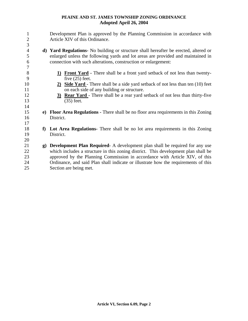| 1              |                | Development Plan is approved by the Planning Commission in accordance with                        |
|----------------|----------------|---------------------------------------------------------------------------------------------------|
| $\overline{2}$ |                | Article XIV of this Ordinance.                                                                    |
| 3              |                |                                                                                                   |
| $\overline{4}$ |                | <b>d) Yard Regulations-</b> No building or structure shall hereafter be erected, altered or       |
| 5              |                | enlarged unless the following yards and lot areas are provided and maintained in                  |
| 6              |                | connection with such alterations, construction or enlargement:                                    |
| 7              |                |                                                                                                   |
| 8<br>9         |                | 1) Front Yard - There shall be a front yard setback of not less than twenty-<br>five $(25)$ feet. |
| 10             |                | 2) Side Yard - There shall be a side yard setback of not less than ten (10) feet                  |
| 11             |                | on each side of any building or structure.                                                        |
| 12             |                | 3) <b>Rear Yard</b> - There shall be a rear yard setback of not less than thirty-five             |
| 13             |                | $(35)$ feet.                                                                                      |
| 14             |                |                                                                                                   |
| 15             |                | e) Floor Area Regulations - There shall be no floor area requirements in this Zoning              |
| 16             |                | District.                                                                                         |
| 17             |                |                                                                                                   |
| 18             |                | f) Lot Area Regulations- There shall be no lot area requirements in this Zoning                   |
| 19             |                | District.                                                                                         |
| 20             |                |                                                                                                   |
| 21             | $\mathbf{g}$ ) | <b>Development Plan Required</b> A development plan shall be required for any use                 |
| 22             |                | which includes a structure in this zoning district. This development plan shall be                |
| 23             |                | approved by the Planning Commission in accordance with Article XIV, of this                       |
| 24             |                | Ordinance, and said Plan shall indicate or illustrate how the requirements of this                |
| 25             |                | Section are being met.                                                                            |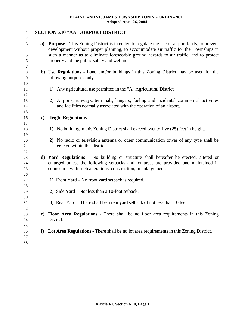| 1        | <b>SECTION 6.10 "AA" AIRPORT DISTRICT</b>                                                                                                                                       |
|----------|---------------------------------------------------------------------------------------------------------------------------------------------------------------------------------|
| 2        |                                                                                                                                                                                 |
| 3        | a) Purpose - This Zoning District is intended to regulate the use of airport lands, to prevent                                                                                  |
| 4<br>5   | development without proper planning, to accommodate air traffic for the Townships in<br>such a manner as to eliminate foreseeable ground hazards to air traffic, and to protect |
| 6        | property and the public safety and welfare.                                                                                                                                     |
| 7        |                                                                                                                                                                                 |
| $\,8\,$  | b) Use Regulations - Land and/or buildings in this Zoning District may be used for the                                                                                          |
| 9        | following purposes only:                                                                                                                                                        |
| 10       |                                                                                                                                                                                 |
| 11       | 1) Any agricultural use permitted in the "A" Agricultural District.                                                                                                             |
| 12       |                                                                                                                                                                                 |
| 13       | 2) Airports, runways, terminals, hangars, fueling and incidental commercial activities                                                                                          |
| 14<br>15 | and facilities normally associated with the operation of an airport.                                                                                                            |
| 16       | c) Height Regulations                                                                                                                                                           |
| 17       |                                                                                                                                                                                 |
| 18       | 1) No building in this Zoning District shall exceed twenty-five (25) feet in height.                                                                                            |
| 19       |                                                                                                                                                                                 |
| 20       | 2) No radio or television antenna or other communication tower of any type shall be                                                                                             |
| 21       | erected within this district.                                                                                                                                                   |
| 22       |                                                                                                                                                                                 |
| 23       | d) Yard Regulations - No building or structure shall hereafter be erected, altered or                                                                                           |
| 24       | enlarged unless the following setbacks and lot areas are provided and maintained in                                                                                             |
| 25       | connection with such alterations, construction, or enlargement:                                                                                                                 |
| 26       |                                                                                                                                                                                 |
| 27       | 1) Front Yard – No front yard setback is required.                                                                                                                              |
| 28<br>29 | 2) Side Yard – Not less than a 10-foot setback.                                                                                                                                 |
| 30       |                                                                                                                                                                                 |
| 31       | 3) Rear Yard – There shall be a rear yard setback of not less than 10 feet.                                                                                                     |
| 32       |                                                                                                                                                                                 |
| 33       | e) Floor Area Regulations - There shall be no floor area requirements in this Zoning                                                                                            |
| 34       | District.                                                                                                                                                                       |
| 35       |                                                                                                                                                                                 |
| 36       | f) Lot Area Regulations - There shall be no lot area requirements in this Zoning District.                                                                                      |
| 37       |                                                                                                                                                                                 |
| 38       |                                                                                                                                                                                 |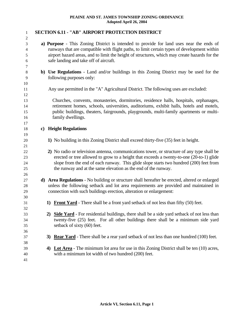| $\mathbf{1}$             | <b>SECTION 6.11 - "AB" AIRPORT PROTECTION DISTRICT</b>                                                  |
|--------------------------|---------------------------------------------------------------------------------------------------------|
| 2<br>3                   | a) Purpose - This Zoning District is intended to provide for land uses near the ends of                 |
| $\overline{\mathcal{A}}$ | runways that are compatible with flight paths, to limit certain types of development within             |
| 5                        | airport hazard areas, and to limit the height of structures, which may create hazards for the           |
| 6                        | safe landing and take off of aircraft.                                                                  |
| 7                        |                                                                                                         |
| 8                        | b) Use Regulations - Land and/or buildings in this Zoning District may be used for the                  |
| 9                        | following purposes only:                                                                                |
| 10                       |                                                                                                         |
| 11                       | Any use permitted in the "A" Agricultural District. The following uses are excluded:                    |
| 12                       |                                                                                                         |
| 13                       | Churches, convents, monasteries, dormitories, residence halls, hospitals, orphanages,                   |
| 14                       | retirement homes, schools, universities, auditoriums, exhibit halls, hotels and motels,                 |
| 15                       | public buildings, theaters, fairgrounds, playgrounds, multi-family apartments or multi-                 |
| 16                       | family dwellings.                                                                                       |
| 17<br>18                 | c) Height Regulations                                                                                   |
| 19                       |                                                                                                         |
| 20                       | 1) No building in this Zoning District shall exceed thirty-five (35) feet in height.                    |
| 21                       |                                                                                                         |
| 22                       | 2) No radio or television antenna, communications tower, or structure of any type shall be              |
| 23                       | erected or tree allowed to grow to a height that exceeds a twenty-to-one (20-to-1) glide                |
| 24                       | slope from the end of each runway. This glide slope starts two hundred (200) feet from                  |
| 25                       | the runway and at the same elevation as the end of the runway.                                          |
| 26                       |                                                                                                         |
| 27                       | d) Area Regulations - No building or structure shall hereafter be erected, altered or enlarged          |
| 28                       | unless the following setback and lot area requirements are provided and maintained in                   |
| 29                       | connection with such buildings erection, alteration or enlargement:                                     |
| 30                       | 1)                                                                                                      |
| 31<br>32                 | <b>Front Yard</b> - There shall be a front yard setback of not less than fifty (50) feet.               |
| 33                       | <b>Side Yard</b> - For residential buildings, there shall be a side yard setback of not less than<br>2) |
| 34                       | twenty-five (25) feet. For all other buildings there shall be a minimum side yard                       |
| 35                       | setback of sixty (60) feet.                                                                             |
| 36                       |                                                                                                         |
| 37                       | <b>Rear Yard</b> - There shall be a rear yard setback of not less than one hundred (100) feet.<br>3)    |
| 38                       |                                                                                                         |
| 39                       | <b>Lot Area</b> - The minimum lot area for use in this Zoning District shall be ten (10) acres,<br>4)   |
| 40                       | with a minimum lot width of two hundred (200) feet.                                                     |
| 41                       |                                                                                                         |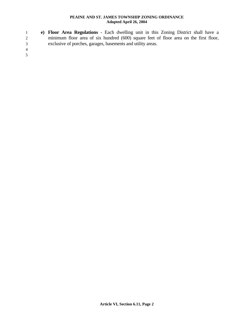- 1 2 3 **e) Floor Area Regulations** - Each dwelling unit in this Zoning District shall have a minimum floor area of six hundred (600) square feet of floor area on the first floor, exclusive of porches, garages, basements and utility areas.
- 4
- 5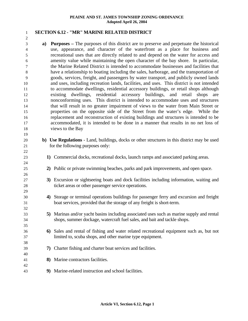#### 1 **SECTION 6.12 - "MR" MARINE RELATED DISTRICT**

2

**a) Purposes –** The purposes of this district are to preserve and perpetuate the historical use, appearance, and character of the waterfront as a place for business and recreational uses that are directly related to and depend on the water for access and amenity value while maintaining the open character of the bay shore. In particular, the Marine Related District is intended to accommodate businesses and facilities that have a relationship to boating including the sales, harborage, and the transportation of goods, services, freight, and passengers by water transport, and publicly owned lands and uses, including recreation lands, facilities, and uses. This district is not intended to accommodate dwellings, residential accessory buildings, or retail shops although existing dwellings, residential accessory buildings, and retail shops are nonconforming uses. This district is intended to accommodate uses and structures that will result in no greater impairment of views to the water from Main Street or properties on the opposite side of the Street from the water's edge. While the replacement and reconstruction of existing buildings and structures is intended to be accommodated, it is intended to be done in a manner that results in no net loss of views to the Bay

- **b) Use Regulations** Land, buildings, docks or other structures in this district may be used for the following purposes only:
	- **1)** Commercial docks, recreational docks, launch ramps and associated parking areas.
	- **2)** Public or private swimming beaches, parks and park improvements, and open space.
	- **3)** Excursion or sightseeing boats and dock facilities including information, waiting and ticket areas or other passenger service operations.
		- **4)** Storage or terminal operations buildings for passenger ferry and excursion and freight boat services, provided that the storage of any freight is short-term.
	- **5)** Marinas and/or yacht basins including associated uses such as marine supply and rental shops, summer dockage, watercraft fuel sales, and bait and tackle shops.
	- **6)** Sales and rental of fishing and water related recreational equipment such as, but not limited to, scuba shops, and other marine type equipment.
- 39 **7)** Charter fishing and charter boat services and facilities.
- 41 **8)** Marine contractors facilities.

40

42

43 **9)** Marine-related instruction and school facilities.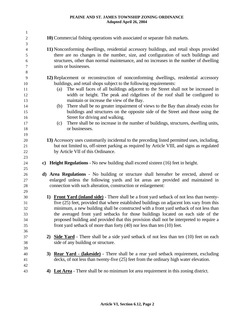| $\mathbf{1}$   |                                                                                                                                                                            |
|----------------|----------------------------------------------------------------------------------------------------------------------------------------------------------------------------|
| $\mathfrak 2$  | 10) Commercial fishing operations with associated or separate fish markets.                                                                                                |
| 3              |                                                                                                                                                                            |
| $\overline{4}$ | 11) Nonconforming dwellings, residential accessory buildings, and retail shops provided                                                                                    |
| 5              | there are no changes in the number, size, and configuration of such buildings and                                                                                          |
| 6              | structures, other than normal maintenance, and no increases in the number of dwelling                                                                                      |
| $\tau$         | units or businesses.                                                                                                                                                       |
| $\,8\,$        |                                                                                                                                                                            |
| 9              | 12) Replacement or reconstruction of nonconforming dwellings, residential accessory                                                                                        |
| 10             | buildings, and retail shops subject to the following requirements:                                                                                                         |
| 11             | The wall faces of all buildings adjacent to the Street shall not be increased in<br>(a)                                                                                    |
| 12             | width or height. The peak and ridgelines of the roof shall be configured to                                                                                                |
| 13             | maintain or increase the view of the Bay.                                                                                                                                  |
| 14<br>15       | There shall be no greater impairment of views to the Bay than already exists for<br>(b)<br>buildings and structures on the opposite side of the Street and those using the |
| 16             | Street for driving and walking.                                                                                                                                            |
| 17             | There shall be no increase in the number of buildings, structures, dwelling units,<br>(c)                                                                                  |
| 18             | or businesses.                                                                                                                                                             |
| 19             |                                                                                                                                                                            |
| 20             | 13) Accessory uses customarily incidental to the preceding listed permitted uses, including,                                                                               |
| 21             | but not limited to, off-street parking as required by Article VIII, and signs as regulated                                                                                 |
| 22             | by Article VII of this Ordinance.                                                                                                                                          |
| 23             |                                                                                                                                                                            |
| 24             | c) Height Regulations - No new building shall exceed sixteen (16) feet in height.                                                                                          |
| 25             |                                                                                                                                                                            |
| 26             | d) Area Regulations - No building or structure shall hereafter be erected, altered or                                                                                      |
| 27             | enlarged unless the following yards and lot areas are provided and maintained in                                                                                           |
| 28             | connection with such alteration, construction or enlargement:                                                                                                              |
| 29             |                                                                                                                                                                            |
| 30             | 1) Front Yard (inland side) - There shall be a front yard setback of not less than twenty-                                                                                 |
| 31             | five (25) feet, provided that where established buildings on adjacent lots vary from this                                                                                  |
| 32             | minimum, a new building shall be constructed with a front yard setback of not less than                                                                                    |
| 33             | the averaged front yard setbacks for those buildings located on each side of the                                                                                           |
| 34             | proposed building and provided that this provision shall not be interpreted to require a                                                                                   |
| 35             | front yard setback of more than forty (40) nor less than ten (10) feet.                                                                                                    |
| 36             |                                                                                                                                                                            |
| 37             | <b>Side Yard</b> - There shall be a side yard setback of not less than ten (10) feet on each<br>2)                                                                         |
| 38             | side of any building or structure.                                                                                                                                         |
| 39             | <b>Rear Yard - (lakeside)</b> - There shall be a rear yard setback requirement, excluding                                                                                  |
| 40             | 3)                                                                                                                                                                         |
| 41             | decks, of not less than twenty-five (25) feet from the ordinary high water elevation.                                                                                      |
| 42             |                                                                                                                                                                            |
| 43             | <b>Lot Area</b> - There shall be no minimum lot area requirement in this zoning district.<br>4)                                                                            |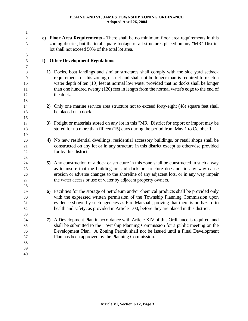| 1<br>2<br>3<br>4                       |    | e) Floor Area Requirements - There shall be no minimum floor area requirements in this<br>zoning district, but the total square footage of all structures placed on any "MR" District<br>lot shall not exceed 50% of the total lot area.                                                                                                                                              |
|----------------------------------------|----|---------------------------------------------------------------------------------------------------------------------------------------------------------------------------------------------------------------------------------------------------------------------------------------------------------------------------------------------------------------------------------------|
| 5<br>6                                 | f  | <b>Other Development Regulations</b>                                                                                                                                                                                                                                                                                                                                                  |
| 7<br>8<br>9<br>10<br>11<br>12<br>13    |    | 1) Docks, boat landings and similar structures shall comply with the side yard setback<br>requirements of this zoning district and shall not be longer than is required to reach a<br>water depth of ten (10) feet at normal low water provided that no docks shall be longer<br>than one hundred twenty (120) feet in length from the normal water's edge to the end of<br>the dock. |
| 14<br>15<br>16                         |    | 2) Only one marine service area structure not to exceed forty-eight (48) square feet shall<br>be placed on a dock.                                                                                                                                                                                                                                                                    |
| 17<br>18<br>19                         |    | 3) Freight or materials stored on any lot in this "MR" District for export or import may be<br>stored for no more than fifteen (15) days during the period from May 1 to October 1.                                                                                                                                                                                                   |
| 20<br>21<br>22<br>23                   |    | 4) No new residential dwellings, residential accessory buildings, or retail shops shall be<br>constructed on any lot or in any structure in this district except as otherwise provided<br>for by this district.                                                                                                                                                                       |
| 24<br>25<br>26<br>27<br>28             | 5) | Any construction of a dock or structure in this zone shall be constructed in such a way<br>as to insure that the building or said dock or structure does not in any way cause<br>erosion or adverse changes to the shoreline of any adjacent lots, or in any way impair<br>the water access or use of water by adjacent property owners.                                              |
| 29<br>30<br>31<br>32<br>33             |    | 6) Facilities for the storage of petroleum and/or chemical products shall be provided only<br>with the expressed written permission of the Township Planning Commission upon<br>evidence shown by such agencies as Fire Marshall, proving that there is no hazard to<br>health and safety, as provided in Article 1.00, before they are placed in this district.                      |
| 34<br>35<br>36<br>37<br>38<br>39<br>40 |    | 7) A Development Plan in accordance with Article XIV of this Ordinance is required, and<br>shall be submitted to the Township Planning Commission for a public meeting on the<br>Development Plan. A Zoning Permit shall not be issued until a Final Development<br>Plan has been approved by the Planning Commission.                                                                |
|                                        |    |                                                                                                                                                                                                                                                                                                                                                                                       |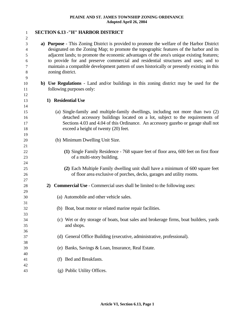1 2 3 4 5 6 7 8 9 10 11 12 13 **SECTION 6.13 -"H" HARBOR DISTRICT a) Purpose** - This Zoning District is provided to promote the welfare of the Harbor District designated on the Zoning Map; to promote the topographic features of the harbor and its adjacent lands; to promote the economic advantages of the area's unique existing features; to provide for and preserve commercial and residential structures and uses; and to maintain a compatible development pattern of uses historically or presently existing in this zoning district. **b) Use Regulations** - Land and/or buildings in this zoning district may be used for the following purposes only: **1) Residential Use** 14 15 16 17 18 19 20 21 22 23 24 25 26 27 28 29 30 31 32 33 34 35 36 37 38 39 40 41 42 43 (a) Single-family and multiple-family dwellings, including not more than two (2) detached accessory buildings located on a lot, subject to the requirements of Sections 4.03 and 4.04 of this Ordinance. An accessory gazebo or garage shall not exceed a height of twenty (20) feet. (b) Minimum Dwelling Unit Size. **(1)** Single Family Residence - 768 square feet of floor area, 600 feet on first floor of a multi-story building. **(2)** Each Multiple Family dwelling unit shall have a minimum of 600 square feet of floor area exclusive of porches, decks, garages and utility rooms. **2) Commercial Use** - Commercial uses shall be limited to the following uses: (a) Automobile and other vehicle sales. (b) Boat, boat motor or related marine repair facilities. (c) Wet or dry storage of boats, boat sales and brokerage firms, boat builders, yards and shops. (d) General Office Building (executive, administrative, professional). (e) Banks, Savings & Loan, Insurance, Real Estate. (f) Bed and Breakfasts. (g) Public Utility Offices.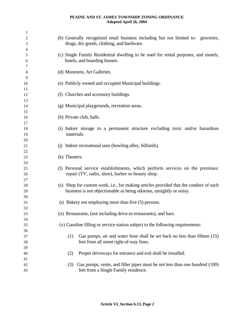| 1              |                                                                                                                    |
|----------------|--------------------------------------------------------------------------------------------------------------------|
| $\overline{c}$ | (h) Generally recognized retail business including but not limited to: groceries,                                  |
| 3              | drugs, dry goods, clothing, and hardware.                                                                          |
| 4              |                                                                                                                    |
| 5<br>6         | (c) Single Family Residential dwelling to be used for rental purposes, and motels,<br>hotels, and boarding houses. |
| 7              |                                                                                                                    |
| 8              | (d) Museums, Art Galleries.                                                                                        |
| 9              |                                                                                                                    |
| 10             | (e) Publicly owned and occupied Municipal buildings.                                                               |
| 11             |                                                                                                                    |
| 12             | (f) Churches and accessory buildings.                                                                              |
| 13             |                                                                                                                    |
| 14             | (g) Municipal playgrounds, recreation areas.                                                                       |
| 15             |                                                                                                                    |
| 16             | (h) Private club, halls.                                                                                           |
| 17             |                                                                                                                    |
| 18             | (i) Indoor storage in a permanent structure excluding toxic and/or hazardous                                       |
| 19             | materials.                                                                                                         |
| 20             |                                                                                                                    |
| 21             | (j) Indoor recreational uses (bowling alley, billiards).                                                           |
| 22             |                                                                                                                    |
| 23             | (k) Theaters.                                                                                                      |
| 24             |                                                                                                                    |
| 25             | (1) Personal service establishments, which perform services on the premises:                                       |
| 26<br>27       | repair (TV, radio, shoe), barber or beauty shop.                                                                   |
| 28             | (s) Shop for custom work, i.e., for making articles provided that the conduct of such                              |
| 29             | business is not objectionable as being odorous, unsightly or noisy.                                                |
| 30             |                                                                                                                    |
| 31             | (t) Bakery not employing more than five $(5)$ persons.                                                             |
| 32             |                                                                                                                    |
| 33             | (u) Restaurants, (not including drive-in restaurants), and bars.                                                   |
| 34             |                                                                                                                    |
| 35             | (v) Gasoline filling or service station subject to the following requirements:                                     |
| 36             |                                                                                                                    |
| 37             | (1)<br>Gas pumps, air and water hose shall be set back no less than fifteen (15)                                   |
| 38             | feet from all street right-of-way lines.                                                                           |
| 39             |                                                                                                                    |
| 40             | Proper driveways for entrance and exit shall be installed.<br>(2)                                                  |
| 41             |                                                                                                                    |
| 42             | Gas pumps, vents, and filler pipes must be not less than one hundred (100)<br>(3)                                  |
| 43             | feet from a Single Family residence.                                                                               |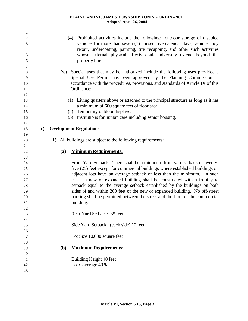| 1  |            |                                                                                    |
|----|------------|------------------------------------------------------------------------------------|
| 2  |            | (4) Prohibited activities include the following: outdoor storage of disabled       |
| 3  |            | vehicles for more than seven (7) consecutive calendar days, vehicle body           |
| 4  |            | repair, undercoating, painting, tire recapping, and other such activities          |
| 5  |            | whose external physical effects could adversely extend beyond the                  |
| 6  |            | property line.                                                                     |
| 7  |            |                                                                                    |
| 8  | (w)        | Special uses that may be authorized include the following uses provided a          |
| 9  |            | Special Use Permit has been approved by the Planning Commission in                 |
| 10 |            | accordance with the procedures, provisions, and standards of Article IX of this    |
| 11 |            | Ordinance:                                                                         |
| 12 |            |                                                                                    |
| 13 |            | (1) Living quarters above or attached to the principal structure as long as it has |
| 14 |            | a minimum of 600 square feet of floor area.                                        |
| 15 |            | Temporary outdoor displays.<br>(2)                                                 |
| 16 |            | (3) Institutions for human care including senior housing.                          |
| 17 |            |                                                                                    |
| 18 |            | c) Development Regulations                                                         |
| 19 |            |                                                                                    |
| 20 |            | 1) All buildings are subject to the following requirements:                        |
| 21 |            |                                                                                    |
| 22 | (a)        | <b>Minimum Requirements:</b>                                                       |
| 23 |            |                                                                                    |
| 24 |            | Front Yard Setback: There shall be a minimum front yard setback of twenty-         |
| 25 |            | five (25) feet except for commercial buildings where established buildings on      |
| 26 |            | adjacent lots have an average setback of less than the minimum. In such            |
| 27 |            | cases, a new or expanded building shall be constructed with a front yard           |
| 28 |            | setback equal to the average setback established by the buildings on both          |
| 29 |            | sides of and within 200 feet of the new or expanded building. No off-street        |
| 30 |            | parking shall be permitted between the street and the front of the commercial      |
| 31 |            | building.                                                                          |
| 32 |            |                                                                                    |
| 33 |            | Rear Yard Setback: 35 feet                                                         |
| 34 |            |                                                                                    |
| 35 |            | Side Yard Setback: (each side) 10 feet                                             |
| 36 |            |                                                                                    |
| 37 |            | Lot Size 10,000 square feet                                                        |
| 38 |            |                                                                                    |
| 39 | <b>(b)</b> | <b>Maximum Requirements:</b>                                                       |
| 40 |            |                                                                                    |
| 41 |            | Building Height 40 feet                                                            |
| 42 |            | Lot Coverage 40 %                                                                  |
| 43 |            |                                                                                    |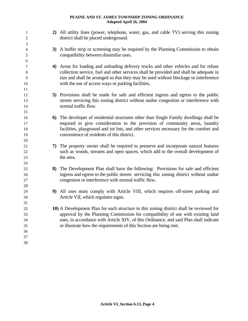| 1<br>$\overline{c}$      | 2) All utility lines (power, telephone, water, gas, and cable TV) serving this zoning<br>district shall be placed underground. |
|--------------------------|--------------------------------------------------------------------------------------------------------------------------------|
| 3<br>$\overline{4}$<br>5 | 3) A buffer strip or screening may be required by the Planning Commission to obtain<br>compatibility between dissimilar uses.  |
| 6                        |                                                                                                                                |
| 7                        | 4) Areas for loading and unloading delivery trucks and other vehicles and for refuse                                           |
| $8\phantom{1}$           | collection service, fuel and other services shall be provided and shall be adequate in                                         |
| 9                        | size and shall be arranged so that they may be used without blockage or interference                                           |
| 10                       | with the use of access ways or parking facilities.                                                                             |
| 11                       |                                                                                                                                |
| 12                       | 5) Provisions shall be made for safe and efficient ingress and egress to the public                                            |
| 13                       | streets servicing this zoning district without undue congestion or interference with                                           |
| 14                       | normal traffic flow.                                                                                                           |
| 15                       |                                                                                                                                |
| 16                       | 6) The developer of residential structures other than Single Family dwellings shall be                                         |
| 17                       | required to give consideration to the provision of community areas, laundry                                                    |
| 18                       | facilities, playground and tot lots, and other services necessary for the comfort and                                          |
| 19                       | convenience of residents of this district.                                                                                     |
| 20                       |                                                                                                                                |
| 21                       | 7) The property owner shall be required to preserve and incorporate natural features                                           |
| 22                       | such as woods, streams and open spaces, which add to the overall development of                                                |
| 23                       | the area.                                                                                                                      |
| 24                       |                                                                                                                                |
| 25                       | 8) The Development Plan shall have the following: Provisions for safe and efficient                                            |
| 26                       | ingress and egress to the public streets servicing this zoning district without undue                                          |
| 27                       | congestion or interference with normal traffic flow.                                                                           |
| 28                       |                                                                                                                                |
| 29                       | 9) All uses must comply with Article VIII, which requires off-street parking and                                               |
| 30                       | Article VII, which regulates signs.                                                                                            |
| 31                       |                                                                                                                                |
| 32                       | 10) A Development Plan for each structure in this zoning district shall be reviewed for                                        |
| 33                       | approval by the Planning Commission for compatibility of use with existing land                                                |
| 34                       | uses, in accordance with Article XIV, of this Ordinance, and said Plan shall indicate                                          |
| 35                       | or illustrate how the requirements of this Section are being met.                                                              |
| 36                       |                                                                                                                                |
| 37                       |                                                                                                                                |
| 38                       |                                                                                                                                |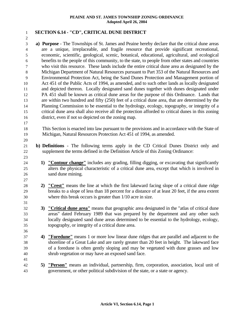#### 1 2 3 4 5 6 7 8 9 10 11 12 13 14 15 16 17 18 19 20 21 22 23 **SECTION 6.14 - "CD", CRITICAL DUNE DISTRICT a) Purpose** - The Townships of St. James and Peaine hereby declare that the critical dune areas are a unique, irreplaceable, and fragile resource that provide significant recreational, economic, scientific, geological, scenic, botanical, educational, agricultural, and ecological benefits to the people of this community, to the state, to people from other states and countries who visit this resource. These lands include the entire critical dune area as designated by the Michigan Department of Natural Resources pursuant to Part 353 of the Natural Resources and Environmental Protection Act, being the Sand Dunes Protection and Management portion of Act 451 of the Public Acts of 1994, as amended, and to such other lands as locally designated and depicted thereon. Locally designated sand dunes together with dunes designated under PA 451 shall be known as critical dune areas for the purpose of this Ordinance. Lands that are within two hundred and fifty (250) feet of a critical dune area, that are determined by the Planning Commission to be essential to the hydrology, ecology, topography, or integrity of a critical dune area shall also receive all the protection afforded to critical dunes in this zoning district, even if not so depicted on the zoning map. This Section is enacted into law pursuant to the provisions and in accordance with the State of Michigan, Natural Resources Protection Act 451 of 1994, as amended. **b) Definitions** - The following terms apply in the CD Critical Dunes District only and supplement the terms defined in the Definition Article of this Zoning Ordinance: **1) "Contour change"** includes any grading, filling digging, or excavating that significantly alters the physical characteristic of a critical dune area, except that which is involved in sand dune mining. 24 25 26 27 **2) "Crest"** means the line at which the first lakeward facing slope of a critical dune ridge breaks to a slope of less than 18 percent for a distance of at least 20 feet, if the area extent where this break occurs is greater than  $1/10$  acre in size. 28 29 30 31 **3) "Critical dune area"** means that geographic area designated in the "atlas of critical dune areas" dated February 1989 that was prepared by the department and any other such locally designated sand dune areas determined to be essential to the hydrology, ecology, topography, or integrity of a critical dune area. 32 33 34 35 36 **4) "Foredune"** means 1 or more low linear dune ridges that are parallel and adjacent to the shoreline of a Great Lake and are rarely greater than 20 feet in height. The lakeward face of a foredune is often gently sloping and may be vegetated with dune grasses and low shrub vegetation or may have an exposed sand face. 37 38 39 40 41 **5) "Person"** means an individual, partnership, firm, corporation, association, local unit of government, or other political subdivision of the state, or a state or agency. 42 43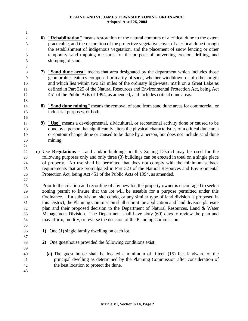- **6) "Rehabilitation"** means restoration of the natural contours of a critical dune to the extent practicable, and the restoration of the protective vegetative cover of a critical dune through the establishment of indigenous vegetation, and the placement of snow fencing or other temporary sand trapping measures for the purpose of preventing erosion, drifting, and slumping of sand.
	- **7) "Sand dune area"** means that area designated by the department which includes those geomorphic features composed primarily of sand, whether windblown or of other origin and which lies within two (2) miles of the ordinary high-water mark on a Great Lake as defined in Part 325 of the Natural Resources and Environmental Protection Act, being Act 451 of the Public Acts of 1994, as amended, and includes critical dune areas.
	- **8) "Sand dune mining"** means the removal of sand from sand dune areas for commercial, or industrial purposes, or both.
- **9) "Use"** means a developmental, silvicultural, or recreational activity done or caused to be done by a person that significantly alters the physical characteristics of a critical dune area or contour change done or caused to be done by a person, but does not include sand dune mining.
- 22 23 24 25 26 **c) Use Regulations** - Land and/or buildings in this Zoning District may be used for the following purposes only and only three (3) buildings can be erected in total on a single piece of property. No use shall be permitted that does not comply with the minimum setback requirements that are promulgated in Part 323 of the Natural Resources and Environmental Protection Act, being Act 451 of the Public Acts of 1994, as amended.

27

1

14 15 16

28 29 30 31 32 33 34 Prior to the creation and recording of any new lot, the property owner is encouraged to seek a zoning permit to insure that the lot will be useable for a purpose permitted under this Ordinance. If a subdivision, site condo, or any similar type of land division is proposed in this District, the Planning Commission shall submit the application and land division plan/site plan and their proposed decision to the Department of Natural Resources, Land & Water Management Division. The Department shall have sixty (60) days to review the plan and may affirm, modify, or reverse the decision of the Planning Commission.

- 36 **1)** One (1) single family dwelling on each lot.
	- **2)** One guesthouse provided the following conditions exist:
		- **(a)** The guest house shall be located a minimum of fifteen (15) feet landward of the principal dwelling as determined by the Planning Commission after consideration of the best location to protect the dune.
- 42 43

35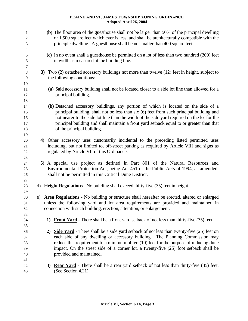| 1<br>$\overline{2}$<br>3<br>4    | (b) The floor area of the guesthouse shall not be larger than 50% of the principal dwelling<br>or 1,500 square feet which ever is less, and shall be architecturally compatible with the<br>principle dwelling. A guesthouse shall be no smaller than 400 square feet.                                                                                                                                  |
|----------------------------------|---------------------------------------------------------------------------------------------------------------------------------------------------------------------------------------------------------------------------------------------------------------------------------------------------------------------------------------------------------------------------------------------------------|
| 5<br>6                           | (c) In no event shall a guesthouse be permitted on a lot of less than two hundred (200) feet<br>in width as measured at the building line.                                                                                                                                                                                                                                                              |
| 7<br>$8\,$<br>9<br>10            | 3) Two (2) detached accessory buildings not more than twelve (12) feet in height, subject to<br>the following conditions:                                                                                                                                                                                                                                                                               |
| 11<br>12<br>13                   | (a) Said accessory building shall not be located closer to a side lot line than allowed for a<br>principal building.                                                                                                                                                                                                                                                                                    |
| 14<br>15<br>16<br>17<br>18<br>19 | (b) Detached accessory buildings, any portion of which is located on the side of a<br>principal building, shall not be less than six (6) feet from such principal building and<br>not nearer to the side lot line than the width of the side yard required on the lot for the<br>principal building and shall maintain a front yard setback equal to or greater than that<br>of the principal building. |
| 20<br>21<br>22<br>23             | 4) Other accessory uses customarily incidental to the preceding listed permitted uses<br>including, but not limited to, off-street parking as required by Article VIII and signs as<br>regulated by Article VII of this Ordinance.                                                                                                                                                                      |
| 24<br>25<br>26                   | 5) A special use project as defined in Part 801 of the Natural Resources and<br>Environmental Protection Act, being Act 451 of the Public Acts of 1994, as amended,<br>shall not be permitted in this Critical Dune District.                                                                                                                                                                           |
| 27<br>$28\,$<br>29               | d) Height Regulations - No building shall exceed thirty-five (35) feet in height.                                                                                                                                                                                                                                                                                                                       |
| 30<br>31<br>32<br>33             | Area Regulations - No building or structure shall hereafter be erected, altered or enlarged<br>e)<br>unless the following yard and lot area requirements are provided and maintained in<br>connection with such building, erection, alteration, or enlargement.                                                                                                                                         |
| 34<br>35                         | <b>Front Yard</b> - There shall be a front yard setback of not less than thirty-five (35) feet.<br>1)                                                                                                                                                                                                                                                                                                   |
| 36<br>37<br>38<br>39<br>40<br>41 | 2) Side Yard - There shall be a side yard setback of not less than twenty-five (25) feet on<br>each side of any dwelling or accessory building. The Planning Commission may<br>reduce this requirement to a minimum of ten (10) feet for the purpose of reducing dune<br>impact. On the street side of a corner lot, a twenty-five (25) foot setback shall be<br>provided and maintained.               |
| 42<br>43                         | <b>Rear Yard</b> - There shall be a rear yard setback of not less than thirty-five (35) feet.<br>3)<br>(See Section 4.21).                                                                                                                                                                                                                                                                              |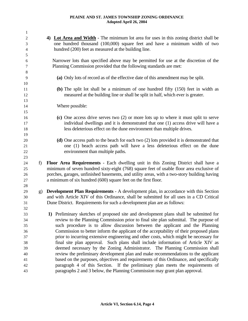| 1        |              |                                                                                             |
|----------|--------------|---------------------------------------------------------------------------------------------|
| 2        |              | 4) Lot Area and Width - The minimum lot area for uses in this zoning district shall be      |
| 3        |              | one hundred thousand (100,000) square feet and have a minimum width of two                  |
| 4        |              | hundred (200) feet as measured at the building line.                                        |
| 5        |              |                                                                                             |
| 6        |              | Narrower lots than specified above may be permitted for use at the discretion of the        |
| 7        |              | Planning Commission provided that the following standards are met:                          |
| 8        |              |                                                                                             |
| 9        |              | (a) Only lots of record as of the effective date of this amendment may be split.            |
| 10       |              |                                                                                             |
| 11       |              | (b) The split lot shall be a minimum of one hundred fifty $(150)$ feet in width as          |
| 12<br>13 |              | measured at the building line or shall be split in half, which ever is greater.             |
| 14       |              | Where possible:                                                                             |
| 15       |              |                                                                                             |
| 16       |              | (c) One access drive serves two $(2)$ or more lots up to where it must split to serve       |
| 17       |              | individual dwellings and it is demonstrated that one (1) access drive will have a           |
| 18       |              | less deleterious effect on the dune environment than multiple drives.                       |
| 19       |              |                                                                                             |
| 20       |              | (d) One access path to the beach for each two (2) lots provided it is demonstrated that     |
| 21       |              | one (1) beach access path will have a less deleterious effect on the dune                   |
| 22       |              | environment than multiple paths.                                                            |
| 23       |              |                                                                                             |
| 24       | f            | Floor Area Requirements - Each dwelling unit in this Zoning District shall have a           |
| 25       |              | minimum of seven hundred sixty-eight (768) square feet of usable floor area exclusive of    |
| 26       |              | porches, garages, unfinished basements, and utility areas, with a two-story building having |
| 27       |              | a minimum of six hundred (600) square feet on the first floor.                              |
| 28       |              |                                                                                             |
| 29       | $\mathbf{g}$ | <b>Development Plan Requirements</b> - A development plan, in accordance with this Section  |
| 30       |              | and with Article XIV of this Ordinance, shall be submitted for all uses in a CD Critical    |
| 31       |              | Dune District. Requirements for such a development plan are as follows:                     |
| 32       |              |                                                                                             |
| 33       |              | 1) Preliminary sketches of proposed site and development plans shall be submitted for       |
| 34       |              | review to the Planning Commission prior to final site plan submittal. The purpose of        |
| 35       |              | such procedure is to allow discussion between the applicant and the Planning                |
| 36       |              | Commission to better inform the applicant of the acceptability of their proposed plans      |
| 37       |              | prior to incurring extensive engineering and other costs, which might be necessary for      |
| 38       |              | final site plan approval. Such plans shall include information of Article XIV as            |
| 39       |              | deemed necessary by the Zoning Administrator. The Planning Commission shall                 |
| 40       |              | review the preliminary development plan and make recommendations to the applicant           |
| 41       |              | based on the purposes, objectives and requirements of this Ordinance, and specifically      |
| 42       |              | paragraph 4 of this Section. If the preliminary plan meets the requirements of              |
| 43       |              | paragraphs 2 and 3 below, the Planning Commission may grant plan approval.                  |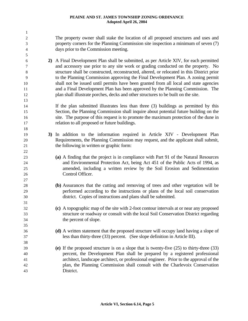| $\mathbf{1}$   |                                                                                                                                                                         |
|----------------|-------------------------------------------------------------------------------------------------------------------------------------------------------------------------|
| $\sqrt{2}$     | The property owner shall stake the location of all proposed structures and uses and                                                                                     |
| 3              | property corners for the Planning Commission site inspection a minimum of seven (7)                                                                                     |
| $\overline{4}$ | days prior to the Commission meeting.                                                                                                                                   |
| 5              |                                                                                                                                                                         |
| 6              | 2) A Final Development Plan shall be submitted, as per Article XIV, for each permitted                                                                                  |
| 7              | and accessory use prior to any site work or grading conducted on the property. No                                                                                       |
| $8\,$          | structure shall be constructed, reconstructed, altered, or relocated in this District prior                                                                             |
| 9              | to the Planning Commission approving the Final Development Plan. A zoning permit                                                                                        |
| 10             | shall not be issued until permits have been granted from all local and state agencies                                                                                   |
| 11             | and a Final Development Plan has been approved by the Planning Commission. The                                                                                          |
| 12             | plan shall illustrate porches, decks and other structures to be built on the site.                                                                                      |
| 13             |                                                                                                                                                                         |
| 14             | If the plan submitted illustrates less than three (3) buildings as permitted by this                                                                                    |
| 15             | Section, the Planning Commission shall inquire about potential future building on the                                                                                   |
| 16             | site. The purpose of this request is to promote the maximum protection of the dune in                                                                                   |
| 17             | relation to all proposed or future buildings.                                                                                                                           |
| 18             |                                                                                                                                                                         |
| 19             | 3) In addition to the information required in Article XIV - Development Plan                                                                                            |
| 20             | Requirements, the Planning Commission may request, and the applicant shall submit,                                                                                      |
| 21             | the following in written or graphic form:                                                                                                                               |
| 22             |                                                                                                                                                                         |
| 23             | (a) A finding that the project is in compliance with Part 91 of the Natural Resources<br>and Environmental Protection Act, being Act 451 of the Public Acts of 1994, as |
| 24<br>25       | amended, including a written review by the Soil Erosion and Sedimentation                                                                                               |
| 26             | Control Officer.                                                                                                                                                        |
| 27             |                                                                                                                                                                         |
| 28             | (b) Assurances that the cutting and removing of trees and other vegetation will be                                                                                      |
| 29             | performed according to the instructions or plans of the local soil conservation                                                                                         |
| 30             | district. Copies of instructions and plans shall be submitted.                                                                                                          |
| 31             |                                                                                                                                                                         |
| 32             | (c) A topographic map of the site with 2-foot contour intervals at or near any proposed                                                                                 |
| 33             | structure or roadway or consult with the local Soil Conservation District regarding                                                                                     |
| 34             | the percent of slope.                                                                                                                                                   |
| 35             |                                                                                                                                                                         |
| 36             | (d) A written statement that the proposed structure will occupy land having a slope of                                                                                  |
| 37             | less than thirty-three (33) percent. (See slope definition in Article III).                                                                                             |
| 38             |                                                                                                                                                                         |
| 39             | (e) If the proposed structure is on a slope that is twenty-five $(25)$ to thirty-three $(33)$                                                                           |
| 40             | percent, the Development Plan shall be prepared by a registered professional                                                                                            |
| 41             | architect, landscape architect, or professional engineer. Prior to the approval of the                                                                                  |
| 42             | plan, the Planning Commission shall consult with the Charlevoix Conservation                                                                                            |
| 43             | District.                                                                                                                                                               |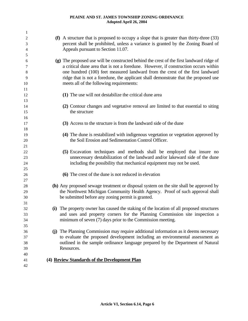| 1              |                                                                                                                                                                       |
|----------------|-----------------------------------------------------------------------------------------------------------------------------------------------------------------------|
| $\overline{c}$ | (f) A structure that is proposed to occupy a slope that is greater than thirty-three $(33)$                                                                           |
| 3              | percent shall be prohibited, unless a variance is granted by the Zoning Board of                                                                                      |
| $\overline{4}$ | Appeals pursuant to Section 11.07.                                                                                                                                    |
| 5              |                                                                                                                                                                       |
| 6              | (g) The proposed use will be constructed behind the crest of the first landward ridge of                                                                              |
| 7              | a critical dune area that is not a foredune. However, if construction occurs within                                                                                   |
| 8              | one hundred (100) feet measured landward from the crest of the first landward                                                                                         |
| 9              | ridge that is not a foredune, the applicant shall demonstrate that the proposed use                                                                                   |
| 10             | meets all of the following requirements:                                                                                                                              |
| 11             |                                                                                                                                                                       |
| 12             | (1) The use will not destabilize the critical dune area                                                                                                               |
| 13             |                                                                                                                                                                       |
| 14             | (2) Contour changes and vegetative removal are limited to that essential to siting                                                                                    |
| 15             | the structure                                                                                                                                                         |
| 16             |                                                                                                                                                                       |
| 17             | (3) Access to the structure is from the landward side of the dune                                                                                                     |
| 18             |                                                                                                                                                                       |
| 19             | (4) The dune is restabilized with indigenous vegetation or vegetation approved by                                                                                     |
| 20             | the Soil Erosion and Sedimentation Control Officer.                                                                                                                   |
| 21             |                                                                                                                                                                       |
| 22             | (5) Excavation techniques and methods shall be employed that insure no                                                                                                |
| 23             | unnecessary destabilization of the landward and/or lakeward side of the dune                                                                                          |
| 24             | including the possibility that mechanical equipment may not be used.                                                                                                  |
| 25             |                                                                                                                                                                       |
| 26             | (6) The crest of the dune is not reduced in elevation                                                                                                                 |
| 27             |                                                                                                                                                                       |
| 28             | (h) Any proposed sewage treatment or disposal system on the site shall be approved by                                                                                 |
| 29             | the Northwest Michigan Community Health Agency. Proof of such approval shall                                                                                          |
| 30             | be submitted before any zoning permit is granted.                                                                                                                     |
| 31             |                                                                                                                                                                       |
| 32             | (i) The property owner has caused the staking of the location of all proposed structures                                                                              |
| 33             | and uses and property corners for the Planning Commission site inspection a                                                                                           |
| 34             | minimum of seven (7) days prior to the Commission meeting.                                                                                                            |
| 35             |                                                                                                                                                                       |
| 36             | (j) The Planning Commission may require additional information as it deems necessary<br>to evaluate the proposed development including an environmental assessment as |
| 37             | outlined in the sample ordinance language prepared by the Department of Natural                                                                                       |
| 38             | Resources.                                                                                                                                                            |
| 39<br>40       |                                                                                                                                                                       |
| 41             | (4) Review Standards of the Development Plan                                                                                                                          |
| 42             |                                                                                                                                                                       |
|                |                                                                                                                                                                       |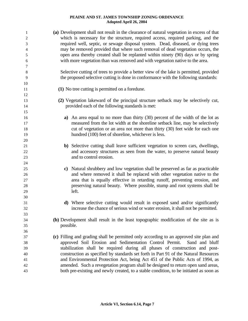| $\mathbf{1}$     | (a) Development shall not result in the clearance of natural vegetation in excess of that |
|------------------|-------------------------------------------------------------------------------------------|
| $\boldsymbol{2}$ | which is necessary for the structure, required access, required parking, and the          |
| 3                | required well, septic, or sewage disposal system. Dead, diseased, or dying trees          |
| $\overline{4}$   | may be removed provided that where such removal of dead vegetation occurs, the            |
| $\sqrt{5}$       | open area thereby created shall be replanted within ninety (90) days or by spring         |
| 6                | with more vegetation than was removed and with vegetation native to the area.             |
| $\tau$           |                                                                                           |
| $\,8\,$          | Selective cutting of trees to provide a better view of the lake is permitted, provided    |
| 9                | the proposed selective cutting is done in conformance with the following standards:       |
| 10               |                                                                                           |
| 11               | (1) No tree cutting is permitted on a foredune.                                           |
| 12               |                                                                                           |
| 13               | (2) Vegetation lakeward of the principal structure setback may be selectively cut,        |
| 14<br>15         | provided each of the following standards is met:                                          |
| 16               | An area equal to no more than thirty (30) percent of the width of the lot as<br>a)        |
| 17               | measured from the lot width at the shoreline setback line, may be selectively             |
| 18               | cut of vegetation or an area not more than thirty (30) feet wide for each one             |
| 19               | hundred (100) feet of shoreline, whichever is less.                                       |
| 20               |                                                                                           |
| 21               | b) Selective cutting shall leave sufficient vegetation to screen cars, dwellings,         |
| $22\,$           | and accessory structures as seen from the water, to preserve natural beauty               |
| 23               | and to control erosion.                                                                   |
| 24               |                                                                                           |
| $25\,$           | c) Natural shrubbery and low vegetation shall be preserved as far as practicable          |
| 26               | and where removed it shall be replaced with other vegetation native to the                |
| 27               | area that is equally effective in retarding runoff, preventing erosion, and               |
| $28\,$           | preserving natural beauty. Where possible, stump and root systems shall be                |
| 29               | left.                                                                                     |
| 30               |                                                                                           |
| 31               | <b>d</b> ) Where selective cutting would result in exposed sand and/or significantly      |
| 32               | increase the chance of serious wind or water erosion, it shall not be permitted.          |
| 33               |                                                                                           |
| 34               | (b) Development shall result in the least topographic modification of the site as is      |
| 35               | possible.                                                                                 |
| 36               |                                                                                           |
| 37               | (c) Filling and grading shall be permitted only according to an approved site plan and    |
| 38               | approved Soil Erosion and Sedimentation Control Permit.<br>Sand and bluff                 |
| 39               | stabilization shall be required during all phases of construction and post-               |
| 40               | construction as specified by standards set forth in Part 91 of the Natural Resources      |
| 41               | and Environmental Protection Act, being Act 451 of the Public Acts of 1994, as            |
| 42               | amended. Such a revegetation program shall be designed to return open sand areas,         |
| 43               | both pre-existing and newly created, to a stable condition, to be initiated as soon as    |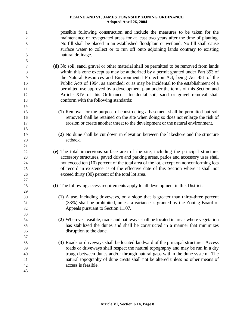1 2 3 4 5 6 7 8 9 10 11 12 13 14 15 16 17 18 19 20 21 22 23 24 25 26 27 28 29 30 31 32 33 34 35 36 37 38 39 40 41 42 43 possible following construction and include the measures to be taken for the maintenance of revegetated areas for at least two years after the time of planting. No fill shall be placed in an established floodplain or wetland. No fill shall cause surface water to collect or to run off onto adjoining lands contrary to existing natural drainage. **(d)** No soil, sand, gravel or other material shall be permitted to be removed from lands within this zone except as may be authorized by a permit granted under Part 353 of the Natural Resources and Environmental Protection Act, being Act 451 of the Public Acts of 1994, as amended; or as may be incidental to the establishment of a permitted use approved by a development plan under the terms of this Section and Article XIV of this Ordinance. Incidental soil, sand or gravel removal shall conform with the following standards: **(1)** Removal for the purpose of constructing a basement shall be permitted but soil removed shall be retained on the site when doing so does not enlarge the risk of erosion or create another threat to the development or the natural environment. **(2)** No dune shall be cut down in elevation between the lakeshore and the structure setback. **(e)** The total impervious surface area of the site, including the principal structure, accessory structures, paved drive and parking areas, patios and accessory uses shall not exceed ten (10) percent of the total area of the lot, except on nonconforming lots of record in existence as of the effective date of this Section where it shall not exceed thirty (30) percent of the total lot area. **(f)** The following access requirements apply to all development in this District. **(1)** A use, including driveways, on a slope that is greater than thirty-three percent (33%) shall be prohibited, unless a variance is granted by the Zoning Board of Appeals pursuant to Section 11.07. **(2)** Wherever feasible, roads and pathways shall be located in areas where vegetation has stabilized the dunes and shall be constructed in a manner that minimizes disruption to the dune. **(3)** Roads or driveways shall be located landward of the principal structure. Access roads or driveways shall respect the natural topography and may be run in a dry trough between dunes and/or through natural gaps within the dune system. The natural topography of dune crests shall not be altered unless no other means of access is feasible.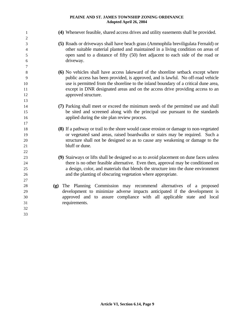| 1      | (4) Whenever feasible, shared access drives and utility easements shall be provided.                                                                                 |
|--------|----------------------------------------------------------------------------------------------------------------------------------------------------------------------|
| 2      |                                                                                                                                                                      |
| 3      | (5) Roads or driveways shall have beach grass (Ammophila breviligulata Fernald) or                                                                                   |
| 4      | other suitable material planted and maintained in a living condition on areas of                                                                                     |
| 5      | open sand to a distance of fifty (50) feet adjacent to each side of the road or                                                                                      |
| 6      | driveway.                                                                                                                                                            |
| 7<br>8 |                                                                                                                                                                      |
| 9      | (6) No vehicles shall have access lakeward of the shoreline setback except where<br>public access has been provided, is approved, and is lawful. No off-road vehicle |
| 10     | use is permitted from the shoreline to the inland boundary of a critical dune area,                                                                                  |
| 11     | except in DNR designated areas and on the access drive providing access to an                                                                                        |
| 12     | approved structure.                                                                                                                                                  |
| 13     |                                                                                                                                                                      |
| 14     | (7) Parking shall meet or exceed the minimum needs of the permitted use and shall                                                                                    |
| 15     | be sited and screened along with the principal use pursuant to the standards                                                                                         |
| 16     | applied during the site plan review process.                                                                                                                         |
| 17     |                                                                                                                                                                      |
| 18     | (8) If a pathway or trail to the shore would cause erosion or damage to non-vegetated                                                                                |
| 19     | or vegetated sand areas, raised boardwalks or stairs may be required. Such a                                                                                         |
| 20     | structure shall not be designed so as to cause any weakening or damage to the                                                                                        |
| 21     | bluff or dune.                                                                                                                                                       |
| 22     |                                                                                                                                                                      |
| 23     | (9) Stairways or lifts shall be designed so as to avoid placement on dune faces unless                                                                               |
| 24     | there is no other feasible alternative. Even then, approval may be conditioned on                                                                                    |
| 25     | a design, color, and materials that blends the structure into the dune environment                                                                                   |
| 26     | and the planting of obscuring vegetation where appropriate.                                                                                                          |
| 27     |                                                                                                                                                                      |
| 28     | (g) The Planning Commission may recommend alternatives of a proposed                                                                                                 |
| 29     | development to minimize adverse impacts anticipated if the development is                                                                                            |
| 30     | approved and to assure compliance with all applicable state and local                                                                                                |
| 31     | requirements.                                                                                                                                                        |
| 32     |                                                                                                                                                                      |
| 33     |                                                                                                                                                                      |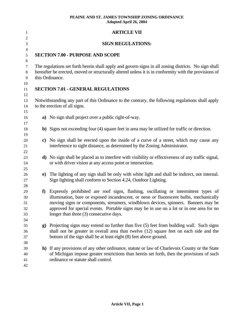| 1                                      |          | <b>ARTICLE VII</b>                                                                                                                                                                                                                                                                                                                                                                                         |
|----------------------------------------|----------|------------------------------------------------------------------------------------------------------------------------------------------------------------------------------------------------------------------------------------------------------------------------------------------------------------------------------------------------------------------------------------------------------------|
| $\overline{c}$<br>3                    |          | <b>SIGN REGULATIONS:</b>                                                                                                                                                                                                                                                                                                                                                                                   |
| $\overline{4}$                         |          |                                                                                                                                                                                                                                                                                                                                                                                                            |
| 5                                      |          | <b>SECTION 7.00 - PURPOSE AND SCOPE</b>                                                                                                                                                                                                                                                                                                                                                                    |
| 6<br>7<br>8<br>9                       |          | The regulations set forth herein shall apply and govern signs in all zoning districts. No sign shall<br>hereafter be erected, moved or structurally altered unless it is in conformity with the provisions of<br>this Ordinance.                                                                                                                                                                           |
| 10<br>11                               |          | <b>SECTION 7.01 - GENERAL REGULATIONS</b>                                                                                                                                                                                                                                                                                                                                                                  |
| 12<br>13<br>14<br>15                   |          | Notwithstanding any part of this Ordinance to the contrary, the following regulations shall apply<br>to the erection of all signs.                                                                                                                                                                                                                                                                         |
| 16<br>17                               |          | a) No sign shall project over a public right-of-way.                                                                                                                                                                                                                                                                                                                                                       |
| 18<br>19                               |          | b) Signs not exceeding four (4) square feet in area may be utilized for traffic or direction.                                                                                                                                                                                                                                                                                                              |
| 20<br>21<br>22                         |          | c) No sign shall be erected upon the inside of a curve of a street, which may cause any<br>interference to sight distance, as determined by the Zoning Administrator.                                                                                                                                                                                                                                      |
| 23<br>24<br>25                         |          | d) No sign shall be placed as to interfere with visibility or effectiveness of any traffic signal,<br>or with driver vision at any access point or intersection.                                                                                                                                                                                                                                           |
| 26<br>27                               | $\bf e)$ | The lighting of any sign shall be only with white light and shall be indirect, not internal.<br>Sign lighting shall conform to Section 4.24, Outdoor Lighting.                                                                                                                                                                                                                                             |
| 28<br>29<br>30<br>31<br>32<br>33<br>34 | f        | Expressly prohibited are roof signs, flashing, oscillating or intermittent types of<br>illumination, bare or exposed incandescent, or neon or fluorescent bulbs, mechanically<br>moving signs or components, streamers, windblown devices, spinners. Banners may be<br>approved for special events. Portable signs may be in use on a lot or in one area for no<br>longer than three (3) consecutive days. |
| 35<br>36<br>37<br>38                   |          | g) Projecting signs may extend no further than five (5) feet from building wall. Such signs<br>shall not be greater in overall area than twelve (12) square feet on each side and the<br>bottom of the sign shall be at least eight (8) feet above ground.                                                                                                                                                 |
| 39<br>40<br>41<br>42                   |          | h) If any provisions of any other ordinance, statute or law of Charlevoix County or the State<br>of Michigan impose greater restrictions than herein set forth, then the provisions of such<br>ordinance or statute shall control.                                                                                                                                                                         |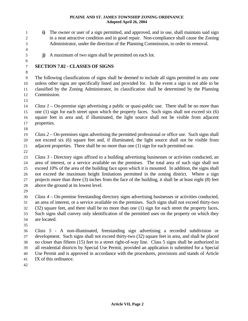- **i**) The owner or user of a sign permitted, and approved, and in use, shall maintain said sign in a neat attractive condition and in good repair. Non-compliance shall cause the Zoning Administrator, under the direction of the Planning Commission, to order its removal.
- 3 4 5

6

8

1 2

- 
- **j)** A maximum of two signs shall be permitted on each lot.

#### 7 **SECTION 7.02 - CLASSES OF SIGNS**

9 10 11 12 The following classifications of signs shall be deemed to include all signs permitted in any zone unless other signs are specifically listed and provided for. In the event a sign is not able to be classified by the Zoning Administrator, its classification shall be determined by the Planning Commission.

13

14 15 16 17 *Class 1* – On-premise sign advertising a public or quasi-public use. There shall be no more than one (1) sign for each street upon which the property faces. Such signs shall not exceed six (6) square feet in area and, if illuminated, the light source shall not be visible from adjacent properties.

18

19 20 21 *Class 2* – On-premises signs advertising the permitted professional or office use. Such signs shall not exceed six (6) square feet and, if illuminated, the light source shall not be visible from adjacent properties. There shall be no more than one (1) sign for each permitted use.

22

23 24 25 26 27 28 *Class 3* - Directory signs affixed to a building advertising businesses or activities conducted, an area of interest, or a service available on the premises. The total area of such sign shall not exceed 10% of the area of the building face upon which it is mounted. In addition, the signs shall not exceed the maximum height limitations permitted in the zoning district. Where a sign projects more than three (3) inches from the face of the building, it shall be at least eight (8) feet above the ground at its lowest level.

29

30 31 32 33 34 *Class 4* – On-premise freestanding directory signs advertising businesses or activities conducted, an area of interest, or a service available on the premises. Such signs shall not exceed thirty-two (32) square feet, and there shall be no more than one (1) sign for each street the property faces. Such signs shall convey only identification of the permitted uses on the property on which they are located.

35

36 37 38 39 40 41 *Class 5* - A non-illuminated, freestanding sign advertising a recorded subdivision or development. Such signs shall not exceed thirty-two (32) square feet in area, and shall be placed no closer than fifteen (15) feet to a street right-of-way line. Class 5 signs shall be authorized in all residential districts by Special Use Permit, provided an application is submitted for a Special Use Permit and is approved in accordance with the procedures, provisions and stands of Article IX of this ordinance.

42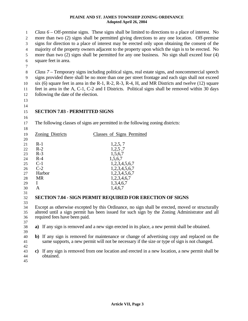| $\mathbf{1}$<br>2<br>3<br>4<br>5<br>6<br>7<br>$\,8\,$ | square feet in area.                  | Class $6$ – Off-premise signs. These signs shall be limited to directions to a place of interest. No<br>more than two (2) signs shall be permitted giving directions to any one location. Off-premise<br>signs for direction to a place of interest may be erected only upon obtaining the consent of the<br>majority of the property owners adjacent to the property upon which the sign is to be erected. No<br>more than two (2) signs shall be permitted for any one business. No sign shall exceed four (4)<br>Class 7 – Temporary signs including political signs, real estate signs, and noncommercial speech |
|-------------------------------------------------------|---------------------------------------|----------------------------------------------------------------------------------------------------------------------------------------------------------------------------------------------------------------------------------------------------------------------------------------------------------------------------------------------------------------------------------------------------------------------------------------------------------------------------------------------------------------------------------------------------------------------------------------------------------------------|
| 9                                                     |                                       | signs provided there shall be no more than one per street frontage and each sign shall not exceed                                                                                                                                                                                                                                                                                                                                                                                                                                                                                                                    |
| 10                                                    |                                       | six (6) square feet in area in the R-1, R-2, R-3, R-4, H, and MR Districts and twelve $(12)$ square                                                                                                                                                                                                                                                                                                                                                                                                                                                                                                                  |
|                                                       |                                       | feet in area in the A, C-1, C-2 and I Districts. Political signs shall be removed within 30 days                                                                                                                                                                                                                                                                                                                                                                                                                                                                                                                     |
| 11                                                    | following the date of the election.   |                                                                                                                                                                                                                                                                                                                                                                                                                                                                                                                                                                                                                      |
| 12                                                    |                                       |                                                                                                                                                                                                                                                                                                                                                                                                                                                                                                                                                                                                                      |
| 13                                                    |                                       |                                                                                                                                                                                                                                                                                                                                                                                                                                                                                                                                                                                                                      |
| 14                                                    |                                       |                                                                                                                                                                                                                                                                                                                                                                                                                                                                                                                                                                                                                      |
| 15                                                    | <b>SECTION 7.03 - PERMITTED SIGNS</b> |                                                                                                                                                                                                                                                                                                                                                                                                                                                                                                                                                                                                                      |
| 16                                                    |                                       |                                                                                                                                                                                                                                                                                                                                                                                                                                                                                                                                                                                                                      |
| 17                                                    |                                       | The following classes of signs are permitted in the following zoning districts:                                                                                                                                                                                                                                                                                                                                                                                                                                                                                                                                      |
| 18                                                    |                                       |                                                                                                                                                                                                                                                                                                                                                                                                                                                                                                                                                                                                                      |
| 19                                                    | Zoning Districts                      | Classes of Signs Permitted                                                                                                                                                                                                                                                                                                                                                                                                                                                                                                                                                                                           |
| 20                                                    |                                       |                                                                                                                                                                                                                                                                                                                                                                                                                                                                                                                                                                                                                      |
| 21                                                    | $R-1$                                 | 1,2,5,7                                                                                                                                                                                                                                                                                                                                                                                                                                                                                                                                                                                                              |
| 22                                                    | $R-2$                                 | 1,2,5,7                                                                                                                                                                                                                                                                                                                                                                                                                                                                                                                                                                                                              |
| 23                                                    | $R-3$                                 | 1,5,6,7                                                                                                                                                                                                                                                                                                                                                                                                                                                                                                                                                                                                              |
| 24                                                    | $R-4$                                 | 1,5,6,7                                                                                                                                                                                                                                                                                                                                                                                                                                                                                                                                                                                                              |
| 25                                                    | $C-1$                                 | 1,2,3,4,5,6,7                                                                                                                                                                                                                                                                                                                                                                                                                                                                                                                                                                                                        |
| 26                                                    | $C-2$                                 | 1,2,3,4,5,6,7                                                                                                                                                                                                                                                                                                                                                                                                                                                                                                                                                                                                        |
| 27                                                    | Harbor                                | 1,2,3,4,5,6,7                                                                                                                                                                                                                                                                                                                                                                                                                                                                                                                                                                                                        |
| 28                                                    | <b>MR</b>                             | 1,2,3,4,6,7                                                                                                                                                                                                                                                                                                                                                                                                                                                                                                                                                                                                          |
| 29                                                    | $\bf{I}$                              | 1,3,4,6,7                                                                                                                                                                                                                                                                                                                                                                                                                                                                                                                                                                                                            |
| 30                                                    | A                                     | 1,4,6,7                                                                                                                                                                                                                                                                                                                                                                                                                                                                                                                                                                                                              |
| 31                                                    |                                       |                                                                                                                                                                                                                                                                                                                                                                                                                                                                                                                                                                                                                      |
| 32                                                    |                                       | SECTION 7.04 - SIGN PERMIT REQUIRED FOR ERECTION OF SIGNS                                                                                                                                                                                                                                                                                                                                                                                                                                                                                                                                                            |
| 33                                                    |                                       |                                                                                                                                                                                                                                                                                                                                                                                                                                                                                                                                                                                                                      |
| 34                                                    |                                       | Except as otherwise excepted by this Ordinance, no sign shall be erected, moved or structurally                                                                                                                                                                                                                                                                                                                                                                                                                                                                                                                      |
| 35                                                    |                                       | altered until a sign permit has been issued for such sign by the Zoning Administrator and all                                                                                                                                                                                                                                                                                                                                                                                                                                                                                                                        |
| 36                                                    | required fees have been paid.         |                                                                                                                                                                                                                                                                                                                                                                                                                                                                                                                                                                                                                      |
| 37                                                    |                                       |                                                                                                                                                                                                                                                                                                                                                                                                                                                                                                                                                                                                                      |
| 38                                                    |                                       | a) If any sign is removed and a new sign erected in its place, a new permit shall be obtained.                                                                                                                                                                                                                                                                                                                                                                                                                                                                                                                       |
| 39                                                    |                                       |                                                                                                                                                                                                                                                                                                                                                                                                                                                                                                                                                                                                                      |
| 40                                                    |                                       | b) If any sign is removed for maintenance or change of advertising copy and replaced on the                                                                                                                                                                                                                                                                                                                                                                                                                                                                                                                          |
| 41                                                    |                                       | same supports, a new permit will not be necessary if the size or type of sign is not changed.                                                                                                                                                                                                                                                                                                                                                                                                                                                                                                                        |
| 42                                                    |                                       | c) If any sign is removed from one location and erected in a new location, a new permit shall be                                                                                                                                                                                                                                                                                                                                                                                                                                                                                                                     |
| 43                                                    | obtained.                             |                                                                                                                                                                                                                                                                                                                                                                                                                                                                                                                                                                                                                      |
| 44<br>45                                              |                                       |                                                                                                                                                                                                                                                                                                                                                                                                                                                                                                                                                                                                                      |
|                                                       |                                       |                                                                                                                                                                                                                                                                                                                                                                                                                                                                                                                                                                                                                      |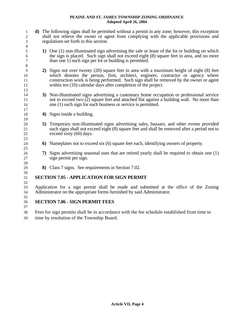- 1 2 3 4 5 6 7 8 9 10 11 12 13 14 15 16 17 18 19 20 21 22 23 24 25 26 27 28 29 30 31 32 33 34 35 36 37 **d)** The following signs shall be permitted without a permit in any zone; however, this exception shall not relieve the owner or agent from complying with the applicable provisions and regulations set forth in this section. **1)** One (1) non-illuminated sign advertising the sale or lease of the lot or building on which the sign is placed. Such sign shall not exceed eight (8) square feet in area, and no more than one 1) such sign per lot or building is permitted. **2)** Signs not over twenty (20) square feet in area with a maximum height of eight (8) feet which denotes the person, firm, architect, engineer, contractor or agency where construction work is being performed. Such sign shall be removed by the owner or agent within ten (10) calendar days after completion of the project. **3)** Non-illuminated signs advertising a customary home occupation or professional service not to exceed two (2) square feet and attached flat against a building wall. No more than one (1) such sign for each business or service is permitted. **4)** Signs inside a building. **5)** Temporary non-illuminated signs advertising sales, bazaars, and other events provided such signs shall not exceed eight (8) square feet and shall be removed after a period not to exceed sixty (60) days. **6)** Nameplates not to exceed six (6) square feet each, identifying owners of property. **7)** Signs advertising seasonal uses that are retired yearly shall be required to obtain one (1) sign permit per sign. **8)** Class 7 signs. See requirements in Section 7.02. **SECTION 7.05 - APPLICATION FOR SIGN PERMIT** Application for a sign permit shall be made and submitted at the office of the Zoning Administrator on the appropriate forms furnished by said Administrator. **SECTION 7.06 - SIGN PERMIT FEES**
- 38 Fees for sign permits shall be in accordance with the fee schedule established from time to
- 39 time by resolution of the Township Board.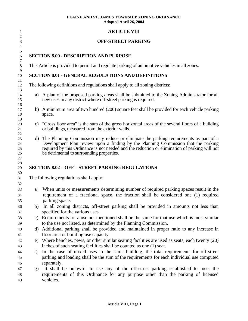## **ARTICLE VIII**

## **OFF-STREET PARKING**

## **SECTION 8.00 - DESCRIPTION AND PURPOSE**

This Article is provided to permit and regulate parking of automotive vehicles in all zones.

#### **SECTION 8.01 - GENERAL REGULATIONS AND DEFINITIONS**

The following definitions and regulations shall apply to all zoning districts:

- a) A plan of the proposed parking areas shall be submitted to the Zoning Administrator for all new uses in any district where off-street parking is required.
- b) A minimum area of two hundred (200) square feet shall be provided for each vehicle parking space.
- c) "Gross floor area" is the sum of the gross horizontal areas of the several floors of a building or buildings, measured from the exterior walls.
- d) The Planning Commission may reduce or eliminate the parking requirements as part of a Development Plan review upon a finding by the Planning Commission that the parking required by this Ordinance is not needed and the reduction or elimination of parking will not be detrimental to surrounding properties.

## **SECTION 8.02 – OFF – STREET PARKING REGULATIONS**

The following regulations shall apply:

- a) When units or measurements determining number of required parking spaces result in the requirement of a fractional space, the fraction shall be considered one (1) required parking space.
- b) In all zoning districts, off-street parking shall be provided in amounts not less than specified for the various uses.
- 38 39 c) Requirements for a use not mentioned shall be the same for that use which is most similar to the use not listed, as determined by the Planning Commission.
- 40 41 d) Additional parking shall be provided and maintained in proper ratio to any increase in floor area or building use capacity.
- 42 43 e) Where benches, pews, or other similar seating facilities are used as seats, each twenty (20) inches of such seating facilities shall be counted as one (1) seat.
- 44 45 46 f) In the case of mixed uses in the same building, the total requirements for off-street parking and loading shall be the sum of the requirements for each individual use computed separately.
- 47 48 49 g) It shall be unlawful to use any of the off-street parking established to meet the requirements of this Ordinance for any purpose other than the parking of licensed vehicles.

36 37

1 2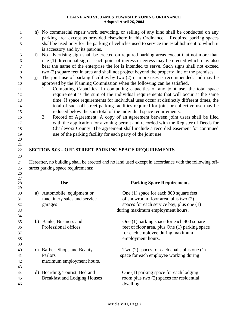| 1<br>2<br>3 |            |                                                                      | h) No commercial repair work, servicing, or selling of any kind shall be conducted on any<br>parking area except as provided elsewhere in this Ordinance. Required parking spaces<br>shall be used only for the parking of vehicles used to service the establishment to which it |  |  |  |
|-------------|------------|----------------------------------------------------------------------|-----------------------------------------------------------------------------------------------------------------------------------------------------------------------------------------------------------------------------------------------------------------------------------|--|--|--|
| 4           |            | is accessory and by its patrons.                                     |                                                                                                                                                                                                                                                                                   |  |  |  |
| 5           | $\ddot{1}$ |                                                                      | No advertising sign shall be erected on required parking areas except that not more than                                                                                                                                                                                          |  |  |  |
| 6           |            |                                                                      | one (1) directional sign at each point of ingress or egress may be erected which may also                                                                                                                                                                                         |  |  |  |
| 7           |            |                                                                      | bear the name of the enterprise the lot is intended to serve. Such signs shall not exceed                                                                                                                                                                                         |  |  |  |
| 8           |            |                                                                      | two (2) square feet in area and shall not project beyond the property line of the premises.                                                                                                                                                                                       |  |  |  |
| 9           | i)         |                                                                      | The joint use of parking facilities by two (2) or more uses is recommended, and may be                                                                                                                                                                                            |  |  |  |
| 10          |            |                                                                      | approved by the Planning Commission when the following can be satisfied.                                                                                                                                                                                                          |  |  |  |
| 11          |            | 1.                                                                   | Computing Capacities: In computing capacities of any joint use, the total space                                                                                                                                                                                                   |  |  |  |
| 12          |            |                                                                      | requirement is the sum of the individual requirements that will occur at the same                                                                                                                                                                                                 |  |  |  |
| 13          |            |                                                                      | time. If space requirements for individual uses occur at distinctly different times, the                                                                                                                                                                                          |  |  |  |
| 14          |            |                                                                      | total of such off-street parking facilities required for joint or collective use may be                                                                                                                                                                                           |  |  |  |
| 15          |            |                                                                      | reduced below the sum total of the individual space requirements.                                                                                                                                                                                                                 |  |  |  |
| 16          |            | 2.                                                                   | Record of Agreement: A copy of an agreement between joint users shall be filed                                                                                                                                                                                                    |  |  |  |
| 17          |            |                                                                      | with the application for a zoning permit and recorded with the Register of Deeds for                                                                                                                                                                                              |  |  |  |
| 18          |            |                                                                      | Charlevoix County. The agreement shall include a recorded easement for continued                                                                                                                                                                                                  |  |  |  |
| 19          |            | use of the parking facility for each party of the joint use.         |                                                                                                                                                                                                                                                                                   |  |  |  |
| 20          |            |                                                                      |                                                                                                                                                                                                                                                                                   |  |  |  |
| 21          |            |                                                                      |                                                                                                                                                                                                                                                                                   |  |  |  |
| 22          |            | <b>SECTION 8.03 - OFF-STREET PARKING SPACE REQUIREMENTS</b>          |                                                                                                                                                                                                                                                                                   |  |  |  |
| 23          |            |                                                                      |                                                                                                                                                                                                                                                                                   |  |  |  |
| 24          |            |                                                                      | Hereafter, no building shall be erected and no land used except in accordance with the following off-                                                                                                                                                                             |  |  |  |
| 25          |            | street parking space requirements:                                   |                                                                                                                                                                                                                                                                                   |  |  |  |
| 26          |            |                                                                      |                                                                                                                                                                                                                                                                                   |  |  |  |
| $27\,$      |            |                                                                      |                                                                                                                                                                                                                                                                                   |  |  |  |
| 28          |            |                                                                      |                                                                                                                                                                                                                                                                                   |  |  |  |
|             |            | <b>Use</b>                                                           | <b>Parking Space Requirements</b>                                                                                                                                                                                                                                                 |  |  |  |
| 29          |            |                                                                      |                                                                                                                                                                                                                                                                                   |  |  |  |
| 30          |            | a) Automobile, equipment or                                          | One (1) space for each 800 square feet                                                                                                                                                                                                                                            |  |  |  |
| 31          |            | machinery sales and service                                          | of showroom floor area, plus two (2)                                                                                                                                                                                                                                              |  |  |  |
| 32          |            | garages                                                              | spaces for each service bay, plus one (1)                                                                                                                                                                                                                                         |  |  |  |
| 33          |            |                                                                      | during maximum employment hours.                                                                                                                                                                                                                                                  |  |  |  |
| 34          |            |                                                                      |                                                                                                                                                                                                                                                                                   |  |  |  |
| 35          |            | b) Banks, Business and                                               | One (1) parking space for each 400 square                                                                                                                                                                                                                                         |  |  |  |
| 36          |            | Professional offices                                                 | feet of floor area, plus One (1) parking space                                                                                                                                                                                                                                    |  |  |  |
| 37          |            |                                                                      | for each employee during maximum                                                                                                                                                                                                                                                  |  |  |  |
| 38          |            |                                                                      | employment hours.                                                                                                                                                                                                                                                                 |  |  |  |
| 39          |            |                                                                      |                                                                                                                                                                                                                                                                                   |  |  |  |
| 40          |            | c) Barber Shops and Beauty                                           | Two $(2)$ spaces for each chair, plus one $(1)$                                                                                                                                                                                                                                   |  |  |  |
| 41          |            | Parlors                                                              |                                                                                                                                                                                                                                                                                   |  |  |  |
| 42          |            |                                                                      | space for each employee working during                                                                                                                                                                                                                                            |  |  |  |
| 43          |            | maximum employment hours.                                            |                                                                                                                                                                                                                                                                                   |  |  |  |
|             |            |                                                                      |                                                                                                                                                                                                                                                                                   |  |  |  |
| 44<br>45    |            | d) Boarding, Tourist, Bed and<br><b>Breakfast and Lodging Houses</b> | One (1) parking space for each lodging<br>room plus two (2) spaces for residential                                                                                                                                                                                                |  |  |  |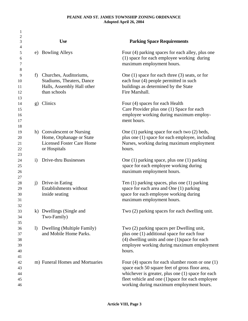| 1                                |                  |                                                                                                            |                                                                                                                                                                                                                                                              |
|----------------------------------|------------------|------------------------------------------------------------------------------------------------------------|--------------------------------------------------------------------------------------------------------------------------------------------------------------------------------------------------------------------------------------------------------------|
| $\overline{c}$<br>3              |                  | <b>Use</b>                                                                                                 | <b>Parking Space Requirements</b>                                                                                                                                                                                                                            |
| 4<br>5<br>6<br>7                 |                  | e) Bowling Alleys                                                                                          | Four (4) parking spaces for each alley, plus one<br>(1) space for each employee working during<br>maximum employment hours.                                                                                                                                  |
| 8<br>9<br>10<br>11<br>12<br>13   | f                | Churches, Auditoriums,<br>Stadiums, Theaters, Dance<br>Halls, Assembly Hall other<br>than schools          | One $(1)$ space for each three $(3)$ seats, or for<br>each four (4) people permitted in such<br>buildings as determined by the State<br>Fire Marshall.                                                                                                       |
| 14<br>15<br>16<br>17<br>18       | $\mathbf{g}$     | Clinics                                                                                                    | Four (4) spaces for each Health<br>Care Provider plus one (1) Space for each<br>employee working during maximum employ-<br>ment hours.                                                                                                                       |
| 19<br>20<br>21<br>22<br>23       |                  | h) Convalescent or Nursing<br>Home, Orphanage or State<br><b>Licensed Foster Care Home</b><br>or Hospitals | One (1) parking space for each two (2) beds,<br>plus one (1) space for each employee, including<br>Nurses, working during maximum employment<br>hours.                                                                                                       |
| 24<br>25<br>26                   | $\mathbf{i}$     | Drive-thru Businesses                                                                                      | One (1) parking space, plus one (1) parking<br>space for each employee working during<br>maximum employment hours.                                                                                                                                           |
| 27<br>28<br>29<br>30<br>31       | $\mathbf{j}$     | Drive-in Eating<br><b>Establishments without</b><br>inside seating                                         | Ten $(1)$ parking spaces, plus one $(1)$ parking<br>space for each area and One (1) parking<br>space for each employee working during<br>maximum employment hours.                                                                                           |
| 32<br>33<br>34<br>35             |                  | k) Dwellings (Single and<br>Two-Family)                                                                    | Two (2) parking spaces for each dwelling unit.                                                                                                                                                                                                               |
| 36<br>37<br>38<br>39<br>40       | $\left( \right)$ | Dwelling (Multiple Family)<br>and Mobile Home Parks.                                                       | Two (2) parking spaces per Dwelling unit,<br>plus one (1) additional space for each four<br>(4) dwelling units and one (1) space for each<br>employee working during maximum employment<br>hours.                                                            |
| 41<br>42<br>43<br>44<br>45<br>46 |                  | m) Funeral Homes and Mortuaries                                                                            | Four $(4)$ spaces for each slumber room or one $(1)$<br>space each 50 square feet of gross floor area,<br>whichever is greater, plus one (1) space for each<br>fleet vehicle and one (1) space for each employee<br>working during maximum employment hours. |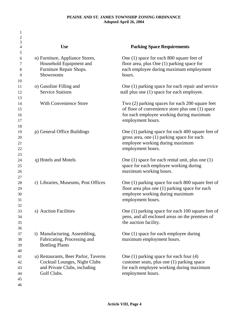| 1                                |                                                                                                                      |                                                                                                                                                                      |
|----------------------------------|----------------------------------------------------------------------------------------------------------------------|----------------------------------------------------------------------------------------------------------------------------------------------------------------------|
| $\overline{c}$<br>3              |                                                                                                                      |                                                                                                                                                                      |
| 4                                | <b>Use</b>                                                                                                           | <b>Parking Space Requirements</b>                                                                                                                                    |
| 5<br>6<br>7<br>8                 | n) Furniture, Appliance Stores,<br>Household Equipment and<br>Furniture Repair Shops.                                | One (1) space for each 800 square feet of<br>floor area, plus One (1) parking space for<br>each employee during maximum employment                                   |
| 9<br>10                          | Showrooms                                                                                                            | hours.                                                                                                                                                               |
| 11                               | o) Gasoline Filling and                                                                                              | One (1) parking space for each repair and service                                                                                                                    |
| 12<br>13                         | <b>Service Stations</b>                                                                                              | stall plus one (1) space for each employee.                                                                                                                          |
| 14<br>15<br>16<br>17<br>18       | <b>With Convenience Store</b>                                                                                        | Two (2) parking spaces for each 200 square feet<br>of floor of convenience store plus one (1) space<br>for each employee working during maximum<br>employment hours. |
| 19<br>20<br>21<br>22<br>23       | p) General Office Buildings                                                                                          | One (1) parking space for each 400 square feet of<br>gross area, one (1) parking space for each<br>employee working during maximum<br>employment hours.              |
| 24<br>25<br>26<br>27             | q) Hotels and Motels                                                                                                 | One $(1)$ space for each rental unit, plus one $(1)$<br>space for each employee working during<br>maximum working hours.                                             |
| 28<br>29<br>30<br>31<br>32       | r) Libraries, Museums, Post Offices                                                                                  | One (1) parking space for each 800 square feet of<br>floor area plus one $(1)$ parking space for each<br>employee working during maximum<br>employment hours.        |
| 33<br>34<br>35<br>36             | s) Auction Facilities                                                                                                | One (1) parking space for each 100 square feet of<br>pens, and all enclosed areas on the premises of<br>the auction facility.                                        |
| 37<br>38<br>39<br>40             | t) Manufacturing, Assembling,<br>Fabricating, Processing and<br><b>Bottling Plants</b>                               | One (1) space for each employee during<br>maximum employment hours.                                                                                                  |
| 41<br>42<br>43<br>44<br>45<br>46 | u) Restaurants, Beer Parlor, Taverns<br>Cocktail Lounges, Night Clubs<br>and Private Clubs, including<br>Golf Clubs. | One $(1)$ parking space for each four $(4)$<br>customer seats, plus one (1) parking space<br>for each employee working during maximum<br>employment hours.           |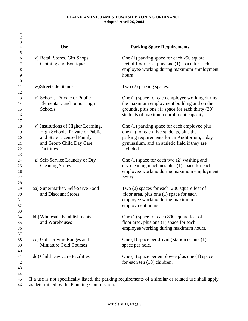| 1<br>2                                 |                                                                                                                                               |                                                                                                                                                                                                        |
|----------------------------------------|-----------------------------------------------------------------------------------------------------------------------------------------------|--------------------------------------------------------------------------------------------------------------------------------------------------------------------------------------------------------|
| 3<br>4                                 | <b>Use</b>                                                                                                                                    | <b>Parking Space Requirements</b>                                                                                                                                                                      |
| 5<br>6<br>7<br>8<br>9                  | v) Retail Stores, Gift Shops,<br>Clothing and Boutiques                                                                                       | One (1) parking space for each 250 square<br>feet of floor area, plus one (1) space for each<br>employee working during maximum employment<br>hours                                                    |
| 10<br>11                               | w)Streetside Stands                                                                                                                           | Two (2) parking spaces.                                                                                                                                                                                |
| 12<br>13<br>14<br>15<br>16             | x) Schools; Private or Public<br>Elementary and Junior High<br>Schools                                                                        | One (1) space for each employee working during<br>the maximum employment building and on the<br>grounds, plus one (1) space for each thirty (30)<br>students of maximum enrollment capacity.           |
| 17<br>18<br>19<br>20<br>21<br>22<br>23 | y) Institutions of Higher Learning,<br>High Schools, Private or Public<br>and State Licensed Family<br>and Group Child Day Care<br>Facilities | One (1) parking space for each employee plus<br>one (1) for each five students, plus the<br>parking requirements for an Auditorium, a day<br>gymnasium, and an athletic field if they are<br>included. |
| 24<br>25<br>26<br>27                   | z) Self-Service Laundry or Dry<br><b>Cleaning Stores</b>                                                                                      | One $(1)$ space for each two $(2)$ washing and<br>dry-cleaning machines plus (1) space for each<br>employee working during maximum employment<br>hours.                                                |
| 28<br>29<br>30<br>31<br>32             | aa) Supermarket, Self-Serve Food<br>and Discount Stores                                                                                       | Two (2) spaces for each 200 square feet of<br>floor area, plus one (1) space for each<br>employee working during maximum<br>employment hours.                                                          |
| 33<br>34<br>35<br>36<br>37             | bb) Wholesale Establishments<br>and Warehouses                                                                                                | One (1) space for each 800 square feet of<br>floor area, plus one $(1)$ space for each<br>employee working during maximum hours.                                                                       |
| 38<br>39                               | cc) Golf Driving Ranges and<br><b>Miniature Gold Courses</b>                                                                                  | One $(1)$ space per driving station or one $(1)$<br>space per hole.                                                                                                                                    |
| 40<br>41<br>42                         | dd) Child Day Care Facilities                                                                                                                 | One (1) space per employee plus one (1) space<br>for each ten (10) children.                                                                                                                           |
| 43<br>44<br>45<br>46                   | as determined by the Planning Commission.                                                                                                     | If a use is not specifically listed, the parking requirements of a similar or related use shall apply                                                                                                  |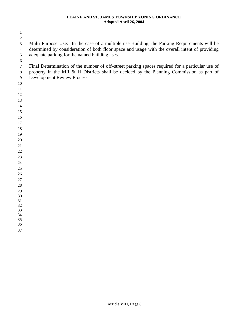| $\mathbf{1}$         |                                                                                                 |
|----------------------|-------------------------------------------------------------------------------------------------|
| $\boldsymbol{2}$     |                                                                                                 |
| 3                    | Multi Purpose Use: In the case of a multiple use Building, the Parking Requirements will be     |
| $\overline{4}$       | determined by consideration of both floor space and usage with the overall intent of providing  |
| 5                    | adequate parking for the named building uses.                                                   |
| $\sqrt{6}$<br>$\tau$ | Final Determination of the number of off-street parking spaces required for a particular use of |
| $8\,$                | property in the MR & H Districts shall be decided by the Planning Commission as part of         |
| $\overline{9}$       | Development Review Process.                                                                     |
| 10                   |                                                                                                 |
| 11                   |                                                                                                 |
| 12                   |                                                                                                 |
| 13                   |                                                                                                 |
| 14                   |                                                                                                 |
| 15                   |                                                                                                 |
| 16                   |                                                                                                 |
| 17                   |                                                                                                 |
| 18                   |                                                                                                 |
| 19                   |                                                                                                 |
| $20\,$               |                                                                                                 |
| 21                   |                                                                                                 |
| $22\,$               |                                                                                                 |
| 23                   |                                                                                                 |
| 24                   |                                                                                                 |
| 25                   |                                                                                                 |
| 26                   |                                                                                                 |
| 27                   |                                                                                                 |
| 28                   |                                                                                                 |
| 29<br>30             |                                                                                                 |
| 31                   |                                                                                                 |
| $32\,$               |                                                                                                 |
| 33                   |                                                                                                 |
| 34<br>35             |                                                                                                 |
| 36                   |                                                                                                 |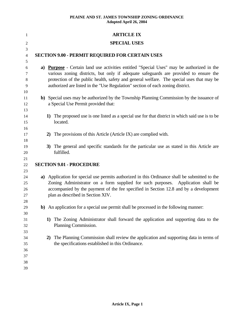| 1              | <b>ARTICLE IX</b>                                                                                                                                                                 |
|----------------|-----------------------------------------------------------------------------------------------------------------------------------------------------------------------------------|
| $\sqrt{2}$     | <b>SPECIAL USES</b>                                                                                                                                                               |
| 3              |                                                                                                                                                                                   |
| $\overline{4}$ | <b>SECTION 9.00 - PERMIT REQUIRED FOR CERTAIN USES</b>                                                                                                                            |
| 5              |                                                                                                                                                                                   |
| 6              | a) <b>Purpose</b> - Certain land use activities entitled "Special Uses" may be authorized in the                                                                                  |
| 7<br>8         | various zoning districts, but only if adequate safeguards are provided to ensure the<br>protection of the public health, safety and general welfare. The special uses that may be |
| 9<br>10        | authorized are listed in the "Use Regulation" section of each zoning district.                                                                                                    |
| 11             | b) Special uses may be authorized by the Township Planning Commission by the issuance of                                                                                          |
| 12             | a Special Use Permit provided that:                                                                                                                                               |
| 13             |                                                                                                                                                                                   |
| 14             | 1) The proposed use is one listed as a special use for that district in which said use is to be                                                                                   |
| 15             | located.                                                                                                                                                                          |
| 16             | The provisions of this Article (Article IX) are complied with.                                                                                                                    |
| 17<br>18       | 2)                                                                                                                                                                                |
| 19             | 3) The general and specific standards for the particular use as stated in this Article are                                                                                        |
| 20             | fulfilled.                                                                                                                                                                        |
| 21             |                                                                                                                                                                                   |
| 22             | <b>SECTION 9.01 - PROCEDURE</b>                                                                                                                                                   |
| 23             |                                                                                                                                                                                   |
| 24             | a) Application for special use permits authorized in this Ordinance shall be submitted to the                                                                                     |
| 25             | Zoning Administrator on a form supplied for such purposes. Application shall be                                                                                                   |
| 26             | accompanied by the payment of the fee specified in Section 12.8 and by a development                                                                                              |
| 27             | plan as described in Section XIV.                                                                                                                                                 |
| 28             |                                                                                                                                                                                   |
| 29             | b) An application for a special use permit shall be processed in the following manner:                                                                                            |
| 30             |                                                                                                                                                                                   |
| 31             | The Zoning Administrator shall forward the application and supporting data to the<br>1)                                                                                           |
| 32             | Planning Commission.                                                                                                                                                              |
| 33             |                                                                                                                                                                                   |
| 34             | The Planning Commission shall review the application and supporting data in terms of<br>2)                                                                                        |
| 35             | the specifications established in this Ordinance.                                                                                                                                 |
| 36             |                                                                                                                                                                                   |
| 37             |                                                                                                                                                                                   |
| 38             |                                                                                                                                                                                   |
| 39             |                                                                                                                                                                                   |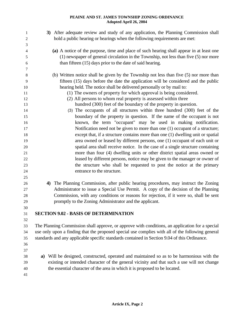| hold a public hearing or hearings when the following requirements are met:<br>2<br>3<br>(a) A notice of the purpose, time and place of such hearing shall appear in at least one<br>$\overline{4}$<br>(1) newspaper of general circulation in the Township, not less than five (5) nor more<br>5<br>than fifteen (15) days prior to the date of said hearing.<br>6<br>7<br>(b) Written notice shall be given by the Township not less than five (5) nor more than<br>8<br>fifteen (15) days before the date the application will be considered and the public<br>9<br>hearing held. The notice shall be delivered personally or by mail to:<br>10<br>(1) The owners of property for which approval is being considered.<br>11<br>(2) All persons to whom real property is assessed within three<br>12<br>hundred (300) feet of the boundary of the property in question.<br>13<br>(3) The occupants of all structures within three hundred (300) feet of the<br>14<br>boundary of the property in question. If the name of the occupant is not<br>known, the term "occupant" may be used in making notification.<br>Notification need not be given to more than one (1) occupant of a structure;<br>except that, if a structure contains more than one (1) dwelling unit or spatial<br>18<br>area owned or leased by different persons, one (1) occupant of each unit or<br>spatial area shall receive notice. In the case of a single structure containing<br>more than four (4) dwelling units or other district spatial areas owned or<br>leased by different persons, notice may be given to the manager or owner of<br>the structure who shall be requested to post the notice at the primary<br>entrance to the structure.<br>25<br>4) The Planning Commission, after public hearing procedures, may instruct the Zoning<br>Administrator to issue a Special Use Permit. A copy of the decision of the Planning<br>Commission, with any conditions or reasons for rejection, if it were so, shall be sent<br>promptly to the Zoning Administrator and the applicant.<br>29<br>30<br><b>SECTION 9.02 - BASIS OF DETERMINATION</b><br>31<br>32<br>The Planning Commission shall approve, or approve with conditions, an application for a special<br>33<br>use only upon a finding that the proposed special use complies with all of the following general<br>34<br>standards and any applicable specific standards contained in Section 9.04 of this Ordinance.<br>35<br>36<br>37<br>a) Will be designed, constructed, operated and maintained so as to be harmonious with the<br>38<br>existing or intended character of the general vicinity and that such a use will not change<br>39<br>the essential character of the area in which it is proposed to be located.<br>40 | 1  | 3) After adequate review and study of any application, the Planning Commission shall |
|------------------------------------------------------------------------------------------------------------------------------------------------------------------------------------------------------------------------------------------------------------------------------------------------------------------------------------------------------------------------------------------------------------------------------------------------------------------------------------------------------------------------------------------------------------------------------------------------------------------------------------------------------------------------------------------------------------------------------------------------------------------------------------------------------------------------------------------------------------------------------------------------------------------------------------------------------------------------------------------------------------------------------------------------------------------------------------------------------------------------------------------------------------------------------------------------------------------------------------------------------------------------------------------------------------------------------------------------------------------------------------------------------------------------------------------------------------------------------------------------------------------------------------------------------------------------------------------------------------------------------------------------------------------------------------------------------------------------------------------------------------------------------------------------------------------------------------------------------------------------------------------------------------------------------------------------------------------------------------------------------------------------------------------------------------------------------------------------------------------------------------------------------------------------------------------------------------------------------------------------------------------------------------------------------------------------------------------------------------------------------------------------------------------------------------------------------------------------------------------------------------------------------------------------------------------------------------------------------------------------------------------------------------------------------------------------------------------------------------------------------------------------------------|----|--------------------------------------------------------------------------------------|
|                                                                                                                                                                                                                                                                                                                                                                                                                                                                                                                                                                                                                                                                                                                                                                                                                                                                                                                                                                                                                                                                                                                                                                                                                                                                                                                                                                                                                                                                                                                                                                                                                                                                                                                                                                                                                                                                                                                                                                                                                                                                                                                                                                                                                                                                                                                                                                                                                                                                                                                                                                                                                                                                                                                                                                                    |    |                                                                                      |
|                                                                                                                                                                                                                                                                                                                                                                                                                                                                                                                                                                                                                                                                                                                                                                                                                                                                                                                                                                                                                                                                                                                                                                                                                                                                                                                                                                                                                                                                                                                                                                                                                                                                                                                                                                                                                                                                                                                                                                                                                                                                                                                                                                                                                                                                                                                                                                                                                                                                                                                                                                                                                                                                                                                                                                                    |    |                                                                                      |
|                                                                                                                                                                                                                                                                                                                                                                                                                                                                                                                                                                                                                                                                                                                                                                                                                                                                                                                                                                                                                                                                                                                                                                                                                                                                                                                                                                                                                                                                                                                                                                                                                                                                                                                                                                                                                                                                                                                                                                                                                                                                                                                                                                                                                                                                                                                                                                                                                                                                                                                                                                                                                                                                                                                                                                                    |    |                                                                                      |
|                                                                                                                                                                                                                                                                                                                                                                                                                                                                                                                                                                                                                                                                                                                                                                                                                                                                                                                                                                                                                                                                                                                                                                                                                                                                                                                                                                                                                                                                                                                                                                                                                                                                                                                                                                                                                                                                                                                                                                                                                                                                                                                                                                                                                                                                                                                                                                                                                                                                                                                                                                                                                                                                                                                                                                                    |    |                                                                                      |
|                                                                                                                                                                                                                                                                                                                                                                                                                                                                                                                                                                                                                                                                                                                                                                                                                                                                                                                                                                                                                                                                                                                                                                                                                                                                                                                                                                                                                                                                                                                                                                                                                                                                                                                                                                                                                                                                                                                                                                                                                                                                                                                                                                                                                                                                                                                                                                                                                                                                                                                                                                                                                                                                                                                                                                                    |    |                                                                                      |
|                                                                                                                                                                                                                                                                                                                                                                                                                                                                                                                                                                                                                                                                                                                                                                                                                                                                                                                                                                                                                                                                                                                                                                                                                                                                                                                                                                                                                                                                                                                                                                                                                                                                                                                                                                                                                                                                                                                                                                                                                                                                                                                                                                                                                                                                                                                                                                                                                                                                                                                                                                                                                                                                                                                                                                                    |    |                                                                                      |
|                                                                                                                                                                                                                                                                                                                                                                                                                                                                                                                                                                                                                                                                                                                                                                                                                                                                                                                                                                                                                                                                                                                                                                                                                                                                                                                                                                                                                                                                                                                                                                                                                                                                                                                                                                                                                                                                                                                                                                                                                                                                                                                                                                                                                                                                                                                                                                                                                                                                                                                                                                                                                                                                                                                                                                                    |    |                                                                                      |
|                                                                                                                                                                                                                                                                                                                                                                                                                                                                                                                                                                                                                                                                                                                                                                                                                                                                                                                                                                                                                                                                                                                                                                                                                                                                                                                                                                                                                                                                                                                                                                                                                                                                                                                                                                                                                                                                                                                                                                                                                                                                                                                                                                                                                                                                                                                                                                                                                                                                                                                                                                                                                                                                                                                                                                                    |    |                                                                                      |
|                                                                                                                                                                                                                                                                                                                                                                                                                                                                                                                                                                                                                                                                                                                                                                                                                                                                                                                                                                                                                                                                                                                                                                                                                                                                                                                                                                                                                                                                                                                                                                                                                                                                                                                                                                                                                                                                                                                                                                                                                                                                                                                                                                                                                                                                                                                                                                                                                                                                                                                                                                                                                                                                                                                                                                                    |    |                                                                                      |
|                                                                                                                                                                                                                                                                                                                                                                                                                                                                                                                                                                                                                                                                                                                                                                                                                                                                                                                                                                                                                                                                                                                                                                                                                                                                                                                                                                                                                                                                                                                                                                                                                                                                                                                                                                                                                                                                                                                                                                                                                                                                                                                                                                                                                                                                                                                                                                                                                                                                                                                                                                                                                                                                                                                                                                                    |    |                                                                                      |
|                                                                                                                                                                                                                                                                                                                                                                                                                                                                                                                                                                                                                                                                                                                                                                                                                                                                                                                                                                                                                                                                                                                                                                                                                                                                                                                                                                                                                                                                                                                                                                                                                                                                                                                                                                                                                                                                                                                                                                                                                                                                                                                                                                                                                                                                                                                                                                                                                                                                                                                                                                                                                                                                                                                                                                                    |    |                                                                                      |
|                                                                                                                                                                                                                                                                                                                                                                                                                                                                                                                                                                                                                                                                                                                                                                                                                                                                                                                                                                                                                                                                                                                                                                                                                                                                                                                                                                                                                                                                                                                                                                                                                                                                                                                                                                                                                                                                                                                                                                                                                                                                                                                                                                                                                                                                                                                                                                                                                                                                                                                                                                                                                                                                                                                                                                                    |    |                                                                                      |
|                                                                                                                                                                                                                                                                                                                                                                                                                                                                                                                                                                                                                                                                                                                                                                                                                                                                                                                                                                                                                                                                                                                                                                                                                                                                                                                                                                                                                                                                                                                                                                                                                                                                                                                                                                                                                                                                                                                                                                                                                                                                                                                                                                                                                                                                                                                                                                                                                                                                                                                                                                                                                                                                                                                                                                                    |    |                                                                                      |
|                                                                                                                                                                                                                                                                                                                                                                                                                                                                                                                                                                                                                                                                                                                                                                                                                                                                                                                                                                                                                                                                                                                                                                                                                                                                                                                                                                                                                                                                                                                                                                                                                                                                                                                                                                                                                                                                                                                                                                                                                                                                                                                                                                                                                                                                                                                                                                                                                                                                                                                                                                                                                                                                                                                                                                                    | 15 |                                                                                      |
|                                                                                                                                                                                                                                                                                                                                                                                                                                                                                                                                                                                                                                                                                                                                                                                                                                                                                                                                                                                                                                                                                                                                                                                                                                                                                                                                                                                                                                                                                                                                                                                                                                                                                                                                                                                                                                                                                                                                                                                                                                                                                                                                                                                                                                                                                                                                                                                                                                                                                                                                                                                                                                                                                                                                                                                    | 16 |                                                                                      |
|                                                                                                                                                                                                                                                                                                                                                                                                                                                                                                                                                                                                                                                                                                                                                                                                                                                                                                                                                                                                                                                                                                                                                                                                                                                                                                                                                                                                                                                                                                                                                                                                                                                                                                                                                                                                                                                                                                                                                                                                                                                                                                                                                                                                                                                                                                                                                                                                                                                                                                                                                                                                                                                                                                                                                                                    | 17 |                                                                                      |
|                                                                                                                                                                                                                                                                                                                                                                                                                                                                                                                                                                                                                                                                                                                                                                                                                                                                                                                                                                                                                                                                                                                                                                                                                                                                                                                                                                                                                                                                                                                                                                                                                                                                                                                                                                                                                                                                                                                                                                                                                                                                                                                                                                                                                                                                                                                                                                                                                                                                                                                                                                                                                                                                                                                                                                                    |    |                                                                                      |
|                                                                                                                                                                                                                                                                                                                                                                                                                                                                                                                                                                                                                                                                                                                                                                                                                                                                                                                                                                                                                                                                                                                                                                                                                                                                                                                                                                                                                                                                                                                                                                                                                                                                                                                                                                                                                                                                                                                                                                                                                                                                                                                                                                                                                                                                                                                                                                                                                                                                                                                                                                                                                                                                                                                                                                                    | 19 |                                                                                      |
|                                                                                                                                                                                                                                                                                                                                                                                                                                                                                                                                                                                                                                                                                                                                                                                                                                                                                                                                                                                                                                                                                                                                                                                                                                                                                                                                                                                                                                                                                                                                                                                                                                                                                                                                                                                                                                                                                                                                                                                                                                                                                                                                                                                                                                                                                                                                                                                                                                                                                                                                                                                                                                                                                                                                                                                    | 20 |                                                                                      |
|                                                                                                                                                                                                                                                                                                                                                                                                                                                                                                                                                                                                                                                                                                                                                                                                                                                                                                                                                                                                                                                                                                                                                                                                                                                                                                                                                                                                                                                                                                                                                                                                                                                                                                                                                                                                                                                                                                                                                                                                                                                                                                                                                                                                                                                                                                                                                                                                                                                                                                                                                                                                                                                                                                                                                                                    | 21 |                                                                                      |
|                                                                                                                                                                                                                                                                                                                                                                                                                                                                                                                                                                                                                                                                                                                                                                                                                                                                                                                                                                                                                                                                                                                                                                                                                                                                                                                                                                                                                                                                                                                                                                                                                                                                                                                                                                                                                                                                                                                                                                                                                                                                                                                                                                                                                                                                                                                                                                                                                                                                                                                                                                                                                                                                                                                                                                                    | 22 |                                                                                      |
|                                                                                                                                                                                                                                                                                                                                                                                                                                                                                                                                                                                                                                                                                                                                                                                                                                                                                                                                                                                                                                                                                                                                                                                                                                                                                                                                                                                                                                                                                                                                                                                                                                                                                                                                                                                                                                                                                                                                                                                                                                                                                                                                                                                                                                                                                                                                                                                                                                                                                                                                                                                                                                                                                                                                                                                    | 23 |                                                                                      |
|                                                                                                                                                                                                                                                                                                                                                                                                                                                                                                                                                                                                                                                                                                                                                                                                                                                                                                                                                                                                                                                                                                                                                                                                                                                                                                                                                                                                                                                                                                                                                                                                                                                                                                                                                                                                                                                                                                                                                                                                                                                                                                                                                                                                                                                                                                                                                                                                                                                                                                                                                                                                                                                                                                                                                                                    | 24 |                                                                                      |
|                                                                                                                                                                                                                                                                                                                                                                                                                                                                                                                                                                                                                                                                                                                                                                                                                                                                                                                                                                                                                                                                                                                                                                                                                                                                                                                                                                                                                                                                                                                                                                                                                                                                                                                                                                                                                                                                                                                                                                                                                                                                                                                                                                                                                                                                                                                                                                                                                                                                                                                                                                                                                                                                                                                                                                                    |    |                                                                                      |
|                                                                                                                                                                                                                                                                                                                                                                                                                                                                                                                                                                                                                                                                                                                                                                                                                                                                                                                                                                                                                                                                                                                                                                                                                                                                                                                                                                                                                                                                                                                                                                                                                                                                                                                                                                                                                                                                                                                                                                                                                                                                                                                                                                                                                                                                                                                                                                                                                                                                                                                                                                                                                                                                                                                                                                                    | 26 |                                                                                      |
|                                                                                                                                                                                                                                                                                                                                                                                                                                                                                                                                                                                                                                                                                                                                                                                                                                                                                                                                                                                                                                                                                                                                                                                                                                                                                                                                                                                                                                                                                                                                                                                                                                                                                                                                                                                                                                                                                                                                                                                                                                                                                                                                                                                                                                                                                                                                                                                                                                                                                                                                                                                                                                                                                                                                                                                    | 27 |                                                                                      |
|                                                                                                                                                                                                                                                                                                                                                                                                                                                                                                                                                                                                                                                                                                                                                                                                                                                                                                                                                                                                                                                                                                                                                                                                                                                                                                                                                                                                                                                                                                                                                                                                                                                                                                                                                                                                                                                                                                                                                                                                                                                                                                                                                                                                                                                                                                                                                                                                                                                                                                                                                                                                                                                                                                                                                                                    | 28 |                                                                                      |
|                                                                                                                                                                                                                                                                                                                                                                                                                                                                                                                                                                                                                                                                                                                                                                                                                                                                                                                                                                                                                                                                                                                                                                                                                                                                                                                                                                                                                                                                                                                                                                                                                                                                                                                                                                                                                                                                                                                                                                                                                                                                                                                                                                                                                                                                                                                                                                                                                                                                                                                                                                                                                                                                                                                                                                                    |    |                                                                                      |
|                                                                                                                                                                                                                                                                                                                                                                                                                                                                                                                                                                                                                                                                                                                                                                                                                                                                                                                                                                                                                                                                                                                                                                                                                                                                                                                                                                                                                                                                                                                                                                                                                                                                                                                                                                                                                                                                                                                                                                                                                                                                                                                                                                                                                                                                                                                                                                                                                                                                                                                                                                                                                                                                                                                                                                                    |    |                                                                                      |
|                                                                                                                                                                                                                                                                                                                                                                                                                                                                                                                                                                                                                                                                                                                                                                                                                                                                                                                                                                                                                                                                                                                                                                                                                                                                                                                                                                                                                                                                                                                                                                                                                                                                                                                                                                                                                                                                                                                                                                                                                                                                                                                                                                                                                                                                                                                                                                                                                                                                                                                                                                                                                                                                                                                                                                                    |    |                                                                                      |
|                                                                                                                                                                                                                                                                                                                                                                                                                                                                                                                                                                                                                                                                                                                                                                                                                                                                                                                                                                                                                                                                                                                                                                                                                                                                                                                                                                                                                                                                                                                                                                                                                                                                                                                                                                                                                                                                                                                                                                                                                                                                                                                                                                                                                                                                                                                                                                                                                                                                                                                                                                                                                                                                                                                                                                                    |    |                                                                                      |
|                                                                                                                                                                                                                                                                                                                                                                                                                                                                                                                                                                                                                                                                                                                                                                                                                                                                                                                                                                                                                                                                                                                                                                                                                                                                                                                                                                                                                                                                                                                                                                                                                                                                                                                                                                                                                                                                                                                                                                                                                                                                                                                                                                                                                                                                                                                                                                                                                                                                                                                                                                                                                                                                                                                                                                                    |    |                                                                                      |
|                                                                                                                                                                                                                                                                                                                                                                                                                                                                                                                                                                                                                                                                                                                                                                                                                                                                                                                                                                                                                                                                                                                                                                                                                                                                                                                                                                                                                                                                                                                                                                                                                                                                                                                                                                                                                                                                                                                                                                                                                                                                                                                                                                                                                                                                                                                                                                                                                                                                                                                                                                                                                                                                                                                                                                                    |    |                                                                                      |
|                                                                                                                                                                                                                                                                                                                                                                                                                                                                                                                                                                                                                                                                                                                                                                                                                                                                                                                                                                                                                                                                                                                                                                                                                                                                                                                                                                                                                                                                                                                                                                                                                                                                                                                                                                                                                                                                                                                                                                                                                                                                                                                                                                                                                                                                                                                                                                                                                                                                                                                                                                                                                                                                                                                                                                                    |    |                                                                                      |
|                                                                                                                                                                                                                                                                                                                                                                                                                                                                                                                                                                                                                                                                                                                                                                                                                                                                                                                                                                                                                                                                                                                                                                                                                                                                                                                                                                                                                                                                                                                                                                                                                                                                                                                                                                                                                                                                                                                                                                                                                                                                                                                                                                                                                                                                                                                                                                                                                                                                                                                                                                                                                                                                                                                                                                                    |    |                                                                                      |
|                                                                                                                                                                                                                                                                                                                                                                                                                                                                                                                                                                                                                                                                                                                                                                                                                                                                                                                                                                                                                                                                                                                                                                                                                                                                                                                                                                                                                                                                                                                                                                                                                                                                                                                                                                                                                                                                                                                                                                                                                                                                                                                                                                                                                                                                                                                                                                                                                                                                                                                                                                                                                                                                                                                                                                                    |    |                                                                                      |
|                                                                                                                                                                                                                                                                                                                                                                                                                                                                                                                                                                                                                                                                                                                                                                                                                                                                                                                                                                                                                                                                                                                                                                                                                                                                                                                                                                                                                                                                                                                                                                                                                                                                                                                                                                                                                                                                                                                                                                                                                                                                                                                                                                                                                                                                                                                                                                                                                                                                                                                                                                                                                                                                                                                                                                                    |    |                                                                                      |
|                                                                                                                                                                                                                                                                                                                                                                                                                                                                                                                                                                                                                                                                                                                                                                                                                                                                                                                                                                                                                                                                                                                                                                                                                                                                                                                                                                                                                                                                                                                                                                                                                                                                                                                                                                                                                                                                                                                                                                                                                                                                                                                                                                                                                                                                                                                                                                                                                                                                                                                                                                                                                                                                                                                                                                                    |    |                                                                                      |
|                                                                                                                                                                                                                                                                                                                                                                                                                                                                                                                                                                                                                                                                                                                                                                                                                                                                                                                                                                                                                                                                                                                                                                                                                                                                                                                                                                                                                                                                                                                                                                                                                                                                                                                                                                                                                                                                                                                                                                                                                                                                                                                                                                                                                                                                                                                                                                                                                                                                                                                                                                                                                                                                                                                                                                                    |    |                                                                                      |
|                                                                                                                                                                                                                                                                                                                                                                                                                                                                                                                                                                                                                                                                                                                                                                                                                                                                                                                                                                                                                                                                                                                                                                                                                                                                                                                                                                                                                                                                                                                                                                                                                                                                                                                                                                                                                                                                                                                                                                                                                                                                                                                                                                                                                                                                                                                                                                                                                                                                                                                                                                                                                                                                                                                                                                                    | 41 |                                                                                      |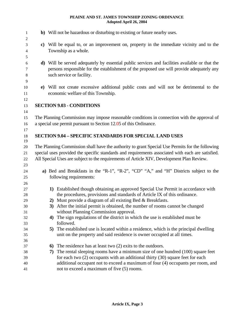| $\mathbf{1}$<br>$\overline{c}$ | b) Will not be hazardous or disturbing to existing or future nearby uses.                                                                                      |
|--------------------------------|----------------------------------------------------------------------------------------------------------------------------------------------------------------|
| 3                              | c) Will be equal to, or an improvement on, property in the immediate vicinity and to the                                                                       |
| 4                              | Township as a whole.                                                                                                                                           |
| 5<br>6                         | d) Will be served adequately by essential public services and facilities available or that the                                                                 |
| 7                              | persons responsible for the establishment of the proposed use will provide adequately any                                                                      |
| 8                              | such service or facility.                                                                                                                                      |
| 9                              |                                                                                                                                                                |
| 10                             | e) Will not create excessive additional public costs and will not be detrimental to the                                                                        |
| 11                             | economic welfare of this Township.                                                                                                                             |
| 12<br>13                       | <b>SECTION 9.03 - CONDITIONS</b>                                                                                                                               |
| 14                             |                                                                                                                                                                |
| 15                             | The Planning Commission may impose reasonable conditions in connection with the approval of                                                                    |
| 16                             | a special use permit pursuant to Section 12.05 of this Ordinance.                                                                                              |
| 17                             |                                                                                                                                                                |
| 18                             | <b>SECTION 9.04 - SPECIFIC STANDARDS FOR SPECIAL LAND USES</b>                                                                                                 |
| 19                             | The Planning Commission shall have the authority to grant Special Use Permits for the following                                                                |
| 20<br>21                       | special uses provided the specific standards and requirements associated with each are satisfied.                                                              |
| 22                             | All Special Uses are subject to the requirements of Article XIV, Development Plan Review.                                                                      |
| 23                             |                                                                                                                                                                |
| 24                             | a) Bed and Breakfasts in the "R-1", "R-2", "CD" "A," and "H" Districts subject to the                                                                          |
| 25                             | following requirements:                                                                                                                                        |
| 26                             |                                                                                                                                                                |
| 27                             | 1) Established though obtaining an approved Special Use Permit in accordance with<br>the procedures, provisions and standards of Article IX of this ordinance. |
| 28<br>29                       | Must provide a diagram of all existing Bed & Breakfasts.<br>2)                                                                                                 |
| 30                             | 3) After the initial permit is obtained, the number of rooms cannot be changed                                                                                 |
| 31                             | without Planning Commission approval.                                                                                                                          |
| 32                             | The sign regulations of the district in which the use is established must be<br>4)                                                                             |
| 33                             | followed.                                                                                                                                                      |
| 34                             | The established use is located within a residence, which is the principal dwelling<br>5)                                                                       |
| 35<br>36                       | unit on the property and said residence is owner occupied at all times.                                                                                        |
| 37                             | The residence has at least two $(2)$ exits to the outdoors.<br>6)                                                                                              |
| 38                             | The rental sleeping rooms have a minimum size of one hundred (100) square feet<br>7)                                                                           |
| 39                             | for each two (2) occupants with an additional thirty (30) square feet for each                                                                                 |
| 40                             | additional occupant not to exceed a maximum of four (4) occupants per room, and                                                                                |
| 41                             | not to exceed a maximum of five (5) rooms.                                                                                                                     |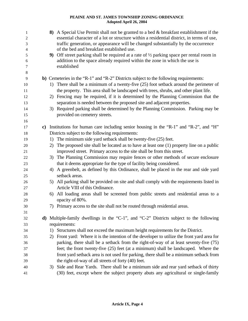| 1<br>$\overline{c}$<br>3<br>$\overline{\mathcal{A}}$<br>5<br>6<br>$\tau$<br>$\,8\,$ |    | 8) A Special Use Permit shall not be granted to a bed & breakfast establishment if the<br>essential character of a lot or structure within a residential district, in terms of use,<br>traffic generation, or appearance will be changed substantially by the occurrence<br>of the bed and breakfast established use.<br>9) Off street parking shall be required at a rate of $\frac{1}{2}$ parking space per rental room in<br>addition to the space already required within the zone in which the use is<br>established |
|-------------------------------------------------------------------------------------|----|---------------------------------------------------------------------------------------------------------------------------------------------------------------------------------------------------------------------------------------------------------------------------------------------------------------------------------------------------------------------------------------------------------------------------------------------------------------------------------------------------------------------------|
| 9                                                                                   |    | b) Cemeteries in the "R-1" and "R-2" Districts subject to the following requirements:                                                                                                                                                                                                                                                                                                                                                                                                                                     |
| 10                                                                                  |    | 1) There shall be a minimum of a twenty-five (25) foot setback around the perimeter of                                                                                                                                                                                                                                                                                                                                                                                                                                    |
| 11                                                                                  |    | the property. This area shall be landscaped with trees, shrubs, and other plant life.                                                                                                                                                                                                                                                                                                                                                                                                                                     |
| 12                                                                                  |    | 2) Fencing may be required, if it is determined by the Planning Commission that the                                                                                                                                                                                                                                                                                                                                                                                                                                       |
| 13                                                                                  |    | separation is needed between the proposed site and adjacent properties.                                                                                                                                                                                                                                                                                                                                                                                                                                                   |
| 14                                                                                  |    | 3) Required parking shall be determined by the Planning Commission. Parking may be                                                                                                                                                                                                                                                                                                                                                                                                                                        |
| 15                                                                                  |    | provided on cemetery streets.                                                                                                                                                                                                                                                                                                                                                                                                                                                                                             |
| 16                                                                                  |    |                                                                                                                                                                                                                                                                                                                                                                                                                                                                                                                           |
| 17                                                                                  |    | c) Institutions for human care including senior housing in the "R-1" and "R-2", and "H"                                                                                                                                                                                                                                                                                                                                                                                                                                   |
| 18                                                                                  |    | Districts subject to the following requirements:                                                                                                                                                                                                                                                                                                                                                                                                                                                                          |
| 19                                                                                  | 1) | The minimum side yard setback shall be twenty-five (25) feet.                                                                                                                                                                                                                                                                                                                                                                                                                                                             |
| 20                                                                                  | 2) | The proposed site shall be located as to have at least one (1) property line on a public                                                                                                                                                                                                                                                                                                                                                                                                                                  |
| 21                                                                                  |    | improved street. Primary access to the site shall be from this street.                                                                                                                                                                                                                                                                                                                                                                                                                                                    |
| 22                                                                                  |    | 3) The Planning Commission may require fences or other methods of secure enclosure                                                                                                                                                                                                                                                                                                                                                                                                                                        |
| 23                                                                                  |    | that it deems appropriate for the type of facility being considered.                                                                                                                                                                                                                                                                                                                                                                                                                                                      |
| 24                                                                                  |    | 4) A greenbelt, as defined by this Ordinance, shall be placed in the rear and side yard                                                                                                                                                                                                                                                                                                                                                                                                                                   |
| 25                                                                                  |    | setback areas.                                                                                                                                                                                                                                                                                                                                                                                                                                                                                                            |
| 26                                                                                  |    | 5) All parking shall be provided on site and shall comply with the requirements listed in                                                                                                                                                                                                                                                                                                                                                                                                                                 |
| 27                                                                                  |    | Article VIII of this Ordinance.                                                                                                                                                                                                                                                                                                                                                                                                                                                                                           |
| 28                                                                                  | 6) | All loading areas shall be screened from public streets and residential areas to a                                                                                                                                                                                                                                                                                                                                                                                                                                        |
| 29                                                                                  |    | opacity of 80%.                                                                                                                                                                                                                                                                                                                                                                                                                                                                                                           |
| 30                                                                                  |    | 7) Primary access to the site shall not be routed through residential areas.                                                                                                                                                                                                                                                                                                                                                                                                                                              |
| 31                                                                                  |    |                                                                                                                                                                                                                                                                                                                                                                                                                                                                                                                           |
| 32                                                                                  |    | d) Multiple-family dwellings in the "C-1", and "C-2" Districts subject to the following                                                                                                                                                                                                                                                                                                                                                                                                                                   |
| 33                                                                                  |    | requirements:                                                                                                                                                                                                                                                                                                                                                                                                                                                                                                             |
| 34                                                                                  | 1) | Structures shall not exceed the maximum height requirements for the District.                                                                                                                                                                                                                                                                                                                                                                                                                                             |
| 35                                                                                  | 2) | Front yard: Where it is the intention of the developer to utilize the front yard area for                                                                                                                                                                                                                                                                                                                                                                                                                                 |
| 36                                                                                  |    | parking, there shall be a setback from the right-of-way of at least seventy-five (75)                                                                                                                                                                                                                                                                                                                                                                                                                                     |
| 37                                                                                  |    | feet; the front twenty-five (25) feet (at a minimum) shall be landscaped. Where the                                                                                                                                                                                                                                                                                                                                                                                                                                       |
| 38                                                                                  |    | front yard setback area is not used for parking, there shall be a minimum setback from                                                                                                                                                                                                                                                                                                                                                                                                                                    |
| 39                                                                                  |    | the right-of-way of all streets of forty (40) feet.                                                                                                                                                                                                                                                                                                                                                                                                                                                                       |
| 40                                                                                  | 3) | Side and Rear Yards. There shall be a minimum side and rear yard setback of thirty                                                                                                                                                                                                                                                                                                                                                                                                                                        |
| 41                                                                                  |    | (30) feet, except where the subject property abuts any agricultural or single-family                                                                                                                                                                                                                                                                                                                                                                                                                                      |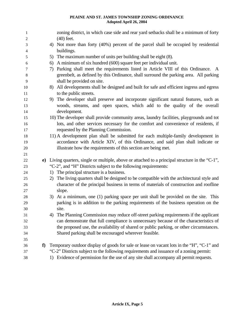| 1              |   | zoning district, in which case side and rear yard setbacks shall be a minimum of forty            |
|----------------|---|---------------------------------------------------------------------------------------------------|
| $\mathfrak{2}$ |   | $(40)$ feet.                                                                                      |
| 3<br>4         |   | 4) Not more than forty (40%) percent of the parcel shall be occupied by residential<br>buildings. |
| 5              |   | The maximum number of units per building shall be eight (8).<br>5)                                |
| 6              |   | A minimum of six hundred (600) square feet per individual unit.<br>6)                             |
| 7              |   | Parking shall meet the requirements listed in Article VIII of this Ordinance.<br>7)<br>A          |
| 8              |   | greenbelt, as defined by this Ordinance, shall surround the parking area. All parking             |
| 9              |   | shall be provided on site.                                                                        |
| 10             |   | 8) All developments shall be designed and built for safe and efficient ingress and egress         |
| 11             |   | to the public streets.                                                                            |
| 12             |   | 9) The developer shall preserve and incorporate significant natural features, such as             |
| 13             |   | woods, streams, and open spaces, which add to the quality of the overall                          |
| 14             |   | development.                                                                                      |
| 15             |   | 10) The developer shall provide community areas, laundry facilities, playgrounds and tot          |
| 16             |   | lots, and other services necessary for the comfort and convenience of residents, if               |
| 17             |   | requested by the Planning Commission.                                                             |
| 18             |   | 11) A development plan shall be submitted for each multiple-family development in                 |
| 19             |   | accordance with Article XIV, of this Ordinance, and said plan shall indicate or                   |
| 20             |   | illustrate how the requirements of this section are being met.                                    |
| 21             |   |                                                                                                   |
| 22             |   | e) Living quarters, single or multiple, above or attached to a principal structure in the "C-1",  |
| 23             |   | "C-2", and "H" Districts subject to the following requirements:                                   |
| 24             |   | 1) The principal structure is a business.                                                         |
| 25             |   | The living quarters shall be designed to be compatible with the architectural style and<br>2)     |
| 26             |   | character of the principal business in terms of materials of construction and roofline            |
| 27             |   | slope.<br>At a minimum, one (1) parking space per unit shall be provided on the site. This<br>3)  |
| 28<br>29       |   | parking is in addition to the parking requirements of the business operation on the               |
| 30             |   | site.                                                                                             |
| 31             |   | The Planning Commission may reduce off-street parking requirements if the applicant<br>4)         |
| 32             |   | can demonstrate that full compliance is unnecessary because of the characteristics of             |
| 33             |   | the proposed use, the availability of shared or public parking, or other circumstances.           |
| 34             |   | Shared parking shall be encouraged wherever feasible.                                             |
| 35             |   |                                                                                                   |
| 36             | f | Temporary outdoor display of goods for sale or lease on vacant lots in the "H", "C-1" and         |
| 37             |   | "C-2" Districts subject to the following requirements and issuance of a zoning permit:            |
| 38             |   | 1) Evidence of permission for the use of any site shall accompany all permit requests.            |
|                |   |                                                                                                   |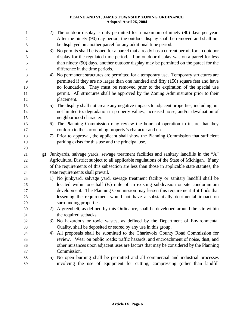| 1              |              |    | 2) The outdoor display is only permitted for a maximum of ninety (90) days per year.                                                                              |
|----------------|--------------|----|-------------------------------------------------------------------------------------------------------------------------------------------------------------------|
| $\overline{c}$ |              |    | After the ninety (90) day period, the outdoor display shall be removed and shall not                                                                              |
| 3              |              |    | be displayed on another parcel for any additional time period.<br>No permits shall be issued for a parcel that already has a current permit for an outdoor        |
| 4              |              | 3) | display for the regulated time period. If an outdoor display was on a parcel for less                                                                             |
| 5<br>6         |              |    | than ninety (90) days, another outdoor display may be permitted on the parcel for the                                                                             |
| 7              |              |    | difference in the time periods.                                                                                                                                   |
| $\,8\,$        |              | 4) | No permanent structures are permitted for a temporary use. Temporary structures are                                                                               |
| 9              |              |    | permitted if they are no larger than one hundred and fifty (150) square feet and have                                                                             |
| 10             |              |    | no foundation. They must be removed prior to the expiration of the special use                                                                                    |
| 11             |              |    | permit. All structures shall be approved by the Zoning Administrator prior to their                                                                               |
| 12             |              |    | placement.                                                                                                                                                        |
| 13             |              |    | 5) The display shall not create any negative impacts to adjacent properties, including but                                                                        |
| 14             |              |    | not limited to: degradation in property values, increased noise, and/or devaluation of                                                                            |
| 15             |              |    | neighborhood character.                                                                                                                                           |
| 16             |              | 6) | The Planning Commission may review the hours of operation to insure that they                                                                                     |
| 17             |              |    | conform to the surrounding property's character and use.                                                                                                          |
| 18             |              |    | 7) Prior to approval, the applicant shall show the Planning Commission that sufficient                                                                            |
| 19             |              |    | parking exists for this use and the principal use.                                                                                                                |
| 20             |              |    |                                                                                                                                                                   |
| 21             | $\mathbf{g}$ |    | Junkyards, salvage yards, sewage treatment facilities and sanitary landfills in the "A"                                                                           |
| 22             |              |    | Agricultural District subject to all applicable regulations of the State of Michigan. If any                                                                      |
| 23             |              |    | of the requirements of this subsection are less than those in applicable state statutes, the                                                                      |
| 24             |              |    | state requirements shall prevail.                                                                                                                                 |
| 25             |              |    | 1) No junkyard, salvage yard, sewage treatment facility or sanitary landfill shall be                                                                             |
| 26             |              |    | located within one half $(½)$ mile of an existing subdivision or site condominium                                                                                 |
| $27\,$         |              |    | development. The Planning Commission may lessen this requirement if it finds that                                                                                 |
| 28             |              |    | lessening the requirement would not have a substantially detrimental impact on                                                                                    |
| 29             |              |    | surrounding properties.                                                                                                                                           |
| 30             |              |    | 2) A greenbelt, as defined by this Ordinance, shall be developed around the site within                                                                           |
| 31             |              |    | the required setbacks.                                                                                                                                            |
| 32             |              |    | 3) No hazardous or toxic wastes, as defined by the Department of Environmental                                                                                    |
| 33             |              |    | Quality, shall be deposited or stored by any use in this group.                                                                                                   |
| 34             |              | 4) | All proposals shall be submitted to the Charlevoix County Road Commission for                                                                                     |
| 35             |              |    | review. Wear on public roads; traffic hazards, and encroachment of noise, dust, and                                                                               |
| 36             |              |    | other nuisances upon adjacent uses are factors that may be considered by the Planning                                                                             |
| 37             |              |    | Commission.                                                                                                                                                       |
| 38             |              |    | 5) No open burning shall be permitted and all commercial and industrial processes<br>involving the use of equipment for cutting, compressing (other than landfill |
| 39             |              |    |                                                                                                                                                                   |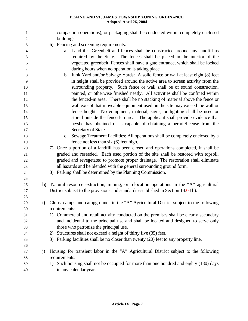| $\mathbf{1}$<br>$\mathfrak 2$ |              | compaction operations), or packaging shall be conducted within completely enclosed<br>buildings.       |
|-------------------------------|--------------|--------------------------------------------------------------------------------------------------------|
| 3                             |              | 6) Fencing and screening requirements:                                                                 |
| $\overline{\mathcal{A}}$      |              | a. Landfill: Greenbelt and fences shall be constructed around any landfill as                          |
| 5                             |              | required by the State. The fences shall be placed in the interior of the                               |
| 6                             |              | vegetated greenbelt. Fences shall have a gate entrance, which shall be locked                          |
| $\tau$                        |              | during hours when no operation is taking place.                                                        |
| $\,8\,$                       |              | Junk Yard and/or Salvage Yards: A solid fence or wall at least eight (8) feet<br>$\mathbf{b}$ .        |
| 9                             |              | in height shall be provided around the active area to screen activity from the                         |
| 10                            |              | surrounding property. Such fence or wall shall be of sound construction,                               |
| 11                            |              | painted, or otherwise finished neatly. All activities shall be confined within                         |
| 12                            |              | the fenced-in area. There shall be no stacking of material above the fence or                          |
| 13                            |              | wall except that moveable equipment used on the site may exceed the wall or                            |
| 14                            |              | fence height. No equipment, material, signs, or lighting shall be used or                              |
| 15                            |              | stored outside the fenced-in area. The applicant shall provide evidence that                           |
| 16                            |              | he/she has obtained or is capable of obtaining a permit/license from the                               |
| 17                            |              | Secretary of State.                                                                                    |
| 18                            |              | c. Sewage Treatment Facilities: All operations shall be completely enclosed by a                       |
| 19                            |              | fence not less than six (6) feet high.                                                                 |
| 20                            |              | 7) Once a portion of a landfill has been closed and operations completed, it shall be                  |
| 21                            |              | graded and reseeded. Each used portion of the site shall be restored with topsoil,                     |
| 22                            |              | graded and revegetated to promote proper drainage. The restoration shall eliminate                     |
| 23                            |              | all hazards and be blended with the general surrounding ground form.                                   |
| 24                            |              | 8) Parking shall be determined by the Planning Commission.                                             |
| 25                            |              |                                                                                                        |
| 26                            | h)           | Natural resource extraction, mining, or relocation operations in the "A" agricultural                  |
| 27                            |              | District subject to the provisions and standards established in Section 14.04 b).                      |
| 28                            |              |                                                                                                        |
| 29                            | $\mathbf{i}$ | Clubs, camps and campgrounds in the "A" Agricultural District subject to the following                 |
| 30                            |              | requirements:                                                                                          |
| 31                            |              | 1) Commercial and retail activity conducted on the premises shall be clearly secondary                 |
| 32                            |              | and incidental to the principal use and shall be located and designed to serve only                    |
| 33                            |              | those who patronize the principal use.                                                                 |
| 34                            |              | Structures shall not exceed a height of thirty five (35) feet.<br>2)                                   |
| 35                            |              | Parking facilities shall be no closer than twenty (20) feet to any property line.<br>3)                |
| 36                            |              |                                                                                                        |
| 37<br>38                      | $\ddot{1}$   | Housing for transient labor in the "A" Agricultural District subject to the following<br>requirements: |
| 39                            |              | 1) Such housing shall not be occupied for more than one hundred and eighty (180) days                  |
| 40                            |              | in any calendar year.                                                                                  |
|                               |              |                                                                                                        |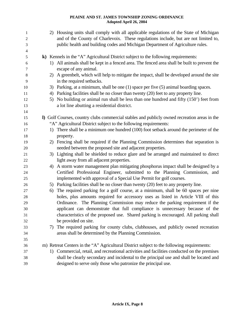| k) Kennels in the "A" Agricultural District subject to the following requirements:<br>$\mathfrak s$<br>1) All animals shall be kept in a fenced area. The fenced area shall be built to prevent the<br>6<br>escape of any animal.<br>7<br>A greenbelt, which will help to mitigate the impact, shall be developed around the site<br>$\,8\,$<br>2)<br>in the required setbacks.<br>9<br>Parking, at a minimum, shall be one (1) space per five (5) animal boarding spaces.<br>3)<br>10<br>4) Parking facilities shall be no closer than twenty (20) feet to any property line.<br>11<br>No building or animal run shall be less than one hundred and fifty (150') feet from<br>12<br>5)<br>a lot line abutting a residential district.<br>13<br>14<br>I) Golf Courses, country clubs commercial stables and publicly owned recreation areas in the<br>15<br>"A" Agricultural District subject to the following requirements:<br>16<br>1) There shall be a minimum one hundred (100) foot setback around the perimeter of the<br>17<br>property.<br>18<br>2) Fencing shall be required if the Planning Commission determines that separation is<br>19<br>needed between the proposed site and adjacent properties.<br>20<br>3) Lighting shall be shielded to reduce glare and be arranged and maintained to direct<br>21<br>light away from all adjacent properties.<br>22<br>4) A storm water management plan mitigating phosphorus impact shall be designed by a<br>23<br>Certified Professional Engineer, submitted to the Planning Commission, and<br>24<br>implemented with approval of a Special Use Permit for golf courses.<br>25<br>5) Parking facilities shall be no closer than twenty (20) feet to any property line.<br>26<br>The required parking for a golf course, at a minimum, shall be 60 spaces per nine<br>6)<br>27 |
|-----------------------------------------------------------------------------------------------------------------------------------------------------------------------------------------------------------------------------------------------------------------------------------------------------------------------------------------------------------------------------------------------------------------------------------------------------------------------------------------------------------------------------------------------------------------------------------------------------------------------------------------------------------------------------------------------------------------------------------------------------------------------------------------------------------------------------------------------------------------------------------------------------------------------------------------------------------------------------------------------------------------------------------------------------------------------------------------------------------------------------------------------------------------------------------------------------------------------------------------------------------------------------------------------------------------------------------------------------------------------------------------------------------------------------------------------------------------------------------------------------------------------------------------------------------------------------------------------------------------------------------------------------------------------------------------------------------------------------------------------------------------------------------------------------------------------------------------|
|                                                                                                                                                                                                                                                                                                                                                                                                                                                                                                                                                                                                                                                                                                                                                                                                                                                                                                                                                                                                                                                                                                                                                                                                                                                                                                                                                                                                                                                                                                                                                                                                                                                                                                                                                                                                                                         |
|                                                                                                                                                                                                                                                                                                                                                                                                                                                                                                                                                                                                                                                                                                                                                                                                                                                                                                                                                                                                                                                                                                                                                                                                                                                                                                                                                                                                                                                                                                                                                                                                                                                                                                                                                                                                                                         |
|                                                                                                                                                                                                                                                                                                                                                                                                                                                                                                                                                                                                                                                                                                                                                                                                                                                                                                                                                                                                                                                                                                                                                                                                                                                                                                                                                                                                                                                                                                                                                                                                                                                                                                                                                                                                                                         |
|                                                                                                                                                                                                                                                                                                                                                                                                                                                                                                                                                                                                                                                                                                                                                                                                                                                                                                                                                                                                                                                                                                                                                                                                                                                                                                                                                                                                                                                                                                                                                                                                                                                                                                                                                                                                                                         |
|                                                                                                                                                                                                                                                                                                                                                                                                                                                                                                                                                                                                                                                                                                                                                                                                                                                                                                                                                                                                                                                                                                                                                                                                                                                                                                                                                                                                                                                                                                                                                                                                                                                                                                                                                                                                                                         |
|                                                                                                                                                                                                                                                                                                                                                                                                                                                                                                                                                                                                                                                                                                                                                                                                                                                                                                                                                                                                                                                                                                                                                                                                                                                                                                                                                                                                                                                                                                                                                                                                                                                                                                                                                                                                                                         |
|                                                                                                                                                                                                                                                                                                                                                                                                                                                                                                                                                                                                                                                                                                                                                                                                                                                                                                                                                                                                                                                                                                                                                                                                                                                                                                                                                                                                                                                                                                                                                                                                                                                                                                                                                                                                                                         |
|                                                                                                                                                                                                                                                                                                                                                                                                                                                                                                                                                                                                                                                                                                                                                                                                                                                                                                                                                                                                                                                                                                                                                                                                                                                                                                                                                                                                                                                                                                                                                                                                                                                                                                                                                                                                                                         |
|                                                                                                                                                                                                                                                                                                                                                                                                                                                                                                                                                                                                                                                                                                                                                                                                                                                                                                                                                                                                                                                                                                                                                                                                                                                                                                                                                                                                                                                                                                                                                                                                                                                                                                                                                                                                                                         |
|                                                                                                                                                                                                                                                                                                                                                                                                                                                                                                                                                                                                                                                                                                                                                                                                                                                                                                                                                                                                                                                                                                                                                                                                                                                                                                                                                                                                                                                                                                                                                                                                                                                                                                                                                                                                                                         |
|                                                                                                                                                                                                                                                                                                                                                                                                                                                                                                                                                                                                                                                                                                                                                                                                                                                                                                                                                                                                                                                                                                                                                                                                                                                                                                                                                                                                                                                                                                                                                                                                                                                                                                                                                                                                                                         |
|                                                                                                                                                                                                                                                                                                                                                                                                                                                                                                                                                                                                                                                                                                                                                                                                                                                                                                                                                                                                                                                                                                                                                                                                                                                                                                                                                                                                                                                                                                                                                                                                                                                                                                                                                                                                                                         |
|                                                                                                                                                                                                                                                                                                                                                                                                                                                                                                                                                                                                                                                                                                                                                                                                                                                                                                                                                                                                                                                                                                                                                                                                                                                                                                                                                                                                                                                                                                                                                                                                                                                                                                                                                                                                                                         |
|                                                                                                                                                                                                                                                                                                                                                                                                                                                                                                                                                                                                                                                                                                                                                                                                                                                                                                                                                                                                                                                                                                                                                                                                                                                                                                                                                                                                                                                                                                                                                                                                                                                                                                                                                                                                                                         |
|                                                                                                                                                                                                                                                                                                                                                                                                                                                                                                                                                                                                                                                                                                                                                                                                                                                                                                                                                                                                                                                                                                                                                                                                                                                                                                                                                                                                                                                                                                                                                                                                                                                                                                                                                                                                                                         |
|                                                                                                                                                                                                                                                                                                                                                                                                                                                                                                                                                                                                                                                                                                                                                                                                                                                                                                                                                                                                                                                                                                                                                                                                                                                                                                                                                                                                                                                                                                                                                                                                                                                                                                                                                                                                                                         |
|                                                                                                                                                                                                                                                                                                                                                                                                                                                                                                                                                                                                                                                                                                                                                                                                                                                                                                                                                                                                                                                                                                                                                                                                                                                                                                                                                                                                                                                                                                                                                                                                                                                                                                                                                                                                                                         |
|                                                                                                                                                                                                                                                                                                                                                                                                                                                                                                                                                                                                                                                                                                                                                                                                                                                                                                                                                                                                                                                                                                                                                                                                                                                                                                                                                                                                                                                                                                                                                                                                                                                                                                                                                                                                                                         |
|                                                                                                                                                                                                                                                                                                                                                                                                                                                                                                                                                                                                                                                                                                                                                                                                                                                                                                                                                                                                                                                                                                                                                                                                                                                                                                                                                                                                                                                                                                                                                                                                                                                                                                                                                                                                                                         |
|                                                                                                                                                                                                                                                                                                                                                                                                                                                                                                                                                                                                                                                                                                                                                                                                                                                                                                                                                                                                                                                                                                                                                                                                                                                                                                                                                                                                                                                                                                                                                                                                                                                                                                                                                                                                                                         |
|                                                                                                                                                                                                                                                                                                                                                                                                                                                                                                                                                                                                                                                                                                                                                                                                                                                                                                                                                                                                                                                                                                                                                                                                                                                                                                                                                                                                                                                                                                                                                                                                                                                                                                                                                                                                                                         |
|                                                                                                                                                                                                                                                                                                                                                                                                                                                                                                                                                                                                                                                                                                                                                                                                                                                                                                                                                                                                                                                                                                                                                                                                                                                                                                                                                                                                                                                                                                                                                                                                                                                                                                                                                                                                                                         |
|                                                                                                                                                                                                                                                                                                                                                                                                                                                                                                                                                                                                                                                                                                                                                                                                                                                                                                                                                                                                                                                                                                                                                                                                                                                                                                                                                                                                                                                                                                                                                                                                                                                                                                                                                                                                                                         |
| holes, plus amounts required for accessory uses as listed in Article VIII of this<br>28                                                                                                                                                                                                                                                                                                                                                                                                                                                                                                                                                                                                                                                                                                                                                                                                                                                                                                                                                                                                                                                                                                                                                                                                                                                                                                                                                                                                                                                                                                                                                                                                                                                                                                                                                 |
| Ordinance. The Planning Commission may reduce the parking requirement if the<br>29                                                                                                                                                                                                                                                                                                                                                                                                                                                                                                                                                                                                                                                                                                                                                                                                                                                                                                                                                                                                                                                                                                                                                                                                                                                                                                                                                                                                                                                                                                                                                                                                                                                                                                                                                      |
| applicant can demonstrate that full compliance is unnecessary because of the<br>30                                                                                                                                                                                                                                                                                                                                                                                                                                                                                                                                                                                                                                                                                                                                                                                                                                                                                                                                                                                                                                                                                                                                                                                                                                                                                                                                                                                                                                                                                                                                                                                                                                                                                                                                                      |
| characteristics of the proposed use. Shared parking is encouraged. All parking shall<br>31                                                                                                                                                                                                                                                                                                                                                                                                                                                                                                                                                                                                                                                                                                                                                                                                                                                                                                                                                                                                                                                                                                                                                                                                                                                                                                                                                                                                                                                                                                                                                                                                                                                                                                                                              |
| be provided on site.<br>32                                                                                                                                                                                                                                                                                                                                                                                                                                                                                                                                                                                                                                                                                                                                                                                                                                                                                                                                                                                                                                                                                                                                                                                                                                                                                                                                                                                                                                                                                                                                                                                                                                                                                                                                                                                                              |
| The required parking for county clubs, clubhouses, and publicly owned recreation<br>33<br>7).<br>34                                                                                                                                                                                                                                                                                                                                                                                                                                                                                                                                                                                                                                                                                                                                                                                                                                                                                                                                                                                                                                                                                                                                                                                                                                                                                                                                                                                                                                                                                                                                                                                                                                                                                                                                     |
| areas shall be determined by the Planning Commission.<br>35                                                                                                                                                                                                                                                                                                                                                                                                                                                                                                                                                                                                                                                                                                                                                                                                                                                                                                                                                                                                                                                                                                                                                                                                                                                                                                                                                                                                                                                                                                                                                                                                                                                                                                                                                                             |
| m) Retreat Centers in the "A" Agricultural District subject to the following requirements:<br>36                                                                                                                                                                                                                                                                                                                                                                                                                                                                                                                                                                                                                                                                                                                                                                                                                                                                                                                                                                                                                                                                                                                                                                                                                                                                                                                                                                                                                                                                                                                                                                                                                                                                                                                                        |
| 1) Commercial, retail, and recreational activities and facilities conducted on the premises<br>37                                                                                                                                                                                                                                                                                                                                                                                                                                                                                                                                                                                                                                                                                                                                                                                                                                                                                                                                                                                                                                                                                                                                                                                                                                                                                                                                                                                                                                                                                                                                                                                                                                                                                                                                       |
| shall be clearly secondary and incidental to the principal use and shall be located and<br>38                                                                                                                                                                                                                                                                                                                                                                                                                                                                                                                                                                                                                                                                                                                                                                                                                                                                                                                                                                                                                                                                                                                                                                                                                                                                                                                                                                                                                                                                                                                                                                                                                                                                                                                                           |
| designed to serve only those who patronize the principal use.<br>39                                                                                                                                                                                                                                                                                                                                                                                                                                                                                                                                                                                                                                                                                                                                                                                                                                                                                                                                                                                                                                                                                                                                                                                                                                                                                                                                                                                                                                                                                                                                                                                                                                                                                                                                                                     |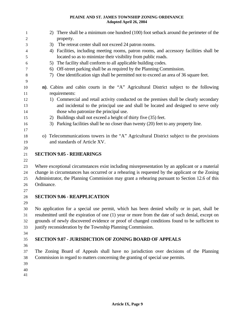| 1              | 2) There shall be a minimum one hundred (100) foot setback around the perimeter of the                 |  |  |
|----------------|--------------------------------------------------------------------------------------------------------|--|--|
| $\mathfrak{2}$ | property.                                                                                              |  |  |
| 3              | 3) The retreat center shall not exceed 24 patron rooms.                                                |  |  |
| $\overline{4}$ | Facilities, including meeting rooms, patron rooms, and accessory facilities shall be<br>4)             |  |  |
| 5              | located so as to minimize their visibility from public roads.                                          |  |  |
| 6              | 5) The facility shall conform to all applicable building codes.                                        |  |  |
| 7              | Off-street parking shall be as required by the Planning Commission.<br>6)                              |  |  |
| $\,8\,$        | 7) One identification sign shall be permitted not to exceed an area of 36 square feet.                 |  |  |
| 9              |                                                                                                        |  |  |
| 10             | n). Cabins and cabin courts in the "A" Agricultural District subject to the following<br>requirements: |  |  |
| 11             |                                                                                                        |  |  |
| 12             | 1) Commercial and retail activity conducted on the premises shall be clearly secondary                 |  |  |
| 13             | and incidental to the principal use and shall be located and designed to serve only                    |  |  |
| 14             | those who patronize the principal use.                                                                 |  |  |
| 15             | 2) Buildings shall not exceed a height of thirty five (35) feet.                                       |  |  |
| 16<br>17       | 3) Parking facilities shall be no closer than twenty (20) feet to any property line.                   |  |  |
| 18             | o) Telecommunications towers in the "A" Agricultural District subject to the provisions                |  |  |
| 19             | and standards of Article XV.                                                                           |  |  |
| 20             |                                                                                                        |  |  |
| 21             | <b>SECTION 9.05 - REHEARINGS</b>                                                                       |  |  |
| 22             |                                                                                                        |  |  |
| 23             | Where exceptional circumstances exist including misrepresentation by an applicant or a material        |  |  |
| 24             | change in circumstances has occurred or a rehearing is requested by the applicant or the Zoning        |  |  |
| 25             | Administrator, the Planning Commission may grant a rehearing pursuant to Section 12.6 of this          |  |  |
| 26             | Ordinance.                                                                                             |  |  |
| 27             |                                                                                                        |  |  |
| 28             | <b>SECTION 9.06 - REAPPLICATION</b>                                                                    |  |  |
| 29             |                                                                                                        |  |  |
| 30             | No application for a special use permit, which has been denied wholly or in part, shall be             |  |  |
| 31             | resubmitted until the expiration of one (1) year or more from the date of such denial, except on       |  |  |
| 32             | grounds of newly discovered evidence or proof of changed conditions found to be sufficient to          |  |  |
| 33             | justify reconsideration by the Township Planning Commission.                                           |  |  |
| 34             |                                                                                                        |  |  |
| 35             | <b>SECTION 9.07 - JURISDICTION OF ZONING BOARD OF APPEALS</b>                                          |  |  |
| 36             |                                                                                                        |  |  |
| 37             | The Zoning Board of Appeals shall have no jurisdiction over decisions of the Planning                  |  |  |
| 38             | Commission in regard to matters concerning the granting of special use permits.                        |  |  |
| 39             |                                                                                                        |  |  |
| 40             |                                                                                                        |  |  |
| 41             |                                                                                                        |  |  |
|                |                                                                                                        |  |  |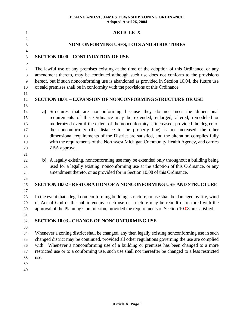| 1              |                                                                                                                                                                                                 | <b>ARTICLE X</b>                                                                                    |
|----------------|-------------------------------------------------------------------------------------------------------------------------------------------------------------------------------------------------|-----------------------------------------------------------------------------------------------------|
| $\overline{2}$ |                                                                                                                                                                                                 |                                                                                                     |
| 3              |                                                                                                                                                                                                 | NONCONFORMING USES, LOTS AND STRUCTURES                                                             |
| $\overline{4}$ |                                                                                                                                                                                                 |                                                                                                     |
| 5              | <b>SECTION 10.00 - CONTINUATION OF USE</b>                                                                                                                                                      |                                                                                                     |
| 6<br>7         |                                                                                                                                                                                                 | The lawful use of any premises existing at the time of the adoption of this Ordinance, or any       |
| 8              |                                                                                                                                                                                                 | amendment thereto, may be continued although such use does not conform to the provisions            |
| 9              |                                                                                                                                                                                                 | hereof, but if such nonconforming use is abandoned as provided in Section 10.04, the future use     |
| 10             |                                                                                                                                                                                                 | of said premises shall be in conformity with the provisions of this Ordinance.                      |
| 11             |                                                                                                                                                                                                 |                                                                                                     |
| 12             |                                                                                                                                                                                                 | <b>SECTION 10.01 – EXPANSION OF NONCONFORMING STRUCTURE OR USE</b>                                  |
| 13             |                                                                                                                                                                                                 |                                                                                                     |
| 14             |                                                                                                                                                                                                 | a) Structures that are nonconforming because they do not meet the dimensional                       |
| 15             |                                                                                                                                                                                                 | requirements of this Ordinance may be extended, enlarged, altered, remodeled or                     |
| 16             |                                                                                                                                                                                                 | modernized even if the extent of the nonconformity is increased, provided the degree of             |
| 17             |                                                                                                                                                                                                 | the nonconformity (the distance to the property line) is not increased, the other                   |
| 18             |                                                                                                                                                                                                 | dimensional requirements of the District are satisfied, and the alteration complies fully           |
| 19             |                                                                                                                                                                                                 | with the requirements of the Northwest Michigan Community Health Agency, and carries                |
| 20             | ZBA approval.                                                                                                                                                                                   |                                                                                                     |
| 21<br>22       |                                                                                                                                                                                                 | b) A legally existing, nonconforming use may be extended only throughout a building being           |
| 23             |                                                                                                                                                                                                 | used for a legally existing, nonconforming use at the adoption of this Ordinance, or any            |
| 24             |                                                                                                                                                                                                 | amendment thereto, or as provided for in Section 10.08 of this Ordinance.                           |
| 25             |                                                                                                                                                                                                 |                                                                                                     |
| 26             |                                                                                                                                                                                                 | <b>SECTION 10.02 - RESTORATION OF A NONCONFORMING USE AND STRUCTURE</b>                             |
| 27             |                                                                                                                                                                                                 |                                                                                                     |
| 28             |                                                                                                                                                                                                 | In the event that a legal non-conforming building, structure, or use shall be damaged by fire, wind |
| 29             |                                                                                                                                                                                                 | or Act of God or the public enemy, such use or structure may be rebuilt or restored with the        |
| 30             |                                                                                                                                                                                                 | approval of the Planning Commission, provided the requirements of Section 10.08 are satisfied.      |
| 31             |                                                                                                                                                                                                 |                                                                                                     |
| 32             |                                                                                                                                                                                                 | <b>SECTION 10.03 - CHANGE OF NONCONFORMING USE</b>                                                  |
| 33             |                                                                                                                                                                                                 |                                                                                                     |
| 34             |                                                                                                                                                                                                 | Whenever a zoning district shall be changed, any then legally existing nonconforming use in such    |
| 35             |                                                                                                                                                                                                 | changed district may be continued, provided all other regulations governing the use are complied    |
| 36<br>37       | with. Whenever a nonconforming use of a building or premises has been changed to a more<br>restricted use or to a conforming use, such use shall not thereafter be changed to a less restricted |                                                                                                     |
| 38             | use.                                                                                                                                                                                            |                                                                                                     |
| 39             |                                                                                                                                                                                                 |                                                                                                     |
| 40             |                                                                                                                                                                                                 |                                                                                                     |
|                |                                                                                                                                                                                                 |                                                                                                     |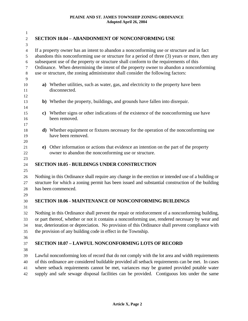| $\mathbf{1}$   |                                                                                                     |
|----------------|-----------------------------------------------------------------------------------------------------|
| $\overline{c}$ | <b>SECTION 10.04 - ABANDONMENT OF NONCONFORMING USE</b>                                             |
| 3              |                                                                                                     |
| $\overline{4}$ | If a property owner has an intent to abandon a nonconforming use or structure and in fact           |
| 5              | abandons this nonconforming use or structure for a period of three (3) years or more, then any      |
| 6              | subsequent use of the property or structure shall conform to the requirements of this               |
| $\tau$         | Ordinance. When determining the intent of the property owner to abandon a nonconforming             |
| $\,8\,$        | use or structure, the zoning administrator shall consider the following factors:                    |
| 9              |                                                                                                     |
| 10             | a) Whether utilities, such as water, gas, and electricity to the property have been                 |
| 11             | disconnected.                                                                                       |
| 12             |                                                                                                     |
| 13<br>14       | b) Whether the property, buildings, and grounds have fallen into disrepair.                         |
| 15             | c) Whether signs or other indications of the existence of the nonconforming use have                |
| 16             | been removed.                                                                                       |
| 17             |                                                                                                     |
| 18             | <b>d</b> ) Whether equipment or fixtures necessary for the operation of the nonconforming use       |
| 19             | have been removed.                                                                                  |
| $20\,$         |                                                                                                     |
| 21             | e) Other information or actions that evidence an intention on the part of the property              |
| 22             | owner to abandon the nonconforming use or structure.                                                |
| 23             |                                                                                                     |
| 24             | <b>SECTION 10.05 - BUILDINGS UNDER CONSTRUCTION</b>                                                 |
| 25             |                                                                                                     |
| 26             | Nothing in this Ordinance shall require any change in the erection or intended use of a building or |
| 27             | structure for which a zoning permit has been issued and substantial construction of the building    |
| 28             | has been commenced.                                                                                 |
| 29             |                                                                                                     |
| 30             | <b>SECTION 10.06 - MAINTENANCE OF NONCONFORMING BUILDINGS</b>                                       |
| 31             |                                                                                                     |
| 32             | Nothing in this Ordinance shall prevent the repair or reinforcement of a nonconforming building,    |
| 33             | or part thereof, whether or not it contains a nonconforming use, rendered necessary by wear and     |
| 34             | tear, deterioration or depreciation. No provision of this Ordinance shall prevent compliance with   |
| 35             | the provision of any building code in effect in the Township.                                       |
| 36             |                                                                                                     |
| 37             | <b>SECTION 10.07 - LAWFUL NONCONFORMING LOTS OF RECORD</b>                                          |
| 38             |                                                                                                     |
| 39             | Lawful nonconforming lots of record that do not comply with the lot area and width requirements     |
| 40             | of this ordinance are considered buildable provided all setback requirements can be met. In cases   |
| 41             | where setback requirements cannot be met, variances may be granted provided potable water           |
| 42             | supply and safe sewage disposal facilities can be provided. Contiguous lots under the same          |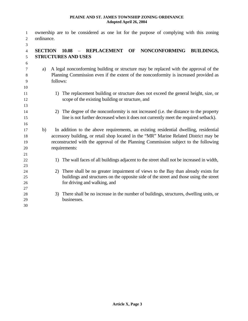| 1                   |                |          | ownership are to be considered as one lot for the purpose of complying with this zoning              |
|---------------------|----------------|----------|------------------------------------------------------------------------------------------------------|
| $\overline{c}$<br>3 | ordinance.     |          |                                                                                                      |
| $\overline{4}$      | <b>SECTION</b> |          | <b>REPLACEMENT</b><br>10.08<br>OF<br><b>NONCONFORMING</b><br><b>BUILDINGS,</b><br>$\frac{1}{2}$      |
| 5                   |                |          | <b>STRUCTURES AND USES</b>                                                                           |
| 6                   |                |          |                                                                                                      |
| 7                   | a)             |          | A legal nonconforming building or structure may be replaced with the approval of the                 |
| 8                   |                |          | Planning Commission even if the extent of the nonconformity is increased provided as                 |
| 9                   |                | follows: |                                                                                                      |
| 10                  |                |          |                                                                                                      |
| 11                  |                |          | 1) The replacement building or structure does not exceed the general height, size, or                |
| 12                  |                |          | scope of the existing building or structure, and                                                     |
| 13                  |                |          |                                                                                                      |
| 14                  |                |          | 2) The degree of the nonconformity is not increased (i.e. the distance to the property               |
| 15                  |                |          | line is not further decreased when it does not currently meet the required setback).                 |
| 16                  |                |          |                                                                                                      |
| 17                  | b)             |          | In addition to the above requirements, an existing residential dwelling, residential                 |
| 18                  |                |          | accessory building, or retail shop located in the "MR" Marine Related District may be                |
| 19<br>20            |                |          | reconstructed with the approval of the Planning Commission subject to the following<br>requirements: |
| 21                  |                |          |                                                                                                      |
| 22                  |                |          | 1) The wall faces of all buildings adjacent to the street shall not be increased in width,           |
| 23                  |                |          |                                                                                                      |
| 24                  |                | 2)       | There shall be no greater impairment of views to the Bay than already exists for                     |
| 25                  |                |          | buildings and structures on the opposite side of the street and those using the street               |
| 26                  |                |          | for driving and walking, and                                                                         |
| 27                  |                |          |                                                                                                      |
| 28                  |                |          | 3) There shall be no increase in the number of buildings, structures, dwelling units, or             |
| 29                  |                |          | businesses.                                                                                          |
| 30                  |                |          |                                                                                                      |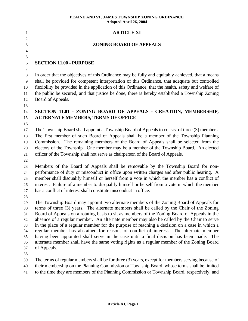#### 1 2 3 4 5 6 7 8 9 10 11 12 13 14 15 16 17 18 19 20 21 22 23 24 25 26 27 28 29 30 31 32 33 34 35 36 37 38 39 40 41 **ARTICLE XI ZONING BOARD OF APPEALS SECTION 11.00 - PURPOSE** In order that the objectives of this Ordinance may be fully and equitably achieved, that a means shall be provided for competent interpretation of this Ordinance, that adequate but controlled flexibility be provided in the application of this Ordinance, that the health, safety and welfare of the public be secured, and that justice be done, there is hereby established a Township Zoning Board of Appeals. **SECTION 11.01 - ZONING BOARD OF APPEALS - CREATION, MEMBERSHIP, ALTERNATE MEMBERS, TERMS OF OFFICE**  The Township Board shall appoint a Township Board of Appeals to consist of three (3) members. The first member of such Board of Appeals shall be a member of the Township Planning Commission. The remaining members of the Board of Appeals shall be selected from the electors of the Township. One member may be a member of the Township Board. An elected officer of the Township shall not serve as chairperson of the Board of Appeals. Members of the Board of Appeals shall be removable by the Township Board for nonperformance of duty or misconduct in office upon written charges and after public hearing. A member shall disqualify himself or herself from a vote in which the member has a conflict of interest. Failure of a member to disqualify himself or herself from a vote in which the member has a conflict of interest shall constitute misconduct in office. The Township Board may appoint two alternate members of the Zoning Board of Appeals for terms of three (3) years. The alternate members shall be called by the Chair of the Zoning Board of Appeals on a rotating basis to sit as members of the Zoning Board of Appeals in the absence of a regular member. An alternate member may also be called by the Chair to serve in the place of a regular member for the purpose of reaching a decision on a case in which a regular member has abstained for reasons of conflict of interest. The alternate member having been appointed shall serve in the case until a final decision has been made. The alternate member shall have the same voting rights as a regular member of the Zoning Board of Appeals. The terms of regular members shall be for three (3) years, except for members serving because of their membership on the Planning Commission or Township Board, whose terms shall be limited to the time they are members of the Planning Commission or Township Board, respectively, and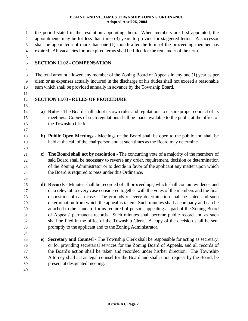1 2 3 4 5 6 7 8 9 10 11 12 13 14 15 16 17 18 19 20 21 22 23 24 25 26 27 28 29 30 31 32 33 34 35 36 37 38 39 40 the period stated in the resolution appointing them. When members are first appointed, the appointments may be for less than three (3) years to provide for staggered terms. A successor shall be appointed not more than one (1) month after the term of the proceeding member has expired. All vacancies for unexpired terms shall be filled for the remainder of the term. **SECTION 11.02 - COMPENSATION** The total amount allowed any member of the Zoning Board of Appeals in any one (1) year as per diem or as expenses actually incurred in the discharge of his duties shall not exceed a reasonable sum which shall be provided annually in advance by the Township Board. **SECTION 11.03 - RULES OF PROCEDURE a) Rules** - The Board shall adopt its own rules and regulations to ensure proper conduct of its meetings. Copies of such regulations shall be made available to the public at the office of the Township Clerk. **b) Public Open Meetings** - Meetings of the Board shall be open to the public and shall be held at the call of the chairperson and at such times as the Board may determine. **c) The Board shall act by resolution -** The concurring vote of a majority of the members of said Board shall be necessary to reverse any order, requirement, decision or determination of the Zoning Administrator or to decide in favor of the applicant any matter upon which the Board is required to pass under this Ordinance. **d) Records** - Minutes shall be recorded of all proceedings, which shall contain evidence and data relevant to every case considered together with the votes of the members and the final disposition of each case. The grounds of every determination shall be stated and such determination from which the appeal is taken. Such minutes shall accompany and can be attached to the standard forms required of persons appealing as part of the Zoning Board of Appeals' permanent records. Such minutes shall become public record and as such shall be filed in the office of the Township Clerk. A copy of the decision shall be sent promptly to the applicant and to the Zoning Administrator. **e) Secretary and Counsel** - The Township Clerk shall be responsible for acting as secretary, or for providing secretarial services for the Zoning Board of Appeals, and all records of the Board's action shall be taken and recorded under his/her direction. The Township Attorney shall act as legal counsel for the Board and shall, upon request by the Board, be present at designated meeting.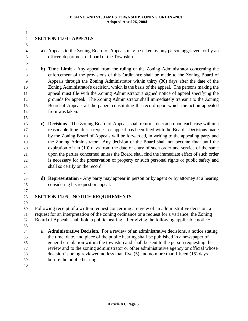2 3 4 5 6 7 8 9 10 11 12 13 14 15 16 17 18 19 20 21 22 23 24 25 26 27 28 29 30 31 32 33 34 35 36 37 **SECTION 11.04 - APPEALS a)** Appeals to the Zoning Board of Appeals may be taken by any person aggrieved, or by an officer, department or board of the Township. **b) Time Limit** - Any appeal from the ruling of the Zoning Administrator concerning the enforcement of the provisions of this Ordinance shall be made to the Zoning Board of Appeals through the Zoning Administrator within thirty (30) days after the date of the Zoning Administrator's decision, which is the basis of the appeal. The persons making the appeal must file with the Zoning Administrator a signed notice of appeal specifying the grounds for appeal. The Zoning Administrator shall immediately transmit to the Zoning Board of Appeals all the papers constituting the record upon which the action appealed from was taken. **c) Decisions** - The Zoning Board of Appeals shall return a decision upon each case within a reasonable time after a request or appeal has been filed with the Board. Decisions made by the Zoning Board of Appeals will be forwarded, in writing to the appealing party and the Zoning Administrator. Any decision of the Board shall not become final until the expiration of ten (10) days from the date of entry of such order and service of the same upon the parties concerned unless the Board shall find the immediate effect of such order is necessary for the preservation of property or such personal rights or public safety and shall so certify on the record. **d) Representation -** Any party may appear in person or by agent or by attorney at a hearing considering his request or appeal. **SECTION 11.05 – NOTICE REQUIREMENTS**  Following receipt of a written request concerning a review of an administrative decision, a request for an interpretation of the zoning ordinance or a request for a variance, the Zoning Board of Appeals shall hold a public hearing, after giving the following applicable notice: a) **Administrative Decision.** For a review of an administrative decisions, a notice stating the time, date, and place of the public hearing shall be published in a newspaper of general circulation within the township and shall be sent to the person requesting the review and to the zoning administrator or other administrative agency or official whose

before the public hearing.

38 39 40

1

**Article XI, Page 3** 

decision is being reviewed no less than five (5) and no more than fifteen (15) days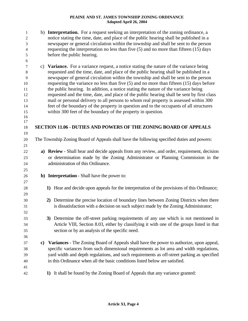| $\mathbf{1}$   |    | b) Interpretation. For a request seeking an interpretation of the zoning ordinance, a                                                                                               |
|----------------|----|-------------------------------------------------------------------------------------------------------------------------------------------------------------------------------------|
| $\overline{2}$ |    | notice stating the time, date, and place of the public hearing shall be published in a                                                                                              |
| 3              |    | newspaper or general circulation within the township and shall be sent to the person                                                                                                |
| $\overline{4}$ |    | requesting the interpretation no less than five $(5)$ and no more than fifteen $(15)$ days                                                                                          |
| $\sqrt{5}$     |    | before the public hearing.                                                                                                                                                          |
| 6              |    |                                                                                                                                                                                     |
| 7              |    | c) Variance. For a variance request, a notice stating the nature of the variance being                                                                                              |
| 8              |    | requested and the time, date, and place of the public hearing shall be published in a                                                                                               |
| 9              |    | newspaper of general circulation within the township and shall be sent to the person<br>requesting the variance no less than five $(5)$ and no more than fifteen $(15)$ days before |
| 10<br>11       |    | the public hearing. In addition, a notice stating the nature of the variance being                                                                                                  |
| 12             |    | requested and the time, date, and place of the public hearing shall be sent by first class                                                                                          |
| 13             |    | mail or personal delivery to all persons to whom real property is assessed within 300                                                                                               |
| 14             |    | feet of the boundary of the property in question and to the occupants of all structures                                                                                             |
| 15             |    | within 300 feet of the boundary of the property in question.                                                                                                                        |
| 16             |    |                                                                                                                                                                                     |
| 17             |    |                                                                                                                                                                                     |
| 18             |    | <b>SECTION 11.06 - DUTIES AND POWERS OF THE ZONING BOARD OF APPEALS</b>                                                                                                             |
| 19             |    |                                                                                                                                                                                     |
| 20             |    | The Township Zoning Board of Appeals shall have the following specified duties and powers:                                                                                          |
| 21             |    |                                                                                                                                                                                     |
| 22             |    | a) Review - Shall hear and decide appeals from any review, and order, requirement, decision                                                                                         |
| 23             |    | or determination made by the Zoning Administrator or Planning Commission in the                                                                                                     |
| 24             |    | administration of this Ordinance.                                                                                                                                                   |
| 25             |    |                                                                                                                                                                                     |
| 26             |    | <b>b)</b> Interpretation - Shall have the power to:                                                                                                                                 |
| 27             |    |                                                                                                                                                                                     |
| 28             |    | 1) Hear and decide upon appeals for the interpretation of the provisions of this Ordinance;                                                                                         |
| 29             |    |                                                                                                                                                                                     |
| 30             |    | 2) Determine the precise location of boundary lines between Zoning Districts when there                                                                                             |
| 31             |    | is dissatisfaction with a decision on such subject made by the Zoning Administrator;                                                                                                |
| 32             |    |                                                                                                                                                                                     |
| 33             |    | 3) Determine the off-street parking requirements of any use which is not mentioned in                                                                                               |
| 34             |    | Article VIII, Section 8.03, either by classifying it with one of the groups listed in that                                                                                          |
| 35             |    | section or by an analysis of the specific need.                                                                                                                                     |
| 36             |    |                                                                                                                                                                                     |
| 37             | C) | Variances - The Zoning Board of Appeals shall have the power to authorize, upon appeal,                                                                                             |
| 38             |    | specific variances from such dimensional requirements as lot area and width regulations,                                                                                            |
| 39             |    | yard width and depth regulations, and such requirements as off-street parking as specified                                                                                          |
| 40             |    | in this Ordinance when all the basic conditions listed below are satisfied.                                                                                                         |
| 41             |    |                                                                                                                                                                                     |
| 42             |    | 1) It shall be found by the Zoning Board of Appeals that any variance granted:                                                                                                      |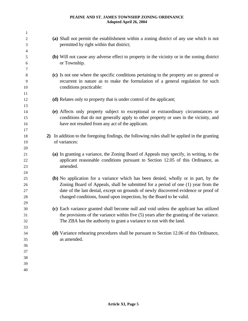| 1              |                                                                                                                                                                         |
|----------------|-------------------------------------------------------------------------------------------------------------------------------------------------------------------------|
| $\overline{c}$ | (a) Shall not permit the establishment within a zoning district of any use which is not                                                                                 |
| 3              | permitted by right within that district;                                                                                                                                |
| 4              |                                                                                                                                                                         |
| 5<br>6         | (b) Will not cause any adverse effect to property in the vicinity or in the zoning district<br>or Township.                                                             |
| 7              |                                                                                                                                                                         |
| $\,8\,$        | (c) Is not one where the specific conditions pertaining to the property are so general or                                                                               |
| 9              | recurrent in nature as to make the formulation of a general regulation for such                                                                                         |
| 10             | conditions practicable:                                                                                                                                                 |
| 11             |                                                                                                                                                                         |
| 12             | (d) Relates only to property that is under control of the applicant;                                                                                                    |
| 13             |                                                                                                                                                                         |
| 14             | (e) Affects only property subject to exceptional or extraordinary circumstances or                                                                                      |
| 15             | conditions that do not generally apply to other property or uses in the vicinity, and                                                                                   |
| 16             | have not resulted from any act of the applicant.                                                                                                                        |
| 17             |                                                                                                                                                                         |
| 18             | 2) In addition to the foregoing findings, the following rules shall be applied in the granting                                                                          |
| 19             | of variances:                                                                                                                                                           |
| 20             |                                                                                                                                                                         |
| 21             | (a) In granting a variance, the Zoning Board of Appeals may specify, in writing, to the                                                                                 |
| 22             | applicant reasonable conditions pursuant to Section 12.05 of this Ordinance, as                                                                                         |
| 23             | amended.                                                                                                                                                                |
| 24             |                                                                                                                                                                         |
| 25<br>26       | (b) No application for a variance which has been denied, wholly or in part, by the<br>Zoning Board of Appeals, shall be submitted for a period of one (1) year from the |
| 27             | date of the last denial, except on grounds of newly discovered evidence or proof of                                                                                     |
| 28             | changed conditions, found upon inspection, by the Board to be valid.                                                                                                    |
| 29             |                                                                                                                                                                         |
| 30             | (c) Each variance granted shall become null and void unless the applicant has utilized                                                                                  |
| 31             | the provisions of the variance within five (5) years after the granting of the variance.                                                                                |
| 32             | The ZBA has the authority to grant a variance to run with the land.                                                                                                     |
| 33             |                                                                                                                                                                         |
| 34             | (d) Variance rehearing procedures shall be pursuant to Section 12.06 of this Ordinance,                                                                                 |
| 35             | as amended.                                                                                                                                                             |
| 36             |                                                                                                                                                                         |
| 37             |                                                                                                                                                                         |
| 38             |                                                                                                                                                                         |
| 39             |                                                                                                                                                                         |
| 40             |                                                                                                                                                                         |
|                |                                                                                                                                                                         |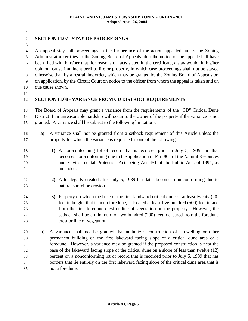1 2 3 4 5 6 7 8 9 10 11 12 13 14 15 16 17 18 19 20 21 22 23 24 25 26 27 28 29 30 31 32 33 34 35 **SECTION 11.07 - STAY OF PROCEEDINGS** An appeal stays all proceedings in the furtherance of the action appealed unless the Zoning Administrator certifies to the Zoning Board of Appeals after the notice of the appeal shall have been filed with him/her that, for reasons of facts stated in the certificate, a stay would, in his/her opinion, cause imminent peril to life or property, in which case proceedings shall not be stayed otherwise than by a restraining order, which may be granted by the Zoning Board of Appeals or, on application, by the Circuit Court on notice to the officer from whom the appeal is taken and on due cause shown. **SECTION 11.08 - VARIANCE FROM CD DISTRICT REQUIREMENTS**  The Board of Appeals may grant a variance from the requirements of the "CD" Critical Dune District if an unreasonable hardship will occur to the owner of the property if the variance is not granted. A variance shall be subject to the following limitations: **a)** A variance shall not be granted from a setback requirement of this Article unless the property for which the variance is requested is one of the following: **1)** A non-conforming lot of record that is recorded prior to July 5, 1989 and that becomes non-conforming due to the application of Part 801 of the Natural Resources and Environmental Protection Act, being Act 451 of the Public Acts of 1994, as amended. **2)** A lot legally created after July 5, 1989 that later becomes non-conforming due to natural shoreline erosion. **3)** Property on which the base of the first landward critical dune of at least twenty (20) feet in height, that is not a foredune, is located at least five-hundred (500) feet inland from the first foredune crest or line of vegetation on the property. However, the setback shall be a minimum of two hundred (200) feet measured from the foredune crest or line of vegetation. **b)** A variance shall not be granted that authorizes construction of a dwelling or other permanent building on the first lakeward facing slope of a critical dune area or a foredune. However, a variance may be granted if the proposed construction is near the base of the lakeward facing slope of the critical dune on a slope of less than twelve (12) percent on a nonconforming lot of record that is recorded prior to July 5, 1989 that has borders that lie entirely on the first lakeward facing slope of the critical dune area that is not a foredune.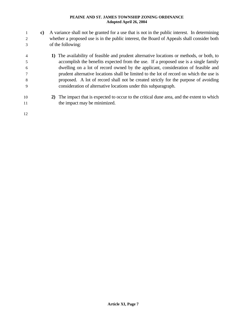- 1 2 3 **c)** A variance shall not be granted for a use that is not in the public interest. In determining whether a proposed use is in the public interest, the Board of Appeals shall consider both of the following:
- 4 5 6 7 8 9 **1)** The availability of feasible and prudent alternative locations or methods, or both, to accomplish the benefits expected from the use. If a proposed use is a single family dwelling on a lot of record owned by the applicant, consideration of feasible and prudent alternative locations shall be limited to the lot of record on which the use is proposed. A lot of record shall not be created strictly for the purpose of avoiding consideration of alternative locations under this subparagraph.
- 10 11 **2)** The impact that is expected to occur to the critical dune area, and the extent to which the impact may be minimized.

12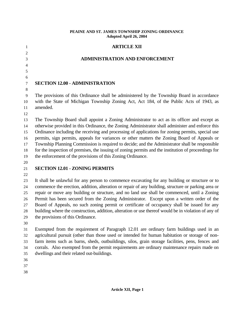| 1            | <b>ARTICLE XII</b>                                                                                                                                                                                    |
|--------------|-------------------------------------------------------------------------------------------------------------------------------------------------------------------------------------------------------|
| 2            |                                                                                                                                                                                                       |
| 3            | <b>ADMINISTRATION AND ENFORCEMENT</b>                                                                                                                                                                 |
| 4            |                                                                                                                                                                                                       |
| 5            |                                                                                                                                                                                                       |
| 6            | <b>SECTION 12.00 - ADMINISTRATION</b>                                                                                                                                                                 |
| 7<br>$\,8\,$ |                                                                                                                                                                                                       |
| 9            | The provisions of this Ordinance shall be administered by the Township Board in accordance                                                                                                            |
| 10           | with the State of Michigan Township Zoning Act, Act 184, of the Public Acts of 1943, as                                                                                                               |
| 11           | amended.                                                                                                                                                                                              |
| 12           |                                                                                                                                                                                                       |
| 13           | The Township Board shall appoint a Zoning Administrator to act as its officer and except as                                                                                                           |
| 14           | otherwise provided in this Ordinance, the Zoning Administrator shall administer and enforce this                                                                                                      |
| 15           | Ordinance including the receiving and processing of applications for zoning permits, special use                                                                                                      |
| 16           | permits, sign permits, appeals for variances or other matters the Zoning Board of Appeals or                                                                                                          |
| 17           | Township Planning Commission is required to decide; and the Administrator shall be responsible                                                                                                        |
| 18           | for the inspection of premises, the issuing of zoning permits and the institution of proceedings for                                                                                                  |
| 19           | the enforcement of the provisions of this Zoning Ordinance.                                                                                                                                           |
| 20           |                                                                                                                                                                                                       |
| 21           | <b>SECTION 12.01 - ZONING PERMITS</b>                                                                                                                                                                 |
| 22           |                                                                                                                                                                                                       |
| 23<br>24     | It shall be unlawful for any person to commence excavating for any building or structure or to<br>commence the erection, addition, alteration or repair of any building, structure or parking area or |
| 25           | repair or move any building or structure, and no land use shall be commenced, until a Zoning                                                                                                          |
| 26           | Permit has been secured from the Zoning Administrator. Except upon a written order of the                                                                                                             |
| 27           | Board of Appeals, no such zoning permit or certificate of occupancy shall be issued for any                                                                                                           |
| 28           | building where the construction, addition, alteration or use thereof would be in violation of any of                                                                                                  |
| 29           | the provisions of this Ordinance.                                                                                                                                                                     |
| 30           |                                                                                                                                                                                                       |
| 31           | Exempted from the requirement of Paragraph 12.01 are ordinary farm buildings used in an                                                                                                               |
| 32           | agricultural pursuit (other than those used or intended for human habitation or storage of non-                                                                                                       |
| 33           | farm items such as barns, sheds, outbuildings, silos, grain storage facilities, pens, fences and                                                                                                      |
| 34           | corrals. Also exempted from the permit requirements are ordinary maintenance repairs made on                                                                                                          |
| 35           | dwellings and their related out-buildings.                                                                                                                                                            |
| 36           |                                                                                                                                                                                                       |
| 37           |                                                                                                                                                                                                       |
| 38           |                                                                                                                                                                                                       |
|              |                                                                                                                                                                                                       |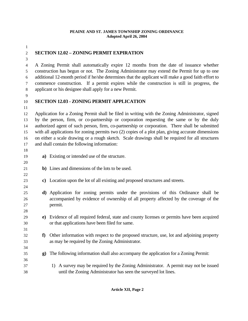- 1
- 2 3

# **SECTION 12.02 – ZONING PERMIT EXPIRATION**

4 5 6 7 8 A Zoning Permit shall automatically expire 12 months from the date of issuance whether construction has begun or not. The Zoning Administrator may extend the Permit for up to one additional 12-month period if he/she determines that the applicant will make a good faith effort to commence construction. If a permit expires while the construction is still in progress, the applicant or his designee shall apply for a new Permit.

9

# **SECTION 12.03 - ZONING PERMIT APPLICATION**

10 11

12 13 14 15 16 17 Application for a Zoning Permit shall be filed in writing with the Zoning Administrator, signed by the person, firm, or co-partnership or corporation requesting the same or by the duly authorized agent of such person, firm, co-partnership or corporation. There shall be submitted with all applications for zoning permits two (2) copies of a plot plan, giving accurate dimensions on either a scale drawing or a rough sketch. Scale drawings shall be required for all structures and shall contain the following information:

18 19

20 21 22

24

28

36

**a)** Existing or intended use of the structure.

- **b)** Lines and dimensions of the lots to be used.
- 23 **c)** Location upon the lot of all existing and proposed structures and streets.
- 25 26 27 **d)** Application for zoning permits under the provisions of this Ordinance shall be accompanied by evidence of ownership of all property affected by the coverage of the permit.
- 29 30 **e)** Evidence of all required federal, state and county licenses or permits have been acquired or that applications have been filed for same.
	- **f)** Other information with respect to the proposed structure, use, lot and adjoining property as may be required by the Zoning Administrator.
- 35 **g)** The following information shall also accompany the application for a Zoning Permit:
- 37 38 1) A survey may be required by the Zoning Administrator. A permit may not be issued until the Zoning Administrator has seen the surveyed lot lines.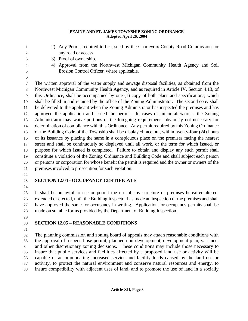1 2 3 4 5 6 7 8 9 10 11 12 13 14 15 16 17 18 19 20 21 22 2) Any Permit required to be issued by the Charlevoix County Road Commission for any road or access. 3) Proof of ownership. 4) Approval from the Northwest Michigan Community Health Agency and Soil Erosion Control Officer, where applicable. The written approval of the water supply and sewage disposal facilities, as obtained from the Northwest Michigan Community Health Agency, and as required in Article IV, Section 4.13, of this Ordinance, shall be accompanied by one (1) copy of both plans and specifications, which shall be filled in and retained by the office of the Zoning Administrator. The second copy shall be delivered to the applicant when the Zoning Administrator has inspected the premises and has approved the application and issued the permit. In cases of minor alterations, the Zoning Administrator may waive portions of the foregoing requirements obviously not necessary for determination of compliance with this Ordinance. Any permit required by this Zoning Ordinance or the Building Code of the Township shall be displayed face out, within twenty-four (24) hours of its issuance by placing the same in a conspicuous place on the premises facing the nearest street and shall be continuously so displayed until all work, or the term for which issued, or purpose for which issued is completed. Failure to obtain and display any such permit shall constitute a violation of the Zoning Ordinance and Building Code and shall subject each person or persons or corporation for whose benefit the permit is required and the owner or owners of the premises involved to prosecution for such violation.

#### 23 **SECTION 12.04 - OCCUPANCY CERTIFICATE**

24

25 26 27 28 It shall be unlawful to use or permit the use of any structure or premises hereafter altered, extended or erected, until the Building Inspector has made an inspection of the premises and shall have approved the same for occupancy in writing. Application for occupancy permits shall be made on suitable forms provided by the Department of Building Inspection.

29

#### 30 **SECTION 12.05 – REASONABLE CONDITIONS**

31

32 33 34 35 36 37 38 The planning commission and zoning board of appeals may attach reasonable conditions with the approval of a special use permit, planned unit development, development plan, variance, and other discretionary zoning decisions. These conditions may include those necessary to insure that public services and facilities affected by a proposed land use or activity will be capable of accommodating increased service and facility loads caused by the land use or activity, to protect the natural environment and conserve natural resources and energy, to insure compatibility with adjacent uses of land, and to promote the use of land in a socially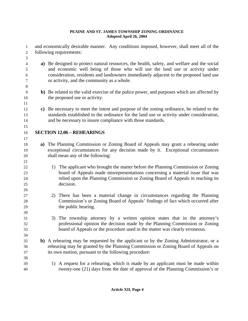| 1<br>$\overline{c}$<br>3               | and economically desirable manner. Any conditions imposed, however, shall meet all of the<br>following requirements:                                                                                                                                                                                               |
|----------------------------------------|--------------------------------------------------------------------------------------------------------------------------------------------------------------------------------------------------------------------------------------------------------------------------------------------------------------------|
| $\overline{4}$<br>5<br>6<br>7<br>$8\,$ | a) Be designed to protect natural resources, the health, safety, and welfare and the social<br>and economic well being of those who will use the land use or activity under<br>consideration, residents and landowners immediately adjacent to the proposed land use<br>or activity, and the community as a whole. |
| 9<br>10<br>11                          | b) Be related to the valid exercise of the police power, and purposes which are affected by<br>the proposed use or activity.                                                                                                                                                                                       |
| 12<br>13<br>14<br>15                   | c) Be necessary to meet the intent and purpose of the zoning ordinance, be related to the<br>standards established in the ordinance for the land use or activity under consideration,<br>and be necessary to insure compliance with those standards.                                                               |
| 16<br>17                               | <b>SECTION 12.06 - REHEARINGS</b>                                                                                                                                                                                                                                                                                  |
| 18<br>19<br>$20\,$<br>21               | a) The Planning Commission or Zoning Board of Appeals may grant a rehearing under<br>exceptional circumstances for any decision made by it. Exceptional circumstances<br>shall mean any of the following:                                                                                                          |
| 22<br>23<br>24<br>25<br>26             | 1) The applicant who brought the matter before the Planning Commission or Zoning<br>board of Appeals made misrepresentations concerning a material issue that was<br>relied upon the Planning Commission or Zoning Board of Appeals in reaching its<br>decision.                                                   |
| 27<br>28<br>29<br>30                   | 2) There has been a material change in circumstances regarding the Planning<br>Commission's or Zoning Board of Appeals' findings of fact which occurred after<br>the public hearing.                                                                                                                               |
| 31<br>32<br>33<br>34                   | 3) The township attorney by a written opinion states that in the attorney's<br>professional opinion the decision made by the Planning Commission or Zoning<br>board of Appeals or the procedure used in the matter was clearly erroneous.                                                                          |
| 35<br>36<br>37<br>38                   | b) A rehearing may be requested by the applicant or by the Zoning Administrator, or a<br>rehearing may be granted by the Planning Commission or Zoning Board of Appeals on<br>its own motion, pursuant to the following procedure:                                                                                 |
| 39<br>40                               | 1) A request for a rehearing, which is made by an applicant must be made within<br>twenty-one (21) days from the date of approval of the Planning Commission's or                                                                                                                                                  |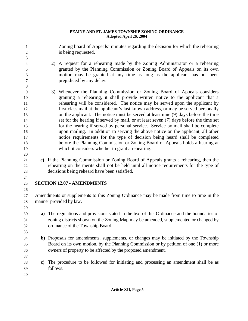1 2 3 4 5 6 7 8 9 10 11 12 13 14 15 16 17 18 19 20 21 22 23 24 25 26 27 28 29 30 31 32 33 34 35 36 37 38 39 40 Zoning board of Appeals' minutes regarding the decision for which the rehearing is being requested. 2) A request for a rehearing made by the Zoning Administrator or a rehearing granted by the Planning Commission or Zoning Board of Appeals on its own motion may be granted at any time as long as the applicant has not been prejudiced by any delay. 3) Whenever the Planning Commission or Zoning Board of Appeals considers granting a rehearing, it shall provide written notice to the applicant that a rehearing will be considered. The notice may be served upon the applicant by first class mail at the applicant's last known address, or may be served personally on the applicant. The notice must be served at least nine (9) days before the time set for the hearing if served by mail, or at least seven (7) days before the time set for the hearing if served by personal service. Service by mail shall be complete upon mailing. In addition to serving the above notice on the applicant, all other notice requirements for the type of decision being heard shall be completed before the Planning Commission or Zoning Board of Appeals holds a hearing at which it considers whether to grant a rehearing. **c)** If the Planning Commission or Zoning Board of Appeals grants a rehearing, then the rehearing on the merits shall not be held until all notice requirements for the type of decisions being reheard have been satisfied. **SECTION 12.07 - AMENDMENTS**  Amendments or supplements to this Zoning Ordinance may be made from time to time in the manner provided by law. **a)** The regulations and provisions stated in the text of this Ordinance and the boundaries of zoning districts shown on the Zoning Map may be amended, supplemented or changed by ordinance of the Township Board. **b)** Proposals for amendments, supplements, or changes may be initiated by the Township Board on its own motion, by the Planning Commission or by petition of one (1) or more owners of property to be affected by the proposed amendment. **c)** The procedure to be followed for initiating and processing an amendment shall be as follows: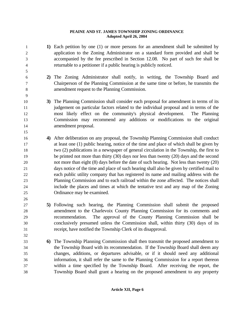- 1 2 3 4 5 6 7 8 9 10 11 12 13 14 15 16 17 18 19 20 21 22 23 24 25 26 27 28 29 30 31 32 33 **1)** Each petition by one (1) or more persons for an amendment shall be submitted by application to the Zoning Administrator on a standard form provided and shall be accompanied by the fee prescribed in Section 12.08. No part of such fee shall be returnable to a petitioner if a public hearing is publicly noticed. **2)** The Zoning Administrator shall notify, in writing, the Township Board and Chairperson of the Planning Commission at the same time or before, he transmits the amendment request to the Planning Commission. **3)** The Planning Commission shall consider each proposal for amendment in terms of its judgement on particular factors related to the individual proposal and in terms of the most likely effect on the community's physical development. The Planning Commission may recommend any additions or modifications to the original amendment proposal. **4)** After deliberation on any proposal, the Township Planning Commission shall conduct at least one (1) public hearing, notice of the time and place of which shall be given by two (2) publications in a newspaper of general circulation in the Township, the first to be printed not more than thirty (30) days nor less than twenty (20) days and the second not more than eight (8) days before the date of such hearing. Not less than twenty (20) days notice of the time and place of such hearing shall also be given by certified mail to each public utility company that has registered its name and mailing address with the Planning Commission and to each railroad within the zone affected. The notices shall include the places and times at which the tentative text and any map of the Zoning Ordinance may be examined. **5)** Following such hearing, the Planning Commission shall submit the proposed amendment to the Charlevoix County Planning Commission for its comments and recommendation. The approval of the County Planning Commission shall be conclusively presumed unless the Commission shall, within thirty (30) days of its receipt, have notified the Township Clerk of its disapproval. **6)** The Township Planning Commission shall then transmit the proposed amendment to
- 34 35 36 37 38 the Township Board with its recommendation. If the Township Board shall deem any changes, additions, or departures advisable, or if it should need any additional information, it shall refer the same to the Planning Commission for a report thereon within a time specified by the Township Board. After receiving the report, the Township Board shall grant a hearing on the proposed amendment to any property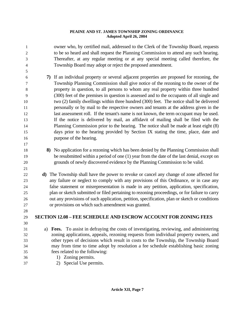- owner who, by certified mail, addressed to the Clerk of the Township Board, requests to be so heard and shall request the Planning Commission to attend any such hearing. Thereafter, at any regular meeting or at any special meeting called therefore, the Township Board may adopt or reject the proposed amendment.
- **7)** If an individual property or several adjacent properties are proposed for rezoning, the Township Planning Commission shall give notice of the rezoning to the owner of the property in question, to all persons to whom any real property within three hundred (300) feet of the premises in question is assessed and to the occupants of all single and two (2) family dwellings within three hundred (300) feet. The notice shall be delivered personally or by mail to the respective owners and tenants at the address given in the last assessment roll. If the tenant's name is not known, the term occupant may be used. If the notice is delivered by mail, an affidavit of mailing shall be filed with the Planning Commission prior to the hearing. The notice shall be made at least eight (8) days prior to the hearing provided by Section IX stating the time, place, date and purpose of the hearing.
	- **8)** No application for a rezoning which has been denied by the Planning Commission shall be resubmitted within a period of one (1) year from the date of the last denial, except on grounds of newly discovered evidence by the Planning Commission to be valid.
- **d)** The Township shall have the power to revoke or cancel any change of zone affected for any failure or neglect to comply with any provisions of this Ordinance, or in case any false statement or misrepresentation is made in any petition, application, specification, plan or sketch submitted or filed pertaining to rezoning proceedings, or for failure to carry out any provisions of such application, petition, specification, plan or sketch or conditions or provisions on which such amendment was granted.

#### 29 **SECTION 12.08 – FEE SCHEDULE AND ESCROW ACCOUNT FOR ZONING FEES**

- a) **Fees.** To assist in defraying the costs of investigating, reviewing, and administering zoning applications, appeals, rezoning requests from individual property owners, and other types of decisions which result in costs to the Township, the Township Board may from time to time adopt by resolution a fee schedule establishing basic zoning fees related to the following:
- 1) Zoning permits.

37 2) Special Use permits.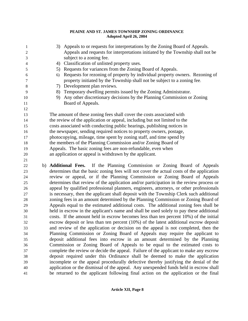- 1 2 3 4 5 6 7 8 9 10 11 12 13 14 15 16 17 18 19 20 21 22 23 24 25 26 27 28 29 30 31 32 33 34 35 3) Appeals to or requests for interpretations by the Zoning Board of Appeals. Appeals and requests for interpretations initiated by the Township shall not be subject to a zoning fee. 4) Classification of unlisted property uses. 5) Requests for variances from the Zoning Board of Appeals. 6) Requests for rezoning of property by individual property owners. Rezoning of property initiated by the Township shall not be subject to a zoning fee. 7) Development plan reviews. 8) Temporary dwelling permits issued by the Zoning Administrator. 9) Any other discretionary decisions by the Planning Commission or Zoning Board of Appeals. The amount of these zoning fees shall cover the costs associated with the review of the application or appeal, including but not limited to the costs associated with conducting public hearings, publishing notices in the newspaper, sending required notices to property owners, postage, photocopying, mileage, time spent by zoning staff, and time spend by the members of the Planning Commission and/or Zoning Board of Appeals. The basic zoning fees are non-refundable, even when an application or appeal is withdrawn by the applicant. b) **Additional Fees.** If the Planning Commission or Zoning Board of Appeals determines that the basic zoning fees will not cover the actual costs of the application review or appeal, or if the Planning Commission or Zoning Board of Appeals determines that review of the application and/or participation in the review process or appeal by qualified professional planners, engineers, attorneys, or other professionals is necessary, then the applicant shall deposit with the Township Clerk such additional zoning fees in an amount determined by the Planning Commission or Zoning Board of Appeals equal to the estimated additional costs. The additional zoning fees shall be held in escrow in the applicant's name and shall be used solely to pay these additional costs. If the amount held in escrow becomes less than ten percent 10%) of the initial escrow deposit or less than ten percent (10%) of the latest additional escrow deposit and review of the application or decision on the appeal is not completed, then the Planning Commission or Zoning Board of Appeals may require the applicant to deposit additional fees into escrow in an amount determined by the Planning
- 36 37 38 39 40 41 Commission or Zoning Board of Appeals to be equal to the estimated costs to complete the review or decide the appeal. Failure of the applicant to make any escrow deposit required under this Ordinance shall be deemed to make the application incomplete or the appeal procedurally defective thereby justifying the denial of the application or the dismissal of the appeal. Any unexpended funds held in escrow shall be returned to the applicant following final action on the application or the final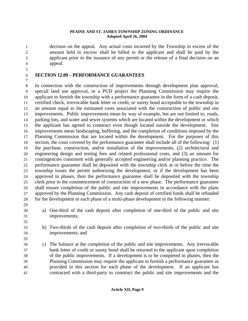- decision on the appeal. Any actual costs incurred by the Township in excess of the amount held in escrow shall be billed to the applicant and shall be paid by the applicant prior to the issuance of any permit or the release of a final decision on an appeal.
- 4 5 6

7

1 2 3

# **SECTION 12.09 – PERFORMANCE GUARANTEES**

8 9 10 11 12 13 14 15 16 17 18 19 20 21 22 23 24 25 26 27 28 In connection with the construction of improvements through development plan approval, special land use approval, or a PUD project the Planning Commission may require the applicant to furnish the township with a performance guarantee in the form of a cash deposit, certified check, irrevocable bank letter or credit, or surety bond acceptable to the township in an amount equal to the estimated costs associated with the construction of public and site improvements. Public improvements mean by way of example, but are not limited to, roads, parking lots, and water and sewer systems which are located within the development or which the applicant has agreed to construct even though located outside the development. Site improvements mean landscaping, buffering, and the completion of conditions imposed by the Planning Commission that are located within the development. For the purposes of this section, the costs covered by the performance guarantee shall include all of the following: (1) the purchase, construction, and/or installation of the improvements, (2) architectural and engineering design and testing fees and related professional costs, and (3) an amount for contingencies consistent with generally accepted engineering and/or planning practice. The performance guarantee shall be deposited with the township clerk at or before the time the township issues the permit authorizing the development, or if the development has been approved in phases, then the performance guarantee shall be deposited with the township clerk prior to the commencement of construction of a new phase. The performance guarantee shall ensure completion of the public and site improvements in accordance with the plans approved by the Planning Commission. Any cash deposit of certified funds shall be refunded for the development or each phase of a multi-phase development in the following manner:

29 30

a) One-third of the cash deposit after completion of one-third of the public and site improvements;

31 32 33

34 35 b) Two-thirds of the cash deposit after completion of two-thirds of the public and site improvements; and

36 37 38 39 40 41 c) The balance at the completion of the public and site improvements. Any irrevocable bank letter of credit or surety bond shall be returned to the applicant upon completion of the public improvements. If a development is to be completed in phases, then the Planning Commission may require the applicant to furnish a performance guarantee as provided in this section for each phase of the development. If an applicant has contracted with a third-party to construct the public and site improvements and the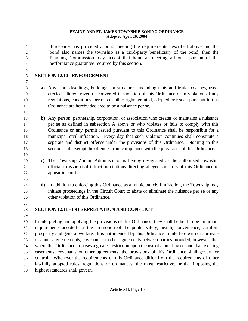- third-party has provided a bond meeting the requirements described above and the bond also names the township as a third-party beneficiary of the bond, then the Planning Commission may accept that bond as meeting all or a portion of the performance guarantee required by this section.
- 4 5 6

1 2 3

# **SECTION 12.10 - ENFORCEMENT**

- **a)** Any land, dwellings, buildings, or structures, including tents and trailer coaches, used, erected, altered, razed or converted in violation of this Ordinance or in violation of any regulations, conditions, permits or other rights granted, adopted or issued pursuant to this Ordinance are hereby declared to be a nuisance per se.
- 13 14 15 16 17 18 **b)** Any person, partnership, corporation, or association who creates or maintains a nuisance per se as defined in subsection A above or who violates or fails to comply with this Ordinance or any permit issued pursuant to this Ordinance shall be responsible for a municipal civil infraction. Every day that such violation continues shall constitute a separate and distinct offense under the provisions of this Ordinance. Nothing in this section shall exempt the offender from compliance with the provisions of this Ordinance.
- 19

- 20 21
- **c)** The Township Zoning Administrator is hereby designated as the authorized township official to issue civil infraction citations directing alleged violators of this Ordinance to appear in court.
- **d)** In addition to enforcing this Ordinance as a municipal civil infraction, the Township may initiate proceedings in the Circuit Court to abate or eliminate the nuisance per se or any other violation of this Ordinance.
- 27

29

#### 28 **SECTION 12.11 - INTERPRETATION AND CONFLICT**

30 31 32 33 34 35 36 37 38 In interpreting and applying the provisions of this Ordinance, they shall be held to be minimum requirements adopted for the promotion of the public safety, health, convenience, comfort, prosperity and general welfare. It is not intended by this Ordinance to interfere with or abrogate or annul any easements, covenants or other agreements between parties provided, however, that where this Ordinance imposes a greater restriction upon the use of a building or land than existing easements, covenants or other agreements, the provisions of this Ordinance shall govern or control. Whenever the requirements of this Ordinance differ from the requirements of other lawfully adopted rules, regulations or ordinances, the most restrictive, or that imposing the highest standards shall govern.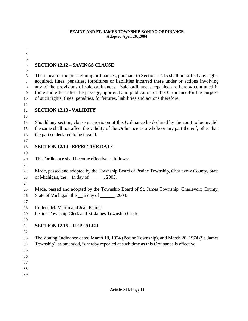**SECTION 12.12 – SAVINGS CLAUSE**  The repeal of the prior zoning ordinances, pursuant to Section 12.15 shall not affect any rights acquired, fines, penalties, forfeitures or liabilities incurred there under or actions involving any of the provisions of said ordinances. Said ordinances repealed are hereby continued in force and effect after the passage, approval and publication of this Ordinance for the purpose of such rights, fines, penalties, forfeitures, liabilities and actions therefore. **SECTION 12.13 - VALIDITY** Should any section, clause or provision of this Ordinance be declared by the court to be invalid, the same shall not affect the validity of the Ordinance as a whole or any part thereof, other than the part so declared to be invalid. **SECTION 12.14 - EFFECTIVE DATE** This Ordinance shall become effective as follows: Made, passed and adopted by the Township Board of Peaine Township, Charlevoix County, State of Michigan, the  $\theta$  th day of  $\theta$ , 2003. Made, passed and adopted by the Township Board of St. James Township, Charlevoix County, State of Michigan, the th day of 2003. Colleen M. Martin and Jean Palmer Peaine Township Clerk and St. James Township Clerk **SECTION 12.15 – REPEALER**  The Zoning Ordinance dated March 18, 1974 (Peaine Township), and March 20, 1974 (St. James Township), as amended, is hereby repealed at such time as this Ordinance is effective.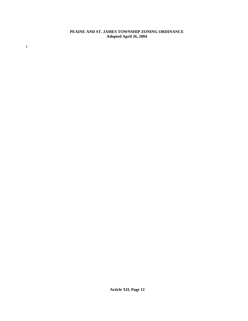1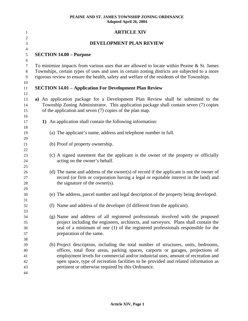| 1                                | <b>ARTICLE XIV</b>                                                                                                                                                                                                                                                                                                                                                                                       |
|----------------------------------|----------------------------------------------------------------------------------------------------------------------------------------------------------------------------------------------------------------------------------------------------------------------------------------------------------------------------------------------------------------------------------------------------------|
| 2<br>3                           | DEVELOPMENT PLAN REVIEW                                                                                                                                                                                                                                                                                                                                                                                  |
| $\overline{4}$                   |                                                                                                                                                                                                                                                                                                                                                                                                          |
| 5                                | <b>SECTION 14.00 - Purpose</b>                                                                                                                                                                                                                                                                                                                                                                           |
| 6<br>7<br>$8\,$<br>9<br>10       | To minimize impacts from various uses that are allowed to locate within Peaine & St. James<br>Townships, certain types of uses and uses in certain zoning districts are subjected to a more<br>rigorous review to ensure the health, safety and welfare of the residents of the Townships.                                                                                                               |
| 11<br>12                         | <b>SECTION 14.01 - Application For Development Plan Review</b>                                                                                                                                                                                                                                                                                                                                           |
| 13<br>14<br>15<br>16             | a) An application package for a Development Plan Review shall be submitted to the<br>Township Zoning Administrator. This application package shall contain seven (7) copies<br>of the application and seven (7) copies of the plan map.                                                                                                                                                                  |
| 17<br>18                         | 1) An application shall contain the following information:                                                                                                                                                                                                                                                                                                                                               |
| 19<br>20                         | (a) The applicant's name, address and telephone number in full.                                                                                                                                                                                                                                                                                                                                          |
| 21<br>22                         | (b) Proof of property ownership.                                                                                                                                                                                                                                                                                                                                                                         |
| 23<br>24<br>25                   | (c) A signed statement that the applicant is the owner of the property or officially<br>acting on the owner's behalf.                                                                                                                                                                                                                                                                                    |
| 26<br>27<br>28<br>29             | (d) The name and address of the owner(s) of record if the applicant is not the owner of<br>record (or firm or corporation having a legal or equitable interest in the land) and<br>the signature of the owner(s).                                                                                                                                                                                        |
| 30<br>31                         | (e) The address, parcel number and legal description of the property being developed.                                                                                                                                                                                                                                                                                                                    |
| 32<br>33                         | (f) Name and address of the developer (if different from the applicant).                                                                                                                                                                                                                                                                                                                                 |
| 34<br>35<br>36<br>37<br>38       | (g) Name and address of all registered professionals involved with the proposed<br>project including the engineers, architects, and surveyors. Plans shall contain the<br>seal of a minimum of one (1) of the registered professionals responsible for the<br>preparation of the same.                                                                                                                   |
| 39<br>40<br>41<br>42<br>43<br>44 | (h) Project description, including the total number of structures, units, bedrooms,<br>offices, total floor areas, parking spaces, carports or garages, projections of<br>employment levels for commercial and/or industrial uses, amount of recreation and<br>open space, type of recreation facilities to be provided and related information as<br>pertinent or otherwise required by this Ordinance. |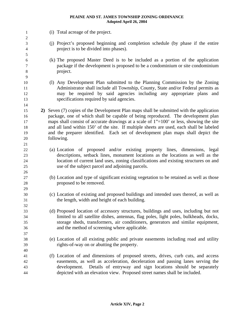1 (i) Total acreage of the project. 2 3 4 5 6 7 8 9 10 11 12 13 14 15 16 17 18 19 20 21 22 23 24 25 26 27 28 29 30 31 32 33 34 35 36 37 38 39 40 41 42 43 44 (j) Project's proposed beginning and completion schedule (by phase if the entire project is to be divided into phases). (k) The proposed Master Deed is to be included as a portion of the application package if the development is proposed to be a condominium or site condominium project. (l) Any Development Plan submitted to the Planning Commission by the Zoning Administrator shall include all Township, County, State and/or Federal permits as may be required by said agencies including any appropriate plans and specifications required by said agencies. **2)** Seven (7) copies of the Development Plan maps shall be submitted with the application package, one of which shall be capable of being reproduced. The development plan maps shall consist of accurate drawings at a scale of  $1"=\overline{100}$  or less, showing the site and all land within 150' of the site. If multiple sheets are used, each shall be labeled and the preparer identified. Each set of development plan maps shall depict the following. (a) Location of proposed and/or existing property lines, dimensions, legal descriptions, setback lines, monument locations as the locations as well as the location of current land uses, zoning classifications and existing structures on and use of the subject parcel and adjoining parcels. (b) Location and type of significant existing vegetation to be retained as well as those proposed to be removed. (c) Location of existing and proposed buildings and intended uses thereof, as well as the length, width and height of each building. (d) Proposed location of accessory structures, buildings and uses, including but not limited to all satellite dishes, antennas, flag poles, light poles, bulkheads, docks, storage sheds, transformers, air conditioners, generators and similar equipment, and the method of screening where applicable. (e) Location of all existing public and private easements including road and utility rights-of-way on or abutting the property. (f) Location of and dimensions of proposed streets, drives, curb cuts, and access easements, as well as acceleration, deceleration and passing lanes serving the development. Details of entryway and sign locations should be separately depicted with an elevation view. Proposed street names shall be included.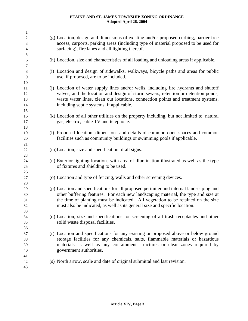| 1              |                                                                                                                             |
|----------------|-----------------------------------------------------------------------------------------------------------------------------|
| $\overline{c}$ | (g) Location, design and dimensions of existing and/or proposed curbing, barrier free                                       |
| 3              | access, carports, parking areas (including type of material proposed to be used for                                         |
| $\overline{4}$ | surfacing), fire lanes and all lighting thereof.                                                                            |
| $\sqrt{5}$     |                                                                                                                             |
| 6              | (h) Location, size and characteristics of all loading and unloading areas if applicable.                                    |
| 7              |                                                                                                                             |
| $8\,$<br>9     | (i) Location and design of sidewalks, walkways, bicycle paths and areas for public<br>use, if proposed, are to be included. |
| 10             |                                                                                                                             |
| 11             | (j) Location of water supply lines and/or wells, including fire hydrants and shutoff                                        |
| 12             | valves, and the location and design of storm sewers, retention or detention ponds,                                          |
| 13             | waste water lines, clean out locations, connection points and treatment systems,                                            |
| 14             | including septic systems, if applicable.                                                                                    |
| 15             |                                                                                                                             |
| 16             | (k) Location of all other utilities on the property including, but not limited to, natural                                  |
| 17             | gas, electric, cable TV and telephone.                                                                                      |
| 18             |                                                                                                                             |
| 19             | (1) Proposed location, dimensions and details of common open spaces and common                                              |
| 20             | facilities such as community buildings or swimming pools if applicable.                                                     |
| 21             |                                                                                                                             |
| 22             | (m) Location, size and specification of all signs.                                                                          |
| 23             |                                                                                                                             |
| 24             | (n) Exterior lighting locations with area of illumination illustrated as well as the type                                   |
| 25             | of fixtures and shielding to be used.                                                                                       |
| 26             |                                                                                                                             |
| 27             | (o) Location and type of fencing, walls and other screening devices.                                                        |
| 28             |                                                                                                                             |
| 29             | (p) Location and specifications for all proposed perimiter and internal landscaping and                                     |
| 30             | other buffering features. For each new landscaping material, the type and size at                                           |
| 31             | the time of planting must be indicated. All vegetation to be retained on the size                                           |
| 32             | must also be indicated, as well as its general size and specific location.                                                  |
| 33             |                                                                                                                             |
| 34             | (q) Location, size and specifications for screening of all trash receptacles and other                                      |
| 35             | solid waste disposal facilities.                                                                                            |
| 36             |                                                                                                                             |
| 37             | (r) Location and specifications for any existing or proposed above or below ground                                          |
| 38             | storage facilities for any chemicals, salts, flammable materials or hazardous                                               |
| 39             | materials as well as any containment structures or clear zones required by                                                  |
| 40             | government authorities.                                                                                                     |
| 41             |                                                                                                                             |
| 42             | (s) North arrow, scale and date of original submittal and last revision.                                                    |
| 43             |                                                                                                                             |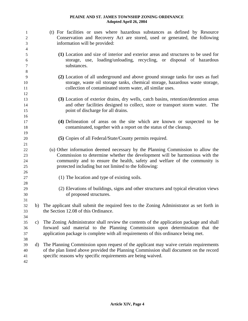| 1<br>2<br>3    |    | (t) For facilities or uses where hazardous substances as defined by Resource<br>Conservation and Recovery Act are stored, used or generated, the following<br>information will be provided: |
|----------------|----|---------------------------------------------------------------------------------------------------------------------------------------------------------------------------------------------|
| $\overline{4}$ |    |                                                                                                                                                                                             |
| 5              |    | (1) Location and size of interior and exterior areas and structures to be used for                                                                                                          |
| 6              |    | storage, use, loading/unloading, recycling, or disposal of hazardous                                                                                                                        |
| 7              |    | substances.                                                                                                                                                                                 |
| 8              |    |                                                                                                                                                                                             |
| 9              |    | (2) Location of all underground and above ground storage tanks for uses as fuel                                                                                                             |
| 10             |    | storage, waste oil storage tanks, chemical storage, hazardous waste storage,                                                                                                                |
| 11             |    | collection of contaminated storm water, all similar uses.                                                                                                                                   |
| 12             |    |                                                                                                                                                                                             |
| 13             |    | (3) Location of exterior drains, dry wells, catch basins, retention/detention areas                                                                                                         |
| 14             |    | and other facilities designed to collect, store or transport storm water. The                                                                                                               |
| 15             |    | point of discharge for all drains.                                                                                                                                                          |
| 16             |    |                                                                                                                                                                                             |
| 17             |    | (4) Delineation of areas on the site which are known or suspected to be                                                                                                                     |
| 18             |    | contaminated, together with a report on the status of the cleanup.                                                                                                                          |
| 19             |    |                                                                                                                                                                                             |
| $20\,$         |    | (5) Copies of all Federal/State/County permits required.                                                                                                                                    |
| 21             |    |                                                                                                                                                                                             |
| 22             |    | (u) Other information deemed necessary by the Planning Commission to allow the                                                                                                              |
| 23             |    | Commission to determine whether the development will be harmonious with the                                                                                                                 |
| 24             |    | community and to ensure the health, safety and welfare of the community is                                                                                                                  |
| 25             |    | protected including but not limited to the following:                                                                                                                                       |
| 26             |    |                                                                                                                                                                                             |
| 27             |    | (1) The location and type of existing soils.                                                                                                                                                |
| 28             |    |                                                                                                                                                                                             |
| 29             |    | (2) Elevations of buildings, signs and other structures and typical elevation views                                                                                                         |
| 30             |    | of proposed structures.                                                                                                                                                                     |
| 31             |    |                                                                                                                                                                                             |
| 32             | b) | The applicant shall submit the required fees to the Zoning Administrator as set forth in                                                                                                    |
| 33             |    | the Section 12.08 of this Ordinance.                                                                                                                                                        |
| 34             |    | The Zoning Administrator shall review the contents of the application package and shall                                                                                                     |
| 35             | c) |                                                                                                                                                                                             |
| 36             |    | forward said material to the Planning Commission upon determination that the                                                                                                                |
| 37             |    | application package is complete with all requirements of this ordinance being met.                                                                                                          |
| 38             |    |                                                                                                                                                                                             |
| 39             | d) | The Planning Commission upon request of the applicant may waive certain requirements                                                                                                        |
| 40             |    | of the plan listed above provided the Planning Commission shall document on the record<br>specific reasons why specific requirements are being waived.                                      |
| 41             |    |                                                                                                                                                                                             |
| 42             |    |                                                                                                                                                                                             |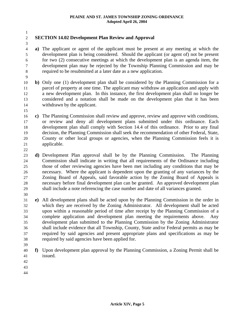1 2 3

## **SECTION 14.02 Development Plan Review and Approval**

4 **a)** The applicant or agent of the applicant must be present at any meeting at which the development plan is being considered. Should the applicant (or agent of) not be present for two (2) consecutive meetings at which the development plan is an agenda item, the development plan may be rejected by the Township Planning Commission and may be required to be resubmitted at a later date as a new application.

10 11 12 13 14 **b)** Only one (1) development plan shall be considered by the Planning Commission for a parcel of property at one time. The applicant may withdraw an application and apply with a new development plan. In this instance, the first development plan shall no longer be considered and a notation shall be made on the development plan that it has been withdrawn by the applicant.

- 16 17 18 19 20 21 **c)** The Planning Commission shall review and approve, review and approve with conditions, or review and deny all development plans submitted under this ordinance. Each development plan shall comply with Section 14.4 of this ordinance. Prior to any final decision, the Planning Commission shall seek the recommendation of other Federal, State, County or other local groups or agencies, when the Planning Commission feels it is applicable.
- 22

15

23 24 25 26 27 28 29 **d)** Development Plan approval shall be by the Planning Commission. The Planning Commission shall indicate in writing that all requirements of the Ordinance including those of other reviewing agencies have been met including any conditions that may be necessary. Where the applicant is dependent upon the granting of any variances by the Zoning Board of Appeals, said favorable action by the Zoning Board of Appeals is necessary before final development plan can be granted. An approved development plan shall include a note referencing the case number and date of all variances granted.

30

31 32 33 34 35 36 37 38 **e)** All development plans shall be acted upon by the Planning Commission in the order in which they are received by the Zoning Administrator. All development shall be acted upon within a reasonable period of time after receipt by the Planning Commission of a complete application and development plan meeting the requirements above. Any development plan submitted to the Planning Commission by the Zoning Administrator shall include evidence that all Township, County, State and/or Federal permits as may be required by said agencies and present appropriate plans and specifications as may be required by said agencies have been applied for.

- 39
- 40 41 **f)** Upon development plan approval by the Planning Commission, a Zoning Permit shall be issued.
- 42
- 43
- 44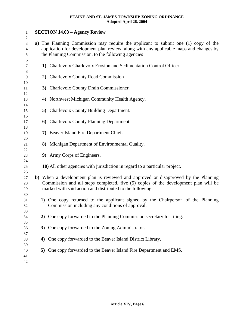| $\mathbf{1}$   |    | <b>SECTION 14.03 – Agency Review</b>                                                   |
|----------------|----|----------------------------------------------------------------------------------------|
| $\overline{c}$ |    |                                                                                        |
| 3              |    | a) The Planning Commission may require the applicant to submit one (1) copy of the     |
| 4              |    | application for development plan review, along with any applicable maps and changes by |
| 5              |    | the Planning Commission, to the following agencies                                     |
| 6<br>7         |    | 1) Charlevoix Charlevoix Erosion and Sedimentation Control Officer.                    |
| 8              |    |                                                                                        |
| 9              |    | 2) Charlevoix County Road Commission                                                   |
| 10             |    |                                                                                        |
| 11             |    | 3) Charlevoix County Drain Commissioner.                                               |
| 12             |    |                                                                                        |
| 13             |    | 4) Northwest Michigan Community Health Agency.                                         |
| 14             |    |                                                                                        |
| 15             |    | 5) Charlevoix County Building Department.                                              |
| 16             |    |                                                                                        |
| 17             |    | 6) Charlevoix County Planning Department.                                              |
| 18             |    |                                                                                        |
| 19             |    | 7) Beaver Island Fire Department Chief.                                                |
| 20             |    |                                                                                        |
| 21             |    | 8) Michigan Department of Environmental Quality.                                       |
| 22             |    | 9) Army Corps of Engineers.                                                            |
| 23<br>24       |    |                                                                                        |
| 25             |    | 10) All other agencies with jurisdiction in regard to a particular project.            |
| 26             |    |                                                                                        |
| 27             |    | b) When a development plan is reviewed and approved or disapproved by the Planning     |
| 28             |    | Commission and all steps completed, five (5) copies of the development plan will be    |
| 29             |    | marked with said action and distributed to the following:                              |
| 30             |    |                                                                                        |
| 31             |    | 1) One copy returned to the applicant signed by the Chairperson of the Planning        |
| 32             |    | Commission including any conditions of approval.                                       |
| 33             |    |                                                                                        |
| 34             |    | 2) One copy forwarded to the Planning Commission secretary for filing.                 |
| 35             |    |                                                                                        |
| 36             |    | 3) One copy forwarded to the Zoning Administrator.                                     |
| 37             |    |                                                                                        |
| 38<br>39       | 4) | One copy forwarded to the Beaver Island District Library.                              |
| 40             |    | 5) One copy forwarded to the Beaver Island Fire Department and EMS.                    |
| 41             |    |                                                                                        |
| 42             |    |                                                                                        |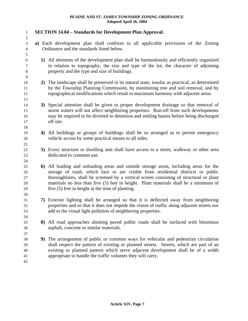| $\mathbf{1}$                     | <b>SECTION 14.04 – Standards for Development Plan Approval.</b>                                                                                                                |
|----------------------------------|--------------------------------------------------------------------------------------------------------------------------------------------------------------------------------|
| $\overline{2}$                   |                                                                                                                                                                                |
| $\mathfrak{Z}$<br>$\overline{4}$ | a) Each development plan shall conform to all applicable provisions of the Zoning<br>Ordinance and the standards listed below.                                                 |
| 5                                |                                                                                                                                                                                |
| 6                                | 1) All elements of the development plan shall be harmoniously and efficiently organized                                                                                        |
| $\tau$                           | in relation to topography, the size and type of the lot, the character of adjoining                                                                                            |
| $\,8\,$                          | property and the type and size of buildings.                                                                                                                                   |
| 9                                |                                                                                                                                                                                |
| 10                               | 2) The landscape shall be preserved in its natural state, insofar as practical, as determined                                                                                  |
| 11                               | by the Township Planning Commission, by minimizing tree and soil removal, and by                                                                                               |
| 12                               | topographical modifications which result in maximum harmony with adjacent areas.                                                                                               |
| 13                               |                                                                                                                                                                                |
| 14                               | 3) Special attention shall be given to proper development drainage so that removal of                                                                                          |
| 15<br>16                         | storm waters will not affect neighboring properties. Run-off from such developments<br>may be required to be diverted to detention and settling basins before being discharged |
| 17                               | off site.                                                                                                                                                                      |
| 18                               |                                                                                                                                                                                |
| 19                               | 4) All buildings or groups of buildings shall be so arranged as to permit emergency                                                                                            |
| $20\,$                           | vehicle access by some practical means to all sides.                                                                                                                           |
| 21                               |                                                                                                                                                                                |
| 22                               | 5) Every structure or dwelling unit shall have access to a street, walkway or other area                                                                                       |
| 23                               | dedicated to common use.                                                                                                                                                       |
| $24\,$                           |                                                                                                                                                                                |
| 25                               | 6) All loading and unloading areas and outside storage areas, including areas for the                                                                                          |
| 26                               | storage of trash, which face or are visible from residential districts or public                                                                                               |
| $27\,$                           | thoroughfares, shall be screened by a vertical screen consisting of structural or plant                                                                                        |
| 28                               | materials no less than five (5) feet in height. Plant materials shall be a minimum of                                                                                          |
| 29<br>30                         | five (5) feet in height at the time of planting.                                                                                                                               |
| 31                               | 7) Exterior lighting shall be arranged so that it is deflected away from neighboring                                                                                           |
| 32                               | properties and so that it does not impede the vision of traffic along adjacent streets nor                                                                                     |
| 33                               | add to the visual light pollution of neighboring properties.                                                                                                                   |
| 34                               |                                                                                                                                                                                |
| 35                               | 8) All road approaches abutting paved public roads shall be surfaced with bituminus                                                                                            |
| 36                               | asphalt, concrete or similar materials.                                                                                                                                        |
| 37                               |                                                                                                                                                                                |
| 38                               | 9) The arrangement of public or common ways for vehicular and pedestrian circulation                                                                                           |
| 39                               | shall respect the pattern of existing or planned streets. Streets, which are part of an                                                                                        |
| 40                               | existing or planned pattern which serve adjacent development shall be of a width                                                                                               |
| 41                               | appropriate to handle the traffic volumes they will carry.                                                                                                                     |
| 42                               |                                                                                                                                                                                |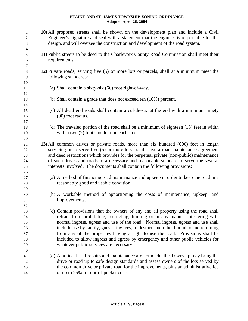| 1<br>2      | 10) All proposed streets shall be shown on the development plan and include a Civil<br>Engineer's signature and seal with a statement that the engineer is responsible for the |
|-------------|--------------------------------------------------------------------------------------------------------------------------------------------------------------------------------|
| 3           | design, and will oversee the construction and development of the road system.                                                                                                  |
| 4<br>5<br>6 | 11) Public streets to be deed to the Charlevoix County Road Commission shall meet their<br>requirements.                                                                       |
| 7           |                                                                                                                                                                                |
| 8<br>9      | 12) Private roads, serving five (5) or more lots or parcels, shall at a minimum meet the<br>following standards:                                                               |
| 10          |                                                                                                                                                                                |
| 11          | (a) Shall contain a sixty-six (66) foot right-of-way.                                                                                                                          |
| 12          |                                                                                                                                                                                |
| 13          | (b) Shall contain a grade that does not exceed ten $(10\%)$ percent.                                                                                                           |
| 14          |                                                                                                                                                                                |
| 15          | (c) All dead end roads shall contain a cul-de-sac at the end with a minimum ninety                                                                                             |
| 16          | (90) foot radius.                                                                                                                                                              |
| 17          |                                                                                                                                                                                |
| 18          | (d) The traveled portion of the road shall be a minimum of eighteen (18) feet in width                                                                                         |
| 19          | with a two (2) foot shoulder on each side.                                                                                                                                     |
| 20          |                                                                                                                                                                                |
| 21          | 13) All common drives or private roads, more than six hundred (600) feet in length                                                                                             |
| 22          | servicing or to serve five (5) or more lots, shall have a road maintenance agreement                                                                                           |
| 23          | and deed restrictions which provides for the perpetual private (non-public) maintenance                                                                                        |
| 24          | of such drives and roads to a necessary and reasonable standard to serve the several                                                                                           |
| 25          | interests involved. The documents shall contain the following provisions:                                                                                                      |
| 26          |                                                                                                                                                                                |
| 27          | (a) A method of financing road maintenance and upkeep in order to keep the road in a                                                                                           |
| 28          | reasonably good and usable condition.                                                                                                                                          |
| 29          |                                                                                                                                                                                |
| 30          | (b) A workable method of apportioning the costs of maintenance, upkeep, and                                                                                                    |
| 31          | improvements.                                                                                                                                                                  |
| 32          |                                                                                                                                                                                |
| 33          | (c) Contain provisions that the owners of any and all property using the road shall                                                                                            |
| 34          | refrain from prohibiting, restricting, limiting or in any manner interfering with                                                                                              |
| 35          | normal ingress, egress and use of the road. Normal ingress, egress and use shall                                                                                               |
| 36          | include use by family, guests, invitees, tradesmen and other bound to and returning                                                                                            |
| 37          | from any of the properties having a right to use the road. Provisions shall be                                                                                                 |
| 38          | included to allow ingress and egress by emergency and other public vehicles for                                                                                                |
| 39          | whatever public services are necessary.                                                                                                                                        |
| 40          |                                                                                                                                                                                |
| 41          | (d) A notice that if repairs and maintenance are not made, the Township may bring the                                                                                          |
| 42          | drive or road up to safe design standards and assess owners of the lots served by                                                                                              |
| 43          | the common drive or private road for the improvements, plus an administrative fee                                                                                              |
| 44          | of up to 25% for out-of-pocket costs.                                                                                                                                          |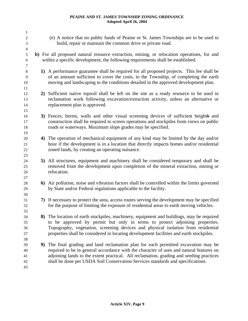| 1                          |                                                                                                                                                                                                                                                                                                                                                              |
|----------------------------|--------------------------------------------------------------------------------------------------------------------------------------------------------------------------------------------------------------------------------------------------------------------------------------------------------------------------------------------------------------|
| $\overline{c}$<br>3        | (e) A notice that no public funds of Peaine or St. James Townships are to be used to<br>build, repair or maintain the common drive or private road.                                                                                                                                                                                                          |
| $\overline{4}$             |                                                                                                                                                                                                                                                                                                                                                              |
| $\sqrt{5}$<br>6<br>7       | b) For all proposed natural resource extraction, mining, or relocation operations, for and<br>within a specific development, the following requirements shall be established:                                                                                                                                                                                |
| $8\,$<br>9<br>10           | 1) A performance guarantee shall be required for all proposed projects. This fee shall be<br>of an amount sufficient to cover the costs, to the Township, of completing the earth<br>moving and landscaping to the conditions detailed in the approved development plan.                                                                                     |
| 11<br>12<br>13<br>14<br>15 | 2) Sufficient native topsoil shall be left on the site as a ready resource to be used in<br>reclamation work following excavation/extraction activity, unless an alternative or<br>replacement plan is approved.                                                                                                                                             |
| 16<br>17<br>18<br>19       | 3) Fences, berms, walls and other visual screening devices of sufficient heighth and<br>construction shall be required to screen operations and stockpiles from views on public<br>roads or waterways. Maximum slope grades may be specified.                                                                                                                |
| 20<br>21<br>22<br>23       | 4) The operation of mechanical equipment of any kind may be limited by the day and/or<br>hour if the development is in a location that directly impacts homes and/or residential<br>zoned lands, by creating an operating nuisance.                                                                                                                          |
| 24<br>25<br>26<br>27       | 5) All structures, equipment and machinery shall be considered temporary and shall be<br>removed from the development upon completion of the mineral extraction, mining or<br>relocation.                                                                                                                                                                    |
| 28<br>29<br>30             | 6) Air pollution, noise and vibration factors shall be controlled within the limits governed<br>by State and/or Federal regulations applicable to the facility.                                                                                                                                                                                              |
| 31<br>32<br>33             | 7) If necessary to protect the area, access routes serving the development may be specified<br>for the purpose of limiting the exposure of residential areas to earth moving vehicles.                                                                                                                                                                       |
| 34<br>35<br>36<br>37<br>38 | 8) The location of earth stockpiles, machinery, equipment and buildings, may be required<br>to be approved by permit but only in terms to protect adjoining properties.<br>Topography, vegetation, screening devices and physical isolation from residential<br>properties shall be considered in locating development facilities and earth stockpiles.      |
| 39<br>40<br>41<br>42<br>43 | 9) The final grading and land reclamation plan for each permitted excavation may be<br>required to be in general accordance with the character of uses and natural features on<br>adjoining lands to the extent practical. All reclamation, grading and seeding practices<br>shall be done per USDA Soil Conservation Services standards and specifications. |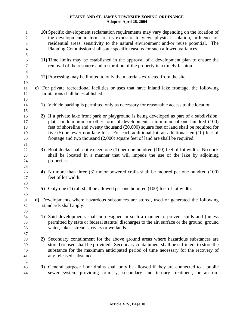| $\mathbf{1}$        | 10) Specific development reclamation requirements may vary depending on the location of<br>the development in terms of its exposure to view, physical isolation, influence on |
|---------------------|-------------------------------------------------------------------------------------------------------------------------------------------------------------------------------|
| $\overline{2}$<br>3 | residential areas, sensitivity to the natural environment and/or reuse potential. The                                                                                         |
| 4                   | Planning Commission shall state specific reasons for such allowed variances.                                                                                                  |
| 5                   |                                                                                                                                                                               |
| 6                   | 11) Time limits may be established in the approval of a development plan to ensure the                                                                                        |
| 7                   | removal of the resource and restoration of the property in a timely fashion.                                                                                                  |
| $\,8\,$             |                                                                                                                                                                               |
| 9                   | 12) Processing may be limited to only the materials extracted from the site.                                                                                                  |
| 10                  |                                                                                                                                                                               |
| 11                  | c) For private recreational facilities or uses that have inland lake frontage, the following                                                                                  |
| 12                  | limitations shall be established:                                                                                                                                             |
| 13                  |                                                                                                                                                                               |
| 14                  | 1) Vehicle parking is permitted only as necessary for reasonable access to the location.                                                                                      |
| 15                  |                                                                                                                                                                               |
| 16                  | 2) If a private lake front park or playground is being developed as part of a subdivision,                                                                                    |
| 17                  | plat, condominium or other form of development, a minimum of one hundred (100)                                                                                                |
| 18                  | feet of shoreline and twenty thousand (20,000) square feet of land shall be required for                                                                                      |
| 19                  | five (5) or fewer non-lake lots. For each additional lot, an additional ten (10) feet of                                                                                      |
| 20                  | frontage and two thousand (2,000) square feet of land are shall be required.                                                                                                  |
| 21                  |                                                                                                                                                                               |
| 22                  | 3) Boat docks shall not exceed one (1) per one hundred (100) feet of lot width. No dock                                                                                       |
| 23                  | shall be located in a manner that will impede the use of the lake by adjoining                                                                                                |
| 24                  | properties.                                                                                                                                                                   |
| 25                  |                                                                                                                                                                               |
| 26                  | 4) No more than three (3) motor powered crafts shall be moored per one hundred (100)                                                                                          |
| 27                  | feet of lot width.                                                                                                                                                            |
| $28\,$              |                                                                                                                                                                               |
| 29                  | 5) Only one (1) raft shall be allowed per one hundred (100) feet of lot width.                                                                                                |
| 30                  |                                                                                                                                                                               |
| 31                  | d) Developments where hazardous substances are stored, used or generated the following                                                                                        |
| 32                  | standards shall apply:                                                                                                                                                        |
| 33                  |                                                                                                                                                                               |
| 34                  | 1) Said developments shall be designed in such a manner to prevent spills and (unless                                                                                         |
| 35                  | permitted by state or federal statute) discharges to the air, surface or the ground, ground                                                                                   |
| 36                  | water, lakes, streams, rivers or wetlands.                                                                                                                                    |
| 37                  |                                                                                                                                                                               |
| 38                  | 2) Secondary containment for the above ground areas where hazardous substances are                                                                                            |
| 39                  | stored or used shall be provided. Secondary containment shall be sufficient to store the                                                                                      |
| 40                  | substance for the maximum anticipated period of time necessary for the recovery of                                                                                            |
| 41                  | any released substance.                                                                                                                                                       |
| 42                  |                                                                                                                                                                               |
| 43                  | 3) General purpose floor drains shall only be allowed if they are connected to a public                                                                                       |
| 44                  | sewer system providing primary, secondary and tertiary treatment, or an on-                                                                                                   |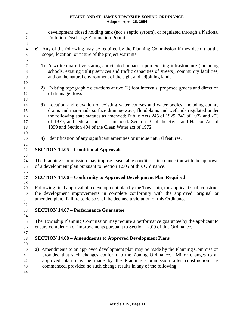development closed holding tank (not a septic system), or regulated through a National Pollution Discharge Elimination Permit. 1 2 3 4 5 6 7 8 9 10 11 12 13 14 15 16 17 18 19 20 21 22 23 24 25 26 27 28 29 30 31 32 33 34 35 36 37 38 39 40 41 42 43 44 **e)** Any of the following may be required by the Planning Commission if they deem that the scope, location, or nature of the project warrants: **1)** A written narrative stating anticipated impacts upon existing infrastructure (including schools, existing utility services and traffic capacities of streets), community facilities, and on the natural environment of the sight and adjoining lands **2)** Existing topographic elevations at two (2) foot intervals, proposed grades and direction of drainage flows. **3)** Location and elevation of existing water courses and water bodies, including county drains and man-made surface drainageways, floodplains and wetlands regulated under the following state statutes as amended: Public Acts 245 of 1929, 346 of 1972 and 203 of 1979; and federal codes as amended: Section 10 of the River and Harbor Act of 1899 and Section 404 of the Clean Water act of 1972. **4)** Identification of any significant amenities or unique natural features. **SECTION 14.05 – Conditional Approvals**  The Planning Commission may impose reasonable conditions in connection with the approval of a development plan pursuant to Section 12.05 of this Ordinance. **SECTION 14.06 – Conformity to Approved Development Plan Required**  Following final approval of a development plan by the Township, the applicant shall construct the development improvements in complete conformity with the approved, original or amended plan. Failure to do so shall be deemed a violation of this Ordinance. **SECTION 14.07 – Performance Guarantee**  The Township Planning Commission may require a performance guarantee by the applicant to ensure completion of improvements pursuant to Section 12.09 of this Ordinance. **SECTION 14.08 – Amendments to Approved Development Plans a)** Amendments to an approved development plan may be made by the Planning Commission provided that such changes conform to the Zoning Ordinance. Minor changes to an approved plan may be made by the Planning Commission after construction has commenced, provided no such change results in any of the following: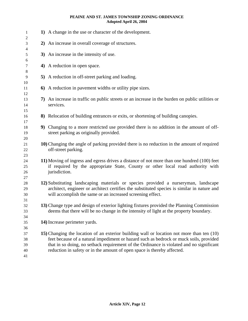| $\mathbf{1}$<br>2          | 1) A change in the use or character of the development.                                                                                                                                                                                                                                                                                                    |
|----------------------------|------------------------------------------------------------------------------------------------------------------------------------------------------------------------------------------------------------------------------------------------------------------------------------------------------------------------------------------------------------|
| 3<br>4                     | 2) An increase in overall coverage of structures.                                                                                                                                                                                                                                                                                                          |
| 5<br>6                     | 3) An increase in the intensity of use.                                                                                                                                                                                                                                                                                                                    |
| 7<br>8                     | 4) A reduction in open space.                                                                                                                                                                                                                                                                                                                              |
| 9<br>10                    | 5) A reduction in off-street parking and loading.                                                                                                                                                                                                                                                                                                          |
| 11<br>12                   | 6) A reduction in pavement widths or utility pipe sizes.                                                                                                                                                                                                                                                                                                   |
| 13<br>14<br>15             | 7) An increase in traffic on public streets or an increase in the burden on public utilities or<br>services.                                                                                                                                                                                                                                               |
| 16<br>17                   | 8) Relocation of building entrances or exits, or shortening of building canopies.                                                                                                                                                                                                                                                                          |
| 18<br>19<br>20             | 9) Changing to a more restricted use provided there is no addition in the amount of off-<br>street parking as originally provided.                                                                                                                                                                                                                         |
| 21<br>22<br>23             | 10) Changing the angle of parking provided there is no reduction in the amount of required<br>off-street parking.                                                                                                                                                                                                                                          |
| 24<br>25<br>26<br>27       | 11) Moving of ingress and egress drives a distance of not more than one hundred (100) feet<br>if required by the appropriate State, County or other local road authority with<br>jurisdiction.                                                                                                                                                             |
| 28<br>29<br>30<br>31       | 12) Substituting landscaping materials or species provided a nurseryman, landscape<br>architect, engineer or architect certifies the substituted species is similar in nature and<br>will accomplish the same or an increased screening effect.                                                                                                            |
| 32<br>33<br>34             | 13) Change type and design of exterior lighting fixtures provided the Planning Commission<br>deems that there will be no change in the intensity of light at the property boundary.                                                                                                                                                                        |
| 35<br>36                   | 14) Increase perimeter yards.                                                                                                                                                                                                                                                                                                                              |
| 37<br>38<br>39<br>40<br>41 | 15) Changing the location of an exterior building wall or location not more than ten (10)<br>feet because of a natural impediment or hazard such as bedrock or muck soils, provided<br>that in so doing, no setback requirement of the Ordinance is violated and no significant<br>reduction in safety or in the amount of open space is thereby affected. |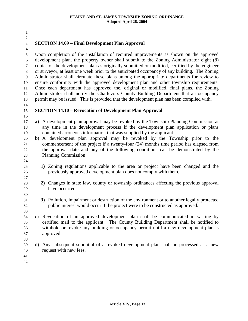| $\mathbf{1}$   |                                                                                               |
|----------------|-----------------------------------------------------------------------------------------------|
| $\mathfrak 2$  |                                                                                               |
| 3              | <b>SECTION 14.09 – Final Development Plan Approval</b>                                        |
| $\overline{4}$ |                                                                                               |
| 5              | Upon completion of the installation of required improvements as shown on the approved         |
| 6              | development plan, the property owner shall submit to the Zoning Administrator eight (8)       |
| 7              | copies of the development plan as originally submitted or modified, certified by the engineer |
| $\,8\,$        | or surveyor, at least one week prior to the anticipated occupancy of any building. The Zoning |
| 9              | Administrator shall circulate these plans among the appropriate departments for review to     |
| 10             | ensure conformity with the approved development plan and other township requirements.         |
| 11             | Once each department has approved the, original or modified, final plans, the Zoning          |
| 12             | Administrator shall notify the Charlevoix County Building Department that an occupancy        |
| 13             | permit may be issued. This is provided that the development plan has been complied with.      |
| 14             |                                                                                               |
| 15             | <b>SECTION 14.10 – Revocation of Development Plan Approval</b>                                |
| 16             |                                                                                               |
| 17             | a) A development plan approval may be revoked by the Township Planning Commission at          |
| 18             | any time in the development process if the development plan application or plans              |
| 19             | contained erroneous information that was supplied by the applicant.                           |
| 20             | b) A development plan approval may be revoked by the Township prior to the                    |
| 21             | commencement of the project if a twenty-four (24) months time period has elapsed from         |
| 22             | the approval date and any of the following conditions can be demonstrated by the              |
| 23             | <b>Planning Commission:</b>                                                                   |
| 24             |                                                                                               |
| 25             | 1) Zoning regulations applicable to the area or project have been changed and the             |
| 26             | previously approved development plan does not comply with them.                               |
| 27             | 2) Changes in state law, county or township ordinances affecting the previous approval        |
| 28             | have occurred.                                                                                |
| 29<br>30       |                                                                                               |
| 31             | 3) Pollution, impairment or destruction of the environment or to another legally protected    |
| 32             | public interest would occur if the project were to be constructed as approved.                |
| 33             |                                                                                               |
| 34             | c) Revocation of an approved development plan shall be communicated in writing by             |
| 35             | certified mail to the applicant. The County Building Department shall be notified to          |
| 36             | withhold or revoke any building or occupancy permit until a new development plan is           |
| 37             | approved.                                                                                     |
| 38             |                                                                                               |
| 39             | d) Any subsequent submittal of a revoked development plan shall be processed as a new         |
| 40             | request with new fees.                                                                        |
| 41             |                                                                                               |
| 42             |                                                                                               |
|                |                                                                                               |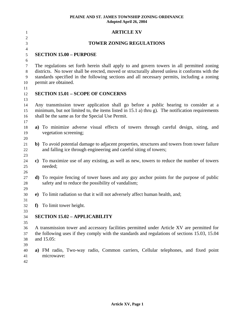| 1                    | <b>ARTICLE XV</b>                                                                                                                                                                            |
|----------------------|----------------------------------------------------------------------------------------------------------------------------------------------------------------------------------------------|
| $\overline{2}$<br>3  | <b>TOWER ZONING REGULATIONS</b>                                                                                                                                                              |
| $\overline{4}$       |                                                                                                                                                                                              |
| 5                    | <b>SECTION 15.00 - PURPOSE</b>                                                                                                                                                               |
| 6                    |                                                                                                                                                                                              |
| 7<br>$8\phantom{.0}$ | The regulations set forth herein shall apply to and govern towers in all permitted zoning<br>districts. No tower shall be erected, moved or structurally altered unless it conforms with the |
| 9<br>10              | standards specified in the following sections and all necessary permits, including a zoning<br>permit are obtained.                                                                          |
| 11                   |                                                                                                                                                                                              |
| 12                   | <b>SECTION 15.01 - SCOPE OF CONCERNS</b>                                                                                                                                                     |
| 13                   |                                                                                                                                                                                              |
| 14<br>15             | Any transmission tower application shall go before a public hearing to consider at a<br>minimum, but not limited to, the items listed in 15.1 a) thru g). The notification requirements      |
| 16                   | shall be the same as for the Special Use Permit.                                                                                                                                             |
| 17                   |                                                                                                                                                                                              |
| 18                   | a) To minimize adverse visual effects of towers through careful design, siting, and                                                                                                          |
| 19                   | vegetation screening;                                                                                                                                                                        |
| 20                   |                                                                                                                                                                                              |
| 21<br>22             | b) To avoid potential damage to adjacent properties, structures and towers from tower failure<br>and falling ice through engineering and careful siting of towers;                           |
| 23                   |                                                                                                                                                                                              |
| 24<br>25             | c) To maximize use of any existing, as well as new, towers to reduce the number of towers<br>needed;                                                                                         |
| 26                   |                                                                                                                                                                                              |
| 27<br>28             | d) To require fencing of tower bases and any guy anchor points for the purpose of public<br>safety and to reduce the possibility of vandalism;                                               |
| 29                   |                                                                                                                                                                                              |
| 30<br>31             | e) To limit radiation so that it will not adversely affect human health, and;                                                                                                                |
| 32                   | f) To limit tower height.                                                                                                                                                                    |
| 33                   |                                                                                                                                                                                              |
| 34                   | <b>SECTION 15.02 - APPLICABILITY</b>                                                                                                                                                         |
| 35                   |                                                                                                                                                                                              |
| 36                   | A transmission tower and accessory facilities permitted under Article XV are permitted for                                                                                                   |
| 37                   | the following uses if they comply with the standards and regulations of sections 15.03, 15.04                                                                                                |
| 38                   | and 15.05:                                                                                                                                                                                   |
| 39                   |                                                                                                                                                                                              |
| 40                   | a) FM radio, Two-way radio, Common carriers, Cellular telephones, and fixed point                                                                                                            |
| 41                   | microwave:                                                                                                                                                                                   |
| 42                   |                                                                                                                                                                                              |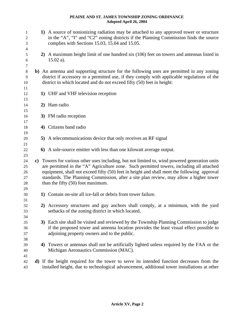| 1<br>$\overline{c}$                        |               | 1) A source of nonionizing radiation may be attached to any approved tower or structure<br>in the "A", "I" and "C2" zoning districts if the Planning Commission finds the source                                                                                                                                                                                                                                     |
|--------------------------------------------|---------------|----------------------------------------------------------------------------------------------------------------------------------------------------------------------------------------------------------------------------------------------------------------------------------------------------------------------------------------------------------------------------------------------------------------------|
| 3                                          |               | complies with Sections 15.03, 15.04 and 15.05.                                                                                                                                                                                                                                                                                                                                                                       |
| 4<br>5<br>6                                |               | 2) A maximum height limit of one hundred six (106) feet on towers and antennas listed in<br>$15.02 a$ ).                                                                                                                                                                                                                                                                                                             |
| 7<br>$\,8\,$<br>$\overline{9}$<br>10<br>11 |               | b) An antenna and supporting structure for the following uses are permitted in any zoning<br>district if accessory to a permitted use, if they comply with applicable regulations of the<br>district in which located and do not exceed fifty (50) feet in height:                                                                                                                                                   |
| 12<br>13                                   |               | 1) UHF and VHF television reception                                                                                                                                                                                                                                                                                                                                                                                  |
| 14<br>15                                   |               | 2) Ham radio                                                                                                                                                                                                                                                                                                                                                                                                         |
| 16<br>17                                   |               | 3) FM radio reception                                                                                                                                                                                                                                                                                                                                                                                                |
| 18<br>19                                   |               | 4) Citizens band radio                                                                                                                                                                                                                                                                                                                                                                                               |
| 20<br>21                                   |               | 5) A telecommunications device that only receives an RF signal                                                                                                                                                                                                                                                                                                                                                       |
| $22\,$<br>23                               |               | 6) A sole-source emitter with less than one kilowatt average output.                                                                                                                                                                                                                                                                                                                                                 |
| 24<br>25<br>26<br>27<br>28<br>29           | $\mathbf{c})$ | Towers for various other uses including, but not limited to, wind powered generation units<br>are permitted in the "A" Agriculture zone. Such permitted towers, including all attached<br>equipment, shall not exceed fifty (50) feet in height and shall meet the following approval<br>standards. The Planning Commission, after a site plan review, may allow a higher tower<br>than the fifty (50) foot maximum. |
| 30<br>31                                   |               | 1) Contain on-site all ice-fall or debris from tower failure.                                                                                                                                                                                                                                                                                                                                                        |
| 32<br>33<br>34                             |               | 2) Accessory structures and guy anchors shall comply, at a minimum, with the yard<br>setbacks of the zoning district in which located.                                                                                                                                                                                                                                                                               |
| 35<br>36<br>37<br>38                       |               | 3) Each site shall be visited and reviewed by the Township Planning Commission to judge<br>if the proposed tower and antenna location provides the least visual effect possible to<br>adjoining property owners and to the public.                                                                                                                                                                                   |
| 39<br>40<br>41                             |               | 4) Towers or antennas shall not be artificially lighted unless required by the FAA or the<br>Michigan Aeronautics Commission (MAC).                                                                                                                                                                                                                                                                                  |
| 42<br>43                                   |               | d) If the height required for the tower to serve its intended function decreases from the<br>installed height, due to technological advancement, additional tower installations at other                                                                                                                                                                                                                             |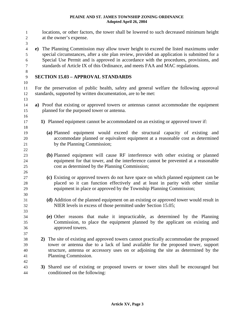locations, or other factors, the tower shall be lowered to such decreased minimum height at the owner's expense. 1 2 3 4 5 6 7 8 9 10 11 12 13 14 15 16 17 18 19 20 21 22 23 24 25 26 27 28 29 30 31 32 33 34 35 36 37 38 39 40 41 42 43 44 **e)** The Planning Commission may allow tower height to exceed the listed maximums under special circumstances, after a site plan review, provided an application is submitted for a Special Use Permit and is approved in accordance with the procedures, provisions, and standards of Article IX of this Ordinance, and meets FAA and MAC regulations. **SECTION 15.03 – APPROVAL STANDARDS**  For the preservation of public health, safety and general welfare the following approval standards, supported by written documentation, are to be met: **a)** Proof that existing or approved towers or antennas cannot accommodate the equipment planned for the purposed tower or antenna. **1)** Planned equipment cannot be accommodated on an existing or approved tower if: **(a)** Planned equipment would exceed the structural capacity of existing and accommodate planned or equivalent equipment at a reasonable cost as determined by the Planning Commission; **(b)** Planned equipment will cause RF interference with other existing or planned equipment for that tower, and the interference cannot be prevented at a reasonable cost as determined by the Planning Commission; **(c)** Existing or approved towers do not have space on which planned equipment can be placed so it can function effectively and at least in parity with other similar equipment in place or approved by the Township Planning Commission; **(d)** Addition of the planned equipment on an existing or approved tower would result in NIER levels in excess of those permitted under Section 15.05; **(e)** Other reasons that make it impracticable, as determined by the Planning Commission, to place the equipment planned by the applicant on existing and approved towers. **2)** The site of existing and approved towers cannot practically accommodate the proposed tower or antenna due to a lack of land available for the proposed tower, support structure, antenna or accessory uses on or adjoining the site as determined by the Planning Commission. **3)** Shared use of existing or proposed towers or tower sites shall be encouraged but conditioned on the following: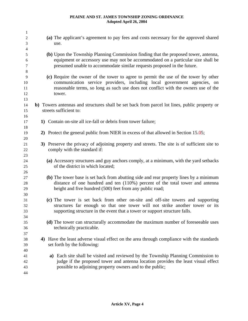| 1      |                                                                                                                                                                         |
|--------|-------------------------------------------------------------------------------------------------------------------------------------------------------------------------|
| 2      | (a) The applicant's agreement to pay fees and costs necessary for the approved shared                                                                                   |
| 3      | use.                                                                                                                                                                    |
| 4      |                                                                                                                                                                         |
| 5<br>6 | (b) Upon the Township Planning Commission finding that the proposed tower, antenna,<br>equipment or accessory use may not be accommodated on a particular size shall be |
| 7      | presumed unable to accommodate similar requests proposed in the future.                                                                                                 |
| 8      |                                                                                                                                                                         |
| 9      | (c) Require the owner of the tower to agree to permit the use of the tower by other                                                                                     |
| 10     | communication service providers, including local government agencies, on                                                                                                |
| 11     | reasonable terms, so long as such use does not conflict with the owners use of the                                                                                      |
| 12     | tower.                                                                                                                                                                  |
| 13     |                                                                                                                                                                         |
| 14     | b) Towers antennas and structures shall be set back from parcel lot lines, public property or                                                                           |
| 15     | streets sufficient to:                                                                                                                                                  |
| 16     |                                                                                                                                                                         |
| 17     | 1) Contain on-site all ice-fall or debris from tower failure;                                                                                                           |
| 18     |                                                                                                                                                                         |
| 19     | 2) Protect the general public from NIER in excess of that allowed in Section 15.05;                                                                                     |
| 20     |                                                                                                                                                                         |
| 21     | 3) Preserve the privacy of adjoining property and streets. The site is of sufficient site to                                                                            |
| 22     | comply with the standard if:                                                                                                                                            |
| 23     |                                                                                                                                                                         |
| 24     | (a) Accessory structures and guy anchors comply, at a minimum, with the yard setbacks                                                                                   |
| 25     | of the district in which located;                                                                                                                                       |
| 26     |                                                                                                                                                                         |
| 27     | (b) The tower base is set back from abutting side and rear property lines by a minimum                                                                                  |
| 28     | distance of one hundred and ten (110%) percent of the total tower and antenna                                                                                           |
| 29     | height and five hundred (500) feet from any public road;                                                                                                                |
| 30     |                                                                                                                                                                         |
| 31     | (c) The tower is set back from other on-site and off-site towers and supporting                                                                                         |
| 32     | structures far enough so that one tower will not strike another tower or its                                                                                            |
| 33     | supporting structure in the event that a tower or support structure falls.                                                                                              |
| 34     |                                                                                                                                                                         |
| 35     | (d) The tower can structurally accommodate the maximum number of foreseeable uses                                                                                       |
| 36     | technically practicable.                                                                                                                                                |
| 37     |                                                                                                                                                                         |
| 38     | 4) Have the least adverse visual effect on the area through compliance with the standards                                                                               |
| 39     | set forth by the following:                                                                                                                                             |
| 40     | a) Each site shall be visited and reviewed by the Township Planning Commission to                                                                                       |
| 41     | judge if the proposed tower and antenna location provides the least visual effect                                                                                       |
| 42     | possible to adjoining property owners and to the public;                                                                                                                |
| 43     |                                                                                                                                                                         |
| 44     |                                                                                                                                                                         |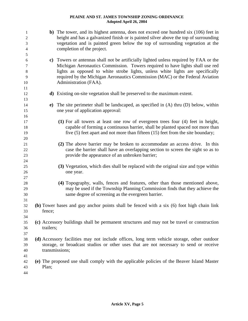| 1<br>$\overline{c}$<br>3<br>4 |           | b) The tower, and its highest antenna, does not exceed one hundred six (106) feet in<br>height and has a galvanized finish or is painted silver above the top of surrounding<br>vegetation and is painted green below the top of surrounding vegetation at the<br>completion of the project.                                                                       |
|-------------------------------|-----------|--------------------------------------------------------------------------------------------------------------------------------------------------------------------------------------------------------------------------------------------------------------------------------------------------------------------------------------------------------------------|
| 5<br>6<br>7<br>8<br>9<br>10   |           | c) Towers or antennas shall not be artificially lighted unless required by FAA or the<br>Michigan Aeronautics Commission. Towers required to have lights shall use red<br>lights as opposed to white strobe lights, unless white lights are specifically<br>required by the Michigan Aeronautics Commission (MAC) or the Federal Aviation<br>Administration (FAA). |
| 11<br>12                      |           | <b>d</b> ) Existing on-site vegetation shall be preserved to the maximum extent.                                                                                                                                                                                                                                                                                   |
| 13<br>14<br>15<br>16          |           | e) The site perimeter shall be landscaped, as specified in (A) thru (D) below, within<br>one year of application approval:                                                                                                                                                                                                                                         |
| 17<br>18<br>19                |           | (1) For all towers at least one row of evergreen trees four (4) feet in height,<br>capable of forming a continuous barrier, shall be planted spaced not more than<br>five (5) feet apart and not more than fifteen (15) feet from the site boundary;                                                                                                               |
| 20<br>21<br>22<br>23          |           | (2) The above barrier may be broken to accommodate an access drive. In this<br>case the barrier shall have an overlapping section to screen the sight so as to<br>provide the appearance of an unbroken barrier;                                                                                                                                                   |
| 24<br>25<br>26                |           | (3) Vegetation, which dies shall be replaced with the original size and type within<br>one year.                                                                                                                                                                                                                                                                   |
| 27<br>28<br>29<br>30          |           | (4) Topography, walls, fences and features, other than those mentioned above,<br>may be used if the Township Planning Commission finds that they achieve the<br>same degree of screening as the evergreen barrier.                                                                                                                                                 |
| 31<br>32<br>33<br>34          | fence;    | (b) Tower bases and guy anchor points shall be fenced with a six (6) foot high chain link                                                                                                                                                                                                                                                                          |
| 35<br>36<br>37                | trailers; | (c) Accessory buildings shall be permanent structures and may not be travel or construction                                                                                                                                                                                                                                                                        |
| 38<br>39<br>40                |           | (d) Accessory facilities may not include offices, long term vehicle storage, other outdoor<br>storage, or broadcast studios or other uses that are not necessary to send or receive<br>transmissions;                                                                                                                                                              |
| 41<br>42<br>43<br>44          | Plan;     | (e) The proposed use shall comply with the applicable policies of the Beaver Island Master                                                                                                                                                                                                                                                                         |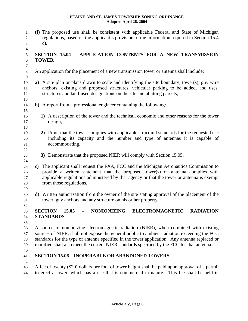**(f)** The proposed use shall be consistent with applicable Federal and State of Michigan regulations, based on the applicant's provision of the information required in Section 15.4 c). 1 2 3 4 5 6 7 8 9 10 11 12 13 14 15 16 17 18 19 20 21 22 23 24 25 26 27 28 29 30 31 32 33 34 35 36 37 38 39 40 41 42 43 44 **SECTION 15.04 – APPLICATION CONTENTS FOR A NEW TRANSMISSION TOWER**  An application for the placement of a new transmission tower or antenna shall include: **a)** A site plan or plans drawn to scale and identifying the site boundary, tower(s), guy wire anchors, existing and proposed structures, vehicular parking to be added, and uses, structures and land-used designations on the site and abutting parcels; **b)** A report from a professional engineer containing the following: **1)** A description of the tower and the technical, economic and other reasons for the tower design; **2)** Proof that the tower complies with applicable structural standards for the requested use including its capacity and the number and type of antennas it is capable of accommodating. **3)** Demonstrate that the proposed NIER will comply with Section 15.05. **c)** The applicant shall request the FAA, FCC and the Michigan Aeronautics Commission to provide a written statement that the proposed tower(s) or antenna complies with applicable regulations administered by that agency or that the tower or antenna is exempt from those regulations. **d)** Written authorization from the owner of the site stating approval of the placement of the tower, guy anchors and any structure on his or her property. **SECTION 15.05 – NONIONIZING ELECTROMAGNETIC RADIATION STANDARDS**  A source of nonionizing electromagnetic radiation (NIER), when combined with existing sources of NIER, shall not expose the general public to ambient radiation exceeding the FCC standards for the type of antenna specified in the tower application. Any antenna replaced or modified shall also meet the current NIER standards specified by the FCC for that antenna. **SECTION 15.06 – INOPERABLE OR ABANDONED TOWERS**  A fee of twenty (\$20) dollars per foot of tower height shall be paid upon approval of a permit to erect a tower, which has a use that is commercial in nature. This fee shall be held in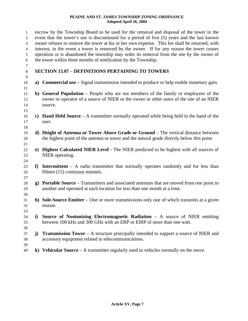| $\mathbf{1}$<br>$\overline{2}$<br>3<br>$\overline{4}$<br>5<br>6 |              | escrow by the Township Board to be used for the removal and disposal of the tower in the<br>event that the tower's use is discontinued for a period of five (5) years and the last known<br>owner refuses to remove the tower at his or her own expense. This fee shall be returned, with<br>interest, in the event a tower is removed by the owner. If for any reason the tower ceases<br>operation or is abandoned the township may order its removal from the site by the owner of<br>the tower within three months of notification by the Township. |
|-----------------------------------------------------------------|--------------|---------------------------------------------------------------------------------------------------------------------------------------------------------------------------------------------------------------------------------------------------------------------------------------------------------------------------------------------------------------------------------------------------------------------------------------------------------------------------------------------------------------------------------------------------------|
| 7                                                               |              |                                                                                                                                                                                                                                                                                                                                                                                                                                                                                                                                                         |
| 8<br>9                                                          |              | <b>SECTION 15.07 - DEFINITIONS PERTAINING TO TOWERS</b>                                                                                                                                                                                                                                                                                                                                                                                                                                                                                                 |
| 10<br>11                                                        |              | a) Commercial use – Signal transmission intended to produce or help enable monetary gain.                                                                                                                                                                                                                                                                                                                                                                                                                                                               |
| 12<br>13<br>14<br>15                                            |              | b) General Population – People who are not members of the family or employees of the<br>owner or operator of a source of NIER or the owner or other users of the site of an NIER<br>source.                                                                                                                                                                                                                                                                                                                                                             |
| 16<br>17<br>18                                                  |              | c) Hand Held Source $-$ A transmitter normally operated while being held in the hand of the<br>user.                                                                                                                                                                                                                                                                                                                                                                                                                                                    |
| 19<br>20<br>21                                                  | d)           | Height of Antenna or Tower Above Grade or Ground – The vertical distance between<br>the highest point of the antenna or tower and the natural grade directly below this point                                                                                                                                                                                                                                                                                                                                                                           |
| 22<br>23<br>24                                                  |              | e) Highest Calculated NIER Level - The NIER predicted to be highest with all sources of<br>NIER operating.                                                                                                                                                                                                                                                                                                                                                                                                                                              |
| 25<br>26<br>27                                                  | f            | <b>Intermittent</b> $- A$ radio transmitter that normally operates randomly and for less than<br>fifteen $(15)$ continuos minutes.                                                                                                                                                                                                                                                                                                                                                                                                                      |
| 28<br>29<br>30                                                  | $\mathbf{g}$ | <b>Portable Source</b> – Transmitters and associated antennas that are moved from one point to<br>another and operated at each location for less than one month at a time.                                                                                                                                                                                                                                                                                                                                                                              |
| 31<br>32<br>33                                                  |              | h) Sole-Source Emitter – One or more transmissions only one of which transmits at a given<br>instant.                                                                                                                                                                                                                                                                                                                                                                                                                                                   |
| 34<br>35<br>36                                                  | i)           | <b>Source of Nonionizing Electromagnetic Radiation <math>-</math> A source of NIER emitting</b><br>between 100 kHz and 300 GHz with an ERP or EIRP of more than one watt.                                                                                                                                                                                                                                                                                                                                                                               |
| 37<br>38<br>39                                                  | $\bf j)$     | <b>Transmission Tower</b> – A structure principally intended to support a source of NIER and<br>accessory equipment related to telecommunications.                                                                                                                                                                                                                                                                                                                                                                                                      |
| 40                                                              |              | k) Vehicular Source $-A$ transmitter regularly used in vehicles normally on the move.                                                                                                                                                                                                                                                                                                                                                                                                                                                                   |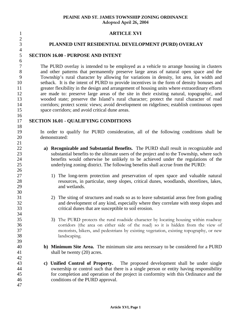## **ARTICLE XVI**

## **PLANNED UNIT RESIDENTIAL DEVELOPMENT (PURD) OVERLAY**

#### **SECTION 16.00 - PURPOSE AND INTENT**

The PURD overlay is intended to be employed as a vehicle to arrange housing in clusters and other patterns that permanently preserve large areas of natural open space and the Township's rural character by allowing for variations in density, lot area, lot width and setback. It is the intent of PURD to provide incentives in the form of density bonuses and greater flexibility in the design and arrangement of housing units where extraordinary efforts are made to: preserve large areas of the site in their existing natural, topographic, and wooded state; preserve the Island's rural character; protect the rural character of road corridors; protect scenic views; avoid development on ridgelines; establish continuous open space corridors; and avoid critical dune areas.

#### 17 **SECTION 16.01 - QUALIFYING CONDITIONS**

In order to qualify for PURD consideration, all of the following conditions shall be demonstrated:

- **a) Recognizable and Substantial Benefits.** The PURD shall result in recognizable and substantial benefits to the ultimate users of the project and to the Township, where such benefits would otherwise be unlikely to be achieved under the regulations of the underlying zoning district. The following benefits shall accrue from the PURD:
	- 1) The long-term protection and preservation of open space and valuable natural resources, in particular, steep slopes, critical dunes, woodlands, shorelines, lakes, and wetlands.
	- 2) The siting of structures and roads so as to leave substantial areas free from grading and development of any kind, especially where they correlate with steep slopes and critical dunes that are susceptible to soil erosion.
	- 3) The PURD protects the rural roadside character by locating housing within roadway corridors (the area on either side of the road) so it is hidden from the view of motorists, bikers, and pedestrians by existing vegetation, existing topography, or new landscaping.
- **b) Minimum Site Area.** The minimum site area necessary to be considered for a PURD shall be twenty (20) acres.
- **c) Unified Control of Property.** The proposed development shall be under single ownership or control such that there is a single person or entity having responsibility for completion and operation of the project in conformity with this Ordinance and the conditions of the PURD approval.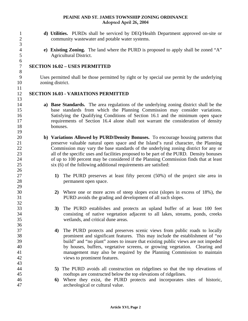- **d) Utilities.** PURDs shall be serviced by DEQ/Health Department approved on-site or community wastewater and potable water systems.
- **e) Existing Zoning.** The land where the PURD is proposed to apply shall be zoned "A" Agricultural District.

## **SECTION 16.02 – USES PERMITTED**

Uses permitted shall be those permitted by right or by special use permit by the underlying zoning district.

#### 12 **SECTION 16.03 - VARIATIONS PERMITTED**

- **a) Base Standards.** The area regulations of the underlying zoning district shall be the base standards from which the Planning Commission may consider variations. Satisfying the Qualifying Conditions of Section 16.1 and the minimum open space requirements of Section 16.4 alone shall not warrant the consideration of density bonuses.
- **b) Variations Allowed by PURD/Density Bonuses.** To encourage housing patterns that preserve valuable natural open space and the Island's rural character, the Planning Commission may vary the base standards of the underlying zoning district for any or all of the specific uses and facilities proposed to be part of the PURD. Density bonuses of up to 100 percent may be considered if the Planning Commission finds that at least six (6) of the following additional requirements are satisfied:
	- **1)** The PURD preserves at least fifty percent (50%) of the project site area in permanent open space.
	- **2)** Where one or more acres of steep slopes exist (slopes in excess of 18%), the PURD avoids the grading and development of all such slopes.
		- **3)** The PURD establishes and protects an upland buffer of at least 100 feet consisting of native vegetation adjacent to all lakes, streams, ponds, creeks wetlands, and critical dune areas.
		- **4)** The PURD protects and preserves scenic views from public roads to locally prominent and significant features. This may include the establishment of "no build" and "no plant" zones to insure that existing public views are not impeded by houses, buffers, vegetative screens, or growing vegetation. Clearing and management may also be required by the Planning Commission to maintain views to prominent features.
- **5)** The PURD avoids all construction on ridgelines so that the top elevations of rooftops are constructed below the top elevations of ridgelines.
- 46 47 **6)** Where they exist, the PURD protects and incorporates sites of historic, archeological or cultural value.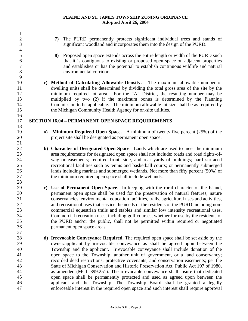1 2 3 4 5 6 7 8 9 10 11 12 13 14 15 16 17 18 19 20 21 22 23 24 25 26 27 28 29 30 31 32 33 34 35 36 37 38 39 40 41 42 43 44 45 46 47 **7)** The PURD permanently protects significant individual trees and stands of significant woodland and incorporates them into the design of the PURD. **8)** Proposed open space extends across the entire length or width of the PURD such that it is contiguous to existing or proposed open space on adjacent properties and establishes or has the potential to establish continuous wildlife and natural environmental corridors. **c) Method of Calculating Allowable Density.** The maximum allowable number of dwelling units shall be determined by dividing the total gross area of the site by the minimum required lot area. For the "A" District, the resulting number may be multiplied by two (2) if the maximum bonus is determined by the Planning Commission to be applicable. The minimum allowable lot size shall be as required by the Michigan Community Health Agency for on-site utilities. **SECTION 16.04 – PERMANENT OPEN SPACE REQUIREMENTS a) Minimum Required Open Space.** A minimum of twenty five percent (25%) of the project site shall be designated as permanent open space. **b) Character of Designated Open Space**. Lands which are used to meet the minimum area requirements for designated open space shall not include: roads and road rights-ofway or easements; required front, side, and rear yards of buildings; hard surfaced recreational facilities such as tennis and basketball courts; or permanently submerged lands including marinas and submerged wetlands. Not more than fifty percent (50%) of the minimum required open space shall include wetlands. **c) Use of Permanent Open Space**. In keeping with the rural character of the Island, permanent open space shall be used for the preservation of natural features, nature conservancies, environmental education facilities, trails, agricultural uses and activities, and recreational uses that service the needs of the residents of the PURD including noncommercial equestrian trails and stables and similar low intensity recreational uses. Commercial recreation uses, including golf courses, whether for use by the residents of the PURD and/or the public, shall not be permitted within required or negotiated permanent open space areas. **d) Irrevocable Conveyance Required.** The required open space shall be set aside by the owner/applicant by irrevocable conveyance as shall be agreed upon between the Township and the applicant. Irrevocable conveyance shall include donation of the open space to the Township, another unit of government, or a land conservancy; recorded deed restrictions; protective covenants; and conservation easements; per the State of Michigan Conservation and Historic Preservation Act, Public Act 197 of 1980, as amended (MCL 399.251). The irrevocable conveyance shall insure that dedicated open space shall be permanently protected and used as agreed upon between the applicant and the Township. The Township Board shall be granted a legally enforceable interest in the required open space and such interest shall require approval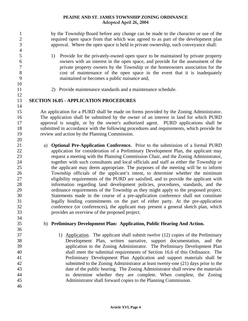| $\mathbf{1}$   | by the Township Board before any change can be made to the character or use of the         |  |  |  |  |
|----------------|--------------------------------------------------------------------------------------------|--|--|--|--|
| $\overline{c}$ | required open space from that which was agreed to as part of the development plan          |  |  |  |  |
| 3              | approval. Where the open space is held in private ownership, such conveyance shall:        |  |  |  |  |
| $\overline{4}$ |                                                                                            |  |  |  |  |
| 5              | Provide for the privately-owned open space to be maintained by private property<br>1)      |  |  |  |  |
| 6              | owners with an interest in the open space, and provide for the assessment of the           |  |  |  |  |
| $\tau$         | private property owners by the Township or the homeowners association for the              |  |  |  |  |
| $8\,$          | cost of maintenance of the open space in the event that it is inadequately                 |  |  |  |  |
| 9              | maintained or becomes a public nuisance and,                                               |  |  |  |  |
| 10             |                                                                                            |  |  |  |  |
| 11             | 2) Provide maintenance standards and a maintenance schedule.                               |  |  |  |  |
| 12             |                                                                                            |  |  |  |  |
| 13             | <b>SECTION 16.05 - APPLICATION PROCEDURES</b>                                              |  |  |  |  |
| 14             |                                                                                            |  |  |  |  |
| 15             | An application for a PURD shall be made on forms provided by the Zoning Administrator.     |  |  |  |  |
| 16             | The application shall be submitted by the owner of an interest in land for which PURD      |  |  |  |  |
| 17             | approval is sought, or by the owner's authorized agent. PURD applications shall be         |  |  |  |  |
| 18             | submitted in accordance with the following procedures and requirements, which provide for  |  |  |  |  |
| 19             | review and action by the Planning Commission.                                              |  |  |  |  |
| 20             |                                                                                            |  |  |  |  |
| 21             | <b>Optional Pre-Application Conference.</b> Prior to the submission of a formal PURD<br>a) |  |  |  |  |
| 22             | application for consideration of a Preliminary Development Plan, the applicant may         |  |  |  |  |
| 23             | request a meeting with the Planning Commission Chair, and the Zoning Administrator,        |  |  |  |  |
| 24             | together with such consultants and local officials and staff as either the Township or     |  |  |  |  |
| 25             | the applicant may deem appropriate. The purposes of the meeting will be to inform          |  |  |  |  |
| 26             | Township officials of the applicant's intent, to determine whether the minimum             |  |  |  |  |
| 27             | eligibility requirements of the PURD are satisfied, and to provide the applicant with      |  |  |  |  |
| 28             | information regarding land development policies, procedures, standards, and the            |  |  |  |  |
| 29             | ordinance requirements of the Township as they might apply to the proposed project.        |  |  |  |  |
| 30             | Statements made in the course of a pre-application conference shall not constitute         |  |  |  |  |
| 31             | legally binding commitments on the part of either party. At the pre-application            |  |  |  |  |
| 32             | conference (or conferences), the applicant may present a general sketch plan, which        |  |  |  |  |
| 33             | provides an overview of the proposed project.                                              |  |  |  |  |
| 34             |                                                                                            |  |  |  |  |
| 35             | b) Preliminary Development Plan: Application, Public Hearing And Action.                   |  |  |  |  |
| 36             |                                                                                            |  |  |  |  |
| 37             | 1) Application. The applicant shall submit twelve (12) copies of the Preliminary           |  |  |  |  |
| 38             | Development Plan, written narrative, support documentation, and the                        |  |  |  |  |
| 39             | application to the Zoning Administrator. The Preliminary Development Plan                  |  |  |  |  |
| 40             | shall meet the submittal requirements of Section 16.6 of this Ordinance. The               |  |  |  |  |
| 41             | Preliminary Development Plan Application and support materials shall be                    |  |  |  |  |
| 42             | submitted to the Zoning Administrator at least twenty-one (21) days prior to the           |  |  |  |  |
| 43             | date of the public hearing. The Zoning Administrator shall review the materials            |  |  |  |  |

Administrator shall forward copies to the Planning Commission.

44 45 46 to determine whether they are complete. When complete, the Zoning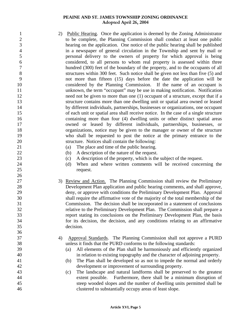- 2) Public Hearing. Once the application is deemed by the Zoning Administrator to be complete, the Planning Commission shall conduct at least one public hearing on the application. One notice of the public hearing shall be published in a newspaper of general circulation in the Township and sent by mail or personal delivery to the owners of property for which approval is being considered, to all persons to whom real property is assessed within three hundred (300) feet of the boundary of the property, and to the occupants of all structures within 300 feet. Such notice shall be given not less than five (5) and not more than fifteen (15) days before the date the application will be considered by the Planning Commission. If the name of an occupant is unknown, the term "occupant" may be use in making notification. Notification need not be given to more than one (1) occupant of a structure, except that if a structure contains more than one dwelling unit or spatial area owned or leased by different individuals, partnerships, businesses or organizations, one occupant of each unit or spatial area shall receive notice. In the case of a single structure containing more than four (4) dwelling units or other distinct spatial areas owned or leased by different individuals, partnerships, businesses, or organizations, notice may be given to the manager or owner of the structure who shall be requested to post the notice at the primary entrance to the structure. Notices shall contain the following:
	- (a) The place and time of the public hearing.
	- (b) A description of the nature of the request.
	- (c) A description of the property, which is the subject of the request.
	- (d) When and where written comments will be received concerning the request.
	- 3) Review and Action. The Planning Commission shall review the Preliminary Development Plan application and public hearing comments, and shall approve, deny, or approve with conditions the Preliminary Development Plan. Approval shall require the affirmative vote of the majority of the total membership of the Commission. The decision shall be incorporated in a statement of conclusions relative to the Preliminary Development Plan. The Commission shall prepare a report stating its conclusions on the Preliminary Development Plan, the basis for its decision, the decision, and any conditions relating to an affirmative decision.
	- 4) Approval Standards. The Planning Commission shall not approve a PURD unless it finds that the PURD conforms to the following standards:
		- (a) All elements of the Plan shall be harmoniously and efficiently organized in relation to existing topography and the character of adjoining property.
		- (b) The Plan shall be developed so as not to impede the normal and orderly development or improvement of surrounding property.
	- (c) The landscape and natural landforms shall be preserved to the greatest extent possible. Furthermore, there shall be a minimum disruption of steep wooded slopes and the number of dwelling units permitted shall be clustered to substantially occupy areas of least slope.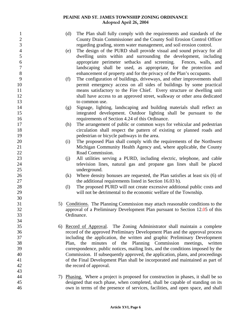| $\mathbf{1}$   |    | (d)<br>The Plan shall fully comply with the requirements and standards of the        |
|----------------|----|--------------------------------------------------------------------------------------|
| $\overline{c}$ |    | County Drain Commissioner and the County Soil Erosion Control Officer                |
| 3              |    | regarding grading, storm water management, and soil erosion control.                 |
| $\overline{4}$ |    | The design of the PURD shall provide visual and sound privacy for all<br>(e)         |
| 5              |    | dwelling units within and surrounding the development, including                     |
| $\sqrt{6}$     |    | appropriate perimeter setbacks and screening. Fences, walls, and                     |
| $\overline{7}$ |    | landscaping shall be used, as appropriate, for the protection and                    |
| $8\,$          |    | enhancement of property and for the privacy of the Plan's occupants.                 |
| 9              |    | The configuration of buildings, driveways, and other improvements shall<br>(f)       |
| 10             |    | permit emergency access on all sides of buildings by some practical                  |
| 11             |    | means satisfactory to the Fire Chief. Every structure or dwelling unit               |
| 12             |    | shall have access to an approved street, walkway or other area dedicated             |
| 13             |    | to common use.                                                                       |
| 14             |    | Signage, lighting, landscaping and building materials shall reflect an<br>(g)        |
| 15             |    | integrated development. Outdoor lighting shall be pursuant to the                    |
| 16             |    | requirements of Section 4.24 of this Ordinance.                                      |
| 17             |    | The arrangement of public or common ways for vehicular and pedestrian<br>(h)         |
| 18             |    | circulation shall respect the pattern of existing or planned roads and               |
| 19             |    | pedestrian or bicycle pathways in the area.                                          |
| 20             |    | The proposed Plan shall comply with the requirements of the Northwest<br>(i)         |
| 21             |    | Michigan Community Health Agency and, where applicable, the County                   |
| 22             |    | Road Commission.                                                                     |
| 23             |    | All utilities serving a PURD, including electric, telephone, and cable<br>(j)        |
| 24             |    | television lines, natural gas and propane gas lines shall be placed                  |
| 25             |    | underground.                                                                         |
| 26             |    | Where density bonuses are requested, the Plan satisfies at least six $(6)$ of<br>(k) |
| 27             |    | the additional requirements listed in Section 16.03 b).                              |
| 28             |    | The proposed PURD will not create excessive additional public costs and<br>(1)       |
| 29             |    | will not be detrimental to the economic welfare of the Township.                     |
| 30             |    |                                                                                      |
| 31             | 5) | Conditions. The Planning Commission may attach reasonable conditions to the          |
| 32             |    | approval of a Preliminary Development Plan pursuant to Section 12.05 of this         |
| 33             |    | Ordinance.                                                                           |
| 34             |    |                                                                                      |
| 35             |    | 6) Record of Approval. The Zoning Administrator shall maintain a complete            |
| 36             |    | record of the approved Preliminary Development Plan and the approval process         |
| 37             |    | including the application, the written and graphic Preliminary Development           |
| 38             |    | minutes of the Planning Commission<br>the<br>meetings,<br>written<br>Plan,           |
| 39             |    | correspondence, public notices, mailing lists, and the conditions imposed by the     |
| $40\,$         |    | Commission. If subsequently approved, the application, plans, and proceedings        |
| 41             |    | of the Final Development Plan shall be incorporated and maintained as part of        |
| 42             |    | the record of approval.                                                              |
| 43             |    |                                                                                      |
| 44             | 7) | Phasing. Where a project is proposed for construction in phases, it shall be so      |
| 45             |    | designed that each phase, when completed, shall be capable of standing on its        |
| 46             |    | own in terms of the presence of services, facilities, and open space, and shall      |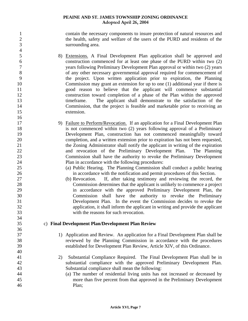contain the necessary components to insure protection of natural resources and the health, safety and welfare of the users of the PURD and residents of the surrounding area.

- 8) Extensions. A Final Development Plan application shall be approved and construction commenced for at least one phase of the PURD within two (2) years following Preliminary Development Plan approval or within two (2) years of any other necessary governmental approval required for commencement of the project. Upon written application prior to expiration, the Planning Commission may grant an extension for up to one (1) additional year if there is good reason to believe that the applicant will commence substantial construction toward completion of a phase of the Plan within the approved timeframe. The applicant shall demonstrate to the satisfaction of the Commission, that the project is feasible and marketable prior to receiving an extension.
- 9) Failure to Perform/Revocation. If an application for a Final Development Plan is not commenced within two (2) years following approval of a Preliminary Development Plan, construction has not commenced meaningfully toward completion, and a written extension prior to expiration has not been requested, the Zoning Administrator shall notify the applicant in writing of the expiration and revocation of the Preliminary Development Plan. The Planning Commission shall have the authority to revoke the Preliminary Development Plan in accordance with the following procedures:
	- (a) Public Hearing. The Planning Commission shall conduct a public hearing in accordance with the notification and permit procedures of this Section.
	- (b) Revocation. If, after taking testimony and reviewing the record, the Commission determines that the applicant is unlikely to commence a project in accordance with the approved Preliminary Development Plan, the Commission shall have the authority to revoke the Preliminary Development Plan. In the event the Commission decides to revoke the application, it shall inform the applicant in writing and provide the applicant with the reasons for such revocation.
- c) **Final Development Plan/Development Plan Review** 
	- 1) Application and Review. An application for a Final Development Plan shall be reviewed by the Planning Commission in accordance with the procedures established for Development Plan Review, Article XIV, of this Ordinance.
	- 2) Substantial Compliance Required. The Final Development Plan shall be in substantial compliance with the approved Preliminary Development Plan. Substantial compliance shall mean the following:
	- (a) The number of residential living units has not increased or decreased by more than five percent from that approved in the Preliminary Development Plan;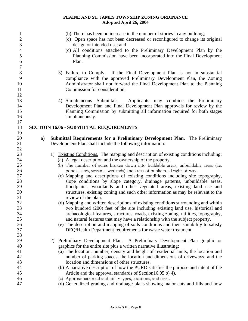1 2 3 4 5 6 7 8 9 10 11 12 13 14 15 16 17 18 19 20 21 22 (b) There has been no increase in the number of stories in any building; (c) Open space has not been decreased or reconfigured to change its original design or intended use; and (c) All conditions attached to the Preliminary Development Plan by the Planning Commission have been incorporated into the Final Development Plan. 3) Failure to Comply. If the Final Development Plan is not in substantial compliance with the approved Preliminary Development Plan, the Zoning Administrator shall not forward the Final Development Plan to the Planning Commission for consideration. 4) Simultaneous Submittals. Applicants may combine the Preliminary Development Plan and Final Development Plan approvals for review by the Planning Commission by submitting all information required for both stages simultaneously. **SECTION 16.06 - SUBMITTAL REQUIREMENTS**  a) **Submittal Requirements for a Preliminary Development Plan.** The Preliminary Development Plan shall include the following information: 23 1) Existing Conditions. The mapping and description of existing conditions including: 24 25 26 27 28 29 30 31 32 33 34 35 36 37 38 (a) A legal description and the ownership of the property. (b) The number of acres broken down into buildable areas, unbuildable areas (i.e. ponds, lakes, streams, wetlands) and areas of public road right-of-way. (c) Mapping and descriptions of existing conditions including site topography, slope conditions by slope category, drainage patterns, unbuildable areas, floodplains, woodlands and other vegetated areas, existing land use and structures, existing zoning and such other information as may be relevant to the review of the plan. (d) Mapping and written descriptions of existing conditions surrounding and within two hundred (200) feet of the site including existing land use, historical and archaeological features, structures, roads, existing zoning, utilities, topography, and natural features that may have a relationship with the subject property. (e) The description and mapping of soils conditions and their suitability to satisfy DEQ/Health Department requirements for waste water treatment. 2) Preliminary Development Plan. A Preliminary Development Plan graphic or graphics for the entire site plus a written narrative illustrating: 39 40 41 42 43 44 45 46 47 (a) The location, number, density and height of residential units, the location and number of parking spaces, the location and dimensions of driveways, and the location and dimensions of other structures. (b) A narrative description of how the PURD satisfies the purpose and intent of the Article and the approval standards of Section16.05 b) 4). (c) Approximate road and utility types, locations, and sizes. (d) Generalized grading and drainage plans showing major cuts and fills and how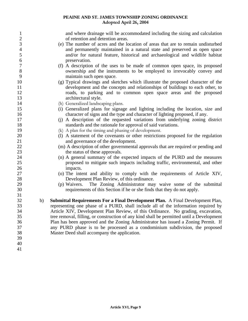and where drainage will be accommodated including the sizing and calculation of retention and detention areas.

- (e) The number of acres and the location of areas that are to remain undisturbed and permanently maintained in a natural state and preserved as open space and/or for natural feature, historical and archaeological and wildlife habitat preservation.
- (f) A description of the uses to be made of common open space, its proposed ownership and the instruments to be employed to irrevocably convey and maintain such open space.
- (g) Typical drawings and sketches which illustrate the proposed character of the development and the concepts and relationships of buildings to each other, to roads, to parking and to common open space areas and the proposed architectural style.
- (h) Generalized landscaping plans.
	- (i) Generalized plans for signage and lighting including the location, size and character of signs and the type and character of lighting proposed, if any.
	- (j) A description of the requested variations from underlying zoning district standards and the rationale for approval of said variations.
		- (k) A plan for the timing and phasing of development.
		- (l) A statement of the covenants or other restrictions proposed for the regulation and governance of the development.
		- (m) A description of other governmental approvals that are required or pending and the status of these approvals.
		- (n) A general summary of the expected impacts of the PURD and the measures proposed to mitigate such impacts including traffic, environmental, and other impacts.
			- (o) The intent and ability to comply with the requirements of Article XIV, Development Plan Review, of this ordinance.
			- (p) Waivers. The Zoning Administrator may waive some of the submittal requirements of this Section if he or she finds that they do not apply.
	- b) **Submittal Requirements For a Final Development Plan.** A Final Development Plan, representing one phase of a PURD, shall include all of the information required by Article XIV, Development Plan Review, of this Ordinance. No grading, excavation, tree removal, filling, or construction of any kind shall be permitted until a Development Plan has been approved and the Zoning Administrator has issued a Zoning Permit. If any PURD phase is to be processed as a condominium subdivision, the proposed Master Deed shall accompany the application.
- 39 40 41

**Article XVI, Page 9**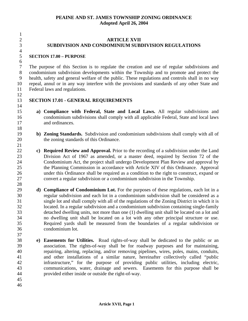## **ARTICLE XVII SUBDIVISION AND CONDOMINIUM SUBDIVISION REGULATIONS**

## **SECTION 17.00 – PURPOSE**

7 8 9 10 11 The purpose of this Section is to regulate the creation and use of regular subdivisions and condominium subdivision developments within the Township and to promote and protect the health, safety and general welfare of the public. These regulations and controls shall in no way repeal, annul or in any way interfere with the provisions and standards of any other State and Federal laws and regulations.

- 12 13 **SECTION 17.01 - GENERAL REQUIREMENTS** 
	- **a) Compliance with Federal, State and Local Laws.** All regular subdivisions and condominium subdivisions shall comply with all applicable Federal, State and local laws and ordinances.
		- **b) Zoning Standards.** Subdivision and condominium subdivisions shall comply with all of the zoning standards of this Ordinance.
	- **c) Required Review and Approval.** Prior to the recording of a subdivision under the Land Division Act of 1967 as amended, or a master deed, required by Section 72 of the Condominium Act, the project shall undergo Development Plan Review and approval by the Planning Commission in accordance with Article XIV of this Ordinance. Approval under this Ordinance shall be required as a condition to the right to construct, expand or convert a regular subdivision or a condominium subdivision in the Township.
	- **d) Compliance of Condominium Lot.** For the purposes of these regulations, each lot in a regular subdivision and each lot in a condominium subdivision shall be considered as a single lot and shall comply with all of the regulations of the Zoning District in which it is located. In a regular subdivision and a condominium subdivision containing single-family detached dwelling units, not more than one (1) dwelling unit shall be located on a lot and no dwelling unit shall be located on a lot with any other principal structure or use. Required yards shall be measured from the boundaries of a regular subdivision or condominium lot.
- 38 39 40 41 42 43 44 **e) Easements for Utilities.** Road rights-of-way shall be dedicated to the public or an association. The rights-of-way shall be for roadway purposes and for maintaining, repairing, altering, replacing, and/or removing pipelines, wires, poles, mains, conduits, and other installations of a similar nature, hereinafter collectively called "public infrastructure," for the purpose of providing public utilities, including electric, communications, water, drainage and sewers. Easements for this purpose shall be provided either inside or outside the right-of-way.
- 45 46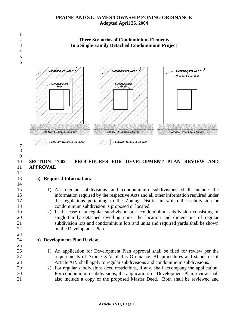## **PEAINE AND ST. JAMES TOWNSHIP ZONING ORDINANCE Adopted April 26, 2004**



## **SECTION 17.02 - PROCEDURES FOR DEVELOPMENT PLAN REVIEW AND APPROVAL**

**a) Required Information.**

- 1) All regular subdivisions and condominium subdivisions shall include the information required by the respective Acts and all other information required under the regulations pertaining to the Zoning District in which the subdivision or condominium subdivision is proposed or located.
- 2) In the case of a regular subdivision or a condominium subdivision consisting of single-family detached dwelling units, the location and dimensions of regular subdivision lots and condominium lots and units and required yards shall be shown on the Development Plan.
- **b) Development Plan Review.** 
	- 1) An application for Development Plan approval shall be filed for review per the requirements of Article XIV of this Ordinance. All procedures and standards of Article XIV shall apply to regular subdivisions and condominium subdivisions.
- 29 30 31 2) For regular subdivisions deed restrictions, if any, shall accompany the application. For condominium subdivisions, the application for Development Plan review shall also include a copy of the proposed Master Deed. Both shall be reviewed and

8